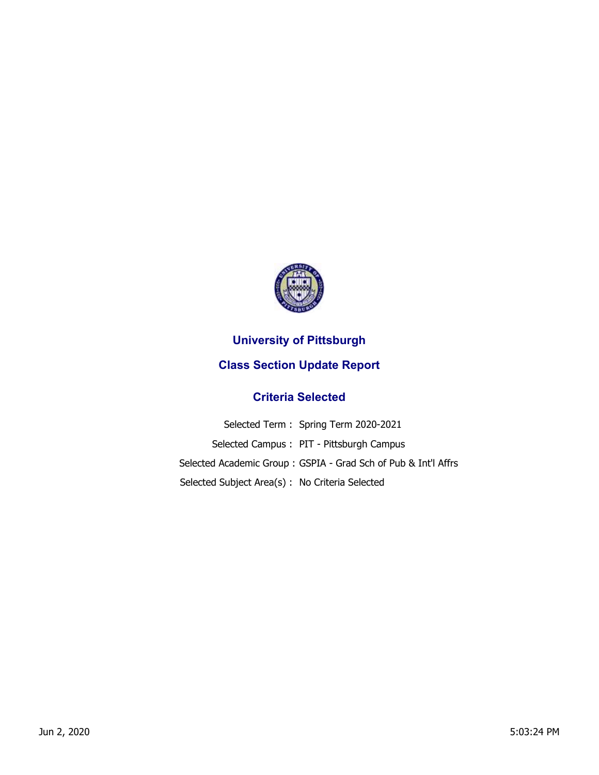

## **University of Pittsburgh**

## **Class Section Update Report**

## **Criteria Selected**

|                                                 | Selected Term: Spring Term 2020-2021                           |
|-------------------------------------------------|----------------------------------------------------------------|
|                                                 | Selected Campus: PIT - Pittsburgh Campus                       |
|                                                 | Selected Academic Group: GSPIA - Grad Sch of Pub & Int'l Affrs |
| Selected Subject Area(s) : No Criteria Selected |                                                                |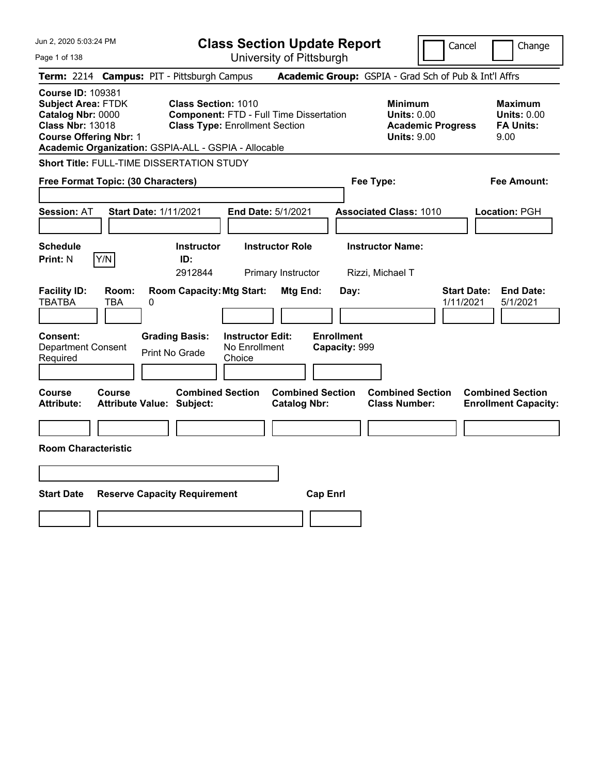| Jun 2, 2020 5:03:24 PM                                                                                                                                                                         | <b>Class Section Update Report</b>                                                                             | Cancel<br>Change                                                                                                                                           |
|------------------------------------------------------------------------------------------------------------------------------------------------------------------------------------------------|----------------------------------------------------------------------------------------------------------------|------------------------------------------------------------------------------------------------------------------------------------------------------------|
| Page 1 of 138                                                                                                                                                                                  | University of Pittsburgh                                                                                       |                                                                                                                                                            |
| Term: 2214 Campus: PIT - Pittsburgh Campus                                                                                                                                                     |                                                                                                                | Academic Group: GSPIA - Grad Sch of Pub & Int'l Affrs                                                                                                      |
| <b>Course ID: 109381</b><br><b>Subject Area: FTDK</b><br>Catalog Nbr: 0000<br><b>Class Nbr: 13018</b><br><b>Course Offering Nbr: 1</b><br>Academic Organization: GSPIA-ALL - GSPIA - Allocable | Class Section: 1010<br><b>Component: FTD - Full Time Dissertation</b><br><b>Class Type: Enrollment Section</b> | <b>Minimum</b><br><b>Maximum</b><br><b>Units: 0.00</b><br><b>Units: 0.00</b><br><b>Academic Progress</b><br><b>FA Units:</b><br><b>Units: 9.00</b><br>9.00 |
| Short Title: FULL-TIME DISSERTATION STUDY                                                                                                                                                      |                                                                                                                |                                                                                                                                                            |
| Free Format Topic: (30 Characters)                                                                                                                                                             |                                                                                                                | Fee Type:<br>Fee Amount:                                                                                                                                   |
| <b>Start Date: 1/11/2021</b><br><b>Session: AT</b>                                                                                                                                             | End Date: 5/1/2021                                                                                             | <b>Associated Class: 1010</b><br>Location: PGH                                                                                                             |
| <b>Schedule</b><br>Y/N<br><b>Print: N</b><br>ID:                                                                                                                                               | <b>Instructor Role</b><br><b>Instructor</b><br>2912844<br>Primary Instructor                                   | <b>Instructor Name:</b><br>Rizzi, Michael T                                                                                                                |
| <b>Facility ID:</b><br>Room:<br><b>TBATBA</b><br><b>TBA</b><br>0                                                                                                                               | <b>Room Capacity: Mtg Start:</b><br><b>Mtg End:</b><br>Day:                                                    | <b>Start Date:</b><br><b>End Date:</b><br>1/11/2021<br>5/1/2021                                                                                            |
| Consent:<br><b>Grading Basis:</b><br><b>Department Consent</b><br><b>Print No Grade</b><br>Required                                                                                            | <b>Enrollment</b><br><b>Instructor Edit:</b><br>No Enrollment<br>Capacity: 999<br>Choice                       |                                                                                                                                                            |
| Course<br>Course<br><b>Attribute:</b><br><b>Attribute Value: Subject:</b>                                                                                                                      | <b>Combined Section</b><br><b>Combined Section</b><br><b>Catalog Nbr:</b>                                      | <b>Combined Section</b><br><b>Combined Section</b><br><b>Class Number:</b><br><b>Enrollment Capacity:</b>                                                  |
|                                                                                                                                                                                                |                                                                                                                |                                                                                                                                                            |
| <b>Room Characteristic</b>                                                                                                                                                                     |                                                                                                                |                                                                                                                                                            |
|                                                                                                                                                                                                |                                                                                                                |                                                                                                                                                            |
| <b>Start Date</b><br><b>Reserve Capacity Requirement</b>                                                                                                                                       | <b>Cap Enrl</b>                                                                                                |                                                                                                                                                            |
|                                                                                                                                                                                                |                                                                                                                |                                                                                                                                                            |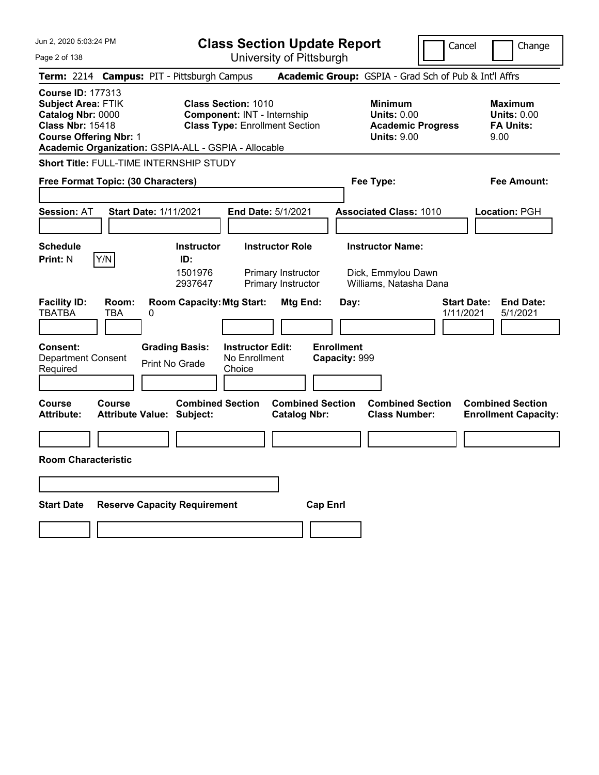| Jun 2, 2020 5:03:24 PM                                                                                                                                                                  | <b>Class Section Update Report</b>                                                                                                            | Cancel                                                                                 | Change                                                           |  |  |
|-----------------------------------------------------------------------------------------------------------------------------------------------------------------------------------------|-----------------------------------------------------------------------------------------------------------------------------------------------|----------------------------------------------------------------------------------------|------------------------------------------------------------------|--|--|
| Page 2 of 138                                                                                                                                                                           | University of Pittsburgh                                                                                                                      |                                                                                        |                                                                  |  |  |
| Term: 2214 Campus: PIT - Pittsburgh Campus                                                                                                                                              |                                                                                                                                               | Academic Group: GSPIA - Grad Sch of Pub & Int'l Affrs                                  |                                                                  |  |  |
| <b>Course ID: 177313</b><br>Subject Area: FTIK<br>Catalog Nbr: 0000<br><b>Class Nbr: 15418</b><br><b>Course Offering Nbr: 1</b><br>Academic Organization: GSPIA-ALL - GSPIA - Allocable | <b>Class Section: 1010</b><br><b>Component: INT - Internship</b><br><b>Class Type: Enrollment Section</b>                                     | <b>Minimum</b><br><b>Units: 0.00</b><br><b>Academic Progress</b><br><b>Units: 9.00</b> | <b>Maximum</b><br><b>Units: 0.00</b><br><b>FA Units:</b><br>9.00 |  |  |
| <b>Short Title: FULL-TIME INTERNSHIP STUDY</b>                                                                                                                                          |                                                                                                                                               |                                                                                        |                                                                  |  |  |
| Free Format Topic: (30 Characters)                                                                                                                                                      |                                                                                                                                               | Fee Type:                                                                              | Fee Amount:                                                      |  |  |
| <b>Start Date: 1/11/2021</b><br><b>Session:</b> AT                                                                                                                                      | End Date: 5/1/2021                                                                                                                            | <b>Associated Class: 1010</b>                                                          | Location: PGH                                                    |  |  |
| <b>Schedule</b><br><b>Print: N</b><br>Y/N                                                                                                                                               | <b>Instructor Role</b><br><b>Instructor</b><br>ID:<br>1501976<br>Primary Instructor<br>2937647<br>Primary Instructor                          | <b>Instructor Name:</b><br>Dick, Emmylou Dawn<br>Williams, Natasha Dana                |                                                                  |  |  |
| <b>Facility ID:</b><br>Room:<br><b>TBATBA</b><br>TBA<br>0<br><b>Consent:</b><br><b>Department Consent</b><br>Required                                                                   | <b>Room Capacity: Mtg Start:</b><br>Mtg End:<br><b>Grading Basis:</b><br><b>Instructor Edit:</b><br>No Enrollment<br>Print No Grade<br>Choice | Day:<br>1/11/2021<br><b>Enrollment</b><br>Capacity: 999                                | <b>End Date:</b><br><b>Start Date:</b><br>5/1/2021               |  |  |
| <b>Course</b><br>Course<br><b>Attribute:</b><br><b>Attribute Value: Subject:</b>                                                                                                        | <b>Combined Section</b><br><b>Combined Section</b><br><b>Catalog Nbr:</b>                                                                     | <b>Combined Section</b><br><b>Class Number:</b>                                        | <b>Combined Section</b><br><b>Enrollment Capacity:</b>           |  |  |
|                                                                                                                                                                                         |                                                                                                                                               |                                                                                        |                                                                  |  |  |
| <b>Room Characteristic</b>                                                                                                                                                              |                                                                                                                                               |                                                                                        |                                                                  |  |  |
|                                                                                                                                                                                         |                                                                                                                                               |                                                                                        |                                                                  |  |  |
|                                                                                                                                                                                         |                                                                                                                                               |                                                                                        |                                                                  |  |  |
| <b>Start Date</b><br><b>Reserve Capacity Requirement</b><br><b>Cap Enrl</b>                                                                                                             |                                                                                                                                               |                                                                                        |                                                                  |  |  |
|                                                                                                                                                                                         |                                                                                                                                               |                                                                                        |                                                                  |  |  |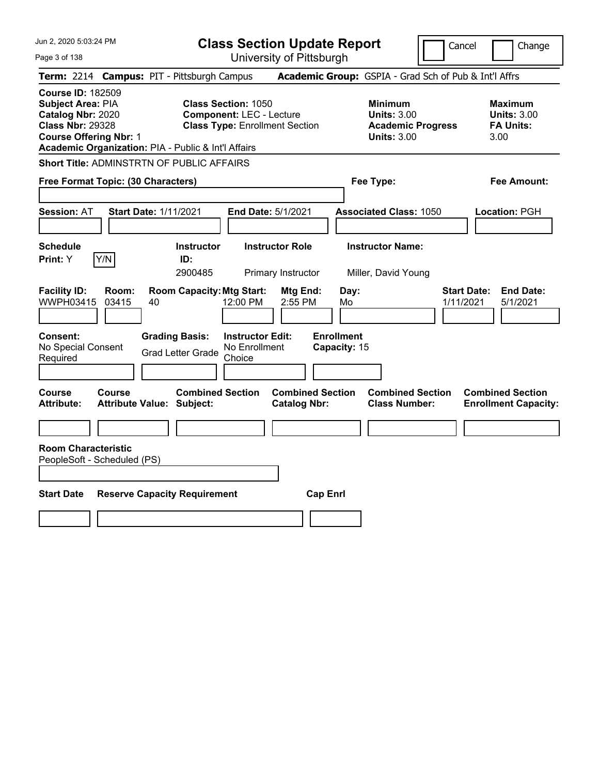Jun 2, 2020 5:03:24 PM Page 3 of 138 **Class Section Update Report Course ID:** 182509

|  |                                  |  | a aaanan ahaam maham |  |
|--|----------------------------------|--|----------------------|--|
|  | <b>Llniversity of Dittshurgh</b> |  |                      |  |

Cancel Change

University of Pittsburgh **Term:** 2214 **Campus:** PIT - Pittsburgh Campus **Academic Group:** GSPIA - Grad Sch of Pub & Int'l Affrs **Subject Area: PIA Class Section: 1050 Minimum Maximum Maximum Catalog Nbr:** 2020 **Component:** LEC - Lecture **Units:** 3.00 **Units:** 3.00 **Class Nbr:** 29328 **Class Type:** Enrollment Section **Academic Progress FA Units: Course Offering Nbr:** 1 **Units:** 3.00 3.00 **Academic Organization:** PIA - Public & Int'l Affairs **Short Title:** ADMINSTRTN OF PUBLIC AFFAIRS **Free Format Topic: (30 Characters) Fee Type: Fee Amount: Session:** AT **Start Date:** 1/11/2021 **End Date:** 5/1/2021 **Associated Class:** 1050 **Location:** PGH **Schedule Instructor Instructor Role Instructor Name: Print:**  $Y$   $|Y/N|$  **ID:** 2900485 Primary Instructor Miller, David Young **Facility ID: Room: Room Capacity:Mtg Start: Mtg End: Day: Start Date: End Date:** WWPH03415 03415 40 12:00 PM 2:55 PM Mo 1/11/2021 5/1/2021 **Consent: Grading Basis: Instructor Edit: Enrollment** No Special Consent No Special Consent Grad Letter Grade No Enrollment<br>Required Choice Choice **Capacity:** 15 **Course Course Combined Section Combined Section Combined Section Combined Section Attribute: Attribute Value: Subject: Catalog Nbr: Class Number: Enrollment Capacity: Room Characteristic** PeopleSoft - Scheduled (PS) **Start Date Reserve Capacity Requirement Cap Enrl**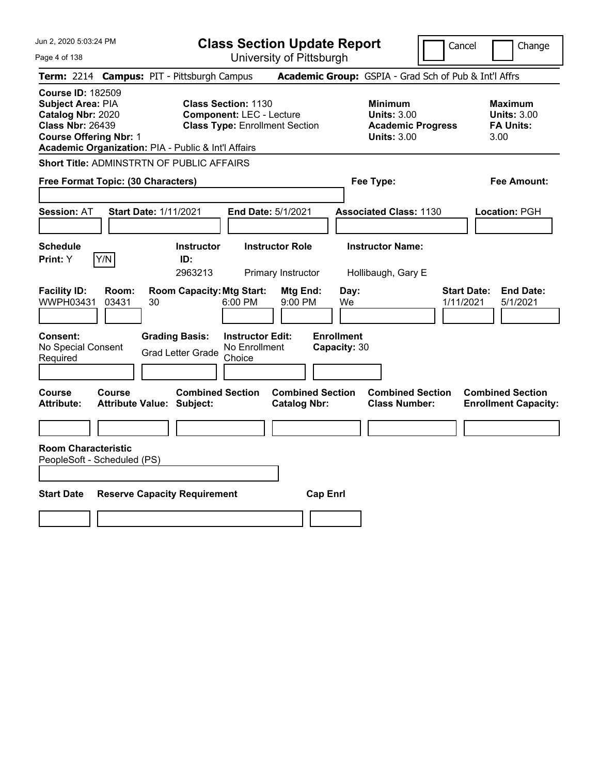| Jun 2, 2020 5:03:24 PM |  |
|------------------------|--|
|------------------------|--|

Page 4 of 138

**Class Section Update Report**

Cancel **Change** 

|                                                                                                                                       |                | Term: 2214 Campus: PIT - Pittsburgh Campus                  |                                                                                                        | Academic Group: GSPIA - Grad Sch of Pub & Int'l Affrs                                  |                                                                  |  |
|---------------------------------------------------------------------------------------------------------------------------------------|----------------|-------------------------------------------------------------|--------------------------------------------------------------------------------------------------------|----------------------------------------------------------------------------------------|------------------------------------------------------------------|--|
| <b>Course ID: 182509</b><br><b>Subject Area: PIA</b><br>Catalog Nbr: 2020<br><b>Class Nbr: 26439</b><br><b>Course Offering Nbr: 1</b> |                | Academic Organization: PIA - Public & Int'l Affairs         | <b>Class Section: 1130</b><br><b>Component: LEC - Lecture</b><br><b>Class Type: Enrollment Section</b> | <b>Minimum</b><br><b>Units: 3.00</b><br><b>Academic Progress</b><br><b>Units: 3.00</b> | <b>Maximum</b><br><b>Units: 3.00</b><br><b>FA Units:</b><br>3.00 |  |
|                                                                                                                                       |                | <b>Short Title: ADMINSTRTN OF PUBLIC AFFAIRS</b>            |                                                                                                        |                                                                                        |                                                                  |  |
| Free Format Topic: (30 Characters)                                                                                                    |                |                                                             |                                                                                                        | Fee Type:                                                                              | Fee Amount:                                                      |  |
| <b>Session: AT</b>                                                                                                                    |                | <b>Start Date: 1/11/2021</b>                                | End Date: 5/1/2021                                                                                     | <b>Associated Class: 1130</b>                                                          | Location: PGH                                                    |  |
| <b>Schedule</b><br><b>Print:</b> Y                                                                                                    | Y/N            | <b>Instructor</b><br>ID:<br>2963213                         | <b>Instructor Role</b><br>Primary Instructor                                                           | <b>Instructor Name:</b><br>Hollibaugh, Gary E                                          |                                                                  |  |
| <b>Facility ID:</b><br>WWPH03431                                                                                                      | Room:<br>03431 | <b>Room Capacity: Mtg Start:</b><br>30                      | Mtg End:<br>6:00 PM<br>9:00 PM                                                                         | Day:<br>We                                                                             | <b>Start Date:</b><br><b>End Date:</b><br>1/11/2021<br>5/1/2021  |  |
| Consent:<br>No Special Consent<br>Required                                                                                            |                | <b>Grading Basis:</b><br><b>Grad Letter Grade</b>           | <b>Instructor Edit:</b><br>No Enrollment<br>Choice                                                     | <b>Enrollment</b><br>Capacity: 30                                                      |                                                                  |  |
| Course<br><b>Attribute:</b>                                                                                                           | Course         | <b>Combined Section</b><br><b>Attribute Value: Subject:</b> | <b>Catalog Nbr:</b>                                                                                    | <b>Combined Section</b><br><b>Combined Section</b><br><b>Class Number:</b>             | <b>Combined Section</b><br><b>Enrollment Capacity:</b>           |  |
|                                                                                                                                       |                |                                                             |                                                                                                        |                                                                                        |                                                                  |  |
| <b>Room Characteristic</b><br>PeopleSoft - Scheduled (PS)                                                                             |                |                                                             |                                                                                                        |                                                                                        |                                                                  |  |
| <b>Start Date</b><br><b>Reserve Capacity Requirement</b><br><b>Cap Enrl</b>                                                           |                |                                                             |                                                                                                        |                                                                                        |                                                                  |  |
|                                                                                                                                       |                |                                                             |                                                                                                        |                                                                                        |                                                                  |  |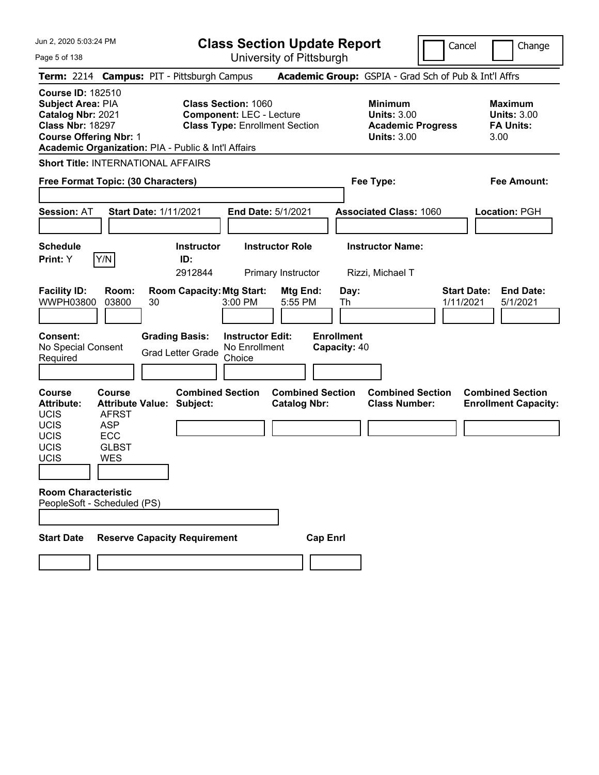| Jun 2, 2020 5:03:24 PM |  |
|------------------------|--|
|------------------------|--|

Page 5 of 138

**Class Section Update Report**

Cancel **Change** 

|                                                                                                                                |                                                                    | Term: 2214 Campus: PIT - Pittsburgh Campus                  |                                                                                                        |                                   | Academic Group: GSPIA - Grad Sch of Pub & Int'l Affrs                                  |                                 |                                                                  |
|--------------------------------------------------------------------------------------------------------------------------------|--------------------------------------------------------------------|-------------------------------------------------------------|--------------------------------------------------------------------------------------------------------|-----------------------------------|----------------------------------------------------------------------------------------|---------------------------------|------------------------------------------------------------------|
| <b>Course ID: 182510</b><br>Subject Area: PIA<br>Catalog Nbr: 2021<br><b>Class Nbr: 18297</b><br><b>Course Offering Nbr: 1</b> |                                                                    | Academic Organization: PIA - Public & Int'l Affairs         | <b>Class Section: 1060</b><br><b>Component: LEC - Lecture</b><br><b>Class Type: Enrollment Section</b> |                                   | <b>Minimum</b><br><b>Units: 3.00</b><br><b>Academic Progress</b><br><b>Units: 3.00</b> |                                 | <b>Maximum</b><br><b>Units: 3.00</b><br><b>FA Units:</b><br>3.00 |
|                                                                                                                                |                                                                    | <b>Short Title: INTERNATIONAL AFFAIRS</b>                   |                                                                                                        |                                   |                                                                                        |                                 |                                                                  |
| Free Format Topic: (30 Characters)                                                                                             |                                                                    |                                                             |                                                                                                        |                                   | Fee Type:                                                                              |                                 | Fee Amount:                                                      |
| <b>Session: AT</b>                                                                                                             |                                                                    | <b>Start Date: 1/11/2021</b>                                | <b>End Date: 5/1/2021</b>                                                                              |                                   | <b>Associated Class: 1060</b>                                                          |                                 | Location: PGH                                                    |
| <b>Schedule</b><br>Print: Y                                                                                                    | Y/N                                                                | <b>Instructor</b><br>ID:<br>2912844                         | <b>Instructor Role</b><br>Primary Instructor                                                           |                                   | <b>Instructor Name:</b><br>Rizzi, Michael T                                            |                                 |                                                                  |
| <b>Facility ID:</b><br>WWPH03800                                                                                               | Room:<br>03800                                                     | <b>Room Capacity: Mtg Start:</b><br>30                      | Mtg End:<br>3:00 PM<br>5:55 PM                                                                         | Day:<br>Th                        |                                                                                        | <b>Start Date:</b><br>1/11/2021 | <b>End Date:</b><br>5/1/2021                                     |
| Consent:<br>No Special Consent<br>Required                                                                                     |                                                                    | <b>Grading Basis:</b><br><b>Grad Letter Grade</b>           | <b>Instructor Edit:</b><br>No Enrollment<br>Choice                                                     | <b>Enrollment</b><br>Capacity: 40 |                                                                                        |                                 |                                                                  |
| Course<br><b>Attribute:</b><br><b>UCIS</b><br><b>UCIS</b><br><b>UCIS</b><br>UCIS<br>UCIS                                       | Course<br><b>AFRST</b><br><b>ASP</b><br>ECC<br>GLBST<br><b>WES</b> | <b>Combined Section</b><br><b>Attribute Value: Subject:</b> | <b>Catalog Nbr:</b>                                                                                    | <b>Combined Section</b>           | <b>Combined Section</b><br><b>Class Number:</b>                                        |                                 | <b>Combined Section</b><br><b>Enrollment Capacity:</b>           |
| <b>Room Characteristic</b><br>PeopleSoft - Scheduled (PS)                                                                      |                                                                    |                                                             |                                                                                                        |                                   |                                                                                        |                                 |                                                                  |
| <b>Start Date</b>                                                                                                              |                                                                    | <b>Reserve Capacity Requirement</b>                         |                                                                                                        | <b>Cap Enri</b>                   |                                                                                        |                                 |                                                                  |
|                                                                                                                                |                                                                    |                                                             |                                                                                                        |                                   |                                                                                        |                                 |                                                                  |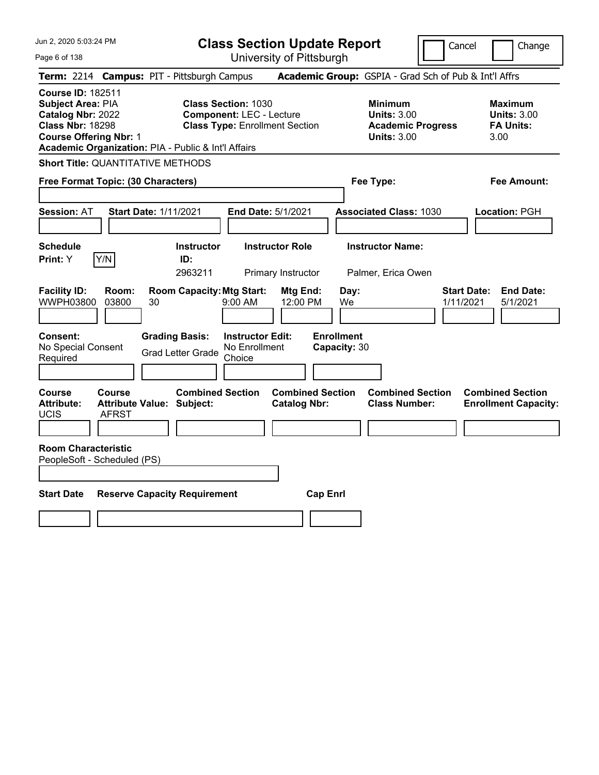Jun 2, 2020 5:03:24 PM Page 6 of 138 **Class Section Update Report** University of Pittsburgh Cancel Change **Term:** 2214 **Campus:** PIT - Pittsburgh Campus **Academic Group:** GSPIA - Grad Sch of Pub & Int'l Affrs **Course ID:** 182511 **Subject Area: PIA Class Section: 1030 Minimum Maximum Maximum Catalog Nbr:** 2022 **Component:** LEC - Lecture **Units:** 3.00 **Units:** 3.00 **Class Nbr:** 18298 **Class Type:** Enrollment Section **Academic Progress FA Units: Course Offering Nbr:** 1 **Units:** 3.00 3.00 **Academic Organization:** PIA - Public & Int'l Affairs **Short Title:** QUANTITATIVE METHODS **Free Format Topic: (30 Characters) Fee Type: Fee Amount: Session:** AT **Start Date:** 1/11/2021 **End Date:** 5/1/2021 **Associated Class:** 1030 **Location:** PGH **Schedule Instructor Instructor Role Instructor Name: Print:**  $Y$   $|Y/N|$  **ID:** 2963211 Primary Instructor Palmer, Erica Owen **Facility ID: Room: Room Capacity:Mtg Start: Mtg End: Day: Start Date: End Date:** WWPH03800 03800 30 9:00 AM 12:00 PM We 1/11/2021 5/1/2021 **Consent: Grading Basis: Instructor Edit: Enrollment** No Special Consent No Special Consent Grad Letter Grade No Enrollment<br>Required Choice Choice **Capacity:** 30 **Course Course Combined Section Combined Section Combined Section Combined Section**  Attribute: Attribute Value: Subject: Catalog Nbr: Class Number: Enrollment Capacity: UCIS AFRST **Room Characteristic** PeopleSoft - Scheduled (PS) **Start Date Reserve Capacity Requirement Cap Enrl**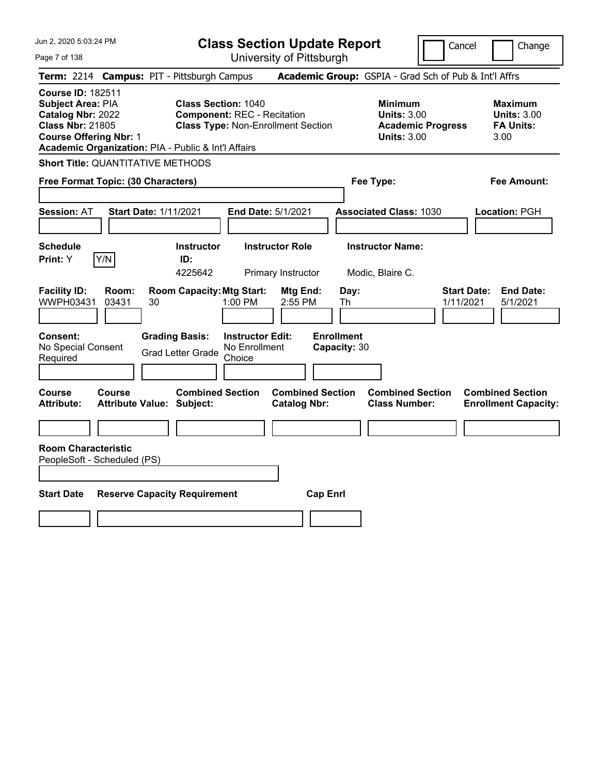| Jun 2, 2020 5:03:24 PM<br>Page 7 of 138                                                                                                                                               | <b>Class Section Update Report</b><br>University of Pittsburgh                                                | Cancel                                                                                 | Change                                                           |
|---------------------------------------------------------------------------------------------------------------------------------------------------------------------------------------|---------------------------------------------------------------------------------------------------------------|----------------------------------------------------------------------------------------|------------------------------------------------------------------|
| Term: 2214 Campus: PIT - Pittsburgh Campus                                                                                                                                            |                                                                                                               | Academic Group: GSPIA - Grad Sch of Pub & Int'l Affrs                                  |                                                                  |
| <b>Course ID: 182511</b><br>Subject Area: PIA<br>Catalog Nbr: 2022<br><b>Class Nbr: 21805</b><br><b>Course Offering Nbr: 1</b><br>Academic Organization: PIA - Public & Int'l Affairs | <b>Class Section: 1040</b><br><b>Component: REC - Recitation</b><br><b>Class Type: Non-Enrollment Section</b> | <b>Minimum</b><br><b>Units: 3.00</b><br><b>Academic Progress</b><br><b>Units: 3.00</b> | <b>Maximum</b><br><b>Units: 3.00</b><br><b>FA Units:</b><br>3.00 |
| <b>Short Title: QUANTITATIVE METHODS</b>                                                                                                                                              |                                                                                                               |                                                                                        |                                                                  |
| Free Format Topic: (30 Characters)                                                                                                                                                    |                                                                                                               | Fee Type:                                                                              | Fee Amount:                                                      |
| <b>Session: AT</b><br>Start Date: 1/11/2021                                                                                                                                           | End Date: 5/1/2021                                                                                            | <b>Associated Class: 1030</b>                                                          | Location: PGH                                                    |
| <b>Schedule</b><br>Y/N<br>Print: Y                                                                                                                                                    | <b>Instructor</b><br><b>Instructor Role</b><br>ID:<br>4225642<br>Primary Instructor                           | <b>Instructor Name:</b><br>Modic, Blaire C.                                            |                                                                  |
| <b>Facility ID:</b><br>Room:<br>WWPH03431<br>03431<br>30                                                                                                                              | <b>Room Capacity: Mtg Start:</b><br>Mtg End:<br>1:00 PM<br>2:55 PM                                            | Day:<br>Th<br>1/11/2021                                                                | <b>Start Date:</b><br><b>End Date:</b><br>5/1/2021               |
| <b>Consent:</b><br>No Special Consent<br>Required                                                                                                                                     | <b>Grading Basis:</b><br><b>Instructor Edit:</b><br>No Enrollment<br><b>Grad Letter Grade</b><br>Choice       | <b>Enrollment</b><br>Capacity: 30                                                      |                                                                  |
| Course<br>Course<br><b>Attribute:</b><br><b>Attribute Value: Subject:</b>                                                                                                             | <b>Combined Section</b><br><b>Combined Section</b><br><b>Catalog Nbr:</b>                                     | <b>Combined Section</b><br><b>Class Number:</b>                                        | <b>Combined Section</b><br><b>Enrollment Capacity:</b>           |
| <b>Room Characteristic</b><br>PeopleSoft - Scheduled (PS)                                                                                                                             |                                                                                                               |                                                                                        |                                                                  |
|                                                                                                                                                                                       |                                                                                                               |                                                                                        |                                                                  |
| <b>Start Date</b><br><b>Reserve Capacity Requirement</b>                                                                                                                              | <b>Cap Enrl</b>                                                                                               |                                                                                        |                                                                  |
|                                                                                                                                                                                       |                                                                                                               |                                                                                        |                                                                  |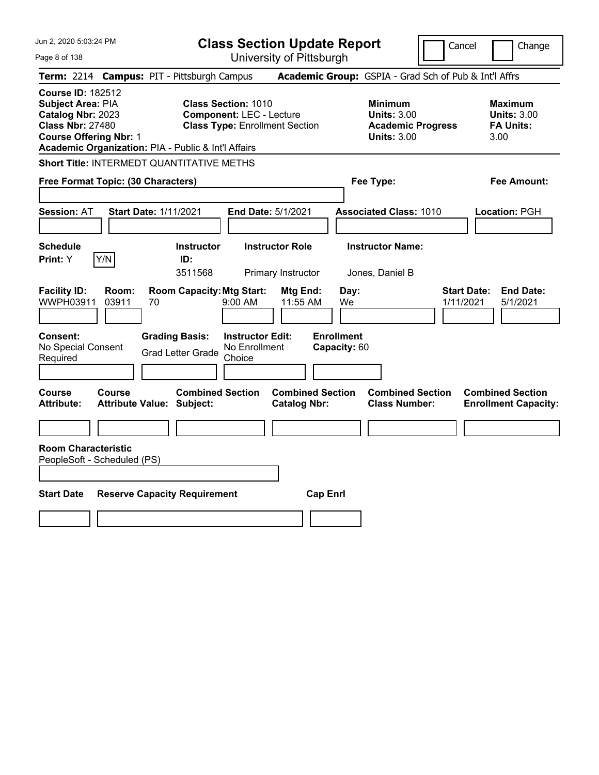| Jun 2, 2020 5:03:24 PM |  |
|------------------------|--|
|------------------------|--|

Page 8 of 138

**Class Section Update Report**

Cancel Change

|                                                                                                                                       |                |                                                             |                                                                                                        | UNIVUUTIY ULI ILLUUULYII                       |                                            |                                                                      |                                                                  |
|---------------------------------------------------------------------------------------------------------------------------------------|----------------|-------------------------------------------------------------|--------------------------------------------------------------------------------------------------------|------------------------------------------------|--------------------------------------------|----------------------------------------------------------------------|------------------------------------------------------------------|
|                                                                                                                                       |                | Term: 2214 Campus: PIT - Pittsburgh Campus                  |                                                                                                        |                                                |                                            | Academic Group: GSPIA - Grad Sch of Pub & Int'l Affrs                |                                                                  |
| <b>Course ID: 182512</b><br><b>Subject Area: PIA</b><br>Catalog Nbr: 2023<br><b>Class Nbr: 27480</b><br><b>Course Offering Nbr: 1</b> |                | Academic Organization: PIA - Public & Int'l Affairs         | <b>Class Section: 1010</b><br><b>Component: LEC - Lecture</b><br><b>Class Type: Enrollment Section</b> |                                                | <b>Minimum</b>                             | <b>Units: 3.00</b><br><b>Academic Progress</b><br><b>Units: 3.00</b> | <b>Maximum</b><br><b>Units: 3.00</b><br><b>FA Units:</b><br>3.00 |
|                                                                                                                                       |                | Short Title: INTERMEDT QUANTITATIVE METHS                   |                                                                                                        |                                                |                                            |                                                                      |                                                                  |
| Free Format Topic: (30 Characters)                                                                                                    |                |                                                             |                                                                                                        |                                                | Fee Type:                                  |                                                                      | Fee Amount:                                                      |
| <b>Session: AT</b>                                                                                                                    |                | <b>Start Date: 1/11/2021</b>                                | End Date: 5/1/2021                                                                                     |                                                | <b>Associated Class: 1010</b>              |                                                                      | Location: PGH                                                    |
| <b>Schedule</b><br>Print: Y                                                                                                           | Y/N            | <b>Instructor</b><br>ID:<br>3511568                         |                                                                                                        | <b>Instructor Role</b><br>Primary Instructor   | <b>Instructor Name:</b><br>Jones, Daniel B |                                                                      |                                                                  |
| <b>Facility ID:</b><br>WWPH03911                                                                                                      | Room:<br>03911 | <b>Room Capacity: Mtg Start:</b><br>70                      | 9:00 AM                                                                                                | Mtg End:<br>11:55 AM                           | Day:<br>We                                 | <b>Start Date:</b><br>1/11/2021                                      | <b>End Date:</b><br>5/1/2021                                     |
| Consent:<br>No Special Consent<br>Required                                                                                            |                | <b>Grading Basis:</b><br><b>Grad Letter Grade</b>           | <b>Instructor Edit:</b><br>No Enrollment<br>Choice                                                     |                                                | <b>Enrollment</b><br>Capacity: 60          |                                                                      |                                                                  |
| <b>Course</b><br><b>Attribute:</b>                                                                                                    | Course         | <b>Combined Section</b><br><b>Attribute Value: Subject:</b> |                                                                                                        | <b>Combined Section</b><br><b>Catalog Nbr:</b> |                                            | <b>Combined Section</b><br><b>Class Number:</b>                      | <b>Combined Section</b><br><b>Enrollment Capacity:</b>           |
|                                                                                                                                       |                |                                                             |                                                                                                        |                                                |                                            |                                                                      |                                                                  |
| <b>Room Characteristic</b><br>PeopleSoft - Scheduled (PS)                                                                             |                |                                                             |                                                                                                        |                                                |                                            |                                                                      |                                                                  |
| <b>Start Date</b>                                                                                                                     |                | <b>Reserve Capacity Requirement</b>                         |                                                                                                        | <b>Cap Enrl</b>                                |                                            |                                                                      |                                                                  |
|                                                                                                                                       |                |                                                             |                                                                                                        |                                                |                                            |                                                                      |                                                                  |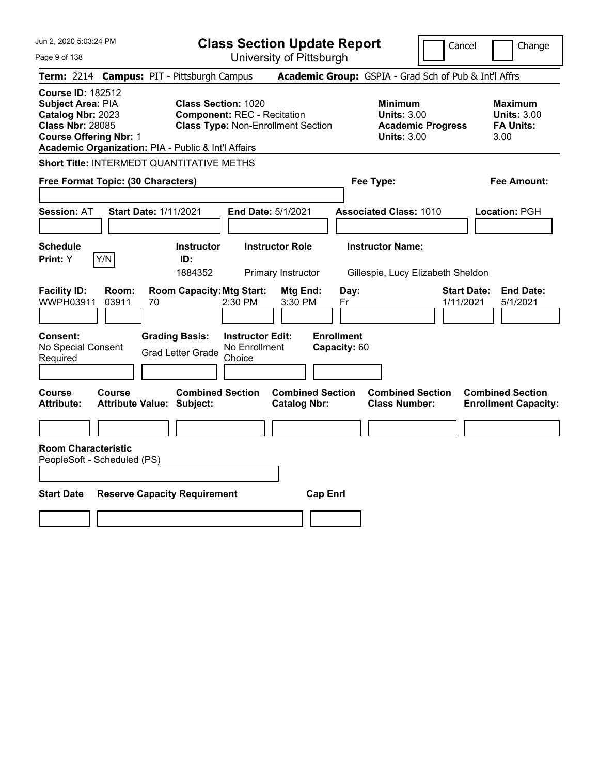|  |  | Jun 2, 2020 5:03:24 PM |  |
|--|--|------------------------|--|
|--|--|------------------------|--|

**Class Section Update Report** University of Pittsburgh

Cancel Change

Page 9 of 138

|                                                                                                                                |                | Term: 2214 Campus: PIT - Pittsburgh Campus                                        |                                                                                 | Academic Group: GSPIA - Grad Sch of Pub & Int'l Affrs                                  |                                                                  |
|--------------------------------------------------------------------------------------------------------------------------------|----------------|-----------------------------------------------------------------------------------|---------------------------------------------------------------------------------|----------------------------------------------------------------------------------------|------------------------------------------------------------------|
| <b>Course ID: 182512</b><br>Subject Area: PIA<br>Catalog Nbr: 2023<br><b>Class Nbr: 28085</b><br><b>Course Offering Nbr: 1</b> |                | <b>Class Section: 1020</b><br>Academic Organization: PIA - Public & Int'l Affairs | <b>Component: REC - Recitation</b><br><b>Class Type: Non-Enrollment Section</b> | <b>Minimum</b><br><b>Units: 3.00</b><br><b>Academic Progress</b><br><b>Units: 3.00</b> | <b>Maximum</b><br><b>Units: 3.00</b><br><b>FA Units:</b><br>3.00 |
|                                                                                                                                |                | Short Title: INTERMEDT QUANTITATIVE METHS                                         |                                                                                 |                                                                                        |                                                                  |
| Free Format Topic: (30 Characters)                                                                                             |                |                                                                                   |                                                                                 | Fee Type:                                                                              | Fee Amount:                                                      |
| <b>Session: AT</b>                                                                                                             |                | <b>Start Date: 1/11/2021</b>                                                      | <b>End Date: 5/1/2021</b>                                                       | <b>Associated Class: 1010</b>                                                          | Location: PGH                                                    |
| <b>Schedule</b><br><b>Print:</b> Y                                                                                             | Y/N            | <b>Instructor</b><br>ID:<br>1884352                                               | <b>Instructor Role</b><br>Primary Instructor                                    | <b>Instructor Name:</b><br>Gillespie, Lucy Elizabeth Sheldon                           |                                                                  |
| <b>Facility ID:</b><br>WWPH03911                                                                                               | Room:<br>03911 | <b>Room Capacity: Mtg Start:</b><br>70                                            | Mtg End:<br>2:30 PM<br>3:30 PM                                                  | <b>Start Date:</b><br>Day:<br>1/11/2021<br>Fr                                          | <b>End Date:</b><br>5/1/2021                                     |
| Consent:<br>No Special Consent<br>Required                                                                                     |                | <b>Grading Basis:</b><br><b>Grad Letter Grade</b>                                 | <b>Instructor Edit:</b><br>No Enrollment<br>Choice                              | <b>Enrollment</b><br>Capacity: 60                                                      |                                                                  |
| Course<br>Attribute:                                                                                                           | <b>Course</b>  | <b>Combined Section</b><br><b>Attribute Value: Subject:</b>                       | <b>Combined Section</b><br><b>Catalog Nbr:</b>                                  | <b>Combined Section</b><br><b>Class Number:</b>                                        | <b>Combined Section</b><br><b>Enrollment Capacity:</b>           |
| <b>Room Characteristic</b><br>PeopleSoft - Scheduled (PS)<br><b>Start Date</b>                                                 |                | <b>Reserve Capacity Requirement</b>                                               | <b>Cap Enrl</b>                                                                 |                                                                                        |                                                                  |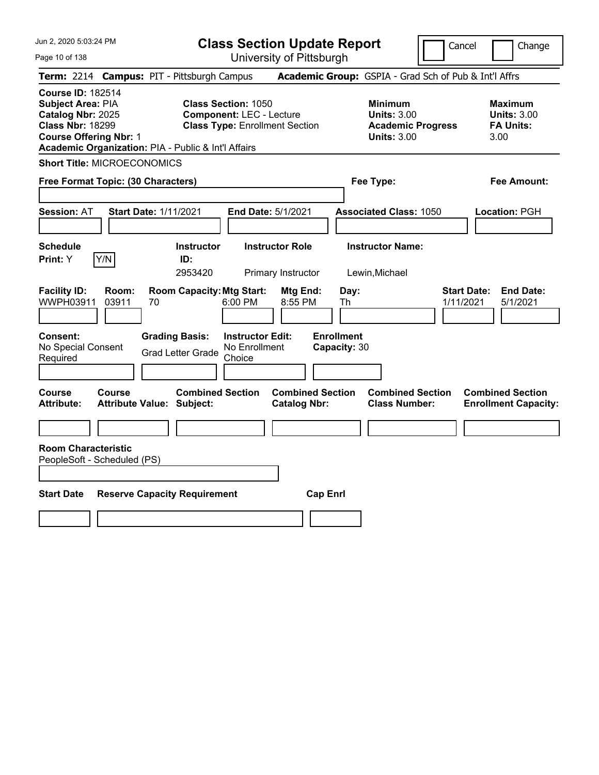**Class Section Update Report**

Cancel Change

| Page 10 of 138                                                                                                                 |                                                                                                                                                               | University of Pittsburgh                                   |                                                 |                                                                  |
|--------------------------------------------------------------------------------------------------------------------------------|---------------------------------------------------------------------------------------------------------------------------------------------------------------|------------------------------------------------------------|-------------------------------------------------|------------------------------------------------------------------|
|                                                                                                                                | Term: 2214 Campus: PIT - Pittsburgh Campus                                                                                                                    | Academic Group: GSPIA - Grad Sch of Pub & Int'l Affrs      |                                                 |                                                                  |
| <b>Course ID: 182514</b><br>Subject Area: PIA<br>Catalog Nbr: 2025<br><b>Class Nbr: 18299</b><br><b>Course Offering Nbr: 1</b> | <b>Class Section: 1050</b><br><b>Component: LEC - Lecture</b><br><b>Class Type: Enrollment Section</b><br>Academic Organization: PIA - Public & Int'l Affairs | <b>Minimum</b><br><b>Units: 3.00</b><br><b>Units: 3.00</b> | <b>Academic Progress</b>                        | <b>Maximum</b><br><b>Units: 3.00</b><br><b>FA Units:</b><br>3.00 |
| <b>Short Title: MICROECONOMICS</b>                                                                                             |                                                                                                                                                               |                                                            |                                                 |                                                                  |
| Free Format Topic: (30 Characters)                                                                                             |                                                                                                                                                               | Fee Type:                                                  |                                                 | Fee Amount:                                                      |
| <b>Session: AT</b>                                                                                                             | <b>Start Date: 1/11/2021</b><br>End Date: 5/1/2021                                                                                                            | <b>Associated Class: 1050</b>                              |                                                 | Location: PGH                                                    |
| <b>Schedule</b><br>Y/N<br>Print: Y                                                                                             | <b>Instructor</b><br><b>Instructor Role</b><br>ID:<br>2953420<br>Primary Instructor                                                                           | <b>Instructor Name:</b><br>Lewin, Michael                  |                                                 |                                                                  |
| <b>Facility ID:</b><br>Room:<br>WWPH03911<br>03911                                                                             | <b>Room Capacity: Mtg Start:</b><br>6:00 PM<br>70                                                                                                             | Mtg End:<br>Day:<br>8:55 PM<br>Th                          | <b>Start Date:</b><br>1/11/2021                 | <b>End Date:</b><br>5/1/2021                                     |
| Consent:<br>No Special Consent<br>Required                                                                                     | <b>Grading Basis:</b><br><b>Instructor Edit:</b><br>No Enrollment<br><b>Grad Letter Grade</b><br>Choice                                                       | <b>Enrollment</b><br>Capacity: 30                          |                                                 |                                                                  |
| <b>Course</b><br>Course<br>Attribute:                                                                                          | <b>Combined Section</b><br><b>Attribute Value: Subject:</b>                                                                                                   | <b>Combined Section</b><br><b>Catalog Nbr:</b>             | <b>Combined Section</b><br><b>Class Number:</b> | <b>Combined Section</b><br><b>Enrollment Capacity:</b>           |
|                                                                                                                                |                                                                                                                                                               |                                                            |                                                 |                                                                  |
| <b>Room Characteristic</b><br>PeopleSoft - Scheduled (PS)<br><b>Start Date</b>                                                 | <b>Reserve Capacity Requirement</b>                                                                                                                           | <b>Cap Enrl</b>                                            |                                                 |                                                                  |
|                                                                                                                                |                                                                                                                                                               |                                                            |                                                 |                                                                  |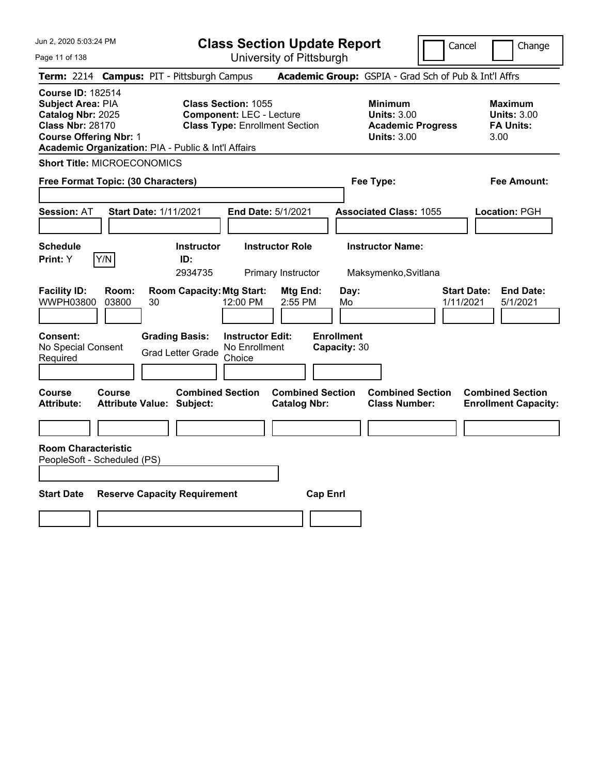**Class Section Update Report**

Cancel Change

| Page 11 of 138                                                                                                                                                                               |                                                                                                         | University of Pittsburgh                       |                                                                                        |                                                                  |
|----------------------------------------------------------------------------------------------------------------------------------------------------------------------------------------------|---------------------------------------------------------------------------------------------------------|------------------------------------------------|----------------------------------------------------------------------------------------|------------------------------------------------------------------|
| <b>Term: 2214</b>                                                                                                                                                                            | <b>Campus: PIT - Pittsburgh Campus</b>                                                                  |                                                | Academic Group: GSPIA - Grad Sch of Pub & Int'l Affrs                                  |                                                                  |
| <b>Course ID: 182514</b><br><b>Subject Area: PIA</b><br>Catalog Nbr: 2025<br><b>Class Nbr: 28170</b><br><b>Course Offering Nbr: 1</b><br>Academic Organization: PIA - Public & Int'l Affairs | <b>Class Section: 1055</b><br><b>Component: LEC - Lecture</b><br><b>Class Type: Enrollment Section</b>  |                                                | <b>Minimum</b><br><b>Units: 3.00</b><br><b>Academic Progress</b><br><b>Units: 3.00</b> | <b>Maximum</b><br><b>Units: 3.00</b><br><b>FA Units:</b><br>3.00 |
| <b>Short Title: MICROECONOMICS</b>                                                                                                                                                           |                                                                                                         |                                                |                                                                                        |                                                                  |
| Free Format Topic: (30 Characters)                                                                                                                                                           |                                                                                                         |                                                | Fee Type:                                                                              | Fee Amount:                                                      |
| <b>Session: AT</b>                                                                                                                                                                           | <b>Start Date: 1/11/2021</b>                                                                            | End Date: 5/1/2021                             | <b>Associated Class: 1055</b>                                                          | Location: PGH                                                    |
| <b>Schedule</b><br>Y/N<br><b>Print:</b> Y                                                                                                                                                    | <b>Instructor</b><br>ID:<br>2934735                                                                     | <b>Instructor Role</b><br>Primary Instructor   | <b>Instructor Name:</b><br>Maksymenko, Svitlana                                        |                                                                  |
| <b>Facility ID:</b><br>Room:<br>WWPH03800<br>03800<br>30                                                                                                                                     | <b>Room Capacity: Mtg Start:</b><br>12:00 PM                                                            | Mtg End:<br>2:55 PM                            | Day:<br>Mo                                                                             | <b>End Date:</b><br><b>Start Date:</b><br>1/11/2021<br>5/1/2021  |
| <b>Consent:</b><br>No Special Consent<br>Required                                                                                                                                            | <b>Grading Basis:</b><br><b>Instructor Edit:</b><br>No Enrollment<br><b>Grad Letter Grade</b><br>Choice | <b>Enrollment</b>                              | Capacity: 30                                                                           |                                                                  |
| <b>Course</b><br>Course<br>Attribute:                                                                                                                                                        | <b>Combined Section</b><br><b>Attribute Value: Subject:</b>                                             | <b>Combined Section</b><br><b>Catalog Nbr:</b> | <b>Combined Section</b><br><b>Class Number:</b>                                        | <b>Combined Section</b><br><b>Enrollment Capacity:</b>           |
|                                                                                                                                                                                              |                                                                                                         |                                                |                                                                                        |                                                                  |
| <b>Room Characteristic</b><br>PeopleSoft - Scheduled (PS)<br><b>Start Date</b>                                                                                                               | <b>Reserve Capacity Requirement</b>                                                                     | <b>Cap Enrl</b>                                |                                                                                        |                                                                  |
|                                                                                                                                                                                              |                                                                                                         |                                                |                                                                                        |                                                                  |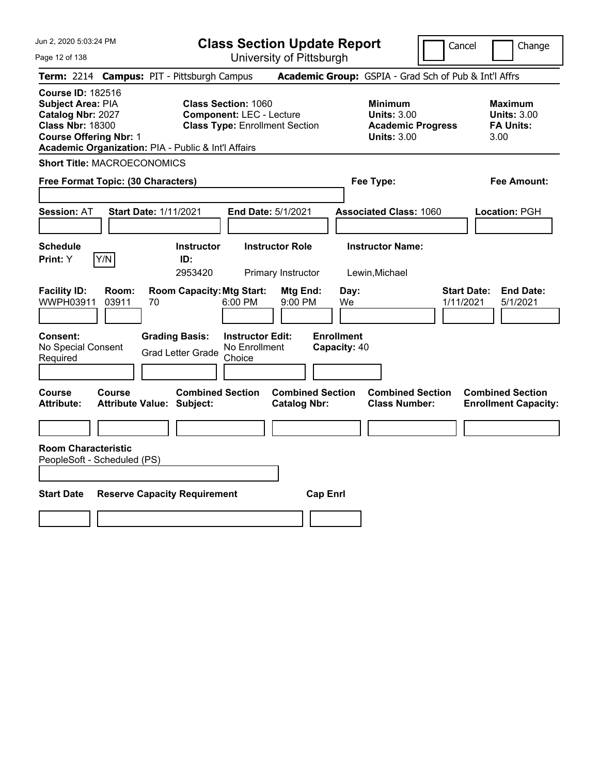Jun 2, 2020 5:03:24 PM Page 12 of 138 **Class Section Update Report** University of Pittsburgh Cancel Change **Term:** 2214 **Campus:** PIT - Pittsburgh Campus **Academic Group:** GSPIA - Grad Sch of Pub & Int'l Affrs **Course ID:** 182516 **Subject Area:** PIA **Class Section:** 1060 **Minimum Maximum Catalog Nbr:** 2027 **Component:** LEC - Lecture **Units:** 3.00 **Units:** 3.00 **Class Nbr:** 18300 **Class Type:** Enrollment Section **Academic Progress FA Units: Course Offering Nbr:** 1 **Units:** 3.00 3.00 **Academic Organization:** PIA - Public & Int'l Affairs **Short Title:** MACROECONOMICS **Free Format Topic: (30 Characters) Fee Type: Fee Amount: Session:** AT **Start Date:** 1/11/2021 **End Date:** 5/1/2021 **Associated Class:** 1060 **Location:** PGH **Schedule Instructor Instructor Role Instructor Name: Print:**  $Y$   $|Y/N|$  **ID:** 2953420 Primary Instructor Lewin,Michael **Facility ID: Room: Room Capacity:Mtg Start: Mtg End: Day: Start Date: End Date:** WWPH03911 03911 70 6:00 PM 9:00 PM We 1/11/2021 5/1/2021 **Consent: Grading Basis: Instructor Edit: Enrollment** No Special Consent No Special Consent Grad Letter Grade No Enrollment<br>Required Choice Choice **Capacity:** 40 **Course Course Combined Section Combined Section Combined Section Combined Section Attribute: Attribute Value: Subject: Catalog Nbr: Class Number: Enrollment Capacity: Room Characteristic** PeopleSoft - Scheduled (PS) **Start Date Reserve Capacity Requirement Cap Enrl**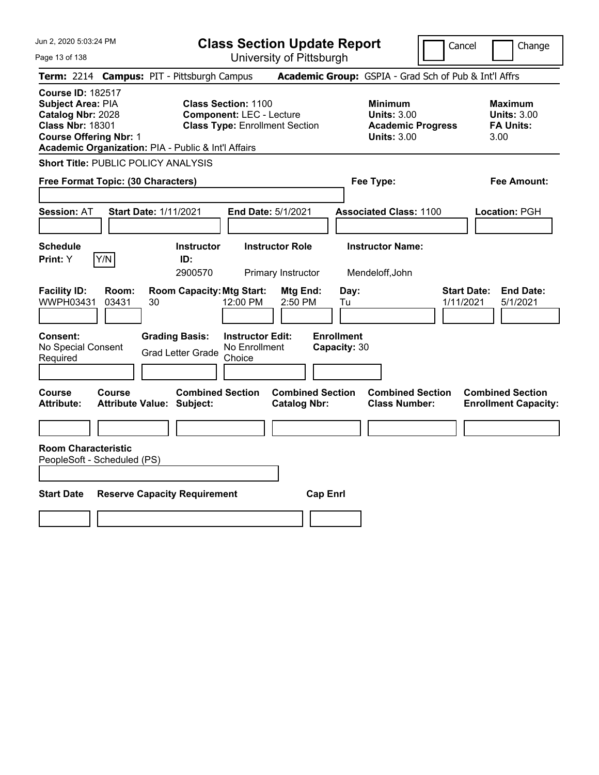Page 13 of 138

**Class Section Update Report**

Cancel Change

| Term: 2214 Campus: PIT - Pittsburgh Campus                                                                                                                                            |                                                                                                         | Academic Group: GSPIA - Grad Sch of Pub & Int'l Affrs                                  |                                                                  |
|---------------------------------------------------------------------------------------------------------------------------------------------------------------------------------------|---------------------------------------------------------------------------------------------------------|----------------------------------------------------------------------------------------|------------------------------------------------------------------|
| <b>Course ID: 182517</b><br>Subject Area: PIA<br>Catalog Nbr: 2028<br><b>Class Nbr: 18301</b><br><b>Course Offering Nbr: 1</b><br>Academic Organization: PIA - Public & Int'l Affairs | <b>Class Section: 1100</b><br><b>Component: LEC - Lecture</b><br><b>Class Type: Enrollment Section</b>  | <b>Minimum</b><br><b>Units: 3.00</b><br><b>Academic Progress</b><br><b>Units: 3.00</b> | <b>Maximum</b><br><b>Units: 3.00</b><br><b>FA Units:</b><br>3.00 |
| <b>Short Title: PUBLIC POLICY ANALYSIS</b>                                                                                                                                            |                                                                                                         |                                                                                        |                                                                  |
| Free Format Topic: (30 Characters)                                                                                                                                                    |                                                                                                         | Fee Type:                                                                              | <b>Fee Amount:</b>                                               |
| <b>Session: AT</b><br><b>Start Date: 1/11/2021</b>                                                                                                                                    | End Date: 5/1/2021                                                                                      | <b>Associated Class: 1100</b>                                                          | Location: PGH                                                    |
| <b>Schedule</b><br>Y/N<br>Print: Y                                                                                                                                                    | <b>Instructor Role</b><br><b>Instructor</b><br>ID:<br>2900570<br>Primary Instructor                     | <b>Instructor Name:</b><br>Mendeloff, John                                             |                                                                  |
| <b>Facility ID:</b><br>Room:<br>WWPH03431<br>03431<br>30                                                                                                                              | <b>Room Capacity: Mtg Start:</b><br>Mtg End:<br>12:00 PM<br>2:50 PM                                     | Day:<br><b>Start Date:</b><br>1/11/2021<br>Tu                                          | <b>End Date:</b><br>5/1/2021                                     |
| Consent:<br>No Special Consent<br>Required                                                                                                                                            | <b>Grading Basis:</b><br><b>Instructor Edit:</b><br>No Enrollment<br><b>Grad Letter Grade</b><br>Choice | <b>Enrollment</b><br>Capacity: 30                                                      |                                                                  |
| <b>Course</b><br>Course<br><b>Attribute:</b><br><b>Attribute Value: Subject:</b>                                                                                                      | <b>Combined Section</b><br><b>Catalog Nbr:</b>                                                          | <b>Combined Section</b><br><b>Combined Section</b><br><b>Class Number:</b>             | <b>Combined Section</b><br><b>Enrollment Capacity:</b>           |
|                                                                                                                                                                                       |                                                                                                         |                                                                                        |                                                                  |
| <b>Room Characteristic</b><br>PeopleSoft - Scheduled (PS)                                                                                                                             |                                                                                                         |                                                                                        |                                                                  |
| <b>Start Date</b>                                                                                                                                                                     | <b>Reserve Capacity Requirement</b>                                                                     | <b>Cap Enrl</b>                                                                        |                                                                  |
|                                                                                                                                                                                       |                                                                                                         |                                                                                        |                                                                  |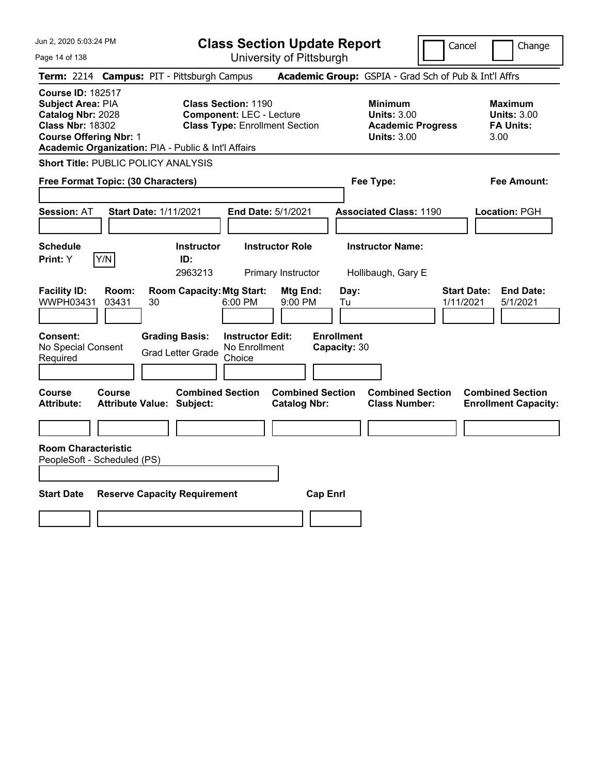Page 14 of 138

**Class Section Update Report**

Cancel Change

| Term: 2214 Campus: PIT - Pittsburgh Campus                                                                                                                                            |                                            |    |                                                                                                        |                                                    |                                                |                                                                                        |                                   |           | <b>Academic Group:</b> GSPIA - Grad Sch of Pub & Int'l Affrs     |                                 |                                                        |
|---------------------------------------------------------------------------------------------------------------------------------------------------------------------------------------|--------------------------------------------|----|--------------------------------------------------------------------------------------------------------|----------------------------------------------------|------------------------------------------------|----------------------------------------------------------------------------------------|-----------------------------------|-----------|------------------------------------------------------------------|---------------------------------|--------------------------------------------------------|
| <b>Course ID: 182517</b><br>Subject Area: PIA<br>Catalog Nbr: 2028<br><b>Class Nbr: 18302</b><br><b>Course Offering Nbr: 1</b><br>Academic Organization: PIA - Public & Int'l Affairs |                                            |    | <b>Class Section: 1190</b><br><b>Component: LEC - Lecture</b><br><b>Class Type: Enrollment Section</b> |                                                    |                                                | <b>Minimum</b><br><b>Units: 3.00</b><br><b>Academic Progress</b><br><b>Units: 3.00</b> |                                   |           | <b>Maximum</b><br><b>Units: 3.00</b><br><b>FA Units:</b><br>3.00 |                                 |                                                        |
| <b>Short Title: PUBLIC POLICY ANALYSIS</b>                                                                                                                                            |                                            |    |                                                                                                        |                                                    |                                                |                                                                                        |                                   |           |                                                                  |                                 |                                                        |
| Free Format Topic: (30 Characters)                                                                                                                                                    |                                            |    |                                                                                                        |                                                    |                                                |                                                                                        |                                   | Fee Type: |                                                                  |                                 | Fee Amount:                                            |
| <b>Session: AT</b>                                                                                                                                                                    | <b>Start Date: 1/11/2021</b>               |    |                                                                                                        |                                                    | <b>End Date: 5/1/2021</b>                      |                                                                                        |                                   |           | <b>Associated Class: 1190</b>                                    |                                 | Location: PGH                                          |
| <b>Schedule</b><br>Print: Y                                                                                                                                                           | Y/N                                        |    | <b>Instructor</b><br>ID:<br>2963213                                                                    |                                                    | <b>Instructor Role</b><br>Primary Instructor   |                                                                                        |                                   |           | <b>Instructor Name:</b><br>Hollibaugh, Gary E                    |                                 |                                                        |
| <b>Facility ID:</b><br><b>WWPH03431</b>                                                                                                                                               | Room:<br>03431                             | 30 | <b>Room Capacity: Mtg Start:</b>                                                                       | 6:00 PM                                            | Mtg End:<br>9:00 PM                            |                                                                                        | Day:<br>Tu                        |           |                                                                  | <b>Start Date:</b><br>1/11/2021 | <b>End Date:</b><br>5/1/2021                           |
| Consent:<br>No Special Consent<br>Required                                                                                                                                            |                                            |    | <b>Grading Basis:</b><br><b>Grad Letter Grade</b>                                                      | <b>Instructor Edit:</b><br>No Enrollment<br>Choice |                                                |                                                                                        | <b>Enrollment</b><br>Capacity: 30 |           |                                                                  |                                 |                                                        |
| Course<br><b>Attribute:</b>                                                                                                                                                           | Course<br><b>Attribute Value: Subject:</b> |    | <b>Combined Section</b>                                                                                |                                                    | <b>Combined Section</b><br><b>Catalog Nbr:</b> |                                                                                        |                                   |           | <b>Combined Section</b><br><b>Class Number:</b>                  |                                 | <b>Combined Section</b><br><b>Enrollment Capacity:</b> |
|                                                                                                                                                                                       |                                            |    |                                                                                                        |                                                    |                                                |                                                                                        |                                   |           |                                                                  |                                 |                                                        |
| <b>Room Characteristic</b><br>PeopleSoft - Scheduled (PS)                                                                                                                             |                                            |    |                                                                                                        |                                                    |                                                |                                                                                        |                                   |           |                                                                  |                                 |                                                        |
| <b>Start Date</b><br><b>Reserve Capacity Requirement</b><br><b>Cap Enrl</b>                                                                                                           |                                            |    |                                                                                                        |                                                    |                                                |                                                                                        |                                   |           |                                                                  |                                 |                                                        |
|                                                                                                                                                                                       |                                            |    |                                                                                                        |                                                    |                                                |                                                                                        |                                   |           |                                                                  |                                 |                                                        |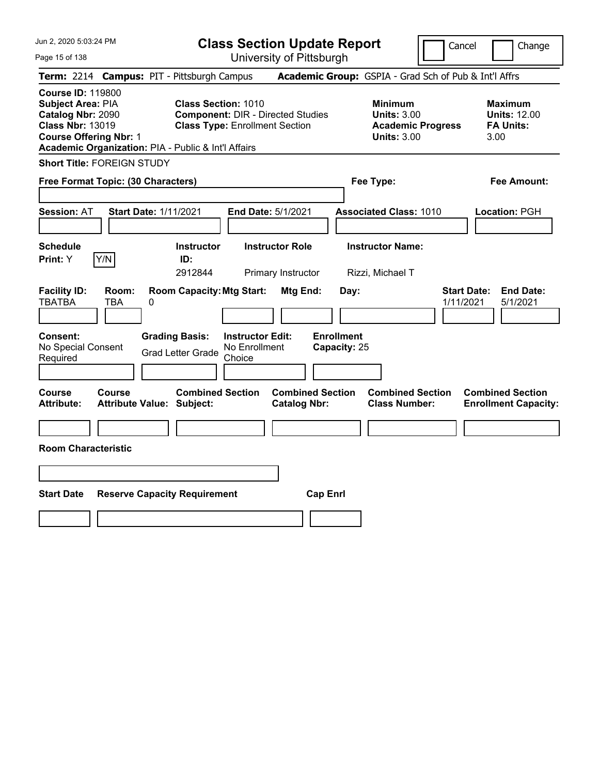| Jun 2, 2020 5:03:24 PM                                                                                                                                                                |                                                             | <b>Class Section Update Report</b>                                                                              |                                                |                                                                                        | Cancel<br>Change                                                  |
|---------------------------------------------------------------------------------------------------------------------------------------------------------------------------------------|-------------------------------------------------------------|-----------------------------------------------------------------------------------------------------------------|------------------------------------------------|----------------------------------------------------------------------------------------|-------------------------------------------------------------------|
| Page 15 of 138                                                                                                                                                                        |                                                             | University of Pittsburgh                                                                                        |                                                |                                                                                        |                                                                   |
| Term: 2214 Campus: PIT - Pittsburgh Campus                                                                                                                                            |                                                             |                                                                                                                 |                                                | Academic Group: GSPIA - Grad Sch of Pub & Int'l Affrs                                  |                                                                   |
| <b>Course ID: 119800</b><br>Subject Area: PIA<br>Catalog Nbr: 2090<br><b>Class Nbr: 13019</b><br><b>Course Offering Nbr: 1</b><br>Academic Organization: PIA - Public & Int'l Affairs |                                                             | <b>Class Section: 1010</b><br><b>Component: DIR - Directed Studies</b><br><b>Class Type: Enrollment Section</b> |                                                | <b>Minimum</b><br><b>Units: 3.00</b><br><b>Academic Progress</b><br><b>Units: 3.00</b> | <b>Maximum</b><br><b>Units: 12.00</b><br><b>FA Units:</b><br>3.00 |
| <b>Short Title: FOREIGN STUDY</b>                                                                                                                                                     |                                                             |                                                                                                                 |                                                |                                                                                        |                                                                   |
| Free Format Topic: (30 Characters)                                                                                                                                                    |                                                             |                                                                                                                 |                                                | Fee Type:                                                                              | Fee Amount:                                                       |
| <b>Session: AT</b>                                                                                                                                                                    | <b>Start Date: 1/11/2021</b>                                | End Date: 5/1/2021                                                                                              |                                                | <b>Associated Class: 1010</b>                                                          | Location: PGH                                                     |
| <b>Schedule</b><br>Y/N<br><b>Print: Y</b>                                                                                                                                             | <b>Instructor</b><br>ID:<br>2912844                         | <b>Instructor Role</b><br>Primary Instructor                                                                    |                                                | <b>Instructor Name:</b><br>Rizzi, Michael T                                            |                                                                   |
| <b>Facility ID:</b><br>Room:<br><b>TBATBA</b><br>TBA                                                                                                                                  | <b>Room Capacity: Mtg Start:</b><br>0                       |                                                                                                                 | Mtg End:<br>Day:                               |                                                                                        | <b>Start Date:</b><br><b>End Date:</b><br>1/11/2021<br>5/1/2021   |
| Consent:<br>No Special Consent<br>Required                                                                                                                                            | <b>Grading Basis:</b><br><b>Grad Letter Grade</b>           | <b>Instructor Edit:</b><br>No Enrollment<br>Choice                                                              | <b>Enrollment</b><br>Capacity: 25              |                                                                                        |                                                                   |
| Course<br>Course<br><b>Attribute:</b>                                                                                                                                                 | <b>Combined Section</b><br><b>Attribute Value: Subject:</b> |                                                                                                                 | <b>Combined Section</b><br><b>Catalog Nbr:</b> | <b>Combined Section</b><br><b>Class Number:</b>                                        | <b>Combined Section</b><br><b>Enrollment Capacity:</b>            |
|                                                                                                                                                                                       |                                                             |                                                                                                                 |                                                |                                                                                        |                                                                   |
| <b>Room Characteristic</b>                                                                                                                                                            |                                                             |                                                                                                                 |                                                |                                                                                        |                                                                   |
|                                                                                                                                                                                       |                                                             |                                                                                                                 |                                                |                                                                                        |                                                                   |
| <b>Start Date</b>                                                                                                                                                                     | <b>Reserve Capacity Requirement</b>                         |                                                                                                                 | <b>Cap Enrl</b>                                |                                                                                        |                                                                   |
|                                                                                                                                                                                       |                                                             |                                                                                                                 |                                                |                                                                                        |                                                                   |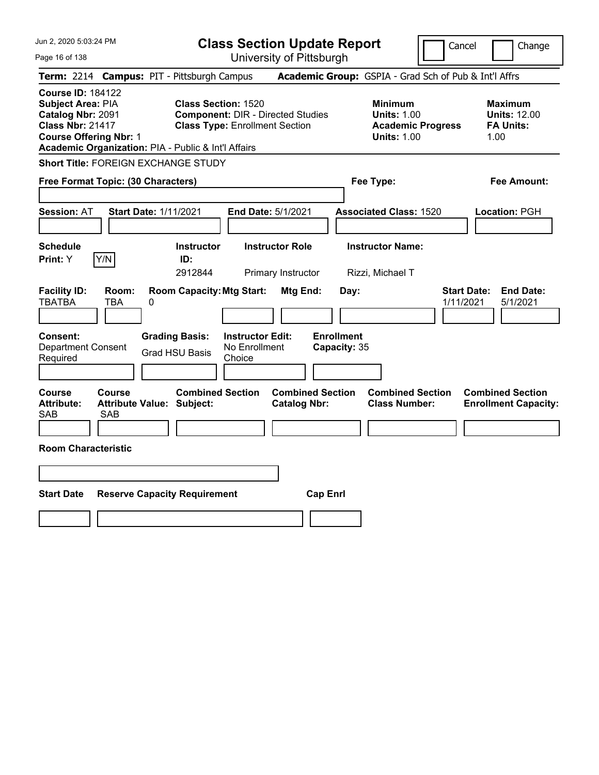| Jun 2, 2020 5:03:24 PM                                                                                                                                                                       | <b>Class Section Update Report</b>                                                                                                        |                                                                                        | Change<br>Cancel                                                  |
|----------------------------------------------------------------------------------------------------------------------------------------------------------------------------------------------|-------------------------------------------------------------------------------------------------------------------------------------------|----------------------------------------------------------------------------------------|-------------------------------------------------------------------|
| Page 16 of 138                                                                                                                                                                               | University of Pittsburgh                                                                                                                  |                                                                                        |                                                                   |
| Term: 2214 Campus: PIT - Pittsburgh Campus                                                                                                                                                   |                                                                                                                                           | Academic Group: GSPIA - Grad Sch of Pub & Int'l Affrs                                  |                                                                   |
| <b>Course ID: 184122</b><br><b>Subject Area: PIA</b><br>Catalog Nbr: 2091<br><b>Class Nbr: 21417</b><br><b>Course Offering Nbr: 1</b><br>Academic Organization: PIA - Public & Int'l Affairs | <b>Class Section: 1520</b><br><b>Component: DIR - Directed Studies</b><br><b>Class Type: Enrollment Section</b>                           | <b>Minimum</b><br><b>Units: 1.00</b><br><b>Academic Progress</b><br><b>Units: 1.00</b> | <b>Maximum</b><br><b>Units: 12.00</b><br><b>FA Units:</b><br>1.00 |
| Short Title: FOREIGN EXCHANGE STUDY                                                                                                                                                          |                                                                                                                                           |                                                                                        |                                                                   |
| Free Format Topic: (30 Characters)                                                                                                                                                           |                                                                                                                                           | Fee Type:                                                                              | Fee Amount:                                                       |
| <b>Start Date: 1/11/2021</b><br><b>Session: AT</b>                                                                                                                                           | End Date: 5/1/2021                                                                                                                        | <b>Associated Class: 1520</b>                                                          | Location: PGH                                                     |
| <b>Schedule</b><br>Y/N<br>Print: Y                                                                                                                                                           | <b>Instructor Role</b><br><b>Instructor</b><br>ID:<br>2912844<br>Primary Instructor                                                       | <b>Instructor Name:</b><br>Rizzi, Michael T                                            |                                                                   |
| <b>Facility ID:</b><br>Room:<br><b>TBATBA</b><br><b>TBA</b><br>0                                                                                                                             | <b>Room Capacity: Mtg Start:</b><br>Mtg End:                                                                                              | Day:                                                                                   | <b>Start Date:</b><br><b>End Date:</b><br>1/11/2021<br>5/1/2021   |
| Consent:<br><b>Department Consent</b><br>Required                                                                                                                                            | <b>Enrollment</b><br><b>Grading Basis:</b><br><b>Instructor Edit:</b><br>No Enrollment<br>Capacity: 35<br><b>Grad HSU Basis</b><br>Choice |                                                                                        |                                                                   |
| <b>Course</b><br>Course<br><b>Attribute:</b><br><b>Attribute Value: Subject:</b><br><b>SAB</b><br><b>SAB</b>                                                                                 | <b>Combined Section</b><br><b>Combined Section</b><br><b>Catalog Nbr:</b>                                                                 | <b>Combined Section</b><br><b>Class Number:</b>                                        | <b>Combined Section</b><br><b>Enrollment Capacity:</b>            |
|                                                                                                                                                                                              |                                                                                                                                           |                                                                                        |                                                                   |
| <b>Room Characteristic</b>                                                                                                                                                                   |                                                                                                                                           |                                                                                        |                                                                   |
|                                                                                                                                                                                              |                                                                                                                                           |                                                                                        |                                                                   |
| <b>Start Date</b>                                                                                                                                                                            | <b>Reserve Capacity Requirement</b><br><b>Cap Enrl</b>                                                                                    |                                                                                        |                                                                   |
|                                                                                                                                                                                              |                                                                                                                                           |                                                                                        |                                                                   |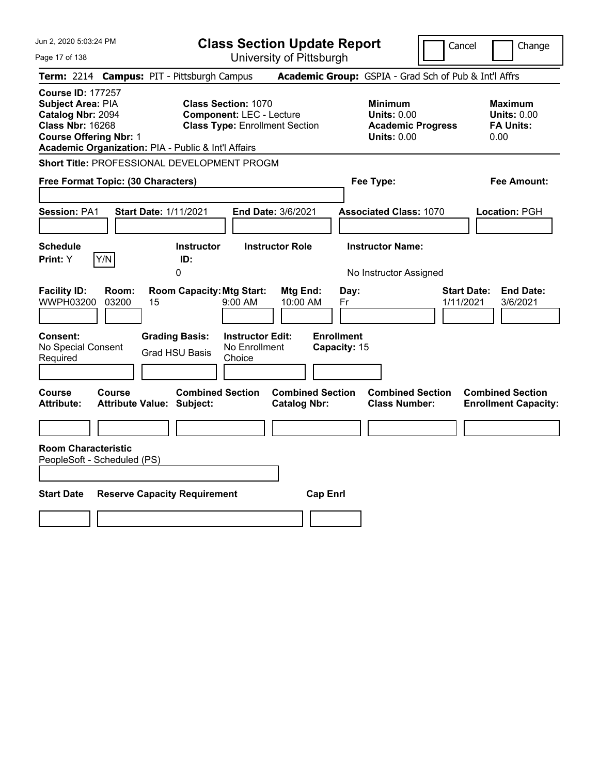| Jun 2, 2020 5:03:24 PM                                                                                                                                                                | <b>Class Section Update Report</b><br>Change<br>Cancel                                                 |                                                                                        |                                                                  |  |  |  |
|---------------------------------------------------------------------------------------------------------------------------------------------------------------------------------------|--------------------------------------------------------------------------------------------------------|----------------------------------------------------------------------------------------|------------------------------------------------------------------|--|--|--|
| Page 17 of 138                                                                                                                                                                        |                                                                                                        | University of Pittsburgh                                                               |                                                                  |  |  |  |
| Term: 2214 Campus: PIT - Pittsburgh Campus                                                                                                                                            |                                                                                                        | Academic Group: GSPIA - Grad Sch of Pub & Int'l Affrs                                  |                                                                  |  |  |  |
| <b>Course ID: 177257</b><br>Subject Area: PIA<br>Catalog Nbr: 2094<br><b>Class Nbr: 16268</b><br><b>Course Offering Nbr: 1</b><br>Academic Organization: PIA - Public & Int'l Affairs | <b>Class Section: 1070</b><br><b>Component: LEC - Lecture</b><br><b>Class Type: Enrollment Section</b> | <b>Minimum</b><br><b>Units: 0.00</b><br><b>Academic Progress</b><br><b>Units: 0.00</b> | <b>Maximum</b><br><b>Units: 0.00</b><br><b>FA Units:</b><br>0.00 |  |  |  |
| Short Title: PROFESSIONAL DEVELOPMENT PROGM                                                                                                                                           |                                                                                                        |                                                                                        |                                                                  |  |  |  |
| Free Format Topic: (30 Characters)                                                                                                                                                    |                                                                                                        | Fee Type:                                                                              | Fee Amount:                                                      |  |  |  |
| <b>Session: PA1</b><br><b>Start Date: 1/11/2021</b>                                                                                                                                   | End Date: 3/6/2021                                                                                     | <b>Associated Class: 1070</b>                                                          | Location: PGH                                                    |  |  |  |
| <b>Schedule</b><br>Y/N<br>Print: Y                                                                                                                                                    | <b>Instructor</b><br><b>Instructor Role</b><br>ID:<br>0                                                | <b>Instructor Name:</b><br>No Instructor Assigned                                      |                                                                  |  |  |  |
| <b>Facility ID:</b><br>Room:<br>WWPH03200<br>03200<br>15                                                                                                                              | <b>Room Capacity: Mtg Start:</b><br>Mtg End:<br>$9:00$ AM<br>10:00 AM                                  | Day:<br>Fr                                                                             | <b>Start Date:</b><br><b>End Date:</b><br>1/11/2021<br>3/6/2021  |  |  |  |
| Consent:<br>No Special Consent<br>Required                                                                                                                                            | <b>Grading Basis:</b><br><b>Instructor Edit:</b><br>No Enrollment<br><b>Grad HSU Basis</b><br>Choice   | <b>Enrollment</b><br>Capacity: 15                                                      |                                                                  |  |  |  |
| Course<br>Course<br><b>Attribute:</b><br><b>Attribute Value: Subject:</b>                                                                                                             | <b>Combined Section</b><br><b>Combined Section</b><br><b>Catalog Nbr:</b>                              | <b>Combined Section</b><br><b>Class Number:</b>                                        | <b>Combined Section</b><br><b>Enrollment Capacity:</b>           |  |  |  |
|                                                                                                                                                                                       |                                                                                                        |                                                                                        |                                                                  |  |  |  |
| <b>Room Characteristic</b><br>PeopleSoft - Scheduled (PS)                                                                                                                             |                                                                                                        |                                                                                        |                                                                  |  |  |  |
| <b>Start Date</b><br><b>Reserve Capacity Requirement</b>                                                                                                                              | <b>Cap Enrl</b>                                                                                        |                                                                                        |                                                                  |  |  |  |
|                                                                                                                                                                                       |                                                                                                        |                                                                                        |                                                                  |  |  |  |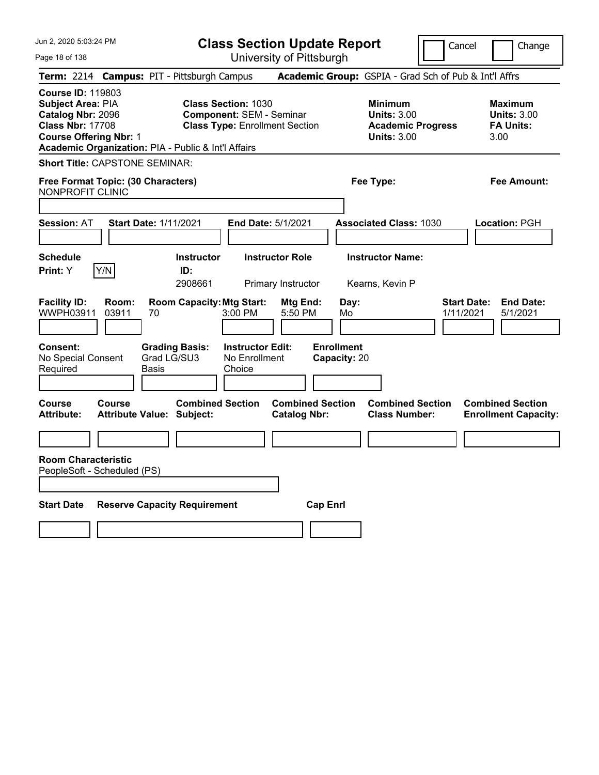| Jun 2, 2020 5:03:24 PM                                                                                                                                                                |                              |                                                             |                                                               | <b>Class Section Update Report</b>             |                                   |                                                                                        | Cancel<br>Change                                                 |
|---------------------------------------------------------------------------------------------------------------------------------------------------------------------------------------|------------------------------|-------------------------------------------------------------|---------------------------------------------------------------|------------------------------------------------|-----------------------------------|----------------------------------------------------------------------------------------|------------------------------------------------------------------|
| Page 18 of 138                                                                                                                                                                        |                              |                                                             |                                                               | University of Pittsburgh                       |                                   |                                                                                        |                                                                  |
| Term: 2214 Campus: PIT - Pittsburgh Campus                                                                                                                                            |                              |                                                             |                                                               |                                                |                                   |                                                                                        | Academic Group: GSPIA - Grad Sch of Pub & Int'l Affrs            |
| <b>Course ID: 119803</b><br>Subject Area: PIA<br>Catalog Nbr: 2096<br><b>Class Nbr: 17708</b><br><b>Course Offering Nbr: 1</b><br>Academic Organization: PIA - Public & Int'l Affairs |                              |                                                             | <b>Class Section: 1030</b><br><b>Component: SEM - Seminar</b> | <b>Class Type: Enrollment Section</b>          |                                   | <b>Minimum</b><br><b>Units: 3.00</b><br><b>Academic Progress</b><br><b>Units: 3.00</b> | <b>Maximum</b><br><b>Units: 3.00</b><br><b>FA Units:</b><br>3.00 |
| <b>Short Title: CAPSTONE SEMINAR:</b>                                                                                                                                                 |                              |                                                             |                                                               |                                                |                                   |                                                                                        |                                                                  |
| Free Format Topic: (30 Characters)<br>NONPROFIT CLINIC                                                                                                                                |                              |                                                             |                                                               |                                                |                                   | Fee Type:                                                                              | Fee Amount:                                                      |
| <b>Session: AT</b>                                                                                                                                                                    | <b>Start Date: 1/11/2021</b> |                                                             |                                                               | End Date: 5/1/2021                             |                                   | <b>Associated Class: 1030</b>                                                          | Location: PGH                                                    |
| <b>Schedule</b><br>Y/N<br><b>Print:</b> Y                                                                                                                                             |                              | <b>Instructor</b><br>ID:<br>2908661                         |                                                               | <b>Instructor Role</b><br>Primary Instructor   |                                   | <b>Instructor Name:</b><br>Kearns, Kevin P                                             |                                                                  |
| <b>Facility ID:</b><br>Room:<br>WWPH03911<br>03911                                                                                                                                    | 70                           | <b>Room Capacity: Mtg Start:</b>                            | 3:00 PM                                                       | Mtg End:<br>5:50 PM                            | Day:<br>Mo                        |                                                                                        | <b>Start Date:</b><br><b>End Date:</b><br>1/11/2021<br>5/1/2021  |
| Consent:<br>No Special Consent<br>Required                                                                                                                                            | Basis                        | <b>Grading Basis:</b><br>Grad LG/SU3                        | <b>Instructor Edit:</b><br>No Enrollment<br>Choice            |                                                | <b>Enrollment</b><br>Capacity: 20 |                                                                                        |                                                                  |
| <b>Course</b><br>Course<br><b>Attribute:</b>                                                                                                                                          |                              | <b>Combined Section</b><br><b>Attribute Value: Subject:</b> |                                                               | <b>Combined Section</b><br><b>Catalog Nbr:</b> |                                   | <b>Combined Section</b><br><b>Class Number:</b>                                        | <b>Combined Section</b><br><b>Enrollment Capacity:</b>           |
|                                                                                                                                                                                       |                              |                                                             |                                                               |                                                |                                   |                                                                                        |                                                                  |
| <b>Room Characteristic</b><br>PeopleSoft - Scheduled (PS)                                                                                                                             |                              |                                                             |                                                               |                                                |                                   |                                                                                        |                                                                  |
| <b>Start Date</b>                                                                                                                                                                     |                              | <b>Reserve Capacity Requirement</b>                         |                                                               |                                                | <b>Cap Enri</b>                   |                                                                                        |                                                                  |
|                                                                                                                                                                                       |                              |                                                             |                                                               |                                                |                                   |                                                                                        |                                                                  |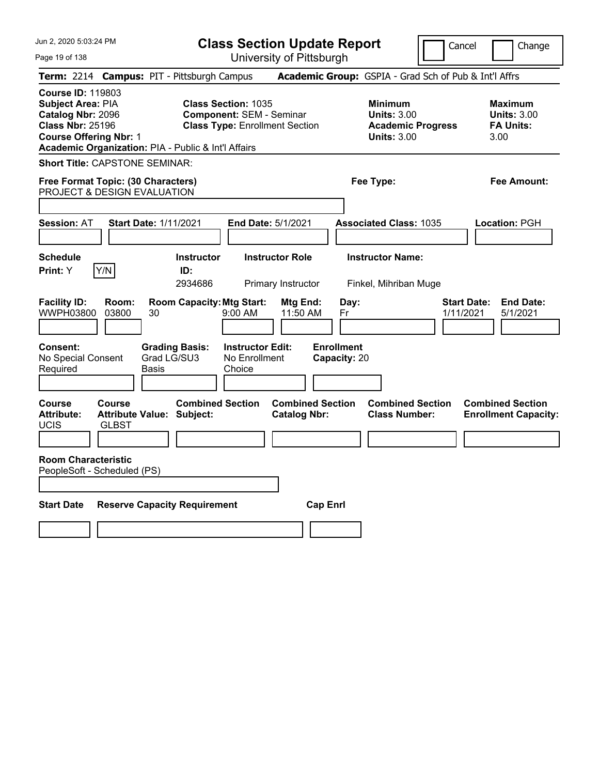Jun 2, 2020 5:03:24 PM Page 19 of 138 **Class Section Update Report** University of Pittsburgh Cancel Change **Term:** 2214 **Campus:** PIT - Pittsburgh Campus **Academic Group:** GSPIA - Grad Sch of Pub & Int'l Affrs **Course ID:** 119803 **Subject Area: PIA Class Section: 1035 Minimum Maximum Maximum Catalog Nbr:** 2096 **Component:** SEM - Seminar **Units:** 3.00 **Units:** 3.00 **Class Nbr:** 25196 **Class Type:** Enrollment Section **Academic Progress FA Units: Course Offering Nbr:** 1 **Units:** 3.00 3.00 **Academic Organization:** PIA - Public & Int'l Affairs **Short Title:** CAPSTONE SEMINAR: **Free Format Topic: (30 Characters) Fee Type: Fee Amount:**  PROJECT & DESIGN EVALUATION **Session:** AT **Start Date:** 1/11/2021 **End Date:** 5/1/2021 **Associated Class:** 1035 **Location:** PGH **Schedule Instructor Instructor Role Instructor Name: Print:**  $Y$   $|Y/N|$  **ID:** 2934686 Primary Instructor Finkel, Mihriban Muge **Facility ID: Room: Room Capacity:Mtg Start: Mtg End: Day: Start Date: End Date:** WWPH03800 03800 30 9:00 AM 11:50 AM Fr 1/11/2021 5/1/2021 **Consent: Grading Basis: Instructor Edit: Enrollment** No Special Consent Required Grad LG/SU3 Basis No Enrollment **Choice Capacity:** 20 **Course Course Combined Section Combined Section Combined Section Combined Section**  Attribute: Attribute Value: Subject: Catalog Nbr: Class Number: Enrollment Capacity: UCIS GLBST **Room Characteristic** PeopleSoft - Scheduled (PS) **Start Date Reserve Capacity Requirement Cap Enrl**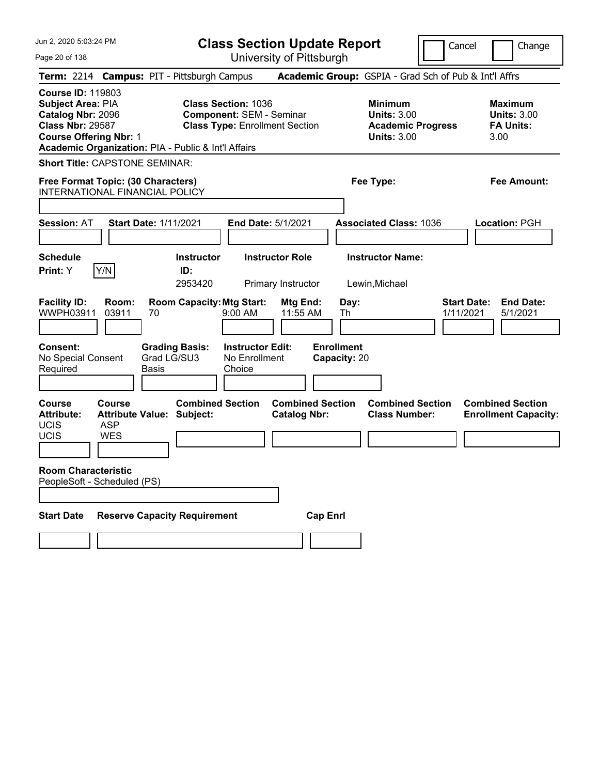| Jun 2. 2020 5:03:24 PM                                                                                                                |                                                                        |                                                     |                                                               | <b>Class Section Update Report</b>             |                                   |                                                                                        | Cancel | Change                                                           |
|---------------------------------------------------------------------------------------------------------------------------------------|------------------------------------------------------------------------|-----------------------------------------------------|---------------------------------------------------------------|------------------------------------------------|-----------------------------------|----------------------------------------------------------------------------------------|--------|------------------------------------------------------------------|
| Page 20 of 138                                                                                                                        |                                                                        |                                                     |                                                               | University of Pittsburgh                       |                                   |                                                                                        |        |                                                                  |
|                                                                                                                                       |                                                                        | Term: 2214 Campus: PIT - Pittsburgh Campus          |                                                               |                                                |                                   |                                                                                        |        | Academic Group: GSPIA - Grad Sch of Pub & Int'l Affrs            |
| <b>Course ID: 119803</b><br><b>Subject Area: PIA</b><br>Catalog Nbr: 2096<br><b>Class Nbr: 29587</b><br><b>Course Offering Nbr: 1</b> |                                                                        | Academic Organization: PIA - Public & Int'l Affairs | <b>Class Section: 1036</b><br><b>Component: SEM - Seminar</b> | <b>Class Type: Enrollment Section</b>          |                                   | <b>Minimum</b><br><b>Units: 3.00</b><br><b>Academic Progress</b><br><b>Units: 3.00</b> |        | <b>Maximum</b><br><b>Units: 3.00</b><br><b>FA Units:</b><br>3.00 |
| <b>Short Title: CAPSTONE SEMINAR:</b>                                                                                                 |                                                                        |                                                     |                                                               |                                                |                                   |                                                                                        |        |                                                                  |
| Free Format Topic: (30 Characters)<br>INTERNATIONAL FINANCIAL POLICY                                                                  |                                                                        |                                                     |                                                               |                                                |                                   | Fee Type:                                                                              |        | Fee Amount:                                                      |
| <b>Session: AT</b>                                                                                                                    | <b>Start Date: 1/11/2021</b>                                           |                                                     |                                                               | <b>End Date: 5/1/2021</b>                      |                                   | <b>Associated Class: 1036</b>                                                          |        | Location: PGH                                                    |
| <b>Schedule</b><br>Print: Y                                                                                                           | Y/N                                                                    | <b>Instructor</b><br>ID:<br>2953420                 |                                                               | <b>Instructor Role</b><br>Primary Instructor   |                                   | <b>Instructor Name:</b><br>Lewin, Michael                                              |        |                                                                  |
| <b>Facility ID:</b><br>WWPH03911                                                                                                      | Room:<br>03911<br>70                                                   | <b>Room Capacity: Mtg Start:</b>                    | 9:00 AM                                                       | Mtg End:<br>11:55 AM                           | Day:<br>Th                        |                                                                                        |        | <b>Start Date:</b><br><b>End Date:</b><br>5/1/2021<br>1/11/2021  |
| <b>Consent:</b><br>No Special Consent<br>Required                                                                                     | Basis                                                                  | <b>Grading Basis:</b><br>Grad LG/SU3                | <b>Instructor Edit:</b><br>No Enrollment<br>Choice            |                                                | <b>Enrollment</b><br>Capacity: 20 |                                                                                        |        |                                                                  |
| <b>Course</b><br><b>Attribute:</b><br><b>UCIS</b><br>UCIS                                                                             | Course<br><b>Attribute Value: Subject:</b><br><b>ASP</b><br><b>WES</b> | <b>Combined Section</b>                             |                                                               | <b>Combined Section</b><br><b>Catalog Nbr:</b> |                                   | <b>Combined Section</b><br><b>Class Number:</b>                                        |        | <b>Combined Section</b><br><b>Enrollment Capacity:</b>           |
| <b>Room Characteristic</b><br>PeopleSoft - Scheduled (PS)                                                                             |                                                                        |                                                     |                                                               |                                                |                                   |                                                                                        |        |                                                                  |
| <b>Start Date</b>                                                                                                                     |                                                                        | <b>Reserve Capacity Requirement</b>                 |                                                               | <b>Cap Enrl</b>                                |                                   |                                                                                        |        |                                                                  |
|                                                                                                                                       |                                                                        |                                                     |                                                               |                                                |                                   |                                                                                        |        |                                                                  |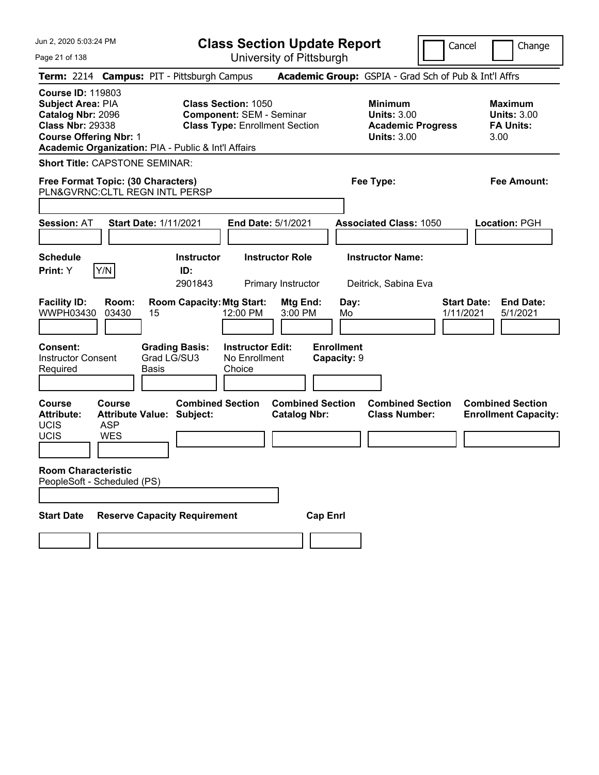| Jun 2, 2020 5:03:24 PM<br>Page 21 of 138                                                                                                                                              | <b>Class Section Update Report</b><br>University of Pittsburgh                                                          |                                                                                        | Cancel<br>Change                                                 |
|---------------------------------------------------------------------------------------------------------------------------------------------------------------------------------------|-------------------------------------------------------------------------------------------------------------------------|----------------------------------------------------------------------------------------|------------------------------------------------------------------|
| Term: 2214 Campus: PIT - Pittsburgh Campus                                                                                                                                            |                                                                                                                         | Academic Group: GSPIA - Grad Sch of Pub & Int'l Affrs                                  |                                                                  |
| <b>Course ID: 119803</b><br>Subject Area: PIA<br>Catalog Nbr: 2096<br><b>Class Nbr: 29338</b><br><b>Course Offering Nbr: 1</b><br>Academic Organization: PIA - Public & Int'l Affairs | <b>Class Section: 1050</b><br><b>Component: SEM - Seminar</b><br><b>Class Type: Enrollment Section</b>                  | <b>Minimum</b><br><b>Units: 3.00</b><br><b>Academic Progress</b><br><b>Units: 3.00</b> | <b>Maximum</b><br><b>Units: 3.00</b><br><b>FA Units:</b><br>3.00 |
| <b>Short Title: CAPSTONE SEMINAR:</b>                                                                                                                                                 |                                                                                                                         |                                                                                        |                                                                  |
| Free Format Topic: (30 Characters)<br>PLN&GVRNC: CLTL REGN INTL PERSP                                                                                                                 |                                                                                                                         | Fee Type:                                                                              | Fee Amount:                                                      |
|                                                                                                                                                                                       |                                                                                                                         |                                                                                        |                                                                  |
| <b>Session: AT</b>                                                                                                                                                                    | <b>Start Date: 1/11/2021</b><br>End Date: 5/1/2021                                                                      | <b>Associated Class: 1050</b>                                                          | Location: PGH                                                    |
|                                                                                                                                                                                       |                                                                                                                         |                                                                                        |                                                                  |
| <b>Schedule</b><br>Y/N<br>Print: Y                                                                                                                                                    | <b>Instructor Role</b><br><b>Instructor</b><br>ID:<br>2901843<br>Primary Instructor                                     | <b>Instructor Name:</b><br>Deitrick, Sabina Eva                                        |                                                                  |
| <b>Facility ID:</b><br>Room:<br>WWPH03430<br>03430<br>15<br>Consent:                                                                                                                  | <b>Room Capacity: Mtg Start:</b><br>Mtg End:<br>12:00 PM<br>3:00 PM<br><b>Grading Basis:</b><br><b>Instructor Edit:</b> | Day:<br>Mo<br><b>Enrollment</b>                                                        | <b>End Date:</b><br><b>Start Date:</b><br>1/11/2021<br>5/1/2021  |
| <b>Instructor Consent</b><br>Required<br><b>Basis</b>                                                                                                                                 | Grad LG/SU3<br>No Enrollment<br>Choice                                                                                  | Capacity: 9                                                                            |                                                                  |
| <b>Course</b><br><b>Course</b><br><b>Attribute:</b><br><b>UCIS</b><br><b>ASP</b><br><b>UCIS</b><br><b>WES</b>                                                                         | <b>Combined Section</b><br><b>Attribute Value: Subject:</b><br><b>Catalog Nbr:</b>                                      | <b>Combined Section</b><br><b>Combined Section</b><br><b>Class Number:</b>             | <b>Combined Section</b><br><b>Enrollment Capacity:</b>           |
| <b>Room Characteristic</b><br>PeopleSoft - Scheduled (PS)                                                                                                                             |                                                                                                                         |                                                                                        |                                                                  |
| <b>Start Date</b>                                                                                                                                                                     | <b>Reserve Capacity Requirement</b>                                                                                     | <b>Cap Enrl</b>                                                                        |                                                                  |
|                                                                                                                                                                                       |                                                                                                                         |                                                                                        |                                                                  |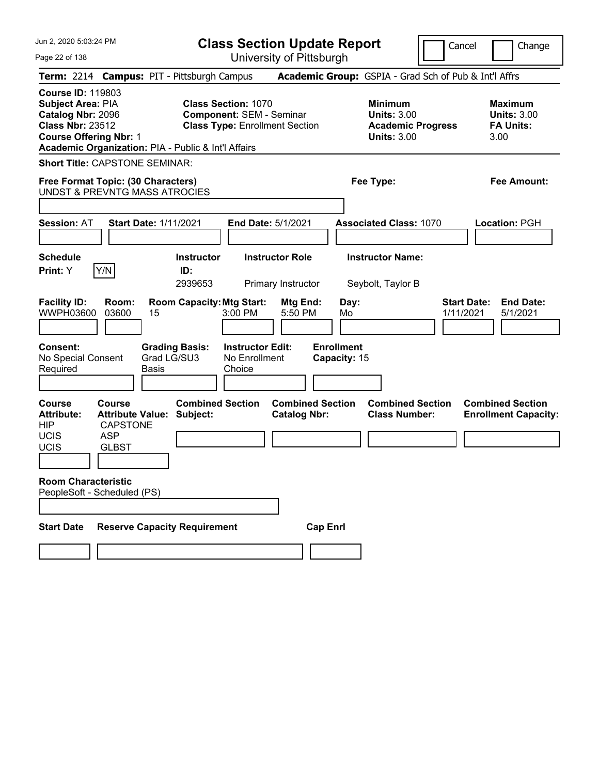| Jun 2, 2020 5:03:24 PM                                                                                                                                                                | <b>Class Section Update Report</b>                                                                     |                                                                                        | Cancel<br>Change                                                 |
|---------------------------------------------------------------------------------------------------------------------------------------------------------------------------------------|--------------------------------------------------------------------------------------------------------|----------------------------------------------------------------------------------------|------------------------------------------------------------------|
| Page 22 of 138                                                                                                                                                                        | University of Pittsburgh                                                                               |                                                                                        |                                                                  |
| Term: 2214 Campus: PIT - Pittsburgh Campus                                                                                                                                            |                                                                                                        | <b>Academic Group:</b> GSPIA - Grad Sch of Pub & Int'l Affrs                           |                                                                  |
| <b>Course ID: 119803</b><br>Subject Area: PIA<br>Catalog Nbr: 2096<br><b>Class Nbr: 23512</b><br><b>Course Offering Nbr: 1</b><br>Academic Organization: PIA - Public & Int'l Affairs | <b>Class Section: 1070</b><br><b>Component: SEM - Seminar</b><br><b>Class Type: Enrollment Section</b> | <b>Minimum</b><br><b>Units: 3.00</b><br><b>Academic Progress</b><br><b>Units: 3.00</b> | <b>Maximum</b><br><b>Units: 3.00</b><br><b>FA Units:</b><br>3.00 |
| <b>Short Title: CAPSTONE SEMINAR:</b>                                                                                                                                                 |                                                                                                        |                                                                                        |                                                                  |
| Free Format Topic: (30 Characters)<br><b>UNDST &amp; PREVNTG MASS ATROCIES</b>                                                                                                        |                                                                                                        | Fee Type:                                                                              | <b>Fee Amount:</b>                                               |
|                                                                                                                                                                                       |                                                                                                        |                                                                                        |                                                                  |
| <b>Session: AT</b><br><b>Start Date: 1/11/2021</b>                                                                                                                                    | End Date: 5/1/2021                                                                                     | <b>Associated Class: 1070</b>                                                          | Location: PGH                                                    |
| <b>Schedule</b><br>Y/N<br>Print: Y                                                                                                                                                    | <b>Instructor Role</b><br><b>Instructor</b><br>ID:<br>2939653<br>Primary Instructor                    | <b>Instructor Name:</b><br>Seybolt, Taylor B                                           |                                                                  |
| <b>Facility ID:</b><br>Room:<br>WWPH03600<br>03600<br>15                                                                                                                              | <b>Room Capacity: Mtg Start:</b><br>Mtg End:<br>5:50 PM<br>3:00 PM                                     | Day:<br>Mo                                                                             | <b>End Date:</b><br><b>Start Date:</b><br>1/11/2021<br>5/1/2021  |
| Consent:<br>No Special Consent<br>Required<br><b>Basis</b>                                                                                                                            | <b>Grading Basis:</b><br><b>Instructor Edit:</b><br>Grad LG/SU3<br>No Enrollment<br>Choice             | <b>Enrollment</b><br>Capacity: 15                                                      |                                                                  |
| <b>Course</b><br>Course<br><b>Attribute Value:</b><br><b>Attribute:</b><br><b>HIP</b><br><b>CAPSTONE</b><br><b>UCIS</b><br><b>ASP</b><br>UCIS<br><b>GLBST</b>                         | <b>Combined Section</b><br><b>Combined Section</b><br>Subject:<br><b>Catalog Nbr:</b>                  | <b>Combined Section</b><br><b>Class Number:</b>                                        | <b>Combined Section</b><br><b>Enrollment Capacity:</b>           |
|                                                                                                                                                                                       |                                                                                                        |                                                                                        |                                                                  |
| <b>Room Characteristic</b><br>PeopleSoft - Scheduled (PS)                                                                                                                             |                                                                                                        |                                                                                        |                                                                  |
| <b>Start Date</b>                                                                                                                                                                     | <b>Reserve Capacity Requirement</b>                                                                    | <b>Cap Enrl</b>                                                                        |                                                                  |
|                                                                                                                                                                                       |                                                                                                        |                                                                                        |                                                                  |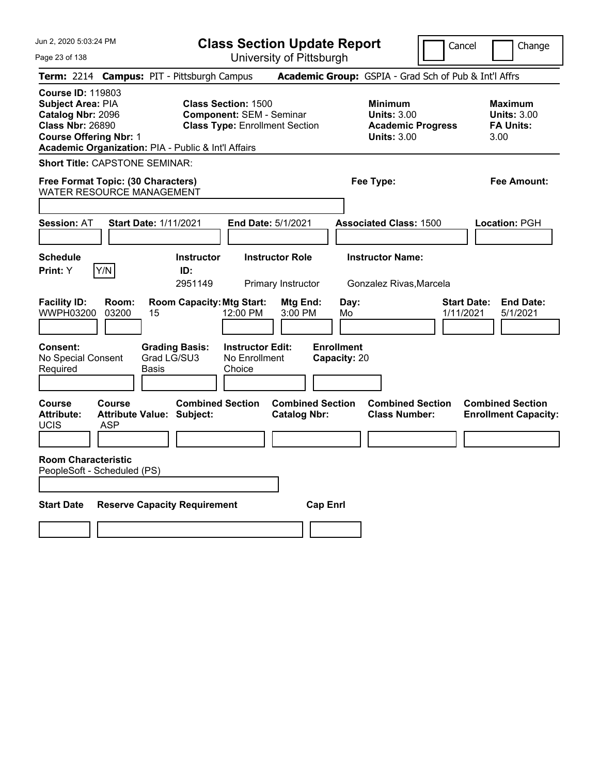| Jun 2, 2020 5:03:24 PM<br>Page 23 of 138                                                                                                                                              |                                                             | <b>Class Section Update Report</b><br>University of Pittsburgh           |                                                            | Cancel                          | Change                                                           |
|---------------------------------------------------------------------------------------------------------------------------------------------------------------------------------------|-------------------------------------------------------------|--------------------------------------------------------------------------|------------------------------------------------------------|---------------------------------|------------------------------------------------------------------|
| Term: 2214 Campus: PIT - Pittsburgh Campus                                                                                                                                            |                                                             |                                                                          | Academic Group: GSPIA - Grad Sch of Pub & Int'l Affrs      |                                 |                                                                  |
| <b>Course ID: 119803</b><br>Subject Area: PIA<br>Catalog Nbr: 2096<br><b>Class Nbr: 26890</b><br><b>Course Offering Nbr: 1</b><br>Academic Organization: PIA - Public & Int'l Affairs | <b>Class Section: 1500</b>                                  | <b>Component: SEM - Seminar</b><br><b>Class Type: Enrollment Section</b> | <b>Minimum</b><br><b>Units: 3.00</b><br><b>Units: 3.00</b> | <b>Academic Progress</b>        | <b>Maximum</b><br><b>Units: 3.00</b><br><b>FA Units:</b><br>3.00 |
| <b>Short Title: CAPSTONE SEMINAR:</b>                                                                                                                                                 |                                                             |                                                                          |                                                            |                                 |                                                                  |
| Free Format Topic: (30 Characters)<br><b>WATER RESOURCE MANAGEMENT</b>                                                                                                                |                                                             |                                                                          | Fee Type:                                                  |                                 | Fee Amount:                                                      |
|                                                                                                                                                                                       |                                                             |                                                                          |                                                            |                                 |                                                                  |
| <b>Session: AT</b>                                                                                                                                                                    | <b>Start Date: 1/11/2021</b>                                | End Date: 5/1/2021                                                       | <b>Associated Class: 1500</b>                              |                                 | Location: PGH                                                    |
| <b>Schedule</b><br>Y/N<br>Print: Y                                                                                                                                                    | <b>Instructor</b><br>ID:<br>2951149                         | <b>Instructor Role</b><br>Primary Instructor                             | <b>Instructor Name:</b><br>Gonzalez Rivas, Marcela         |                                 |                                                                  |
| <b>Facility ID:</b><br>Room:<br>WWPH03200<br>03200                                                                                                                                    | <b>Room Capacity: Mtg Start:</b><br>15                      | Mtg End:<br>12:00 PM<br>3:00 PM                                          | Day:<br>Mo                                                 | <b>Start Date:</b><br>1/11/2021 | <b>End Date:</b><br>5/1/2021                                     |
| <b>Consent:</b><br>No Special Consent<br>Required                                                                                                                                     | <b>Grading Basis:</b><br>Grad LG/SU3<br><b>Basis</b>        | <b>Instructor Edit:</b><br>No Enrollment<br>Choice                       | <b>Enrollment</b><br>Capacity: 20                          |                                 |                                                                  |
| <b>Course</b><br><b>Course</b><br><b>Attribute:</b><br>UCIS<br>ASP                                                                                                                    | <b>Combined Section</b><br><b>Attribute Value: Subject:</b> | <b>Combined Section</b><br><b>Catalog Nbr:</b>                           | <b>Combined Section</b><br><b>Class Number:</b>            |                                 | <b>Combined Section</b><br><b>Enrollment Capacity:</b>           |
| <b>Room Characteristic</b><br>PeopleSoft - Scheduled (PS)                                                                                                                             |                                                             |                                                                          |                                                            |                                 |                                                                  |
| <b>Start Date</b>                                                                                                                                                                     | <b>Reserve Capacity Requirement</b>                         |                                                                          | <b>Cap Enrl</b>                                            |                                 |                                                                  |
|                                                                                                                                                                                       |                                                             |                                                                          |                                                            |                                 |                                                                  |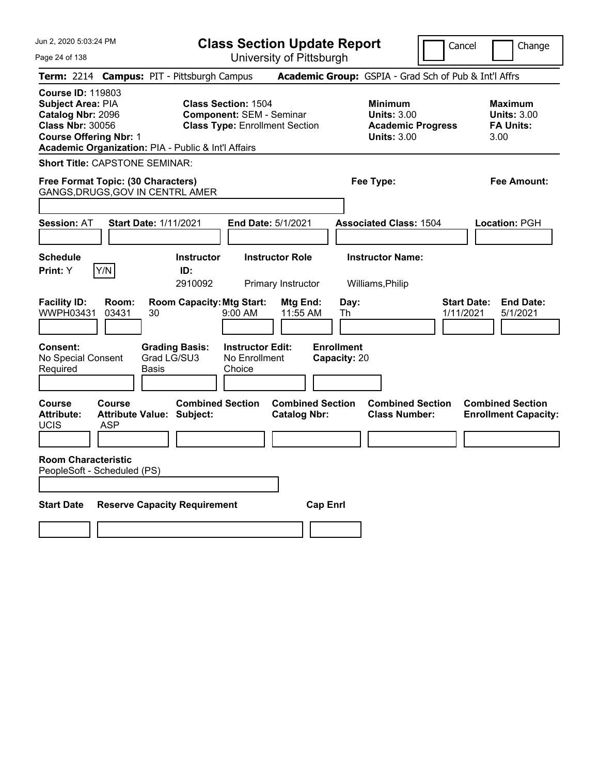| Jun 2, 2020 5:03:24 PM<br>Page 24 of 138                                                                                                                                                     | <b>Class Section Update Report</b><br>University of Pittsburgh                                         | Cancel                                                                                 | Change                                                           |
|----------------------------------------------------------------------------------------------------------------------------------------------------------------------------------------------|--------------------------------------------------------------------------------------------------------|----------------------------------------------------------------------------------------|------------------------------------------------------------------|
| <b>Term:</b> 2214                                                                                                                                                                            | <b>Campus: PIT - Pittsburgh Campus</b>                                                                 | Academic Group: GSPIA - Grad Sch of Pub & Int'l Affrs                                  |                                                                  |
| <b>Course ID: 119803</b><br><b>Subject Area: PIA</b><br>Catalog Nbr: 2096<br><b>Class Nbr: 30056</b><br><b>Course Offering Nbr: 1</b><br>Academic Organization: PIA - Public & Int'l Affairs | <b>Class Section: 1504</b><br><b>Component: SEM - Seminar</b><br><b>Class Type: Enrollment Section</b> | <b>Minimum</b><br><b>Units: 3.00</b><br><b>Academic Progress</b><br><b>Units: 3.00</b> | <b>Maximum</b><br><b>Units: 3.00</b><br><b>FA Units:</b><br>3.00 |
| <b>Short Title: CAPSTONE SEMINAR:</b>                                                                                                                                                        |                                                                                                        |                                                                                        |                                                                  |
| Free Format Topic: (30 Characters)<br>GANGS, DRUGS, GOV IN CENTRL AMER                                                                                                                       |                                                                                                        | Fee Type:                                                                              | Fee Amount:                                                      |
| <b>Session: AT</b><br><b>Start Date: 1/11/2021</b>                                                                                                                                           | End Date: 5/1/2021                                                                                     | <b>Associated Class: 1504</b>                                                          | <b>Location: PGH</b>                                             |
| <b>Schedule</b><br>Y/N<br><b>Print:</b> Y                                                                                                                                                    | <b>Instructor Role</b><br><b>Instructor</b><br>ID:<br>2910092<br>Primary Instructor                    | <b>Instructor Name:</b><br>Williams, Philip                                            |                                                                  |
| <b>Facility ID:</b><br>Room:<br>WWPH03431<br>03431<br>30                                                                                                                                     | <b>Room Capacity: Mtg Start:</b><br>Mtg End:<br>9:00 AM<br>11:55 AM                                    | Day:<br>1/11/2021<br>Th                                                                | <b>Start Date:</b><br><b>End Date:</b><br>5/1/2021               |
| <b>Consent:</b><br>No Special Consent<br>Required<br><b>Basis</b>                                                                                                                            | <b>Grading Basis:</b><br><b>Instructor Edit:</b><br>Grad LG/SU3<br>No Enrollment<br>Choice             | <b>Enrollment</b><br>Capacity: 20                                                      |                                                                  |
| Course<br>Course<br><b>Attribute:</b><br><b>Attribute Value: Subject:</b><br>UCIS<br>ASP                                                                                                     | <b>Combined Section</b><br><b>Combined Section</b><br><b>Catalog Nbr:</b>                              | <b>Combined Section</b><br><b>Class Number:</b>                                        | <b>Combined Section</b><br><b>Enrollment Capacity:</b>           |
| <b>Room Characteristic</b><br>PeopleSoft - Scheduled (PS)                                                                                                                                    |                                                                                                        |                                                                                        |                                                                  |
| <b>Start Date</b>                                                                                                                                                                            | <b>Reserve Capacity Requirement</b>                                                                    | <b>Cap Enri</b>                                                                        |                                                                  |
|                                                                                                                                                                                              |                                                                                                        |                                                                                        |                                                                  |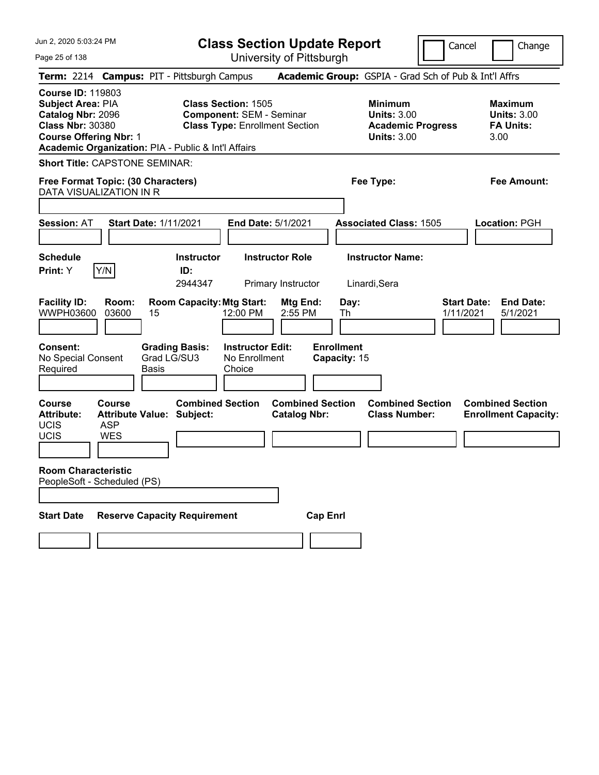| Jun 2, 2020 5:03:24 PM                                                                                                         |                                                                        |                                      |                                                               | <b>Class Section Update Report</b>             |                                   |                                                            |                          | Cancel                                                           | Change                       |
|--------------------------------------------------------------------------------------------------------------------------------|------------------------------------------------------------------------|--------------------------------------|---------------------------------------------------------------|------------------------------------------------|-----------------------------------|------------------------------------------------------------|--------------------------|------------------------------------------------------------------|------------------------------|
| Page 25 of 138                                                                                                                 |                                                                        |                                      |                                                               | University of Pittsburgh                       |                                   |                                                            |                          |                                                                  |                              |
|                                                                                                                                | Term: 2214 Campus: PIT - Pittsburgh Campus                             |                                      |                                                               |                                                |                                   |                                                            |                          | <b>Academic Group:</b> GSPIA - Grad Sch of Pub & Int'l Affrs     |                              |
| <b>Course ID: 119803</b><br>Subject Area: PIA<br>Catalog Nbr: 2096<br><b>Class Nbr: 30380</b><br><b>Course Offering Nbr: 1</b> | Academic Organization: PIA - Public & Int'l Affairs                    |                                      | <b>Class Section: 1505</b><br><b>Component: SEM - Seminar</b> | <b>Class Type: Enrollment Section</b>          |                                   | <b>Minimum</b><br><b>Units: 3.00</b><br><b>Units: 3.00</b> | <b>Academic Progress</b> | <b>Maximum</b><br><b>Units: 3.00</b><br><b>FA Units:</b><br>3.00 |                              |
|                                                                                                                                | <b>Short Title: CAPSTONE SEMINAR:</b>                                  |                                      |                                                               |                                                |                                   |                                                            |                          |                                                                  |                              |
|                                                                                                                                | Free Format Topic: (30 Characters)<br>DATA VISUALIZATION IN R          |                                      |                                                               |                                                |                                   | Fee Type:                                                  |                          |                                                                  | Fee Amount:                  |
| <b>Session: AT</b>                                                                                                             | <b>Start Date: 1/11/2021</b>                                           |                                      |                                                               | End Date: 5/1/2021                             |                                   | <b>Associated Class: 1505</b>                              |                          | Location: PGH                                                    |                              |
| <b>Schedule</b><br>Print: Y                                                                                                    | Y/N                                                                    | <b>Instructor</b><br>ID:<br>2944347  |                                                               | <b>Instructor Role</b><br>Primary Instructor   |                                   | <b>Instructor Name:</b><br>Linardi, Sera                   |                          |                                                                  |                              |
| <b>Facility ID:</b><br>WWPH03600                                                                                               | Room:<br>03600<br>15                                                   | <b>Room Capacity: Mtg Start:</b>     | 12:00 PM                                                      | Mtg End:<br>2:55 PM                            | Day:<br>Th                        |                                                            |                          | <b>Start Date:</b><br>1/11/2021                                  | <b>End Date:</b><br>5/1/2021 |
| Consent:<br>No Special Consent<br>Required                                                                                     | <b>Basis</b>                                                           | <b>Grading Basis:</b><br>Grad LG/SU3 | <b>Instructor Edit:</b><br>No Enrollment<br>Choice            |                                                | <b>Enrollment</b><br>Capacity: 15 |                                                            |                          |                                                                  |                              |
| <b>Course</b><br><b>Attribute:</b><br><b>UCIS</b><br><b>UCIS</b>                                                               | Course<br><b>Attribute Value: Subject:</b><br><b>ASP</b><br><b>WES</b> | <b>Combined Section</b>              |                                                               | <b>Combined Section</b><br><b>Catalog Nbr:</b> |                                   | <b>Combined Section</b><br><b>Class Number:</b>            |                          | <b>Combined Section</b><br><b>Enrollment Capacity:</b>           |                              |
| <b>Room Characteristic</b>                                                                                                     | PeopleSoft - Scheduled (PS)                                            |                                      |                                                               |                                                |                                   |                                                            |                          |                                                                  |                              |
| <b>Start Date</b>                                                                                                              | <b>Reserve Capacity Requirement</b>                                    |                                      |                                                               |                                                | <b>Cap Enrl</b>                   |                                                            |                          |                                                                  |                              |
|                                                                                                                                |                                                                        |                                      |                                                               |                                                |                                   |                                                            |                          |                                                                  |                              |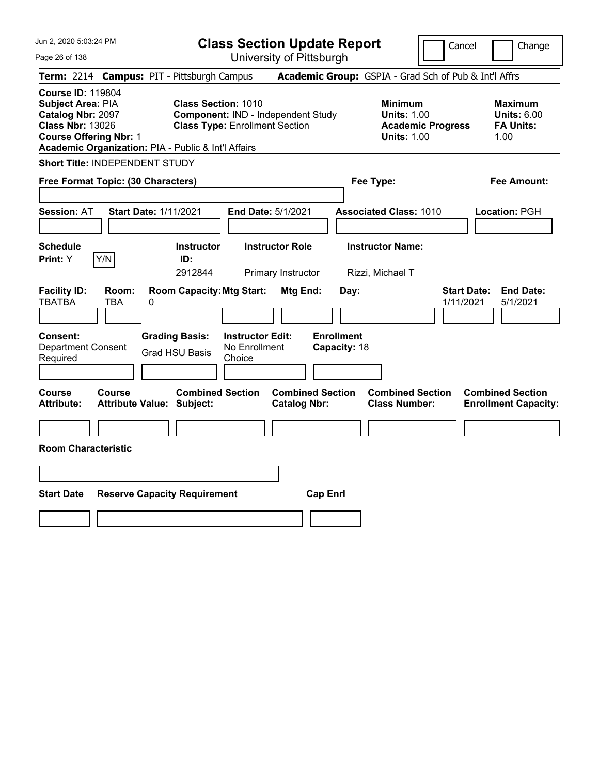| Jun 2, 2020 5:03:24 PM                                                                                                                                                                       |                                                   |                                                                                                           |                                                    | <b>Class Section Update Report</b>             |                                   |                                                            | Cancel                   | Change                                                           |
|----------------------------------------------------------------------------------------------------------------------------------------------------------------------------------------------|---------------------------------------------------|-----------------------------------------------------------------------------------------------------------|----------------------------------------------------|------------------------------------------------|-----------------------------------|------------------------------------------------------------|--------------------------|------------------------------------------------------------------|
| Page 26 of 138                                                                                                                                                                               |                                                   |                                                                                                           |                                                    | University of Pittsburgh                       |                                   |                                                            |                          |                                                                  |
| Term: 2214 Campus: PIT - Pittsburgh Campus                                                                                                                                                   |                                                   |                                                                                                           |                                                    |                                                |                                   |                                                            |                          | Academic Group: GSPIA - Grad Sch of Pub & Int'l Affrs            |
| <b>Course ID: 119804</b><br><b>Subject Area: PIA</b><br>Catalog Nbr: 2097<br><b>Class Nbr: 13026</b><br><b>Course Offering Nbr: 1</b><br>Academic Organization: PIA - Public & Int'l Affairs |                                                   | <b>Class Section: 1010</b><br>Component: IND - Independent Study<br><b>Class Type: Enrollment Section</b> |                                                    |                                                |                                   | <b>Minimum</b><br><b>Units: 1.00</b><br><b>Units: 1.00</b> | <b>Academic Progress</b> | <b>Maximum</b><br><b>Units: 6.00</b><br><b>FA Units:</b><br>1.00 |
| Short Title: INDEPENDENT STUDY                                                                                                                                                               |                                                   |                                                                                                           |                                                    |                                                |                                   |                                                            |                          |                                                                  |
| Free Format Topic: (30 Characters)                                                                                                                                                           |                                                   |                                                                                                           |                                                    |                                                |                                   | Fee Type:                                                  |                          | Fee Amount:                                                      |
| <b>Session: AT</b>                                                                                                                                                                           | <b>Start Date: 1/11/2021</b>                      |                                                                                                           |                                                    | End Date: 5/1/2021                             |                                   | <b>Associated Class: 1010</b>                              |                          | Location: PGH                                                    |
| <b>Schedule</b><br>Y/N<br>Print: Y                                                                                                                                                           |                                                   | <b>Instructor</b><br>ID:<br>2912844                                                                       |                                                    | <b>Instructor Role</b><br>Primary Instructor   |                                   | <b>Instructor Name:</b><br>Rizzi, Michael T                |                          |                                                                  |
| <b>Facility ID:</b><br><b>TBATBA</b>                                                                                                                                                         | Room:<br>TBA<br>0                                 | <b>Room Capacity: Mtg Start:</b>                                                                          |                                                    | Mtg End:                                       | Day:                              |                                                            | 1/11/2021                | <b>Start Date:</b><br><b>End Date:</b><br>5/1/2021               |
| Consent:<br><b>Department Consent</b><br>Required                                                                                                                                            |                                                   | <b>Grading Basis:</b><br><b>Grad HSU Basis</b>                                                            | <b>Instructor Edit:</b><br>No Enrollment<br>Choice |                                                | <b>Enrollment</b><br>Capacity: 18 |                                                            |                          |                                                                  |
| Course<br><b>Attribute:</b>                                                                                                                                                                  | <b>Course</b><br><b>Attribute Value: Subject:</b> | <b>Combined Section</b>                                                                                   |                                                    | <b>Combined Section</b><br><b>Catalog Nbr:</b> |                                   | <b>Combined Section</b><br><b>Class Number:</b>            |                          | <b>Combined Section</b><br><b>Enrollment Capacity:</b>           |
|                                                                                                                                                                                              |                                                   |                                                                                                           |                                                    |                                                |                                   |                                                            |                          |                                                                  |
| <b>Room Characteristic</b>                                                                                                                                                                   |                                                   |                                                                                                           |                                                    |                                                |                                   |                                                            |                          |                                                                  |
|                                                                                                                                                                                              |                                                   |                                                                                                           |                                                    |                                                |                                   |                                                            |                          |                                                                  |
| <b>Start Date</b>                                                                                                                                                                            | <b>Reserve Capacity Requirement</b>               |                                                                                                           |                                                    |                                                | <b>Cap Enrl</b>                   |                                                            |                          |                                                                  |
|                                                                                                                                                                                              |                                                   |                                                                                                           |                                                    |                                                |                                   |                                                            |                          |                                                                  |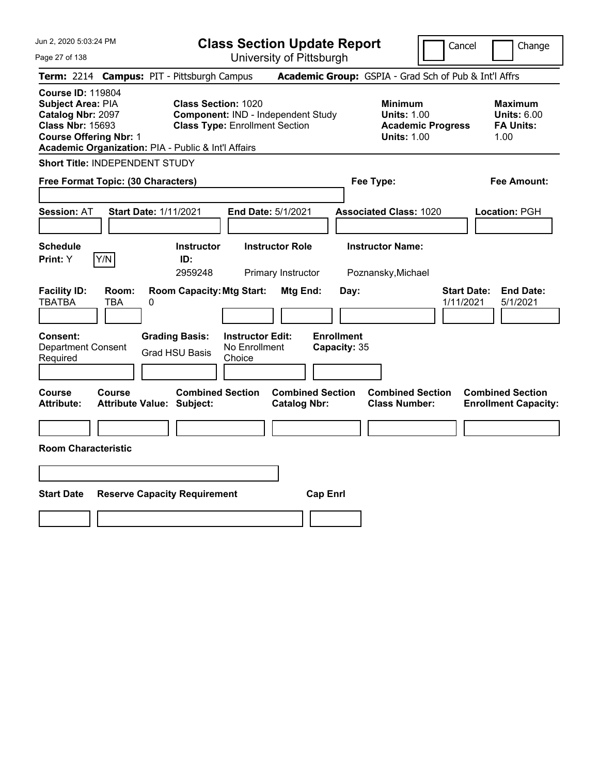| Jun 2, 2020 5:03:24 PM                                                                                                                                                                       |                                                                                                           | <b>Class Section Update Report</b>             |                                                                                        | Cancel<br>Change                                                 |
|----------------------------------------------------------------------------------------------------------------------------------------------------------------------------------------------|-----------------------------------------------------------------------------------------------------------|------------------------------------------------|----------------------------------------------------------------------------------------|------------------------------------------------------------------|
| Page 27 of 138                                                                                                                                                                               |                                                                                                           | University of Pittsburgh                       |                                                                                        |                                                                  |
| Term: 2214 Campus: PIT - Pittsburgh Campus                                                                                                                                                   |                                                                                                           |                                                | Academic Group: GSPIA - Grad Sch of Pub & Int'l Affrs                                  |                                                                  |
| <b>Course ID: 119804</b><br><b>Subject Area: PIA</b><br>Catalog Nbr: 2097<br><b>Class Nbr: 15693</b><br><b>Course Offering Nbr: 1</b><br>Academic Organization: PIA - Public & Int'l Affairs | <b>Class Section: 1020</b><br>Component: IND - Independent Study<br><b>Class Type: Enrollment Section</b> |                                                | <b>Minimum</b><br><b>Units: 1.00</b><br><b>Academic Progress</b><br><b>Units: 1.00</b> | <b>Maximum</b><br><b>Units: 6.00</b><br><b>FA Units:</b><br>1.00 |
| Short Title: INDEPENDENT STUDY                                                                                                                                                               |                                                                                                           |                                                |                                                                                        |                                                                  |
| Free Format Topic: (30 Characters)                                                                                                                                                           |                                                                                                           |                                                | Fee Type:                                                                              | Fee Amount:                                                      |
| <b>Start Date: 1/11/2021</b><br><b>Session: AT</b>                                                                                                                                           |                                                                                                           | End Date: 5/1/2021                             | <b>Associated Class: 1020</b>                                                          | Location: PGH                                                    |
| <b>Schedule</b><br>Y/N<br>Print: Y                                                                                                                                                           | <b>Instructor</b><br>ID:<br>2959248                                                                       | <b>Instructor Role</b><br>Primary Instructor   | <b>Instructor Name:</b><br>Poznansky, Michael                                          |                                                                  |
| <b>Facility ID:</b><br>Room:<br><b>TBATBA</b><br>TBA<br>0                                                                                                                                    | <b>Room Capacity: Mtg Start:</b>                                                                          | Mtg End:<br>Day:                               |                                                                                        | <b>Start Date:</b><br><b>End Date:</b><br>1/11/2021<br>5/1/2021  |
| Consent:<br><b>Department Consent</b><br>Required                                                                                                                                            | <b>Grading Basis:</b><br><b>Instructor Edit:</b><br>No Enrollment<br><b>Grad HSU Basis</b><br>Choice      | <b>Enrollment</b><br>Capacity: 35              |                                                                                        |                                                                  |
| Course<br><b>Course</b><br><b>Attribute:</b><br><b>Attribute Value: Subject:</b>                                                                                                             | <b>Combined Section</b>                                                                                   | <b>Combined Section</b><br><b>Catalog Nbr:</b> | <b>Combined Section</b><br><b>Class Number:</b>                                        | <b>Combined Section</b><br><b>Enrollment Capacity:</b>           |
|                                                                                                                                                                                              |                                                                                                           |                                                |                                                                                        |                                                                  |
| <b>Room Characteristic</b>                                                                                                                                                                   |                                                                                                           |                                                |                                                                                        |                                                                  |
|                                                                                                                                                                                              |                                                                                                           |                                                |                                                                                        |                                                                  |
| <b>Start Date</b>                                                                                                                                                                            | <b>Reserve Capacity Requirement</b>                                                                       | <b>Cap Enrl</b>                                |                                                                                        |                                                                  |
|                                                                                                                                                                                              |                                                                                                           |                                                |                                                                                        |                                                                  |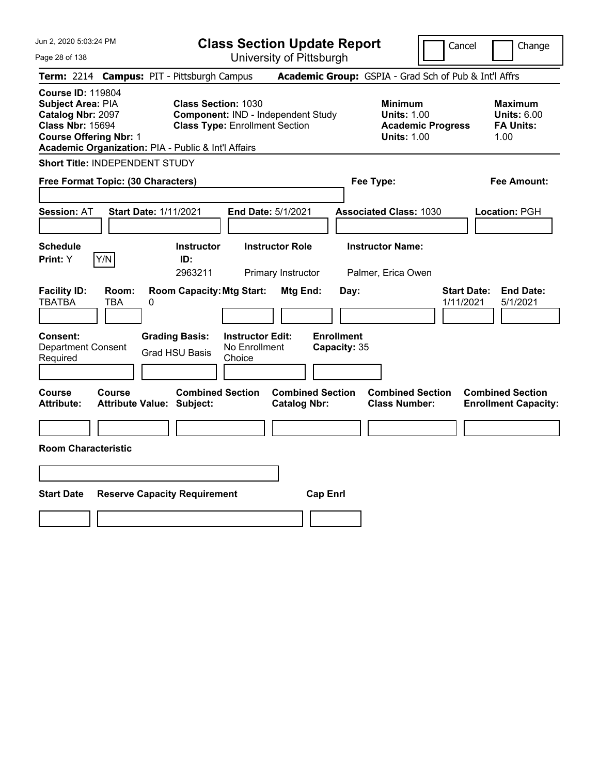| Jun 2, 2020 5:03:24 PM                                                                                                                                                                       |                                                                                                                                          | <b>Class Section Update Report</b>                    |                                                                                        | Cancel<br>Change                                                 |
|----------------------------------------------------------------------------------------------------------------------------------------------------------------------------------------------|------------------------------------------------------------------------------------------------------------------------------------------|-------------------------------------------------------|----------------------------------------------------------------------------------------|------------------------------------------------------------------|
| Page 28 of 138                                                                                                                                                                               |                                                                                                                                          | University of Pittsburgh                              |                                                                                        |                                                                  |
| Term: 2214 Campus: PIT - Pittsburgh Campus                                                                                                                                                   |                                                                                                                                          |                                                       | Academic Group: GSPIA - Grad Sch of Pub & Int'l Affrs                                  |                                                                  |
| <b>Course ID: 119804</b><br><b>Subject Area: PIA</b><br>Catalog Nbr: 2097<br><b>Class Nbr: 15694</b><br><b>Course Offering Nbr: 1</b><br>Academic Organization: PIA - Public & Int'l Affairs | <b>Class Section: 1030</b><br>Component: IND - Independent Study<br><b>Class Type: Enrollment Section</b>                                |                                                       | <b>Minimum</b><br><b>Units: 1.00</b><br><b>Academic Progress</b><br><b>Units: 1.00</b> | <b>Maximum</b><br><b>Units: 6.00</b><br><b>FA Units:</b><br>1.00 |
| Short Title: INDEPENDENT STUDY                                                                                                                                                               |                                                                                                                                          |                                                       |                                                                                        |                                                                  |
| Free Format Topic: (30 Characters)                                                                                                                                                           |                                                                                                                                          |                                                       | Fee Type:                                                                              | Fee Amount:                                                      |
| <b>Start Date: 1/11/2021</b><br><b>Session: AT</b>                                                                                                                                           |                                                                                                                                          | End Date: 5/1/2021                                    | <b>Associated Class: 1030</b>                                                          | Location: PGH                                                    |
| <b>Schedule</b>                                                                                                                                                                              | <b>Instructor</b>                                                                                                                        | <b>Instructor Role</b>                                | <b>Instructor Name:</b>                                                                |                                                                  |
| Y/N<br>Print: Y                                                                                                                                                                              | ID:<br>2963211                                                                                                                           | Primary Instructor                                    | Palmer, Erica Owen                                                                     |                                                                  |
| <b>Facility ID:</b><br>Room:<br><b>TBATBA</b><br>TBA<br>0<br>Consent:<br><b>Department Consent</b><br>Required                                                                               | <b>Room Capacity: Mtg Start:</b><br><b>Grading Basis:</b><br><b>Instructor Edit:</b><br>No Enrollment<br><b>Grad HSU Basis</b><br>Choice | Mtg End:<br>Day:<br><b>Enrollment</b><br>Capacity: 35 |                                                                                        | <b>Start Date:</b><br><b>End Date:</b><br>1/11/2021<br>5/1/2021  |
| Course<br><b>Course</b><br><b>Attribute:</b><br><b>Attribute Value: Subject:</b>                                                                                                             | <b>Combined Section</b>                                                                                                                  | <b>Combined Section</b><br><b>Catalog Nbr:</b>        | <b>Combined Section</b><br><b>Class Number:</b>                                        | <b>Combined Section</b><br><b>Enrollment Capacity:</b>           |
|                                                                                                                                                                                              |                                                                                                                                          |                                                       |                                                                                        |                                                                  |
| <b>Room Characteristic</b>                                                                                                                                                                   |                                                                                                                                          |                                                       |                                                                                        |                                                                  |
|                                                                                                                                                                                              |                                                                                                                                          |                                                       |                                                                                        |                                                                  |
| <b>Start Date</b>                                                                                                                                                                            | <b>Reserve Capacity Requirement</b>                                                                                                      | <b>Cap Enrl</b>                                       |                                                                                        |                                                                  |
|                                                                                                                                                                                              |                                                                                                                                          |                                                       |                                                                                        |                                                                  |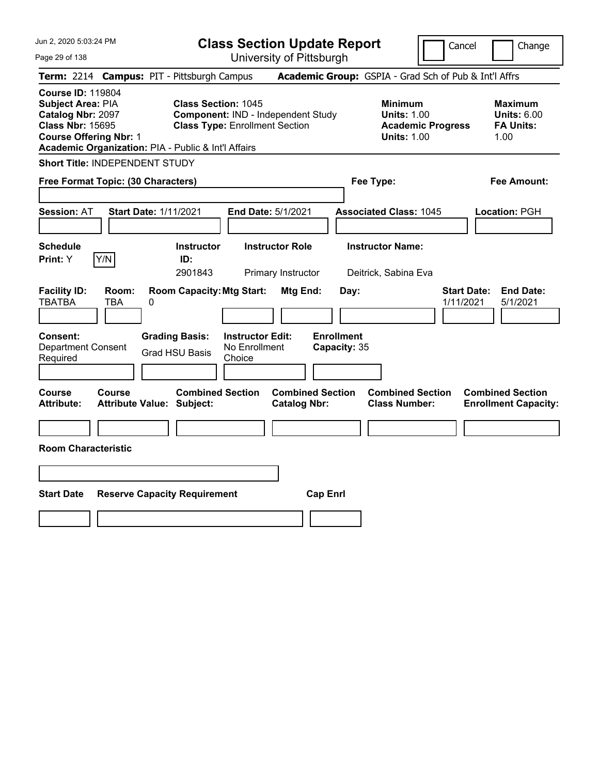| Jun 2, 2020 5:03:24 PM                                                                                                                                                                       |                                                                                                           | <b>Class Section Update Report</b>             |                                                                                        | Cancel<br>Change                                                 |
|----------------------------------------------------------------------------------------------------------------------------------------------------------------------------------------------|-----------------------------------------------------------------------------------------------------------|------------------------------------------------|----------------------------------------------------------------------------------------|------------------------------------------------------------------|
| Page 29 of 138                                                                                                                                                                               |                                                                                                           | University of Pittsburgh                       |                                                                                        |                                                                  |
| Term: 2214 Campus: PIT - Pittsburgh Campus                                                                                                                                                   |                                                                                                           |                                                | Academic Group: GSPIA - Grad Sch of Pub & Int'l Affrs                                  |                                                                  |
| <b>Course ID: 119804</b><br><b>Subject Area: PIA</b><br>Catalog Nbr: 2097<br><b>Class Nbr: 15695</b><br><b>Course Offering Nbr: 1</b><br>Academic Organization: PIA - Public & Int'l Affairs | <b>Class Section: 1045</b><br>Component: IND - Independent Study<br><b>Class Type: Enrollment Section</b> |                                                | <b>Minimum</b><br><b>Units: 1.00</b><br><b>Academic Progress</b><br><b>Units: 1.00</b> | <b>Maximum</b><br><b>Units: 6.00</b><br><b>FA Units:</b><br>1.00 |
| Short Title: INDEPENDENT STUDY                                                                                                                                                               |                                                                                                           |                                                |                                                                                        |                                                                  |
| Free Format Topic: (30 Characters)                                                                                                                                                           |                                                                                                           |                                                | Fee Type:                                                                              | Fee Amount:                                                      |
| <b>Start Date: 1/11/2021</b><br><b>Session: AT</b>                                                                                                                                           |                                                                                                           | End Date: 5/1/2021                             | <b>Associated Class: 1045</b>                                                          | Location: PGH                                                    |
| <b>Schedule</b><br>Y/N<br>Print: Y                                                                                                                                                           | <b>Instructor</b><br>ID:<br>2901843                                                                       | <b>Instructor Role</b><br>Primary Instructor   | <b>Instructor Name:</b><br>Deitrick, Sabina Eva                                        |                                                                  |
| <b>Facility ID:</b><br>Room:<br><b>TBATBA</b><br>TBA<br>0                                                                                                                                    | <b>Room Capacity: Mtg Start:</b>                                                                          | Mtg End:<br>Day:                               |                                                                                        | <b>Start Date:</b><br><b>End Date:</b><br>1/11/2021<br>5/1/2021  |
| Consent:<br><b>Department Consent</b><br>Required                                                                                                                                            | <b>Grading Basis:</b><br><b>Instructor Edit:</b><br>No Enrollment<br>Grad HSU Basis<br>Choice             | <b>Enrollment</b><br>Capacity: 35              |                                                                                        |                                                                  |
| Course<br><b>Course</b><br><b>Attribute:</b><br><b>Attribute Value: Subject:</b>                                                                                                             | <b>Combined Section</b>                                                                                   | <b>Combined Section</b><br><b>Catalog Nbr:</b> | <b>Combined Section</b><br><b>Class Number:</b>                                        | <b>Combined Section</b><br><b>Enrollment Capacity:</b>           |
|                                                                                                                                                                                              |                                                                                                           |                                                |                                                                                        |                                                                  |
| <b>Room Characteristic</b>                                                                                                                                                                   |                                                                                                           |                                                |                                                                                        |                                                                  |
|                                                                                                                                                                                              |                                                                                                           |                                                |                                                                                        |                                                                  |
| <b>Start Date</b>                                                                                                                                                                            | <b>Reserve Capacity Requirement</b>                                                                       | <b>Cap Enrl</b>                                |                                                                                        |                                                                  |
|                                                                                                                                                                                              |                                                                                                           |                                                |                                                                                        |                                                                  |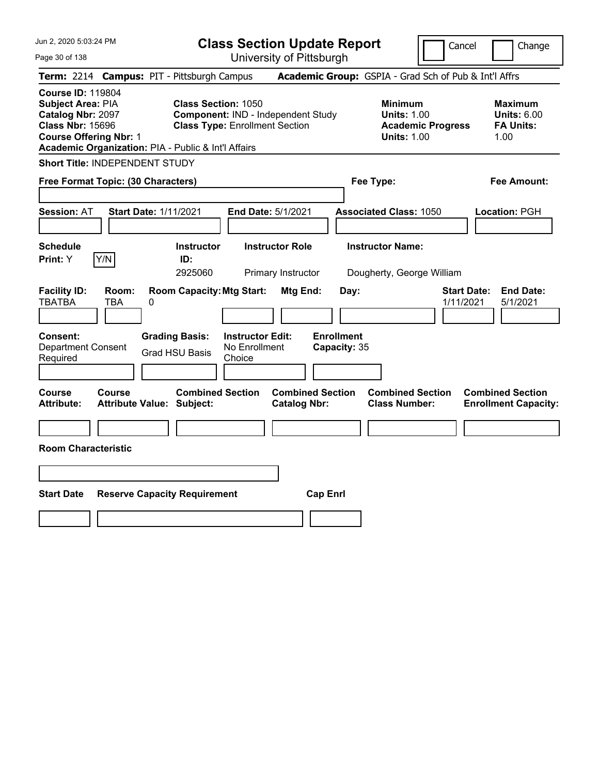| Jun 2, 2020 5:03:24 PM                                                                                                                                                                       | <b>Class Section Update Report</b>                                                                        | Cancel<br>Change                                                                                                                                           |
|----------------------------------------------------------------------------------------------------------------------------------------------------------------------------------------------|-----------------------------------------------------------------------------------------------------------|------------------------------------------------------------------------------------------------------------------------------------------------------------|
| Page 30 of 138                                                                                                                                                                               | University of Pittsburgh                                                                                  |                                                                                                                                                            |
| Term: 2214 Campus: PIT - Pittsburgh Campus                                                                                                                                                   |                                                                                                           | Academic Group: GSPIA - Grad Sch of Pub & Int'l Affrs                                                                                                      |
| <b>Course ID: 119804</b><br><b>Subject Area: PIA</b><br>Catalog Nbr: 2097<br><b>Class Nbr: 15696</b><br><b>Course Offering Nbr: 1</b><br>Academic Organization: PIA - Public & Int'l Affairs | <b>Class Section: 1050</b><br>Component: IND - Independent Study<br><b>Class Type: Enrollment Section</b> | <b>Minimum</b><br><b>Maximum</b><br><b>Units: 1.00</b><br><b>Units: 6.00</b><br><b>FA Units:</b><br><b>Academic Progress</b><br><b>Units: 1.00</b><br>1.00 |
| <b>Short Title: INDEPENDENT STUDY</b>                                                                                                                                                        |                                                                                                           |                                                                                                                                                            |
| Free Format Topic: (30 Characters)                                                                                                                                                           |                                                                                                           | Fee Type:<br>Fee Amount:                                                                                                                                   |
| <b>Start Date: 1/11/2021</b><br><b>Session: AT</b>                                                                                                                                           | End Date: 5/1/2021                                                                                        | <b>Associated Class: 1050</b><br>Location: PGH                                                                                                             |
| <b>Schedule</b><br>Y/N<br><b>Print:</b> Y                                                                                                                                                    | <b>Instructor</b><br><b>Instructor Role</b><br>ID:<br>2925060<br>Primary Instructor                       | <b>Instructor Name:</b><br>Dougherty, George William                                                                                                       |
| <b>Facility ID:</b><br>Room:<br><b>TBATBA</b><br>TBA<br>0                                                                                                                                    | <b>Room Capacity: Mtg Start:</b><br>Mtg End:<br>Day:                                                      | <b>Start Date:</b><br><b>End Date:</b><br>1/11/2021<br>5/1/2021                                                                                            |
| <b>Consent:</b><br><b>Grading Basis:</b><br><b>Department Consent</b><br><b>Grad HSU Basis</b><br>Required                                                                                   | <b>Enrollment</b><br><b>Instructor Edit:</b><br>No Enrollment<br>Capacity: 35<br>Choice                   |                                                                                                                                                            |
| Course<br><b>Course</b><br><b>Attribute:</b><br><b>Attribute Value: Subject:</b>                                                                                                             | <b>Combined Section</b><br><b>Combined Section</b><br><b>Catalog Nbr:</b>                                 | <b>Combined Section</b><br><b>Combined Section</b><br><b>Class Number:</b><br><b>Enrollment Capacity:</b>                                                  |
| <b>Room Characteristic</b>                                                                                                                                                                   |                                                                                                           |                                                                                                                                                            |
|                                                                                                                                                                                              |                                                                                                           |                                                                                                                                                            |
| <b>Start Date</b><br><b>Reserve Capacity Requirement</b>                                                                                                                                     | <b>Cap Enrl</b>                                                                                           |                                                                                                                                                            |
|                                                                                                                                                                                              |                                                                                                           |                                                                                                                                                            |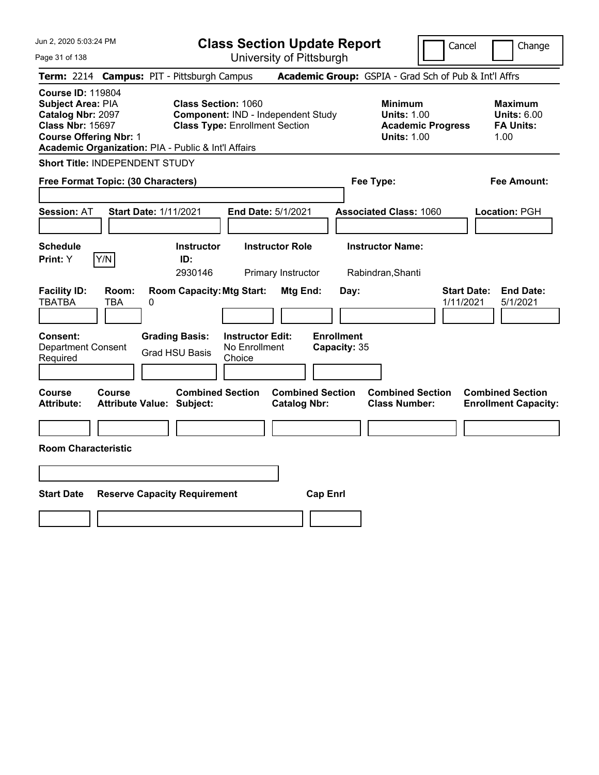| Jun 2, 2020 5:03:24 PM                                                                                                                                                                |                                                             | <b>Class Section Update Report</b>                                          |                                                |                                                                                        | Cancel                          | Change                                                           |
|---------------------------------------------------------------------------------------------------------------------------------------------------------------------------------------|-------------------------------------------------------------|-----------------------------------------------------------------------------|------------------------------------------------|----------------------------------------------------------------------------------------|---------------------------------|------------------------------------------------------------------|
| Page 31 of 138                                                                                                                                                                        |                                                             | University of Pittsburgh                                                    |                                                |                                                                                        |                                 |                                                                  |
| <b>Term: 2214</b>                                                                                                                                                                     | <b>Campus: PIT - Pittsburgh Campus</b>                      |                                                                             |                                                | Academic Group: GSPIA - Grad Sch of Pub & Int'l Affrs                                  |                                 |                                                                  |
| <b>Course ID: 119804</b><br>Subject Area: PIA<br>Catalog Nbr: 2097<br><b>Class Nbr: 15697</b><br><b>Course Offering Nbr: 1</b><br>Academic Organization: PIA - Public & Int'l Affairs | <b>Class Section: 1060</b>                                  | Component: IND - Independent Study<br><b>Class Type: Enrollment Section</b> |                                                | <b>Minimum</b><br><b>Units: 1.00</b><br><b>Academic Progress</b><br><b>Units: 1.00</b> |                                 | <b>Maximum</b><br><b>Units: 6.00</b><br><b>FA Units:</b><br>1.00 |
| Short Title: INDEPENDENT STUDY                                                                                                                                                        |                                                             |                                                                             |                                                |                                                                                        |                                 |                                                                  |
| Free Format Topic: (30 Characters)                                                                                                                                                    |                                                             |                                                                             |                                                | Fee Type:                                                                              |                                 | Fee Amount:                                                      |
| <b>Session: AT</b>                                                                                                                                                                    | <b>Start Date: 1/11/2021</b>                                | End Date: 5/1/2021                                                          |                                                | <b>Associated Class: 1060</b>                                                          |                                 | Location: PGH                                                    |
| <b>Schedule</b><br>Y/N<br>Print: Y                                                                                                                                                    | <b>Instructor</b><br>ID:<br>2930146                         | <b>Instructor Role</b><br>Primary Instructor                                |                                                | <b>Instructor Name:</b><br>Rabindran, Shanti                                           |                                 |                                                                  |
| <b>Facility ID:</b><br>Room:<br><b>TBATBA</b><br><b>TBA</b>                                                                                                                           | <b>Room Capacity: Mtg Start:</b><br>0                       |                                                                             | Mtg End:<br>Day:                               |                                                                                        | <b>Start Date:</b><br>1/11/2021 | <b>End Date:</b><br>5/1/2021                                     |
| Consent:<br><b>Department Consent</b><br>Required                                                                                                                                     | <b>Grading Basis:</b><br><b>Grad HSU Basis</b>              | <b>Instructor Edit:</b><br>No Enrollment<br>Choice                          | <b>Enrollment</b><br>Capacity: 35              |                                                                                        |                                 |                                                                  |
| <b>Course</b><br><b>Course</b><br><b>Attribute:</b>                                                                                                                                   | <b>Combined Section</b><br><b>Attribute Value: Subject:</b> |                                                                             | <b>Combined Section</b><br><b>Catalog Nbr:</b> | <b>Combined Section</b><br><b>Class Number:</b>                                        |                                 | <b>Combined Section</b><br><b>Enrollment Capacity:</b>           |
|                                                                                                                                                                                       |                                                             |                                                                             |                                                |                                                                                        |                                 |                                                                  |
| <b>Room Characteristic</b>                                                                                                                                                            |                                                             |                                                                             |                                                |                                                                                        |                                 |                                                                  |
|                                                                                                                                                                                       |                                                             |                                                                             |                                                |                                                                                        |                                 |                                                                  |
| <b>Start Date</b>                                                                                                                                                                     | <b>Reserve Capacity Requirement</b>                         |                                                                             | <b>Cap Enrl</b>                                |                                                                                        |                                 |                                                                  |
|                                                                                                                                                                                       |                                                             |                                                                             |                                                |                                                                                        |                                 |                                                                  |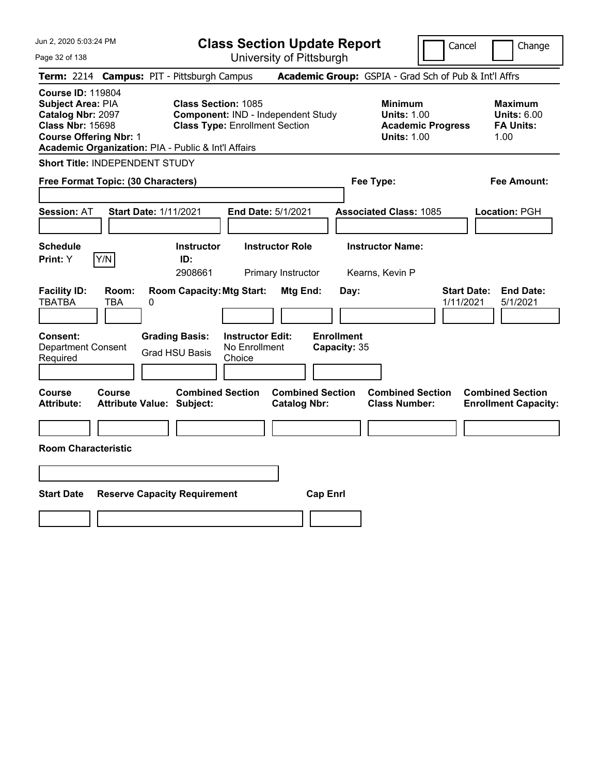| Jun 2, 2020 5:03:24 PM                                                                                                                                                                |                                                   |                                                                     |                                                    | <b>Class Section Update Report</b>             |                                   |                                                            | Cancel                   | Change                                                           |
|---------------------------------------------------------------------------------------------------------------------------------------------------------------------------------------|---------------------------------------------------|---------------------------------------------------------------------|----------------------------------------------------|------------------------------------------------|-----------------------------------|------------------------------------------------------------|--------------------------|------------------------------------------------------------------|
| Page 32 of 138                                                                                                                                                                        |                                                   |                                                                     |                                                    | University of Pittsburgh                       |                                   |                                                            |                          |                                                                  |
| <b>Term: 2214</b>                                                                                                                                                                     | <b>Campus: PIT - Pittsburgh Campus</b>            |                                                                     |                                                    |                                                |                                   |                                                            |                          | Academic Group: GSPIA - Grad Sch of Pub & Int'l Affrs            |
| <b>Course ID: 119804</b><br>Subject Area: PIA<br>Catalog Nbr: 2097<br><b>Class Nbr: 15698</b><br><b>Course Offering Nbr: 1</b><br>Academic Organization: PIA - Public & Int'l Affairs |                                                   | <b>Class Section: 1085</b><br><b>Class Type: Enrollment Section</b> |                                                    | Component: IND - Independent Study             |                                   | <b>Minimum</b><br><b>Units: 1.00</b><br><b>Units: 1.00</b> | <b>Academic Progress</b> | <b>Maximum</b><br><b>Units: 6.00</b><br><b>FA Units:</b><br>1.00 |
| Short Title: INDEPENDENT STUDY                                                                                                                                                        |                                                   |                                                                     |                                                    |                                                |                                   |                                                            |                          |                                                                  |
| Free Format Topic: (30 Characters)                                                                                                                                                    |                                                   |                                                                     |                                                    |                                                |                                   | Fee Type:                                                  |                          | Fee Amount:                                                      |
| <b>Session: AT</b>                                                                                                                                                                    | <b>Start Date: 1/11/2021</b>                      |                                                                     |                                                    | End Date: 5/1/2021                             |                                   | <b>Associated Class: 1085</b>                              |                          | Location: PGH                                                    |
| <b>Schedule</b><br>Y/N<br>Print: Y                                                                                                                                                    |                                                   | <b>Instructor</b><br>ID:<br>2908661                                 |                                                    | <b>Instructor Role</b><br>Primary Instructor   |                                   | <b>Instructor Name:</b><br>Kearns, Kevin P                 |                          |                                                                  |
| <b>Facility ID:</b><br><b>TBATBA</b>                                                                                                                                                  | Room:<br><b>TBA</b><br>0                          | <b>Room Capacity: Mtg Start:</b>                                    |                                                    | Mtg End:                                       | Day:                              |                                                            | 1/11/2021                | <b>Start Date:</b><br><b>End Date:</b><br>5/1/2021               |
| Consent:<br><b>Department Consent</b><br>Required                                                                                                                                     |                                                   | <b>Grading Basis:</b><br><b>Grad HSU Basis</b>                      | <b>Instructor Edit:</b><br>No Enrollment<br>Choice |                                                | <b>Enrollment</b><br>Capacity: 35 |                                                            |                          |                                                                  |
| Course<br><b>Attribute:</b>                                                                                                                                                           | <b>Course</b><br><b>Attribute Value: Subject:</b> | <b>Combined Section</b>                                             |                                                    | <b>Combined Section</b><br><b>Catalog Nbr:</b> |                                   | <b>Combined Section</b><br><b>Class Number:</b>            |                          | <b>Combined Section</b><br><b>Enrollment Capacity:</b>           |
|                                                                                                                                                                                       |                                                   |                                                                     |                                                    |                                                |                                   |                                                            |                          |                                                                  |
| <b>Room Characteristic</b>                                                                                                                                                            |                                                   |                                                                     |                                                    |                                                |                                   |                                                            |                          |                                                                  |
|                                                                                                                                                                                       |                                                   |                                                                     |                                                    |                                                |                                   |                                                            |                          |                                                                  |
| <b>Start Date</b>                                                                                                                                                                     | <b>Reserve Capacity Requirement</b>               |                                                                     |                                                    | <b>Cap Enrl</b>                                |                                   |                                                            |                          |                                                                  |
|                                                                                                                                                                                       |                                                   |                                                                     |                                                    |                                                |                                   |                                                            |                          |                                                                  |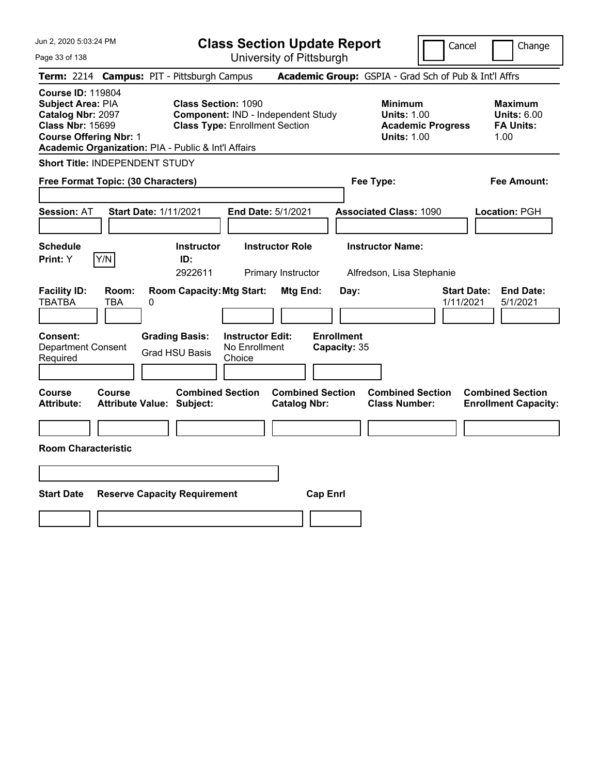| Jun 2, 2020 5:03:24 PM                                                                                                                                                                       | <b>Class Section Update Report</b>                                                                        | Cancel                                                                 | Change                          |                                                                  |
|----------------------------------------------------------------------------------------------------------------------------------------------------------------------------------------------|-----------------------------------------------------------------------------------------------------------|------------------------------------------------------------------------|---------------------------------|------------------------------------------------------------------|
| Page 33 of 138                                                                                                                                                                               | University of Pittsburgh                                                                                  |                                                                        |                                 |                                                                  |
| <b>Term: 2214</b>                                                                                                                                                                            | <b>Campus: PIT - Pittsburgh Campus</b>                                                                    | Academic Group: GSPIA - Grad Sch of Pub & Int'l Affrs                  |                                 |                                                                  |
| <b>Course ID: 119804</b><br><b>Subject Area: PIA</b><br>Catalog Nbr: 2097<br><b>Class Nbr: 15699</b><br><b>Course Offering Nbr: 1</b><br>Academic Organization: PIA - Public & Int'l Affairs | <b>Class Section: 1090</b><br>Component: IND - Independent Study<br><b>Class Type: Enrollment Section</b> | <b>Minimum</b><br><b>Units: 1.00</b><br><b>Units: 1.00</b>             | <b>Academic Progress</b>        | <b>Maximum</b><br><b>Units: 6.00</b><br><b>FA Units:</b><br>1.00 |
| Short Title: INDEPENDENT STUDY                                                                                                                                                               |                                                                                                           |                                                                        |                                 |                                                                  |
| Free Format Topic: (30 Characters)                                                                                                                                                           |                                                                                                           | Fee Type:                                                              |                                 | Fee Amount:                                                      |
| <b>Start Date: 1/11/2021</b><br><b>Session: AT</b>                                                                                                                                           | <b>End Date: 5/1/2021</b>                                                                                 | <b>Associated Class: 1090</b>                                          |                                 | Location: PGH                                                    |
| <b>Schedule</b><br>Y/N<br><b>Print:</b> Y                                                                                                                                                    | <b>Instructor Role</b><br><b>Instructor</b><br>ID:<br>2922611<br>Primary Instructor                       | <b>Instructor Name:</b><br>Alfredson, Lisa Stephanie                   |                                 |                                                                  |
| <b>Facility ID:</b><br>Room:<br><b>TBATBA</b><br>TBA<br>$\pmb{0}$                                                                                                                            | <b>Room Capacity: Mtg Start:</b>                                                                          | Mtg End:<br>Day:                                                       | <b>Start Date:</b><br>1/11/2021 | <b>End Date:</b><br>5/1/2021                                     |
| Consent:<br><b>Department Consent</b><br>Required                                                                                                                                            | <b>Grading Basis:</b><br><b>Instructor Edit:</b><br>No Enrollment<br><b>Grad HSU Basis</b><br>Choice      | <b>Enrollment</b><br>Capacity: 35                                      |                                 |                                                                  |
| Course<br><b>Course</b><br><b>Attribute:</b><br><b>Attribute Value: Subject:</b>                                                                                                             | <b>Combined Section</b>                                                                                   | <b>Combined Section</b><br><b>Catalog Nbr:</b><br><b>Class Number:</b> | <b>Combined Section</b>         | <b>Combined Section</b><br><b>Enrollment Capacity:</b>           |
| <b>Room Characteristic</b>                                                                                                                                                                   |                                                                                                           |                                                                        |                                 |                                                                  |
|                                                                                                                                                                                              |                                                                                                           |                                                                        |                                 |                                                                  |
|                                                                                                                                                                                              |                                                                                                           |                                                                        |                                 |                                                                  |
| <b>Start Date</b><br><b>Reserve Capacity Requirement</b>                                                                                                                                     |                                                                                                           | <b>Cap Enrl</b>                                                        |                                 |                                                                  |
|                                                                                                                                                                                              |                                                                                                           |                                                                        |                                 |                                                                  |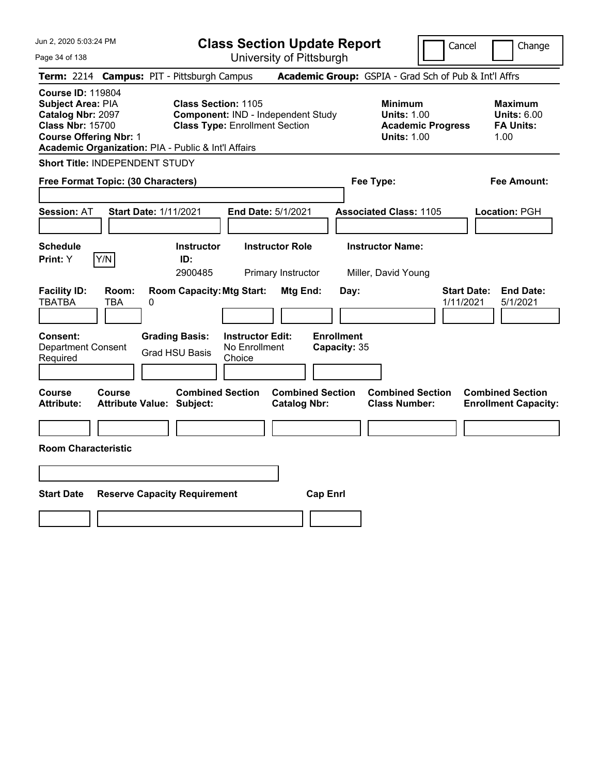| Jun 2, 2020 5:03:24 PM                                                                                                                                                                       |                                                                                                           | <b>Class Section Update Report</b>             |                                                                                        | Cancel<br>Change                                                 |
|----------------------------------------------------------------------------------------------------------------------------------------------------------------------------------------------|-----------------------------------------------------------------------------------------------------------|------------------------------------------------|----------------------------------------------------------------------------------------|------------------------------------------------------------------|
| Page 34 of 138                                                                                                                                                                               |                                                                                                           | University of Pittsburgh                       |                                                                                        |                                                                  |
| Term: 2214 Campus: PIT - Pittsburgh Campus                                                                                                                                                   |                                                                                                           |                                                | Academic Group: GSPIA - Grad Sch of Pub & Int'l Affrs                                  |                                                                  |
| <b>Course ID: 119804</b><br><b>Subject Area: PIA</b><br>Catalog Nbr: 2097<br><b>Class Nbr: 15700</b><br><b>Course Offering Nbr: 1</b><br>Academic Organization: PIA - Public & Int'l Affairs | <b>Class Section: 1105</b><br>Component: IND - Independent Study<br><b>Class Type: Enrollment Section</b> |                                                | <b>Minimum</b><br><b>Units: 1.00</b><br><b>Academic Progress</b><br><b>Units: 1.00</b> | <b>Maximum</b><br><b>Units: 6.00</b><br><b>FA Units:</b><br>1.00 |
| Short Title: INDEPENDENT STUDY                                                                                                                                                               |                                                                                                           |                                                |                                                                                        |                                                                  |
| Free Format Topic: (30 Characters)                                                                                                                                                           |                                                                                                           |                                                | Fee Type:                                                                              | Fee Amount:                                                      |
| <b>Start Date: 1/11/2021</b><br><b>Session: AT</b>                                                                                                                                           |                                                                                                           | End Date: 5/1/2021                             | <b>Associated Class: 1105</b>                                                          | Location: PGH                                                    |
| <b>Schedule</b><br>Y/N<br>Print: Y                                                                                                                                                           | <b>Instructor</b><br>ID:<br>2900485                                                                       | <b>Instructor Role</b><br>Primary Instructor   | <b>Instructor Name:</b><br>Miller, David Young                                         |                                                                  |
| <b>Facility ID:</b><br>Room:<br><b>TBATBA</b><br>TBA<br>0                                                                                                                                    | <b>Room Capacity: Mtg Start:</b>                                                                          | Mtg End:<br>Day:                               |                                                                                        | <b>Start Date:</b><br><b>End Date:</b><br>1/11/2021<br>5/1/2021  |
| Consent:<br><b>Department Consent</b><br>Required                                                                                                                                            | <b>Grading Basis:</b><br><b>Instructor Edit:</b><br>No Enrollment<br><b>Grad HSU Basis</b><br>Choice      | <b>Enrollment</b><br>Capacity: 35              |                                                                                        |                                                                  |
| Course<br><b>Course</b><br><b>Attribute:</b><br><b>Attribute Value: Subject:</b>                                                                                                             | <b>Combined Section</b>                                                                                   | <b>Combined Section</b><br><b>Catalog Nbr:</b> | <b>Combined Section</b><br><b>Class Number:</b>                                        | <b>Combined Section</b><br><b>Enrollment Capacity:</b>           |
|                                                                                                                                                                                              |                                                                                                           |                                                |                                                                                        |                                                                  |
| <b>Room Characteristic</b>                                                                                                                                                                   |                                                                                                           |                                                |                                                                                        |                                                                  |
|                                                                                                                                                                                              |                                                                                                           |                                                |                                                                                        |                                                                  |
| <b>Start Date</b>                                                                                                                                                                            | <b>Reserve Capacity Requirement</b>                                                                       | <b>Cap Enrl</b>                                |                                                                                        |                                                                  |
|                                                                                                                                                                                              |                                                                                                           |                                                |                                                                                        |                                                                  |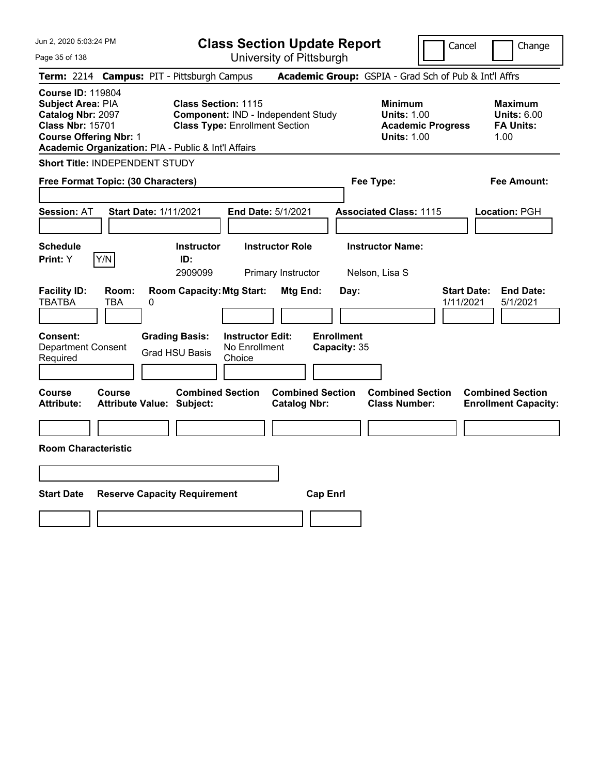| Jun 2, 2020 5:03:24 PM                                                                                                                                                                |                                                                |                                                                             | <b>Class Section Update Report</b>                    |                                                            | Cancel                          | Change                                                           |
|---------------------------------------------------------------------------------------------------------------------------------------------------------------------------------------|----------------------------------------------------------------|-----------------------------------------------------------------------------|-------------------------------------------------------|------------------------------------------------------------|---------------------------------|------------------------------------------------------------------|
| Page 35 of 138                                                                                                                                                                        |                                                                |                                                                             | University of Pittsburgh                              |                                                            |                                 |                                                                  |
| <b>Term: 2214</b>                                                                                                                                                                     | <b>Campus: PIT - Pittsburgh Campus</b>                         |                                                                             | Academic Group: GSPIA - Grad Sch of Pub & Int'l Affrs |                                                            |                                 |                                                                  |
| <b>Course ID: 119804</b><br>Subject Area: PIA<br>Catalog Nbr: 2097<br><b>Class Nbr: 15701</b><br><b>Course Offering Nbr: 1</b><br>Academic Organization: PIA - Public & Int'l Affairs | <b>Class Section: 1115</b>                                     | Component: IND - Independent Study<br><b>Class Type: Enrollment Section</b> |                                                       | <b>Minimum</b><br><b>Units: 1.00</b><br><b>Units: 1.00</b> | <b>Academic Progress</b>        | <b>Maximum</b><br><b>Units: 6.00</b><br><b>FA Units:</b><br>1.00 |
| Short Title: INDEPENDENT STUDY                                                                                                                                                        |                                                                |                                                                             |                                                       |                                                            |                                 |                                                                  |
| Free Format Topic: (30 Characters)                                                                                                                                                    |                                                                |                                                                             |                                                       | Fee Type:                                                  |                                 | Fee Amount:                                                      |
| <b>Session: AT</b>                                                                                                                                                                    | <b>Start Date: 1/11/2021</b>                                   | End Date: 5/1/2021                                                          |                                                       | <b>Associated Class: 1115</b>                              |                                 | Location: PGH                                                    |
| <b>Schedule</b><br>Y/N<br>Print: Y                                                                                                                                                    | <b>Instructor</b><br>ID:<br>2909099                            | <b>Instructor Role</b>                                                      | Primary Instructor                                    | <b>Instructor Name:</b><br>Nelson, Lisa S                  |                                 |                                                                  |
| <b>Facility ID:</b><br>Room:<br><b>TBATBA</b><br><b>TBA</b><br>Consent:<br><b>Department Consent</b>                                                                                  | <b>Room Capacity: Mtg Start:</b><br>0<br><b>Grading Basis:</b> | <b>Instructor Edit:</b><br>No Enrollment                                    | Mtg End:<br>Day:<br><b>Enrollment</b><br>Capacity: 35 |                                                            | <b>Start Date:</b><br>1/11/2021 | <b>End Date:</b><br>5/1/2021                                     |
| Required                                                                                                                                                                              | <b>Grad HSU Basis</b>                                          | Choice                                                                      |                                                       |                                                            |                                 |                                                                  |
| Course<br><b>Course</b><br><b>Attribute:</b><br><b>Room Characteristic</b>                                                                                                            | <b>Combined Section</b><br><b>Attribute Value: Subject:</b>    |                                                                             | <b>Combined Section</b><br><b>Catalog Nbr:</b>        | <b>Combined Section</b><br><b>Class Number:</b>            |                                 | <b>Combined Section</b><br><b>Enrollment Capacity:</b>           |
|                                                                                                                                                                                       |                                                                |                                                                             |                                                       |                                                            |                                 |                                                                  |
| <b>Start Date</b>                                                                                                                                                                     | <b>Reserve Capacity Requirement</b>                            |                                                                             | <b>Cap Enrl</b>                                       |                                                            |                                 |                                                                  |
|                                                                                                                                                                                       |                                                                |                                                                             |                                                       |                                                            |                                 |                                                                  |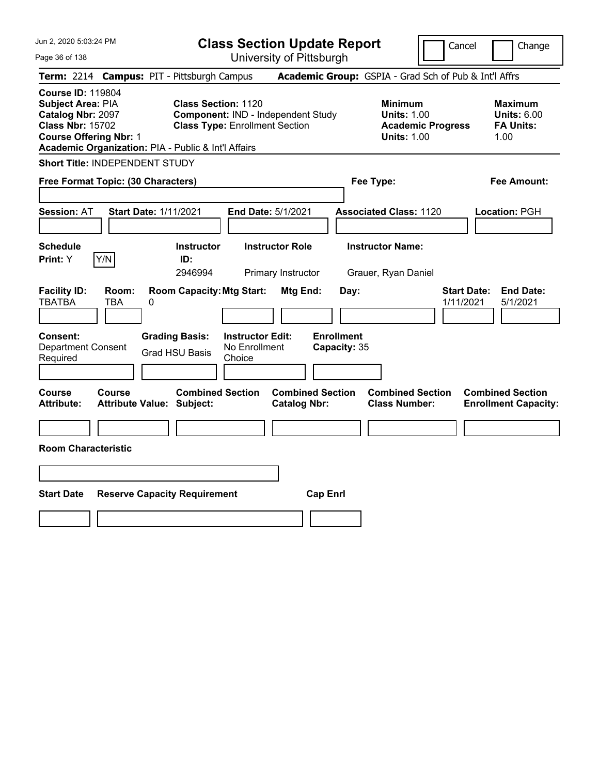| Jun 2, 2020 5:03:24 PM                                                                                                                                                                |                                                                                                           | <b>Class Section Update Report</b>             |                                                                                        | Cancel<br>Change                                                 |
|---------------------------------------------------------------------------------------------------------------------------------------------------------------------------------------|-----------------------------------------------------------------------------------------------------------|------------------------------------------------|----------------------------------------------------------------------------------------|------------------------------------------------------------------|
| Page 36 of 138                                                                                                                                                                        |                                                                                                           | University of Pittsburgh                       |                                                                                        |                                                                  |
| Term: 2214 Campus: PIT - Pittsburgh Campus                                                                                                                                            |                                                                                                           |                                                | Academic Group: GSPIA - Grad Sch of Pub & Int'l Affrs                                  |                                                                  |
| <b>Course ID: 119804</b><br>Subject Area: PIA<br>Catalog Nbr: 2097<br><b>Class Nbr: 15702</b><br><b>Course Offering Nbr: 1</b><br>Academic Organization: PIA - Public & Int'l Affairs | <b>Class Section: 1120</b><br>Component: IND - Independent Study<br><b>Class Type: Enrollment Section</b> |                                                | <b>Minimum</b><br><b>Units: 1.00</b><br><b>Academic Progress</b><br><b>Units: 1.00</b> | <b>Maximum</b><br><b>Units: 6.00</b><br><b>FA Units:</b><br>1.00 |
| Short Title: INDEPENDENT STUDY                                                                                                                                                        |                                                                                                           |                                                |                                                                                        |                                                                  |
| Free Format Topic: (30 Characters)                                                                                                                                                    |                                                                                                           |                                                | Fee Type:                                                                              | Fee Amount:                                                      |
| <b>Start Date: 1/11/2021</b><br><b>Session: AT</b>                                                                                                                                    |                                                                                                           | End Date: 5/1/2021                             | <b>Associated Class: 1120</b>                                                          | Location: PGH                                                    |
| <b>Schedule</b><br>Y/N<br>Print: Y                                                                                                                                                    | <b>Instructor</b><br>ID:<br>2946994                                                                       | <b>Instructor Role</b><br>Primary Instructor   | <b>Instructor Name:</b><br>Grauer, Ryan Daniel                                         |                                                                  |
| <b>Facility ID:</b><br>Room:<br><b>TBATBA</b><br>TBA<br>0                                                                                                                             | <b>Room Capacity: Mtg Start:</b>                                                                          | Mtg End:<br>Day:                               |                                                                                        | <b>Start Date:</b><br><b>End Date:</b><br>1/11/2021<br>5/1/2021  |
| Consent:<br><b>Department Consent</b><br>Required                                                                                                                                     | <b>Grading Basis:</b><br><b>Instructor Edit:</b><br>No Enrollment<br><b>Grad HSU Basis</b><br>Choice      | <b>Enrollment</b><br>Capacity: 35              |                                                                                        |                                                                  |
| Course<br><b>Course</b><br><b>Attribute:</b><br><b>Attribute Value: Subject:</b>                                                                                                      | <b>Combined Section</b>                                                                                   | <b>Combined Section</b><br><b>Catalog Nbr:</b> | <b>Combined Section</b><br><b>Class Number:</b>                                        | <b>Combined Section</b><br><b>Enrollment Capacity:</b>           |
|                                                                                                                                                                                       |                                                                                                           |                                                |                                                                                        |                                                                  |
| <b>Room Characteristic</b>                                                                                                                                                            |                                                                                                           |                                                |                                                                                        |                                                                  |
|                                                                                                                                                                                       |                                                                                                           |                                                |                                                                                        |                                                                  |
| <b>Start Date</b>                                                                                                                                                                     | <b>Reserve Capacity Requirement</b>                                                                       | <b>Cap Enrl</b>                                |                                                                                        |                                                                  |
|                                                                                                                                                                                       |                                                                                                           |                                                |                                                                                        |                                                                  |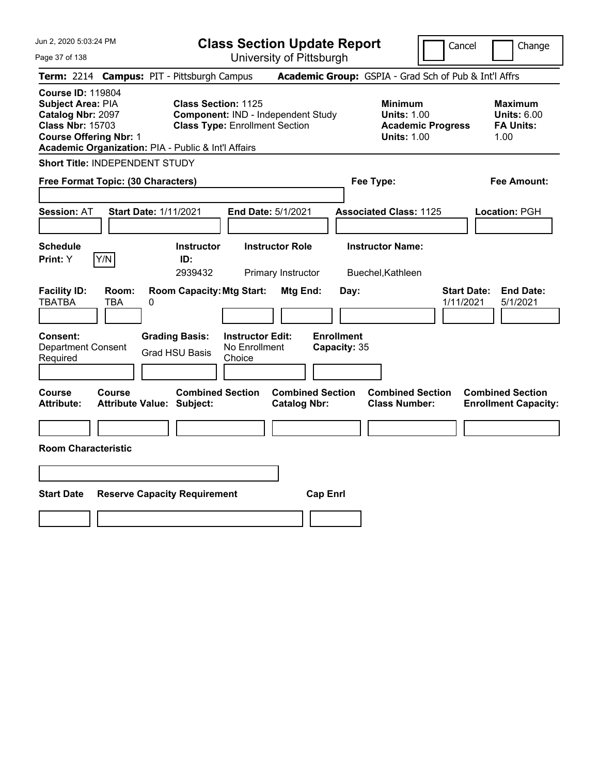| Jun 2, 2020 5:03:24 PM                                                                                                                                                                |                                                   |                                                                                    |                                                    | <b>Class Section Update Report</b>             |                                           |                                                            | Cancel                   | Change                                                           |
|---------------------------------------------------------------------------------------------------------------------------------------------------------------------------------------|---------------------------------------------------|------------------------------------------------------------------------------------|----------------------------------------------------|------------------------------------------------|-------------------------------------------|------------------------------------------------------------|--------------------------|------------------------------------------------------------------|
| Page 37 of 138                                                                                                                                                                        |                                                   |                                                                                    |                                                    | University of Pittsburgh                       |                                           |                                                            |                          |                                                                  |
| <b>Term: 2214</b>                                                                                                                                                                     | <b>Campus: PIT - Pittsburgh Campus</b>            |                                                                                    |                                                    |                                                |                                           |                                                            |                          | Academic Group: GSPIA - Grad Sch of Pub & Int'l Affrs            |
| <b>Course ID: 119804</b><br>Subject Area: PIA<br>Catalog Nbr: 2097<br><b>Class Nbr: 15703</b><br><b>Course Offering Nbr: 1</b><br>Academic Organization: PIA - Public & Int'l Affairs |                                                   | <b>Class Section: 1125</b><br><b>Class Type: Enrollment Section</b>                |                                                    | Component: IND - Independent Study             |                                           | <b>Minimum</b><br><b>Units: 1.00</b><br><b>Units: 1.00</b> | <b>Academic Progress</b> | <b>Maximum</b><br><b>Units: 6.00</b><br><b>FA Units:</b><br>1.00 |
| Short Title: INDEPENDENT STUDY                                                                                                                                                        |                                                   |                                                                                    |                                                    |                                                |                                           |                                                            |                          |                                                                  |
| Free Format Topic: (30 Characters)                                                                                                                                                    |                                                   |                                                                                    |                                                    |                                                |                                           | Fee Type:                                                  |                          | Fee Amount:                                                      |
| <b>Session: AT</b>                                                                                                                                                                    | <b>Start Date: 1/11/2021</b>                      |                                                                                    |                                                    | End Date: 5/1/2021                             |                                           | <b>Associated Class: 1125</b>                              |                          | Location: PGH                                                    |
| <b>Schedule</b>                                                                                                                                                                       |                                                   | <b>Instructor</b>                                                                  |                                                    | <b>Instructor Role</b>                         |                                           | <b>Instructor Name:</b>                                    |                          |                                                                  |
| Print: Y                                                                                                                                                                              | Y/N                                               | ID:<br>2939432                                                                     |                                                    | Primary Instructor                             |                                           | Buechel, Kathleen                                          |                          |                                                                  |
| <b>Facility ID:</b><br><b>TBATBA</b><br>Consent:<br><b>Department Consent</b><br>Required                                                                                             | Room:<br><b>TBA</b><br>0                          | <b>Room Capacity: Mtg Start:</b><br><b>Grading Basis:</b><br><b>Grad HSU Basis</b> | <b>Instructor Edit:</b><br>No Enrollment<br>Choice | Mtg End:                                       | Day:<br><b>Enrollment</b><br>Capacity: 35 |                                                            | 1/11/2021                | <b>Start Date:</b><br><b>End Date:</b><br>5/1/2021               |
| <b>Course</b><br><b>Attribute:</b>                                                                                                                                                    | <b>Course</b><br><b>Attribute Value: Subject:</b> | <b>Combined Section</b>                                                            |                                                    | <b>Combined Section</b><br><b>Catalog Nbr:</b> |                                           | <b>Combined Section</b><br><b>Class Number:</b>            |                          | <b>Combined Section</b><br><b>Enrollment Capacity:</b>           |
|                                                                                                                                                                                       |                                                   |                                                                                    |                                                    |                                                |                                           |                                                            |                          |                                                                  |
| <b>Room Characteristic</b>                                                                                                                                                            |                                                   |                                                                                    |                                                    |                                                |                                           |                                                            |                          |                                                                  |
|                                                                                                                                                                                       |                                                   |                                                                                    |                                                    |                                                |                                           |                                                            |                          |                                                                  |
| <b>Start Date</b>                                                                                                                                                                     | <b>Reserve Capacity Requirement</b>               |                                                                                    |                                                    | <b>Cap Enrl</b>                                |                                           |                                                            |                          |                                                                  |
|                                                                                                                                                                                       |                                                   |                                                                                    |                                                    |                                                |                                           |                                                            |                          |                                                                  |
|                                                                                                                                                                                       |                                                   |                                                                                    |                                                    |                                                |                                           |                                                            |                          |                                                                  |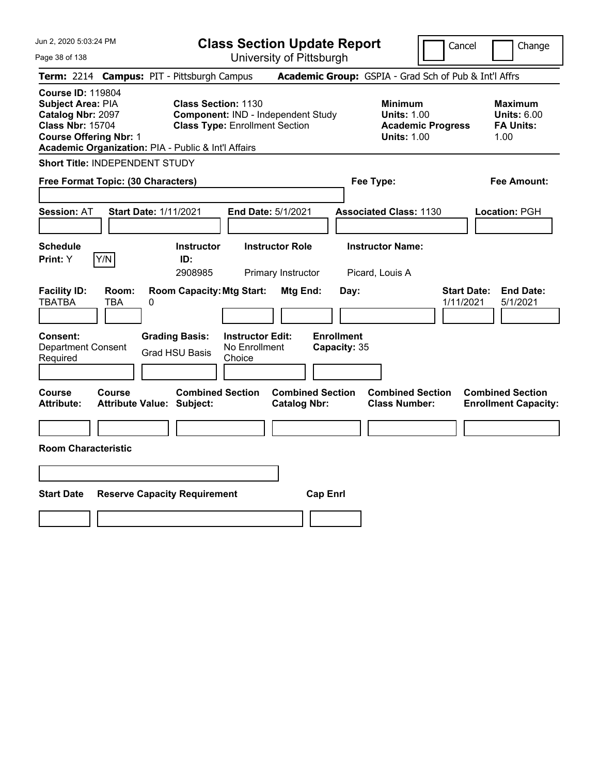| Jun 2, 2020 5:03:24 PM                                                                                                                                                                |                                                                                                           | <b>Class Section Update Report</b>             |                                                                                        | Cancel<br>Change                                                 |
|---------------------------------------------------------------------------------------------------------------------------------------------------------------------------------------|-----------------------------------------------------------------------------------------------------------|------------------------------------------------|----------------------------------------------------------------------------------------|------------------------------------------------------------------|
| Page 38 of 138                                                                                                                                                                        |                                                                                                           | University of Pittsburgh                       |                                                                                        |                                                                  |
| Term: 2214 Campus: PIT - Pittsburgh Campus                                                                                                                                            |                                                                                                           |                                                | Academic Group: GSPIA - Grad Sch of Pub & Int'l Affrs                                  |                                                                  |
| <b>Course ID: 119804</b><br>Subject Area: PIA<br>Catalog Nbr: 2097<br><b>Class Nbr: 15704</b><br><b>Course Offering Nbr: 1</b><br>Academic Organization: PIA - Public & Int'l Affairs | <b>Class Section: 1130</b><br>Component: IND - Independent Study<br><b>Class Type: Enrollment Section</b> |                                                | <b>Minimum</b><br><b>Units: 1.00</b><br><b>Academic Progress</b><br><b>Units: 1.00</b> | <b>Maximum</b><br><b>Units: 6.00</b><br><b>FA Units:</b><br>1.00 |
| Short Title: INDEPENDENT STUDY                                                                                                                                                        |                                                                                                           |                                                |                                                                                        |                                                                  |
| Free Format Topic: (30 Characters)                                                                                                                                                    |                                                                                                           |                                                | Fee Type:                                                                              | Fee Amount:                                                      |
| <b>Start Date: 1/11/2021</b><br><b>Session: AT</b>                                                                                                                                    |                                                                                                           | End Date: 5/1/2021                             | <b>Associated Class: 1130</b>                                                          | Location: PGH                                                    |
| <b>Schedule</b><br>Y/N<br>Print: Y                                                                                                                                                    | <b>Instructor</b><br>ID:<br>2908985                                                                       | <b>Instructor Role</b><br>Primary Instructor   | <b>Instructor Name:</b><br>Picard, Louis A                                             |                                                                  |
| <b>Facility ID:</b><br>Room:<br><b>TBATBA</b><br>TBA<br>0                                                                                                                             | <b>Room Capacity: Mtg Start:</b>                                                                          | Mtg End:<br>Day:                               |                                                                                        | <b>Start Date:</b><br><b>End Date:</b><br>1/11/2021<br>5/1/2021  |
| Consent:<br><b>Department Consent</b><br>Required                                                                                                                                     | <b>Grading Basis:</b><br><b>Instructor Edit:</b><br>No Enrollment<br><b>Grad HSU Basis</b><br>Choice      | <b>Enrollment</b><br>Capacity: 35              |                                                                                        |                                                                  |
| Course<br><b>Course</b><br><b>Attribute:</b><br><b>Attribute Value: Subject:</b>                                                                                                      | <b>Combined Section</b>                                                                                   | <b>Combined Section</b><br><b>Catalog Nbr:</b> | <b>Combined Section</b><br><b>Class Number:</b>                                        | <b>Combined Section</b><br><b>Enrollment Capacity:</b>           |
|                                                                                                                                                                                       |                                                                                                           |                                                |                                                                                        |                                                                  |
| <b>Room Characteristic</b>                                                                                                                                                            |                                                                                                           |                                                |                                                                                        |                                                                  |
|                                                                                                                                                                                       |                                                                                                           |                                                |                                                                                        |                                                                  |
| <b>Start Date</b>                                                                                                                                                                     | <b>Reserve Capacity Requirement</b>                                                                       | <b>Cap Enrl</b>                                |                                                                                        |                                                                  |
|                                                                                                                                                                                       |                                                                                                           |                                                |                                                                                        |                                                                  |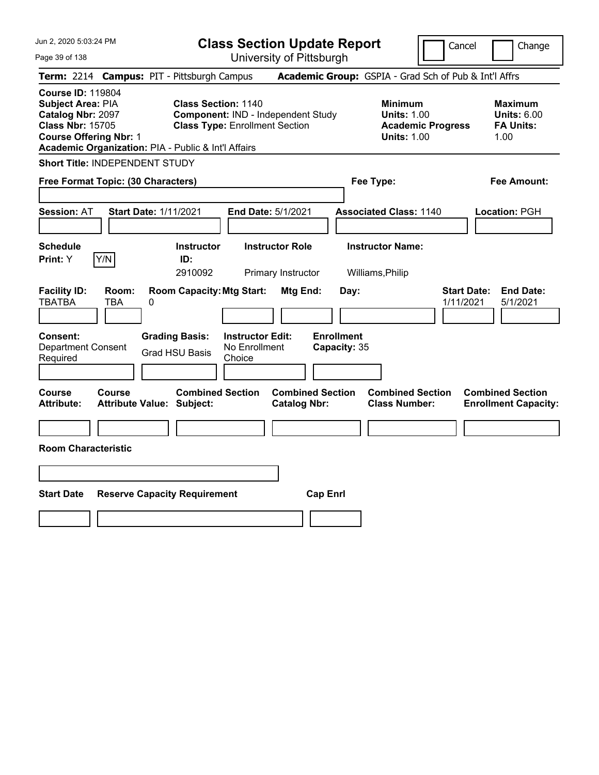| Jun 2, 2020 5:03:24 PM                                                                                                                                                                |                                        |                                                                     |                                                    | <b>Class Section Update Report</b>             |                                           |                                                            | Cancel                   |                                 | Change                                                           |
|---------------------------------------------------------------------------------------------------------------------------------------------------------------------------------------|----------------------------------------|---------------------------------------------------------------------|----------------------------------------------------|------------------------------------------------|-------------------------------------------|------------------------------------------------------------|--------------------------|---------------------------------|------------------------------------------------------------------|
| Page 39 of 138                                                                                                                                                                        |                                        |                                                                     |                                                    | University of Pittsburgh                       |                                           |                                                            |                          |                                 |                                                                  |
| <b>Term: 2214</b>                                                                                                                                                                     | <b>Campus: PIT - Pittsburgh Campus</b> |                                                                     |                                                    |                                                |                                           | Academic Group: GSPIA - Grad Sch of Pub & Int'l Affrs      |                          |                                 |                                                                  |
| <b>Course ID: 119804</b><br>Subject Area: PIA<br>Catalog Nbr: 2097<br><b>Class Nbr: 15705</b><br><b>Course Offering Nbr: 1</b><br>Academic Organization: PIA - Public & Int'l Affairs |                                        | <b>Class Section: 1140</b><br><b>Class Type: Enrollment Section</b> |                                                    | Component: IND - Independent Study             |                                           | <b>Minimum</b><br><b>Units: 1.00</b><br><b>Units: 1.00</b> | <b>Academic Progress</b> |                                 | <b>Maximum</b><br><b>Units: 6.00</b><br><b>FA Units:</b><br>1.00 |
| Short Title: INDEPENDENT STUDY                                                                                                                                                        |                                        |                                                                     |                                                    |                                                |                                           |                                                            |                          |                                 |                                                                  |
| Free Format Topic: (30 Characters)                                                                                                                                                    |                                        |                                                                     |                                                    |                                                |                                           | Fee Type:                                                  |                          |                                 | Fee Amount:                                                      |
| <b>Session: AT</b>                                                                                                                                                                    | <b>Start Date: 1/11/2021</b>           |                                                                     | End Date: 5/1/2021                                 |                                                |                                           | <b>Associated Class: 1140</b>                              |                          |                                 | Location: PGH                                                    |
| <b>Schedule</b>                                                                                                                                                                       |                                        | <b>Instructor</b>                                                   |                                                    | <b>Instructor Role</b>                         |                                           | <b>Instructor Name:</b>                                    |                          |                                 |                                                                  |
| Y/N<br>Print: Y                                                                                                                                                                       |                                        | ID:<br>2910092                                                      |                                                    | Primary Instructor                             |                                           | Williams, Philip                                           |                          |                                 |                                                                  |
| <b>Facility ID:</b><br><b>TBATBA</b><br><b>TBA</b><br>Consent:<br><b>Department Consent</b><br>Required                                                                               | Room:<br>0<br><b>Grading Basis:</b>    | <b>Room Capacity: Mtg Start:</b><br><b>Grad HSU Basis</b>           | <b>Instructor Edit:</b><br>No Enrollment<br>Choice | Mtg End:                                       | Day:<br><b>Enrollment</b><br>Capacity: 35 |                                                            |                          | <b>Start Date:</b><br>1/11/2021 | <b>End Date:</b><br>5/1/2021                                     |
| <b>Course</b><br><b>Course</b><br><b>Attribute:</b>                                                                                                                                   | <b>Attribute Value: Subject:</b>       | <b>Combined Section</b>                                             |                                                    | <b>Combined Section</b><br><b>Catalog Nbr:</b> |                                           | <b>Combined Section</b><br><b>Class Number:</b>            |                          |                                 | <b>Combined Section</b><br><b>Enrollment Capacity:</b>           |
|                                                                                                                                                                                       |                                        |                                                                     |                                                    |                                                |                                           |                                                            |                          |                                 |                                                                  |
| <b>Room Characteristic</b>                                                                                                                                                            |                                        |                                                                     |                                                    |                                                |                                           |                                                            |                          |                                 |                                                                  |
|                                                                                                                                                                                       |                                        |                                                                     |                                                    |                                                |                                           |                                                            |                          |                                 |                                                                  |
| <b>Start Date</b>                                                                                                                                                                     | <b>Reserve Capacity Requirement</b>    |                                                                     |                                                    | <b>Cap Enrl</b>                                |                                           |                                                            |                          |                                 |                                                                  |
|                                                                                                                                                                                       |                                        |                                                                     |                                                    |                                                |                                           |                                                            |                          |                                 |                                                                  |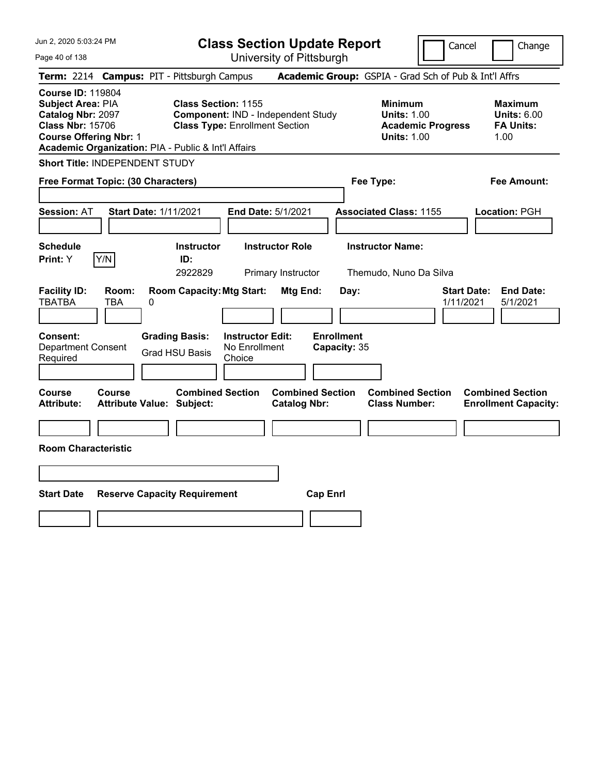| Jun 2, 2020 5:03:24 PM                                                                                                                                                                |                                                             | <b>Class Section Update Report</b>                                          |                                                |                                                                                        | Cancel<br>Change                                                 |
|---------------------------------------------------------------------------------------------------------------------------------------------------------------------------------------|-------------------------------------------------------------|-----------------------------------------------------------------------------|------------------------------------------------|----------------------------------------------------------------------------------------|------------------------------------------------------------------|
| Page 40 of 138                                                                                                                                                                        |                                                             | University of Pittsburgh                                                    |                                                |                                                                                        |                                                                  |
| Term: 2214 Campus: PIT - Pittsburgh Campus                                                                                                                                            |                                                             |                                                                             |                                                |                                                                                        | Academic Group: GSPIA - Grad Sch of Pub & Int'l Affrs            |
| <b>Course ID: 119804</b><br>Subject Area: PIA<br>Catalog Nbr: 2097<br><b>Class Nbr: 15706</b><br><b>Course Offering Nbr: 1</b><br>Academic Organization: PIA - Public & Int'l Affairs | <b>Class Section: 1155</b>                                  | Component: IND - Independent Study<br><b>Class Type: Enrollment Section</b> |                                                | <b>Minimum</b><br><b>Units: 1.00</b><br><b>Academic Progress</b><br><b>Units: 1.00</b> | <b>Maximum</b><br><b>Units: 6.00</b><br><b>FA Units:</b><br>1.00 |
| Short Title: INDEPENDENT STUDY                                                                                                                                                        |                                                             |                                                                             |                                                |                                                                                        |                                                                  |
| Free Format Topic: (30 Characters)                                                                                                                                                    |                                                             |                                                                             |                                                | Fee Type:                                                                              | Fee Amount:                                                      |
| <b>Session: AT</b>                                                                                                                                                                    | <b>Start Date: 1/11/2021</b>                                | End Date: 5/1/2021                                                          |                                                | <b>Associated Class: 1155</b>                                                          | Location: PGH                                                    |
| <b>Schedule</b><br>Y/N<br>Print: Y                                                                                                                                                    | <b>Instructor</b><br>ID:<br>2922829                         | <b>Instructor Role</b><br>Primary Instructor                                |                                                | <b>Instructor Name:</b><br>Themudo, Nuno Da Silva                                      |                                                                  |
| <b>Facility ID:</b><br>Room:<br><b>TBATBA</b><br>TBA                                                                                                                                  | <b>Room Capacity: Mtg Start:</b><br>0                       |                                                                             | Mtg End:<br>Day:                               |                                                                                        | <b>Start Date:</b><br><b>End Date:</b><br>1/11/2021<br>5/1/2021  |
| Consent:<br><b>Department Consent</b><br>Required                                                                                                                                     | <b>Grading Basis:</b><br><b>Grad HSU Basis</b>              | <b>Instructor Edit:</b><br>No Enrollment<br>Choice                          | <b>Enrollment</b><br>Capacity: 35              |                                                                                        |                                                                  |
| Course<br><b>Course</b><br><b>Attribute:</b>                                                                                                                                          | <b>Combined Section</b><br><b>Attribute Value: Subject:</b> |                                                                             | <b>Combined Section</b><br><b>Catalog Nbr:</b> | <b>Combined Section</b><br><b>Class Number:</b>                                        | <b>Combined Section</b><br><b>Enrollment Capacity:</b>           |
|                                                                                                                                                                                       |                                                             |                                                                             |                                                |                                                                                        |                                                                  |
| <b>Room Characteristic</b>                                                                                                                                                            |                                                             |                                                                             |                                                |                                                                                        |                                                                  |
|                                                                                                                                                                                       |                                                             |                                                                             |                                                |                                                                                        |                                                                  |
| <b>Start Date</b>                                                                                                                                                                     | <b>Reserve Capacity Requirement</b>                         |                                                                             | <b>Cap Enrl</b>                                |                                                                                        |                                                                  |
|                                                                                                                                                                                       |                                                             |                                                                             |                                                |                                                                                        |                                                                  |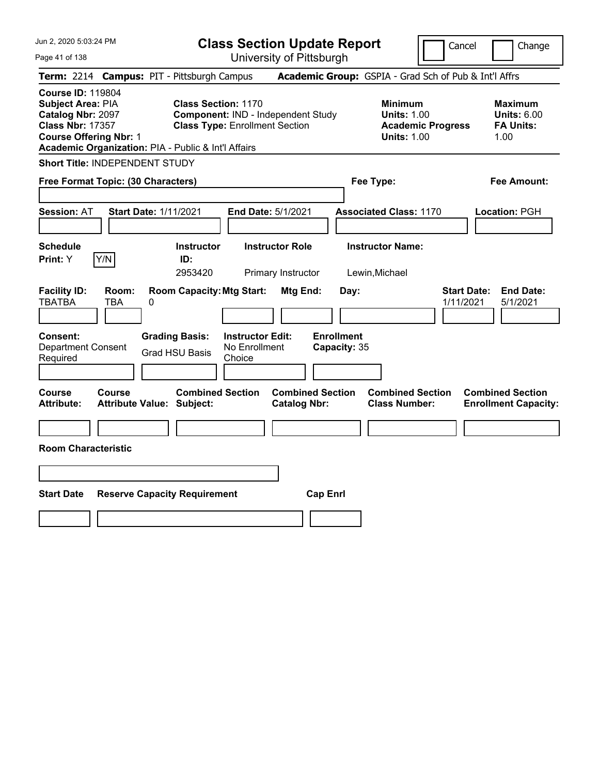| Jun 2, 2020 5:03:24 PM                                                                                                                                                                       |                                                                                                           | <b>Class Section Update Report</b>             |                                                                                        | Cancel<br>Change                                                 |
|----------------------------------------------------------------------------------------------------------------------------------------------------------------------------------------------|-----------------------------------------------------------------------------------------------------------|------------------------------------------------|----------------------------------------------------------------------------------------|------------------------------------------------------------------|
| Page 41 of 138                                                                                                                                                                               |                                                                                                           | University of Pittsburgh                       |                                                                                        |                                                                  |
| Term: 2214 Campus: PIT - Pittsburgh Campus                                                                                                                                                   |                                                                                                           |                                                | Academic Group: GSPIA - Grad Sch of Pub & Int'l Affrs                                  |                                                                  |
| <b>Course ID: 119804</b><br>Subject Area: PIA<br><b>Catalog Nbr: 2097</b><br><b>Class Nbr: 17357</b><br><b>Course Offering Nbr: 1</b><br>Academic Organization: PIA - Public & Int'l Affairs | <b>Class Section: 1170</b><br>Component: IND - Independent Study<br><b>Class Type: Enrollment Section</b> |                                                | <b>Minimum</b><br><b>Units: 1.00</b><br><b>Academic Progress</b><br><b>Units: 1.00</b> | <b>Maximum</b><br><b>Units: 6.00</b><br><b>FA Units:</b><br>1.00 |
| Short Title: INDEPENDENT STUDY                                                                                                                                                               |                                                                                                           |                                                |                                                                                        |                                                                  |
| Free Format Topic: (30 Characters)                                                                                                                                                           |                                                                                                           |                                                | Fee Type:                                                                              | Fee Amount:                                                      |
| Session: AT<br><b>Start Date: 1/11/2021</b>                                                                                                                                                  |                                                                                                           | End Date: 5/1/2021                             | <b>Associated Class: 1170</b>                                                          | Location: PGH                                                    |
| <b>Schedule</b><br>Y/N<br>Print: Y                                                                                                                                                           | <b>Instructor</b><br>ID:<br>2953420                                                                       | <b>Instructor Role</b><br>Primary Instructor   | <b>Instructor Name:</b><br>Lewin, Michael                                              |                                                                  |
| <b>Facility ID:</b><br>Room:<br><b>TBATBA</b><br>TBA<br>0                                                                                                                                    | <b>Room Capacity: Mtg Start:</b>                                                                          | Mtg End:<br>Day:                               |                                                                                        | <b>Start Date:</b><br><b>End Date:</b><br>1/11/2021<br>5/1/2021  |
| <b>Consent:</b><br><b>Department Consent</b><br>Required                                                                                                                                     | <b>Instructor Edit:</b><br><b>Grading Basis:</b><br>No Enrollment<br><b>Grad HSU Basis</b><br>Choice      | <b>Enrollment</b><br>Capacity: 35              |                                                                                        |                                                                  |
| <b>Course</b><br><b>Course</b><br><b>Attribute:</b><br><b>Attribute Value: Subject:</b>                                                                                                      | <b>Combined Section</b>                                                                                   | <b>Combined Section</b><br><b>Catalog Nbr:</b> | <b>Combined Section</b><br><b>Class Number:</b>                                        | <b>Combined Section</b><br><b>Enrollment Capacity:</b>           |
| <b>Room Characteristic</b>                                                                                                                                                                   |                                                                                                           |                                                |                                                                                        |                                                                  |
|                                                                                                                                                                                              |                                                                                                           |                                                |                                                                                        |                                                                  |
| <b>Start Date</b>                                                                                                                                                                            | <b>Reserve Capacity Requirement</b>                                                                       | <b>Cap Enrl</b>                                |                                                                                        |                                                                  |
|                                                                                                                                                                                              |                                                                                                           |                                                |                                                                                        |                                                                  |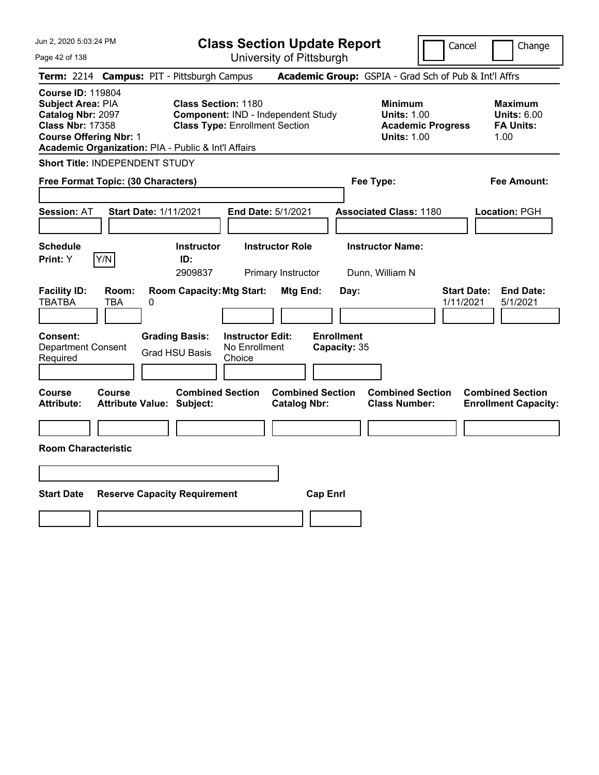| Jun 2, 2020 5:03:24 PM                                                                                                                                                                |                                                                                                           | <b>Class Section Update Report</b>             |                                                                                        | Cancel<br>Change                                                 |
|---------------------------------------------------------------------------------------------------------------------------------------------------------------------------------------|-----------------------------------------------------------------------------------------------------------|------------------------------------------------|----------------------------------------------------------------------------------------|------------------------------------------------------------------|
| Page 42 of 138                                                                                                                                                                        |                                                                                                           | University of Pittsburgh                       |                                                                                        |                                                                  |
| Term: 2214 Campus: PIT - Pittsburgh Campus                                                                                                                                            |                                                                                                           |                                                | Academic Group: GSPIA - Grad Sch of Pub & Int'l Affrs                                  |                                                                  |
| <b>Course ID: 119804</b><br>Subject Area: PIA<br>Catalog Nbr: 2097<br><b>Class Nbr: 17358</b><br><b>Course Offering Nbr: 1</b><br>Academic Organization: PIA - Public & Int'l Affairs | <b>Class Section: 1180</b><br>Component: IND - Independent Study<br><b>Class Type: Enrollment Section</b> |                                                | <b>Minimum</b><br><b>Units: 1.00</b><br><b>Academic Progress</b><br><b>Units: 1.00</b> | <b>Maximum</b><br><b>Units: 6.00</b><br><b>FA Units:</b><br>1.00 |
| Short Title: INDEPENDENT STUDY                                                                                                                                                        |                                                                                                           |                                                |                                                                                        |                                                                  |
| Free Format Topic: (30 Characters)                                                                                                                                                    |                                                                                                           |                                                | Fee Type:                                                                              | Fee Amount:                                                      |
| <b>Start Date: 1/11/2021</b><br><b>Session: AT</b>                                                                                                                                    |                                                                                                           | End Date: 5/1/2021                             | <b>Associated Class: 1180</b>                                                          | Location: PGH                                                    |
| <b>Schedule</b><br>Y/N<br>Print: Y                                                                                                                                                    | <b>Instructor</b><br>ID:<br>2909837                                                                       | <b>Instructor Role</b><br>Primary Instructor   | <b>Instructor Name:</b><br>Dunn, William N                                             |                                                                  |
| <b>Facility ID:</b><br>Room:<br><b>TBATBA</b><br>TBA<br>0                                                                                                                             | <b>Room Capacity: Mtg Start:</b>                                                                          | Mtg End:<br>Day:                               |                                                                                        | <b>Start Date:</b><br><b>End Date:</b><br>1/11/2021<br>5/1/2021  |
| Consent:<br><b>Department Consent</b><br>Required                                                                                                                                     | <b>Grading Basis:</b><br><b>Instructor Edit:</b><br>No Enrollment<br><b>Grad HSU Basis</b><br>Choice      | <b>Enrollment</b><br>Capacity: 35              |                                                                                        |                                                                  |
| Course<br><b>Course</b><br><b>Attribute:</b><br><b>Attribute Value: Subject:</b>                                                                                                      | <b>Combined Section</b>                                                                                   | <b>Combined Section</b><br><b>Catalog Nbr:</b> | <b>Combined Section</b><br><b>Class Number:</b>                                        | <b>Combined Section</b><br><b>Enrollment Capacity:</b>           |
|                                                                                                                                                                                       |                                                                                                           |                                                |                                                                                        |                                                                  |
| <b>Room Characteristic</b>                                                                                                                                                            |                                                                                                           |                                                |                                                                                        |                                                                  |
|                                                                                                                                                                                       |                                                                                                           |                                                |                                                                                        |                                                                  |
| <b>Start Date</b>                                                                                                                                                                     | <b>Reserve Capacity Requirement</b>                                                                       | <b>Cap Enrl</b>                                |                                                                                        |                                                                  |
|                                                                                                                                                                                       |                                                                                                           |                                                |                                                                                        |                                                                  |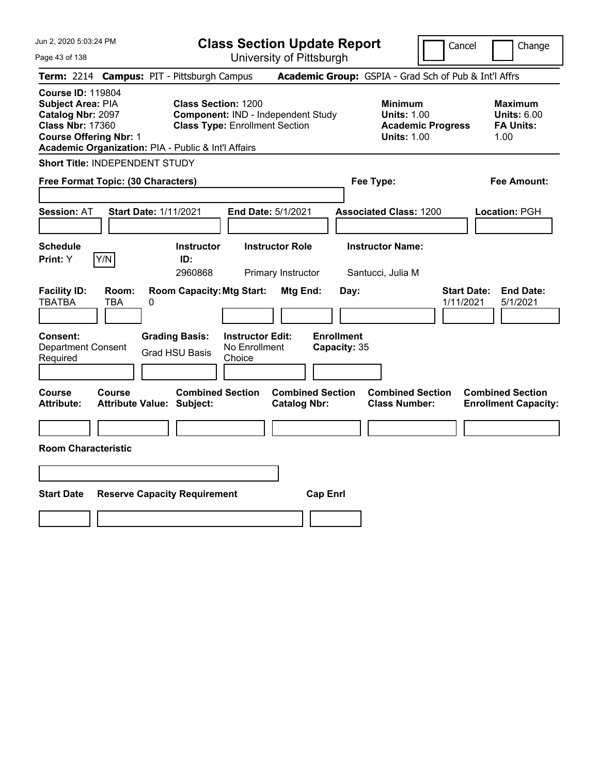| Jun 2, 2020 5:03:24 PM                                                                                                                                                                |                                                                                                           | <b>Class Section Update Report</b>             |                                                                                        | Cancel<br>Change                                                 |
|---------------------------------------------------------------------------------------------------------------------------------------------------------------------------------------|-----------------------------------------------------------------------------------------------------------|------------------------------------------------|----------------------------------------------------------------------------------------|------------------------------------------------------------------|
| Page 43 of 138                                                                                                                                                                        |                                                                                                           | University of Pittsburgh                       |                                                                                        |                                                                  |
| Term: 2214 Campus: PIT - Pittsburgh Campus                                                                                                                                            |                                                                                                           |                                                | Academic Group: GSPIA - Grad Sch of Pub & Int'l Affrs                                  |                                                                  |
| <b>Course ID: 119804</b><br>Subject Area: PIA<br>Catalog Nbr: 2097<br><b>Class Nbr: 17360</b><br><b>Course Offering Nbr: 1</b><br>Academic Organization: PIA - Public & Int'l Affairs | <b>Class Section: 1200</b><br>Component: IND - Independent Study<br><b>Class Type: Enrollment Section</b> |                                                | <b>Minimum</b><br><b>Units: 1.00</b><br><b>Academic Progress</b><br><b>Units: 1.00</b> | <b>Maximum</b><br><b>Units: 6.00</b><br><b>FA Units:</b><br>1.00 |
| Short Title: INDEPENDENT STUDY                                                                                                                                                        |                                                                                                           |                                                |                                                                                        |                                                                  |
| Free Format Topic: (30 Characters)                                                                                                                                                    |                                                                                                           |                                                | Fee Type:                                                                              | Fee Amount:                                                      |
| <b>Start Date: 1/11/2021</b><br><b>Session: AT</b>                                                                                                                                    |                                                                                                           | End Date: 5/1/2021                             | <b>Associated Class: 1200</b>                                                          | Location: PGH                                                    |
| <b>Schedule</b><br>Y/N<br>Print: Y                                                                                                                                                    | <b>Instructor</b><br>ID:<br>2960868                                                                       | <b>Instructor Role</b><br>Primary Instructor   | <b>Instructor Name:</b><br>Santucci, Julia M                                           |                                                                  |
| <b>Facility ID:</b><br>Room:<br><b>TBATBA</b><br>TBA<br>0                                                                                                                             | <b>Room Capacity: Mtg Start:</b>                                                                          | Mtg End:<br>Day:                               |                                                                                        | <b>Start Date:</b><br><b>End Date:</b><br>1/11/2021<br>5/1/2021  |
| Consent:<br><b>Department Consent</b><br>Required                                                                                                                                     | <b>Grading Basis:</b><br><b>Instructor Edit:</b><br>No Enrollment<br><b>Grad HSU Basis</b><br>Choice      | <b>Enrollment</b><br>Capacity: 35              |                                                                                        |                                                                  |
| Course<br><b>Course</b><br><b>Attribute:</b><br><b>Attribute Value: Subject:</b>                                                                                                      | <b>Combined Section</b>                                                                                   | <b>Combined Section</b><br><b>Catalog Nbr:</b> | <b>Combined Section</b><br><b>Class Number:</b>                                        | <b>Combined Section</b><br><b>Enrollment Capacity:</b>           |
|                                                                                                                                                                                       |                                                                                                           |                                                |                                                                                        |                                                                  |
| <b>Room Characteristic</b>                                                                                                                                                            |                                                                                                           |                                                |                                                                                        |                                                                  |
|                                                                                                                                                                                       |                                                                                                           |                                                |                                                                                        |                                                                  |
| <b>Start Date</b>                                                                                                                                                                     | <b>Reserve Capacity Requirement</b>                                                                       | <b>Cap Enrl</b>                                |                                                                                        |                                                                  |
|                                                                                                                                                                                       |                                                                                                           |                                                |                                                                                        |                                                                  |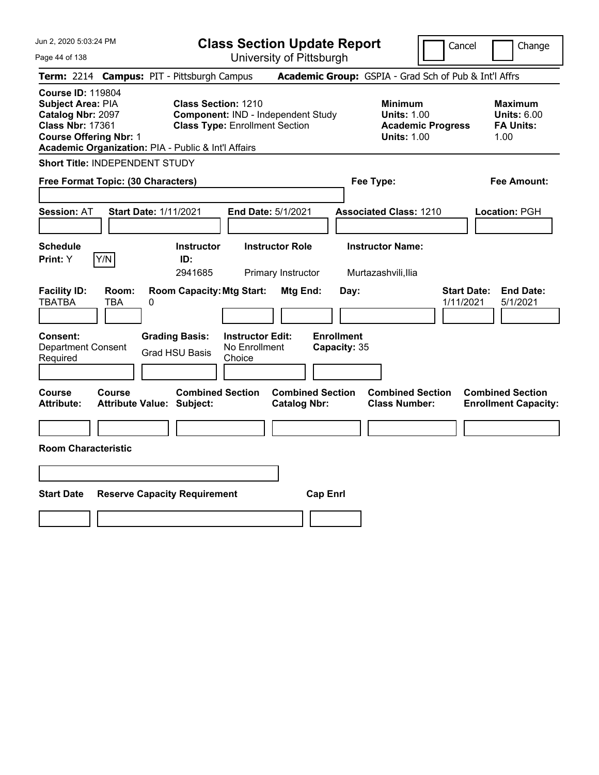| Jun 2, 2020 5:03:24 PM                                                                                                                                                                |                                            |                                                                     |                                                    | <b>Class Section Update Report</b>             |                                   |                                                            | Cancel                   | Change                                                           |
|---------------------------------------------------------------------------------------------------------------------------------------------------------------------------------------|--------------------------------------------|---------------------------------------------------------------------|----------------------------------------------------|------------------------------------------------|-----------------------------------|------------------------------------------------------------|--------------------------|------------------------------------------------------------------|
| Page 44 of 138                                                                                                                                                                        |                                            |                                                                     |                                                    | University of Pittsburgh                       |                                   |                                                            |                          |                                                                  |
| <b>Term: 2214</b>                                                                                                                                                                     | <b>Campus: PIT - Pittsburgh Campus</b>     |                                                                     |                                                    |                                                |                                   |                                                            |                          | Academic Group: GSPIA - Grad Sch of Pub & Int'l Affrs            |
| <b>Course ID: 119804</b><br>Subject Area: PIA<br>Catalog Nbr: 2097<br><b>Class Nbr: 17361</b><br><b>Course Offering Nbr: 1</b><br>Academic Organization: PIA - Public & Int'l Affairs |                                            | <b>Class Section: 1210</b><br><b>Class Type: Enrollment Section</b> |                                                    | Component: IND - Independent Study             |                                   | <b>Minimum</b><br><b>Units: 1.00</b><br><b>Units: 1.00</b> | <b>Academic Progress</b> | <b>Maximum</b><br><b>Units: 6.00</b><br><b>FA Units:</b><br>1.00 |
| <b>Short Title: INDEPENDENT STUDY</b>                                                                                                                                                 |                                            |                                                                     |                                                    |                                                |                                   |                                                            |                          |                                                                  |
| Free Format Topic: (30 Characters)                                                                                                                                                    |                                            |                                                                     |                                                    |                                                |                                   | Fee Type:                                                  |                          | Fee Amount:                                                      |
| <b>Session: AT</b>                                                                                                                                                                    | <b>Start Date: 1/11/2021</b>               |                                                                     |                                                    | End Date: 5/1/2021                             |                                   | <b>Associated Class: 1210</b>                              |                          | Location: PGH                                                    |
| <b>Schedule</b><br>Y/N<br><b>Print:</b> Y                                                                                                                                             |                                            | <b>Instructor</b><br>ID:<br>2941685                                 |                                                    | <b>Instructor Role</b><br>Primary Instructor   |                                   | <b>Instructor Name:</b><br>Murtazashvili, Ilia             |                          |                                                                  |
| <b>Facility ID:</b><br><b>TBATBA</b>                                                                                                                                                  | Room:<br>TBA<br>0                          | <b>Room Capacity: Mtg Start:</b>                                    |                                                    | Mtg End:                                       | Day:                              |                                                            | 1/11/2021                | <b>Start Date:</b><br><b>End Date:</b><br>5/1/2021               |
| Consent:<br><b>Department Consent</b><br>Required                                                                                                                                     |                                            | <b>Grading Basis:</b><br><b>Grad HSU Basis</b>                      | <b>Instructor Edit:</b><br>No Enrollment<br>Choice |                                                | <b>Enrollment</b><br>Capacity: 35 |                                                            |                          |                                                                  |
| Course<br><b>Attribute:</b>                                                                                                                                                           | Course<br><b>Attribute Value: Subject:</b> | <b>Combined Section</b>                                             |                                                    | <b>Combined Section</b><br><b>Catalog Nbr:</b> |                                   | <b>Combined Section</b><br><b>Class Number:</b>            |                          | <b>Combined Section</b><br><b>Enrollment Capacity:</b>           |
|                                                                                                                                                                                       |                                            |                                                                     |                                                    |                                                |                                   |                                                            |                          |                                                                  |
| <b>Room Characteristic</b>                                                                                                                                                            |                                            |                                                                     |                                                    |                                                |                                   |                                                            |                          |                                                                  |
|                                                                                                                                                                                       |                                            |                                                                     |                                                    |                                                |                                   |                                                            |                          |                                                                  |
| <b>Start Date</b>                                                                                                                                                                     | <b>Reserve Capacity Requirement</b>        |                                                                     |                                                    |                                                | <b>Cap Enrl</b>                   |                                                            |                          |                                                                  |
|                                                                                                                                                                                       |                                            |                                                                     |                                                    |                                                |                                   |                                                            |                          |                                                                  |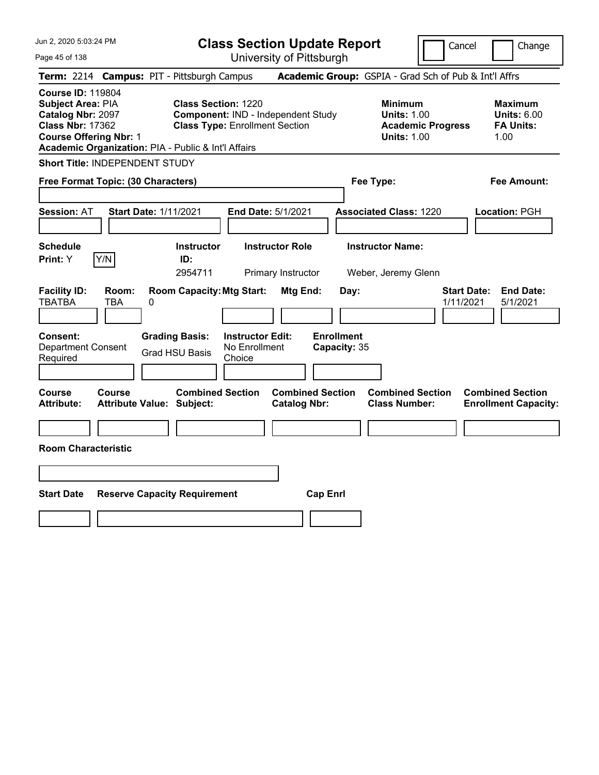| Jun 2, 2020 5:03:24 PM                                                                                                                                                                |                                            |                                                                     |                                                    | <b>Class Section Update Report</b>             |                                   |                                                            | Cancel                   | Change                                                           |
|---------------------------------------------------------------------------------------------------------------------------------------------------------------------------------------|--------------------------------------------|---------------------------------------------------------------------|----------------------------------------------------|------------------------------------------------|-----------------------------------|------------------------------------------------------------|--------------------------|------------------------------------------------------------------|
| Page 45 of 138                                                                                                                                                                        |                                            |                                                                     |                                                    | University of Pittsburgh                       |                                   |                                                            |                          |                                                                  |
| Term: 2214 Campus: PIT - Pittsburgh Campus                                                                                                                                            |                                            |                                                                     |                                                    |                                                |                                   |                                                            |                          | Academic Group: GSPIA - Grad Sch of Pub & Int'l Affrs            |
| <b>Course ID: 119804</b><br>Subject Area: PIA<br>Catalog Nbr: 2097<br><b>Class Nbr: 17362</b><br><b>Course Offering Nbr: 1</b><br>Academic Organization: PIA - Public & Int'l Affairs |                                            | <b>Class Section: 1220</b><br><b>Class Type: Enrollment Section</b> |                                                    | Component: IND - Independent Study             |                                   | <b>Minimum</b><br><b>Units: 1.00</b><br><b>Units: 1.00</b> | <b>Academic Progress</b> | <b>Maximum</b><br><b>Units: 6.00</b><br><b>FA Units:</b><br>1.00 |
| <b>Short Title: INDEPENDENT STUDY</b>                                                                                                                                                 |                                            |                                                                     |                                                    |                                                |                                   |                                                            |                          |                                                                  |
| Free Format Topic: (30 Characters)                                                                                                                                                    |                                            |                                                                     |                                                    |                                                |                                   | Fee Type:                                                  |                          | Fee Amount:                                                      |
| <b>Session: AT</b>                                                                                                                                                                    | <b>Start Date: 1/11/2021</b>               |                                                                     | End Date: 5/1/2021                                 |                                                |                                   | <b>Associated Class: 1220</b>                              |                          | Location: PGH                                                    |
| <b>Schedule</b><br>Y/N<br><b>Print:</b> Y                                                                                                                                             |                                            | <b>Instructor</b><br>ID:<br>2954711                                 |                                                    | <b>Instructor Role</b><br>Primary Instructor   |                                   | <b>Instructor Name:</b><br>Weber, Jeremy Glenn             |                          |                                                                  |
| <b>Facility ID:</b><br><b>TBATBA</b>                                                                                                                                                  | Room:<br>TBA<br>0                          | <b>Room Capacity: Mtg Start:</b>                                    |                                                    | Mtg End:                                       | Day:                              |                                                            | 1/11/2021                | <b>Start Date:</b><br><b>End Date:</b><br>5/1/2021               |
| Consent:<br><b>Department Consent</b><br>Required                                                                                                                                     |                                            | <b>Grading Basis:</b><br><b>Grad HSU Basis</b>                      | <b>Instructor Edit:</b><br>No Enrollment<br>Choice |                                                | <b>Enrollment</b><br>Capacity: 35 |                                                            |                          |                                                                  |
| Course<br><b>Attribute:</b>                                                                                                                                                           | Course<br><b>Attribute Value: Subject:</b> | <b>Combined Section</b>                                             |                                                    | <b>Combined Section</b><br><b>Catalog Nbr:</b> |                                   | <b>Combined Section</b><br><b>Class Number:</b>            |                          | <b>Combined Section</b><br><b>Enrollment Capacity:</b>           |
|                                                                                                                                                                                       |                                            |                                                                     |                                                    |                                                |                                   |                                                            |                          |                                                                  |
| <b>Room Characteristic</b>                                                                                                                                                            |                                            |                                                                     |                                                    |                                                |                                   |                                                            |                          |                                                                  |
|                                                                                                                                                                                       |                                            |                                                                     |                                                    |                                                |                                   |                                                            |                          |                                                                  |
| <b>Start Date</b>                                                                                                                                                                     | <b>Reserve Capacity Requirement</b>        |                                                                     |                                                    | <b>Cap Enrl</b>                                |                                   |                                                            |                          |                                                                  |
|                                                                                                                                                                                       |                                            |                                                                     |                                                    |                                                |                                   |                                                            |                          |                                                                  |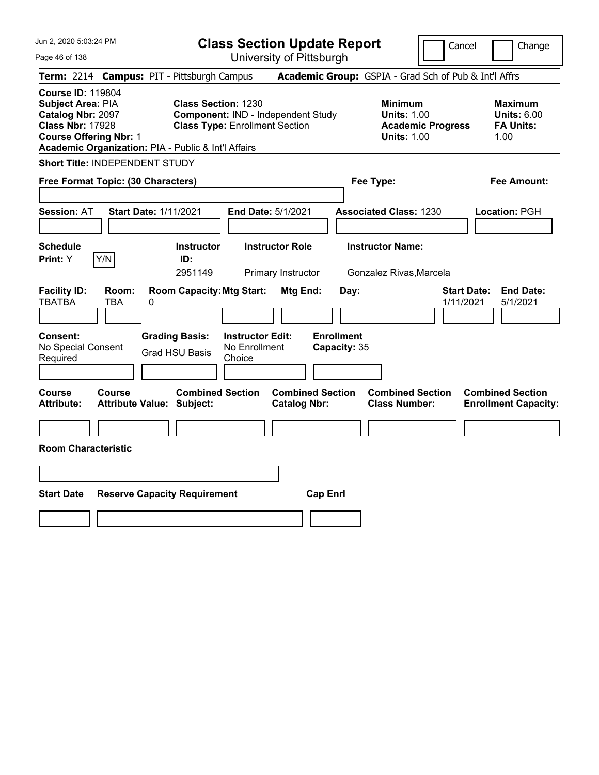| Jun 2, 2020 5:03:24 PM                                                                                                                                                                |                                                             | <b>Class Section Update Report</b>                                          |                                                |                                                                                        | Cancel<br>Change                                                 |
|---------------------------------------------------------------------------------------------------------------------------------------------------------------------------------------|-------------------------------------------------------------|-----------------------------------------------------------------------------|------------------------------------------------|----------------------------------------------------------------------------------------|------------------------------------------------------------------|
| Page 46 of 138                                                                                                                                                                        |                                                             | University of Pittsburgh                                                    |                                                |                                                                                        |                                                                  |
| Term: 2214 Campus: PIT - Pittsburgh Campus                                                                                                                                            |                                                             |                                                                             |                                                | Academic Group: GSPIA - Grad Sch of Pub & Int'l Affrs                                  |                                                                  |
| <b>Course ID: 119804</b><br>Subject Area: PIA<br>Catalog Nbr: 2097<br><b>Class Nbr: 17928</b><br><b>Course Offering Nbr: 1</b><br>Academic Organization: PIA - Public & Int'l Affairs | <b>Class Section: 1230</b>                                  | Component: IND - Independent Study<br><b>Class Type: Enrollment Section</b> |                                                | <b>Minimum</b><br><b>Units: 1.00</b><br><b>Academic Progress</b><br><b>Units: 1.00</b> | <b>Maximum</b><br><b>Units: 6.00</b><br><b>FA Units:</b><br>1.00 |
| Short Title: INDEPENDENT STUDY                                                                                                                                                        |                                                             |                                                                             |                                                |                                                                                        |                                                                  |
| Free Format Topic: (30 Characters)                                                                                                                                                    |                                                             |                                                                             |                                                | Fee Type:                                                                              | Fee Amount:                                                      |
| <b>Session: AT</b>                                                                                                                                                                    | <b>Start Date: 1/11/2021</b>                                | End Date: 5/1/2021                                                          |                                                | <b>Associated Class: 1230</b>                                                          | Location: PGH                                                    |
| <b>Schedule</b><br>Y/N<br>Print: Y                                                                                                                                                    | <b>Instructor</b><br>ID:<br>2951149                         | <b>Instructor Role</b><br>Primary Instructor                                |                                                | <b>Instructor Name:</b><br>Gonzalez Rivas, Marcela                                     |                                                                  |
| <b>Facility ID:</b><br>Room:<br><b>TBATBA</b><br>TBA                                                                                                                                  | <b>Room Capacity: Mtg Start:</b><br>0                       |                                                                             | Mtg End:<br>Day:                               |                                                                                        | <b>Start Date:</b><br><b>End Date:</b><br>1/11/2021<br>5/1/2021  |
| Consent:<br>No Special Consent<br>Required                                                                                                                                            | <b>Grading Basis:</b><br><b>Grad HSU Basis</b>              | <b>Instructor Edit:</b><br>No Enrollment<br>Choice                          | <b>Enrollment</b><br>Capacity: 35              |                                                                                        |                                                                  |
| Course<br><b>Course</b><br><b>Attribute:</b>                                                                                                                                          | <b>Combined Section</b><br><b>Attribute Value: Subject:</b> |                                                                             | <b>Combined Section</b><br><b>Catalog Nbr:</b> | <b>Combined Section</b><br><b>Class Number:</b>                                        | <b>Combined Section</b><br><b>Enrollment Capacity:</b>           |
|                                                                                                                                                                                       |                                                             |                                                                             |                                                |                                                                                        |                                                                  |
| <b>Room Characteristic</b>                                                                                                                                                            |                                                             |                                                                             |                                                |                                                                                        |                                                                  |
|                                                                                                                                                                                       |                                                             |                                                                             |                                                |                                                                                        |                                                                  |
| <b>Start Date</b>                                                                                                                                                                     | <b>Reserve Capacity Requirement</b>                         |                                                                             | <b>Cap Enrl</b>                                |                                                                                        |                                                                  |
|                                                                                                                                                                                       |                                                             |                                                                             |                                                |                                                                                        |                                                                  |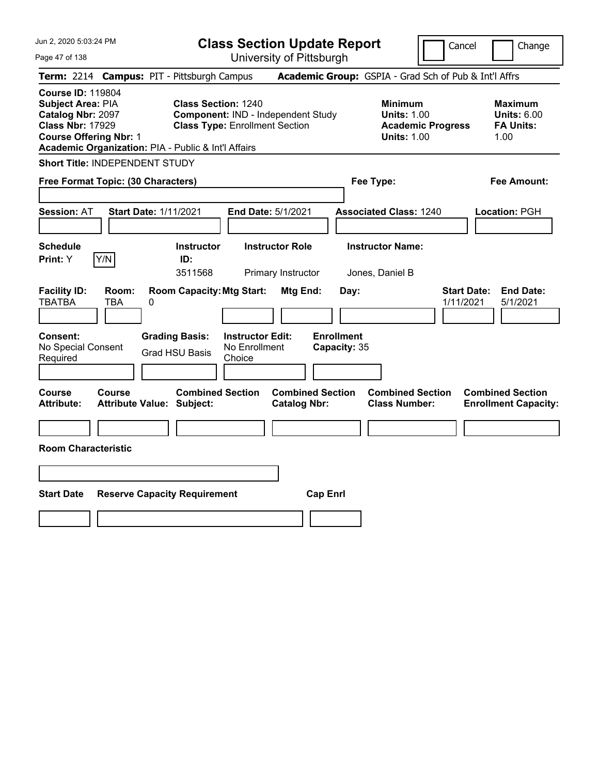| Jun 2, 2020 5:03:24 PM                                                                                                                                                                |                                                |                                                                                                           | <b>Class Section Update Report</b>             |                                                            | Cancel                          | Change                                                           |
|---------------------------------------------------------------------------------------------------------------------------------------------------------------------------------------|------------------------------------------------|-----------------------------------------------------------------------------------------------------------|------------------------------------------------|------------------------------------------------------------|---------------------------------|------------------------------------------------------------------|
| Page 47 of 138                                                                                                                                                                        |                                                |                                                                                                           | University of Pittsburgh                       |                                                            |                                 |                                                                  |
| <b>Term: 2214</b>                                                                                                                                                                     |                                                | <b>Campus: PIT - Pittsburgh Campus</b>                                                                    |                                                | Academic Group: GSPIA - Grad Sch of Pub & Int'l Affrs      |                                 |                                                                  |
| <b>Course ID: 119804</b><br>Subject Area: PIA<br>Catalog Nbr: 2097<br><b>Class Nbr: 17929</b><br><b>Course Offering Nbr: 1</b><br>Academic Organization: PIA - Public & Int'l Affairs |                                                | <b>Class Section: 1240</b><br>Component: IND - Independent Study<br><b>Class Type: Enrollment Section</b> |                                                | <b>Minimum</b><br><b>Units: 1.00</b><br><b>Units: 1.00</b> | <b>Academic Progress</b>        | <b>Maximum</b><br><b>Units: 6.00</b><br><b>FA Units:</b><br>1.00 |
| Short Title: INDEPENDENT STUDY                                                                                                                                                        |                                                |                                                                                                           |                                                |                                                            |                                 |                                                                  |
| Free Format Topic: (30 Characters)                                                                                                                                                    |                                                |                                                                                                           |                                                | Fee Type:                                                  |                                 | Fee Amount:                                                      |
| <b>Session: AT</b>                                                                                                                                                                    | <b>Start Date: 1/11/2021</b>                   |                                                                                                           | End Date: 5/1/2021                             | <b>Associated Class: 1240</b>                              |                                 | Location: PGH                                                    |
| <b>Schedule</b><br>Y/N<br>Print: Y                                                                                                                                                    |                                                | <b>Instructor</b><br>ID:<br>3511568                                                                       | <b>Instructor Role</b><br>Primary Instructor   | <b>Instructor Name:</b><br>Jones, Daniel B                 |                                 |                                                                  |
| <b>Facility ID:</b><br><b>TBATBA</b><br><b>TBA</b>                                                                                                                                    | Room:<br>0                                     | <b>Room Capacity: Mtg Start:</b>                                                                          | Mtg End:                                       | Day:                                                       | <b>Start Date:</b><br>1/11/2021 | <b>End Date:</b><br>5/1/2021                                     |
| Consent:<br>No Special Consent<br>Required                                                                                                                                            | <b>Grading Basis:</b><br><b>Grad HSU Basis</b> | <b>Instructor Edit:</b><br>No Enrollment<br>Choice                                                        |                                                | <b>Enrollment</b><br>Capacity: 35                          |                                 |                                                                  |
| Course<br><b>Course</b><br><b>Attribute:</b>                                                                                                                                          | <b>Attribute Value: Subject:</b>               | <b>Combined Section</b>                                                                                   | <b>Combined Section</b><br><b>Catalog Nbr:</b> | <b>Class Number:</b>                                       | <b>Combined Section</b>         | <b>Combined Section</b><br><b>Enrollment Capacity:</b>           |
|                                                                                                                                                                                       |                                                |                                                                                                           |                                                |                                                            |                                 |                                                                  |
| <b>Room Characteristic</b>                                                                                                                                                            |                                                |                                                                                                           |                                                |                                                            |                                 |                                                                  |
|                                                                                                                                                                                       |                                                |                                                                                                           |                                                |                                                            |                                 |                                                                  |
| <b>Start Date</b>                                                                                                                                                                     | <b>Reserve Capacity Requirement</b>            |                                                                                                           | <b>Cap Enrl</b>                                |                                                            |                                 |                                                                  |
|                                                                                                                                                                                       |                                                |                                                                                                           |                                                |                                                            |                                 |                                                                  |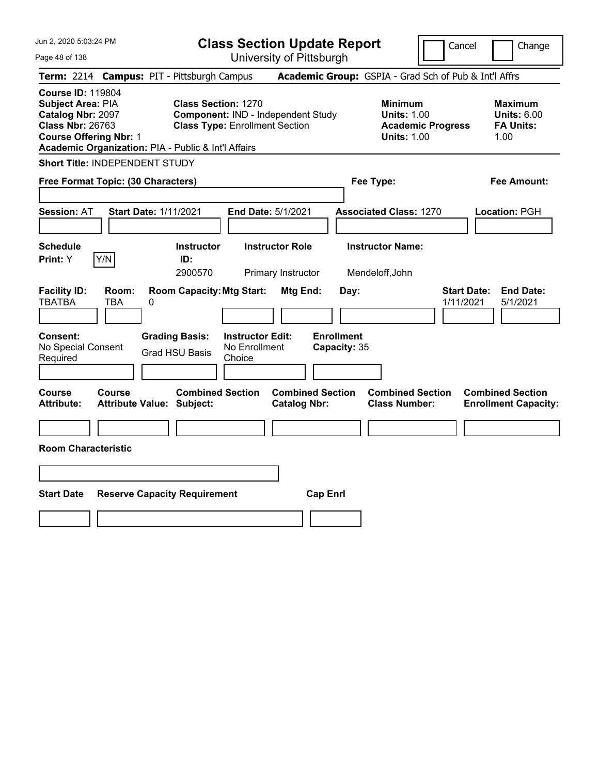| Jun 2, 2020 5:03:24 PM                                                                                                                                                                |                                                   |                                                                                                           | <b>Class Section Update Report</b>                 |                                                |                                   |                                                            | Cancel                   | Change                                                           |
|---------------------------------------------------------------------------------------------------------------------------------------------------------------------------------------|---------------------------------------------------|-----------------------------------------------------------------------------------------------------------|----------------------------------------------------|------------------------------------------------|-----------------------------------|------------------------------------------------------------|--------------------------|------------------------------------------------------------------|
| Page 48 of 138                                                                                                                                                                        |                                                   |                                                                                                           |                                                    | University of Pittsburgh                       |                                   |                                                            |                          |                                                                  |
| Term: 2214 Campus: PIT - Pittsburgh Campus                                                                                                                                            |                                                   |                                                                                                           |                                                    |                                                |                                   | Academic Group: GSPIA - Grad Sch of Pub & Int'l Affrs      |                          |                                                                  |
| <b>Course ID: 119804</b><br>Subject Area: PIA<br>Catalog Nbr: 2097<br><b>Class Nbr: 26763</b><br><b>Course Offering Nbr: 1</b><br>Academic Organization: PIA - Public & Int'l Affairs |                                                   | <b>Class Section: 1270</b><br>Component: IND - Independent Study<br><b>Class Type: Enrollment Section</b> |                                                    |                                                |                                   | <b>Minimum</b><br><b>Units: 1.00</b><br><b>Units: 1.00</b> | <b>Academic Progress</b> | <b>Maximum</b><br><b>Units: 6.00</b><br><b>FA Units:</b><br>1.00 |
| <b>Short Title: INDEPENDENT STUDY</b>                                                                                                                                                 |                                                   |                                                                                                           |                                                    |                                                |                                   |                                                            |                          |                                                                  |
| Free Format Topic: (30 Characters)                                                                                                                                                    |                                                   |                                                                                                           |                                                    |                                                |                                   | Fee Type:                                                  |                          | Fee Amount:                                                      |
| <b>Session: AT</b>                                                                                                                                                                    | <b>Start Date: 1/11/2021</b>                      |                                                                                                           |                                                    | End Date: 5/1/2021                             |                                   | <b>Associated Class: 1270</b>                              |                          | Location: PGH                                                    |
| <b>Schedule</b><br>Print: Y                                                                                                                                                           | Y/N                                               | <b>Instructor</b><br>ID:<br>2900570                                                                       |                                                    | <b>Instructor Role</b><br>Primary Instructor   |                                   | <b>Instructor Name:</b><br>Mendeloff, John                 |                          |                                                                  |
| <b>Facility ID:</b><br><b>TBATBA</b>                                                                                                                                                  | Room:<br>0<br>TBA                                 | <b>Room Capacity: Mtg Start:</b>                                                                          |                                                    | Mtg End:                                       | Day:                              |                                                            | 1/11/2021                | <b>Start Date:</b><br><b>End Date:</b><br>5/1/2021               |
| Consent:<br>No Special Consent<br>Required                                                                                                                                            |                                                   | <b>Grading Basis:</b><br><b>Grad HSU Basis</b>                                                            | <b>Instructor Edit:</b><br>No Enrollment<br>Choice |                                                | <b>Enrollment</b><br>Capacity: 35 |                                                            |                          |                                                                  |
| Course<br><b>Attribute:</b>                                                                                                                                                           | <b>Course</b><br><b>Attribute Value: Subject:</b> | <b>Combined Section</b>                                                                                   |                                                    | <b>Combined Section</b><br><b>Catalog Nbr:</b> |                                   | <b>Combined Section</b><br><b>Class Number:</b>            |                          | <b>Combined Section</b><br><b>Enrollment Capacity:</b>           |
|                                                                                                                                                                                       |                                                   |                                                                                                           |                                                    |                                                |                                   |                                                            |                          |                                                                  |
| <b>Room Characteristic</b>                                                                                                                                                            |                                                   |                                                                                                           |                                                    |                                                |                                   |                                                            |                          |                                                                  |
|                                                                                                                                                                                       |                                                   |                                                                                                           |                                                    |                                                |                                   |                                                            |                          |                                                                  |
| <b>Start Date</b>                                                                                                                                                                     | <b>Reserve Capacity Requirement</b>               |                                                                                                           |                                                    |                                                | <b>Cap Enrl</b>                   |                                                            |                          |                                                                  |
|                                                                                                                                                                                       |                                                   |                                                                                                           |                                                    |                                                |                                   |                                                            |                          |                                                                  |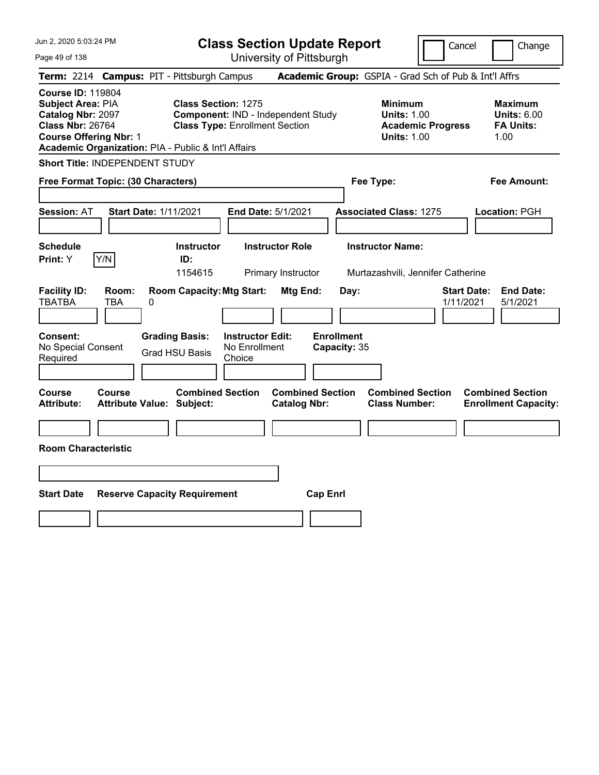| Jun 2, 2020 5:03:24 PM                                                                                                         |                                                     | <b>Class Section Update Report</b>                                                                        |                                                |                                                                                        | Cancel<br>Change                                                 |
|--------------------------------------------------------------------------------------------------------------------------------|-----------------------------------------------------|-----------------------------------------------------------------------------------------------------------|------------------------------------------------|----------------------------------------------------------------------------------------|------------------------------------------------------------------|
| Page 49 of 138                                                                                                                 |                                                     | University of Pittsburgh                                                                                  |                                                |                                                                                        |                                                                  |
| <b>Term: 2214</b>                                                                                                              | <b>Campus: PIT - Pittsburgh Campus</b>              |                                                                                                           |                                                |                                                                                        | Academic Group: GSPIA - Grad Sch of Pub & Int'l Affrs            |
| <b>Course ID: 119804</b><br>Subject Area: PIA<br>Catalog Nbr: 2097<br><b>Class Nbr: 26764</b><br><b>Course Offering Nbr: 1</b> | Academic Organization: PIA - Public & Int'l Affairs | <b>Class Section: 1275</b><br>Component: IND - Independent Study<br><b>Class Type: Enrollment Section</b> |                                                | <b>Minimum</b><br><b>Units: 1.00</b><br><b>Academic Progress</b><br><b>Units: 1.00</b> | <b>Maximum</b><br><b>Units: 6.00</b><br><b>FA Units:</b><br>1.00 |
| Short Title: INDEPENDENT STUDY                                                                                                 |                                                     |                                                                                                           |                                                |                                                                                        |                                                                  |
| Free Format Topic: (30 Characters)                                                                                             |                                                     |                                                                                                           |                                                | Fee Type:                                                                              | Fee Amount:                                                      |
| <b>Session: AT</b>                                                                                                             | <b>Start Date: 1/11/2021</b>                        | End Date: 5/1/2021                                                                                        |                                                | <b>Associated Class: 1275</b>                                                          | Location: PGH                                                    |
| <b>Schedule</b><br>Y/N<br>Print: Y                                                                                             | <b>Instructor</b><br>ID:<br>1154615                 | <b>Instructor Role</b><br>Primary Instructor                                                              |                                                | <b>Instructor Name:</b><br>Murtazashvili, Jennifer Catherine                           |                                                                  |
| <b>Facility ID:</b><br>Room:<br><b>TBATBA</b><br><b>TBA</b>                                                                    | <b>Room Capacity: Mtg Start:</b><br>0               |                                                                                                           | Mtg End:<br>Day:                               |                                                                                        | <b>Start Date:</b><br><b>End Date:</b><br>1/11/2021<br>5/1/2021  |
| Consent:<br>No Special Consent<br>Required                                                                                     | <b>Grading Basis:</b><br><b>Grad HSU Basis</b>      | <b>Instructor Edit:</b><br>No Enrollment<br>Choice                                                        | <b>Enrollment</b><br>Capacity: 35              |                                                                                        |                                                                  |
| <b>Course</b><br><b>Course</b><br><b>Attribute:</b>                                                                            | <b>Attribute Value: Subject:</b>                    | <b>Combined Section</b>                                                                                   | <b>Combined Section</b><br><b>Catalog Nbr:</b> | <b>Combined Section</b><br><b>Class Number:</b>                                        | <b>Combined Section</b><br><b>Enrollment Capacity:</b>           |
|                                                                                                                                |                                                     |                                                                                                           |                                                |                                                                                        |                                                                  |
| <b>Room Characteristic</b>                                                                                                     |                                                     |                                                                                                           |                                                |                                                                                        |                                                                  |
|                                                                                                                                |                                                     |                                                                                                           |                                                |                                                                                        |                                                                  |
| <b>Start Date</b>                                                                                                              | <b>Reserve Capacity Requirement</b>                 |                                                                                                           | <b>Cap Enrl</b>                                |                                                                                        |                                                                  |
|                                                                                                                                |                                                     |                                                                                                           |                                                |                                                                                        |                                                                  |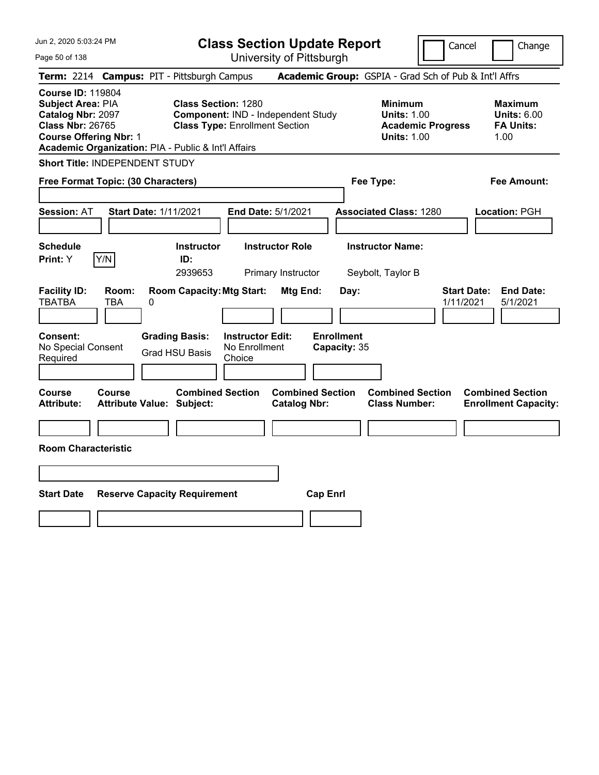| Jun 2, 2020 5:03:24 PM                                                                                                                                                                |                                                                                                           | <b>Class Section Update Report</b>             |                                                                                        | Cancel<br>Change                                                 |
|---------------------------------------------------------------------------------------------------------------------------------------------------------------------------------------|-----------------------------------------------------------------------------------------------------------|------------------------------------------------|----------------------------------------------------------------------------------------|------------------------------------------------------------------|
| Page 50 of 138                                                                                                                                                                        |                                                                                                           | University of Pittsburgh                       |                                                                                        |                                                                  |
| Term: 2214 Campus: PIT - Pittsburgh Campus                                                                                                                                            |                                                                                                           |                                                | Academic Group: GSPIA - Grad Sch of Pub & Int'l Affrs                                  |                                                                  |
| <b>Course ID: 119804</b><br>Subject Area: PIA<br>Catalog Nbr: 2097<br><b>Class Nbr: 26765</b><br><b>Course Offering Nbr: 1</b><br>Academic Organization: PIA - Public & Int'l Affairs | <b>Class Section: 1280</b><br>Component: IND - Independent Study<br><b>Class Type: Enrollment Section</b> |                                                | <b>Minimum</b><br><b>Units: 1.00</b><br><b>Academic Progress</b><br><b>Units: 1.00</b> | <b>Maximum</b><br><b>Units: 6.00</b><br><b>FA Units:</b><br>1.00 |
| Short Title: INDEPENDENT STUDY                                                                                                                                                        |                                                                                                           |                                                |                                                                                        |                                                                  |
| Free Format Topic: (30 Characters)                                                                                                                                                    |                                                                                                           |                                                | Fee Type:                                                                              | Fee Amount:                                                      |
| <b>Start Date: 1/11/2021</b><br><b>Session: AT</b>                                                                                                                                    |                                                                                                           | End Date: 5/1/2021                             | <b>Associated Class: 1280</b>                                                          | Location: PGH                                                    |
| <b>Schedule</b><br>Y/N<br>Print: Y                                                                                                                                                    | <b>Instructor</b><br>ID:<br>2939653                                                                       | <b>Instructor Role</b><br>Primary Instructor   | <b>Instructor Name:</b><br>Seybolt, Taylor B                                           |                                                                  |
| <b>Facility ID:</b><br>Room:<br><b>TBATBA</b><br>TBA<br>0                                                                                                                             | <b>Room Capacity: Mtg Start:</b>                                                                          | Mtg End:<br>Day:                               |                                                                                        | <b>Start Date:</b><br><b>End Date:</b><br>1/11/2021<br>5/1/2021  |
| Consent:<br>No Special Consent<br>Required                                                                                                                                            | <b>Grading Basis:</b><br><b>Instructor Edit:</b><br>No Enrollment<br><b>Grad HSU Basis</b><br>Choice      | <b>Enrollment</b><br>Capacity: 35              |                                                                                        |                                                                  |
| Course<br><b>Course</b><br><b>Attribute:</b><br><b>Attribute Value: Subject:</b>                                                                                                      | <b>Combined Section</b>                                                                                   | <b>Combined Section</b><br><b>Catalog Nbr:</b> | <b>Combined Section</b><br><b>Class Number:</b>                                        | <b>Combined Section</b><br><b>Enrollment Capacity:</b>           |
|                                                                                                                                                                                       |                                                                                                           |                                                |                                                                                        |                                                                  |
| <b>Room Characteristic</b>                                                                                                                                                            |                                                                                                           |                                                |                                                                                        |                                                                  |
|                                                                                                                                                                                       |                                                                                                           |                                                |                                                                                        |                                                                  |
| <b>Start Date</b>                                                                                                                                                                     | <b>Reserve Capacity Requirement</b>                                                                       | <b>Cap Enrl</b>                                |                                                                                        |                                                                  |
|                                                                                                                                                                                       |                                                                                                           |                                                |                                                                                        |                                                                  |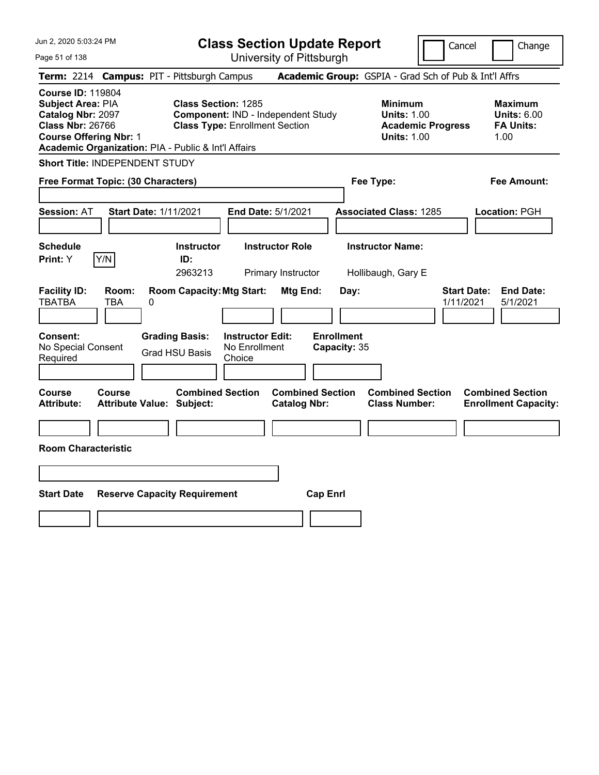| Jun 2, 2020 5:03:24 PM                                                                                                                                                                |                                                   |                                                                     |                                                    | <b>Class Section Update Report</b>             |                                   |                                                            |                          | Cancel<br>Change                                                 |
|---------------------------------------------------------------------------------------------------------------------------------------------------------------------------------------|---------------------------------------------------|---------------------------------------------------------------------|----------------------------------------------------|------------------------------------------------|-----------------------------------|------------------------------------------------------------|--------------------------|------------------------------------------------------------------|
| Page 51 of 138                                                                                                                                                                        |                                                   |                                                                     |                                                    | University of Pittsburgh                       |                                   |                                                            |                          |                                                                  |
| <b>Term: 2214</b>                                                                                                                                                                     | <b>Campus: PIT - Pittsburgh Campus</b>            |                                                                     |                                                    |                                                |                                   |                                                            |                          | Academic Group: GSPIA - Grad Sch of Pub & Int'l Affrs            |
| <b>Course ID: 119804</b><br>Subject Area: PIA<br>Catalog Nbr: 2097<br><b>Class Nbr: 26766</b><br><b>Course Offering Nbr: 1</b><br>Academic Organization: PIA - Public & Int'l Affairs |                                                   | <b>Class Section: 1285</b><br><b>Class Type: Enrollment Section</b> |                                                    | Component: IND - Independent Study             |                                   | <b>Minimum</b><br><b>Units: 1.00</b><br><b>Units: 1.00</b> | <b>Academic Progress</b> | <b>Maximum</b><br><b>Units: 6.00</b><br><b>FA Units:</b><br>1.00 |
| Short Title: INDEPENDENT STUDY                                                                                                                                                        |                                                   |                                                                     |                                                    |                                                |                                   |                                                            |                          |                                                                  |
| Free Format Topic: (30 Characters)                                                                                                                                                    |                                                   |                                                                     |                                                    |                                                |                                   | Fee Type:                                                  |                          | Fee Amount:                                                      |
| <b>Session: AT</b>                                                                                                                                                                    | <b>Start Date: 1/11/2021</b>                      |                                                                     |                                                    | End Date: 5/1/2021                             |                                   | <b>Associated Class: 1285</b>                              |                          | Location: PGH                                                    |
| <b>Schedule</b><br>Print: Y                                                                                                                                                           | Y/N                                               | <b>Instructor</b><br>ID:<br>2963213                                 |                                                    | <b>Instructor Role</b><br>Primary Instructor   |                                   | <b>Instructor Name:</b><br>Hollibaugh, Gary E              |                          |                                                                  |
| <b>Facility ID:</b><br><b>TBATBA</b>                                                                                                                                                  | Room:<br><b>TBA</b><br>0                          | <b>Room Capacity: Mtg Start:</b>                                    |                                                    | Mtg End:                                       | Day:                              |                                                            |                          | <b>Start Date:</b><br><b>End Date:</b><br>1/11/2021<br>5/1/2021  |
| Consent:<br>No Special Consent<br>Required                                                                                                                                            |                                                   | <b>Grading Basis:</b><br><b>Grad HSU Basis</b>                      | <b>Instructor Edit:</b><br>No Enrollment<br>Choice |                                                | <b>Enrollment</b><br>Capacity: 35 |                                                            |                          |                                                                  |
| Course<br><b>Attribute:</b>                                                                                                                                                           | <b>Course</b><br><b>Attribute Value: Subject:</b> | <b>Combined Section</b>                                             |                                                    | <b>Combined Section</b><br><b>Catalog Nbr:</b> |                                   | <b>Combined Section</b><br><b>Class Number:</b>            |                          | <b>Combined Section</b><br><b>Enrollment Capacity:</b>           |
|                                                                                                                                                                                       |                                                   |                                                                     |                                                    |                                                |                                   |                                                            |                          |                                                                  |
| <b>Room Characteristic</b>                                                                                                                                                            |                                                   |                                                                     |                                                    |                                                |                                   |                                                            |                          |                                                                  |
|                                                                                                                                                                                       |                                                   |                                                                     |                                                    |                                                |                                   |                                                            |                          |                                                                  |
| <b>Start Date</b>                                                                                                                                                                     | <b>Reserve Capacity Requirement</b>               |                                                                     |                                                    | <b>Cap Enrl</b>                                |                                   |                                                            |                          |                                                                  |
|                                                                                                                                                                                       |                                                   |                                                                     |                                                    |                                                |                                   |                                                            |                          |                                                                  |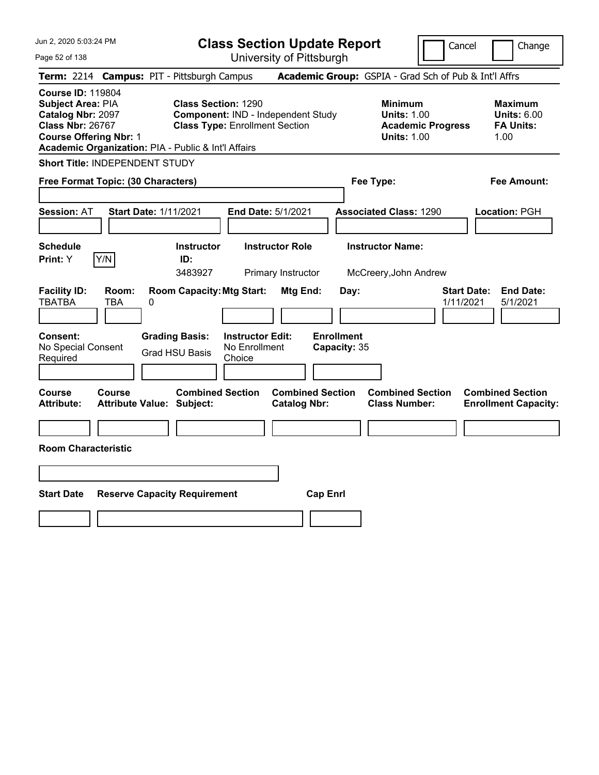| Jun 2, 2020 5:03:24 PM                                                                                                                                                                |                                                   |   |                                                                                                           |                                                    |                                              | <b>Class Section Update Report</b> |                                                            | Cancel                   | Change                                                           |
|---------------------------------------------------------------------------------------------------------------------------------------------------------------------------------------|---------------------------------------------------|---|-----------------------------------------------------------------------------------------------------------|----------------------------------------------------|----------------------------------------------|------------------------------------|------------------------------------------------------------|--------------------------|------------------------------------------------------------------|
| Page 52 of 138                                                                                                                                                                        |                                                   |   |                                                                                                           |                                                    | University of Pittsburgh                     |                                    |                                                            |                          |                                                                  |
| <b>Term: 2214</b>                                                                                                                                                                     |                                                   |   | <b>Campus: PIT - Pittsburgh Campus</b>                                                                    |                                                    |                                              |                                    |                                                            |                          | Academic Group: GSPIA - Grad Sch of Pub & Int'l Affrs            |
| <b>Course ID: 119804</b><br>Subject Area: PIA<br>Catalog Nbr: 2097<br><b>Class Nbr: 26767</b><br><b>Course Offering Nbr: 1</b><br>Academic Organization: PIA - Public & Int'l Affairs |                                                   |   | <b>Class Section: 1290</b><br>Component: IND - Independent Study<br><b>Class Type: Enrollment Section</b> |                                                    |                                              |                                    | <b>Minimum</b><br><b>Units: 1.00</b><br><b>Units: 1.00</b> | <b>Academic Progress</b> | <b>Maximum</b><br><b>Units: 6.00</b><br><b>FA Units:</b><br>1.00 |
| Short Title: INDEPENDENT STUDY                                                                                                                                                        |                                                   |   |                                                                                                           |                                                    |                                              |                                    |                                                            |                          |                                                                  |
| Free Format Topic: (30 Characters)                                                                                                                                                    |                                                   |   |                                                                                                           |                                                    |                                              |                                    | Fee Type:                                                  |                          | Fee Amount:                                                      |
| <b>Session: AT</b>                                                                                                                                                                    | <b>Start Date: 1/11/2021</b>                      |   |                                                                                                           |                                                    | End Date: 5/1/2021                           |                                    | <b>Associated Class: 1290</b>                              |                          | Location: PGH                                                    |
| <b>Schedule</b><br>Print: Y                                                                                                                                                           | Y/N                                               |   | <b>Instructor</b><br>ID:<br>3483927                                                                       |                                                    | <b>Instructor Role</b><br>Primary Instructor |                                    | <b>Instructor Name:</b><br>McCreery, John Andrew           |                          |                                                                  |
| <b>Facility ID:</b><br><b>TBATBA</b>                                                                                                                                                  | Room:<br><b>TBA</b>                               | 0 | <b>Room Capacity: Mtg Start:</b>                                                                          |                                                    | Mtg End:                                     | Day:                               |                                                            | 1/11/2021                | <b>Start Date:</b><br><b>End Date:</b><br>5/1/2021               |
| Consent:<br>No Special Consent<br>Required                                                                                                                                            |                                                   |   | <b>Grading Basis:</b><br><b>Grad HSU Basis</b>                                                            | <b>Instructor Edit:</b><br>No Enrollment<br>Choice |                                              | <b>Enrollment</b><br>Capacity: 35  |                                                            |                          |                                                                  |
| <b>Course</b><br><b>Attribute:</b>                                                                                                                                                    | <b>Course</b><br><b>Attribute Value: Subject:</b> |   | <b>Combined Section</b>                                                                                   |                                                    | <b>Catalog Nbr:</b>                          | <b>Combined Section</b>            | <b>Combined Section</b><br><b>Class Number:</b>            |                          | <b>Combined Section</b><br><b>Enrollment Capacity:</b>           |
|                                                                                                                                                                                       |                                                   |   |                                                                                                           |                                                    |                                              |                                    |                                                            |                          |                                                                  |
| <b>Room Characteristic</b>                                                                                                                                                            |                                                   |   |                                                                                                           |                                                    |                                              |                                    |                                                            |                          |                                                                  |
|                                                                                                                                                                                       |                                                   |   |                                                                                                           |                                                    |                                              |                                    |                                                            |                          |                                                                  |
| <b>Start Date</b>                                                                                                                                                                     |                                                   |   | <b>Reserve Capacity Requirement</b>                                                                       |                                                    |                                              | <b>Cap Enrl</b>                    |                                                            |                          |                                                                  |
|                                                                                                                                                                                       |                                                   |   |                                                                                                           |                                                    |                                              |                                    |                                                            |                          |                                                                  |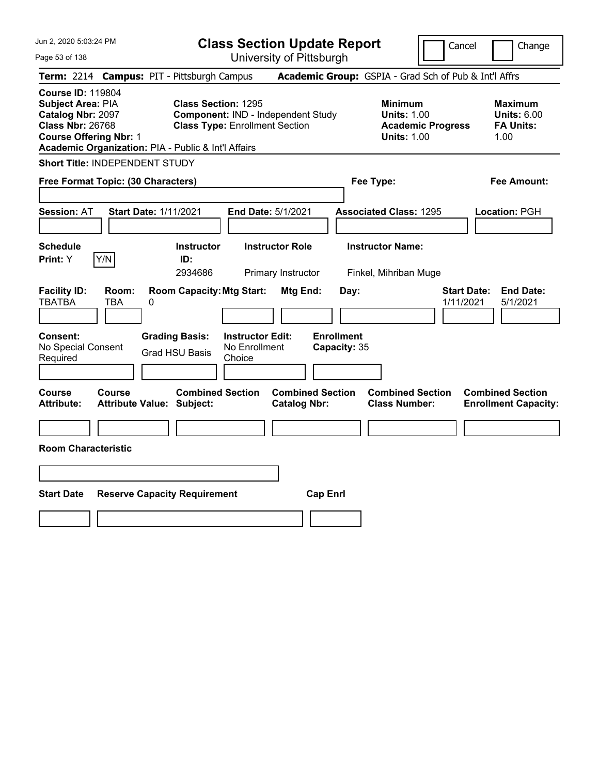| Jun 2, 2020 5:03:24 PM                                                                                                                                                                |                                            |   |                                                                                                           |                                                    |                                              | <b>Class Section Update Report</b> |                                                            |                          | Cancel<br>Change                                                 |
|---------------------------------------------------------------------------------------------------------------------------------------------------------------------------------------|--------------------------------------------|---|-----------------------------------------------------------------------------------------------------------|----------------------------------------------------|----------------------------------------------|------------------------------------|------------------------------------------------------------|--------------------------|------------------------------------------------------------------|
| Page 53 of 138                                                                                                                                                                        |                                            |   |                                                                                                           |                                                    | University of Pittsburgh                     |                                    |                                                            |                          |                                                                  |
| <b>Term: 2214</b>                                                                                                                                                                     |                                            |   | <b>Campus: PIT - Pittsburgh Campus</b>                                                                    |                                                    |                                              |                                    |                                                            |                          | Academic Group: GSPIA - Grad Sch of Pub & Int'l Affrs            |
| <b>Course ID: 119804</b><br>Subject Area: PIA<br>Catalog Nbr: 2097<br><b>Class Nbr: 26768</b><br><b>Course Offering Nbr: 1</b><br>Academic Organization: PIA - Public & Int'l Affairs |                                            |   | <b>Class Section: 1295</b><br>Component: IND - Independent Study<br><b>Class Type: Enrollment Section</b> |                                                    |                                              |                                    | <b>Minimum</b><br><b>Units: 1.00</b><br><b>Units: 1.00</b> | <b>Academic Progress</b> | <b>Maximum</b><br><b>Units: 6.00</b><br><b>FA Units:</b><br>1.00 |
| Short Title: INDEPENDENT STUDY                                                                                                                                                        |                                            |   |                                                                                                           |                                                    |                                              |                                    |                                                            |                          |                                                                  |
| Free Format Topic: (30 Characters)                                                                                                                                                    |                                            |   |                                                                                                           |                                                    |                                              |                                    | Fee Type:                                                  |                          | Fee Amount:                                                      |
| <b>Session: AT</b>                                                                                                                                                                    | <b>Start Date: 1/11/2021</b>               |   |                                                                                                           |                                                    | End Date: 5/1/2021                           |                                    | <b>Associated Class: 1295</b>                              |                          | Location: PGH                                                    |
| <b>Schedule</b><br>Print: Y                                                                                                                                                           | Y/N                                        |   | <b>Instructor</b><br>ID:<br>2934686                                                                       |                                                    | <b>Instructor Role</b><br>Primary Instructor |                                    | <b>Instructor Name:</b><br>Finkel, Mihriban Muge           |                          |                                                                  |
| <b>Facility ID:</b><br><b>TBATBA</b>                                                                                                                                                  | Room:<br>TBA                               | 0 | <b>Room Capacity: Mtg Start:</b>                                                                          |                                                    | <b>Mtg End:</b>                              | Day:                               |                                                            |                          | <b>End Date:</b><br><b>Start Date:</b><br>1/11/2021<br>5/1/2021  |
| Consent:<br>No Special Consent<br>Required                                                                                                                                            |                                            |   | <b>Grading Basis:</b><br><b>Grad HSU Basis</b>                                                            | <b>Instructor Edit:</b><br>No Enrollment<br>Choice |                                              | <b>Enrollment</b><br>Capacity: 35  |                                                            |                          |                                                                  |
| Course<br><b>Attribute:</b>                                                                                                                                                           | <b>Course</b><br>Attribute Value: Subject: |   | <b>Combined Section</b>                                                                                   |                                                    | <b>Catalog Nbr:</b>                          | <b>Combined Section</b>            | <b>Combined Section</b><br><b>Class Number:</b>            |                          | <b>Combined Section</b><br><b>Enrollment Capacity:</b>           |
|                                                                                                                                                                                       |                                            |   |                                                                                                           |                                                    |                                              |                                    |                                                            |                          |                                                                  |
| <b>Room Characteristic</b>                                                                                                                                                            |                                            |   |                                                                                                           |                                                    |                                              |                                    |                                                            |                          |                                                                  |
|                                                                                                                                                                                       |                                            |   |                                                                                                           |                                                    |                                              |                                    |                                                            |                          |                                                                  |
| <b>Start Date</b>                                                                                                                                                                     |                                            |   | <b>Reserve Capacity Requirement</b>                                                                       |                                                    |                                              | <b>Cap Enrl</b>                    |                                                            |                          |                                                                  |
|                                                                                                                                                                                       |                                            |   |                                                                                                           |                                                    |                                              |                                    |                                                            |                          |                                                                  |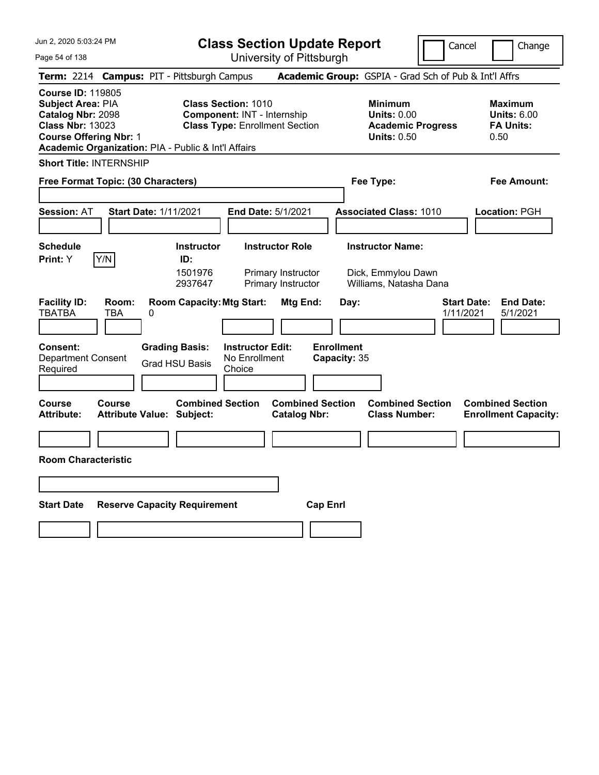Jun 2, 2020 5:03:24 PM

**Class Section Update Report** University of Pittsburgh

Cancel **Change** 

Page 54 of 138

|                                                                                                                                       |                     | Term: 2214 Campus: PIT - Pittsburgh Campus                  |                                                                  |                                                                    |                                   | Academic Group: GSPIA - Grad Sch of Pub & Int'l Affrs                                  |                                 |                                                                  |
|---------------------------------------------------------------------------------------------------------------------------------------|---------------------|-------------------------------------------------------------|------------------------------------------------------------------|--------------------------------------------------------------------|-----------------------------------|----------------------------------------------------------------------------------------|---------------------------------|------------------------------------------------------------------|
| <b>Course ID: 119805</b><br><b>Subject Area: PIA</b><br>Catalog Nbr: 2098<br><b>Class Nbr: 13023</b><br><b>Course Offering Nbr: 1</b> |                     | Academic Organization: PIA - Public & Int'l Affairs         | <b>Class Section: 1010</b><br><b>Component: INT - Internship</b> | <b>Class Type: Enrollment Section</b>                              |                                   | <b>Minimum</b><br><b>Units: 0.00</b><br><b>Academic Progress</b><br><b>Units: 0.50</b> |                                 | <b>Maximum</b><br><b>Units: 6.00</b><br><b>FA Units:</b><br>0.50 |
| <b>Short Title: INTERNSHIP</b>                                                                                                        |                     |                                                             |                                                                  |                                                                    |                                   |                                                                                        |                                 |                                                                  |
|                                                                                                                                       |                     | Free Format Topic: (30 Characters)                          |                                                                  |                                                                    |                                   | Fee Type:                                                                              |                                 | <b>Fee Amount:</b>                                               |
| <b>Session: AT</b>                                                                                                                    |                     | <b>Start Date: 1/11/2021</b>                                | <b>End Date: 5/1/2021</b>                                        |                                                                    |                                   | <b>Associated Class: 1010</b>                                                          |                                 | Location: PGH                                                    |
| <b>Schedule</b><br>Print: Y                                                                                                           | Y/N                 | <b>Instructor</b><br>ID:<br>1501976<br>2937647              |                                                                  | <b>Instructor Role</b><br>Primary Instructor<br>Primary Instructor |                                   | <b>Instructor Name:</b><br>Dick, Emmylou Dawn<br>Williams, Natasha Dana                |                                 |                                                                  |
| <b>Facility ID:</b><br><b>TBATBA</b>                                                                                                  | Room:<br><b>TBA</b> | <b>Room Capacity: Mtg Start:</b><br>0                       |                                                                  | Mtg End:                                                           | Day:                              |                                                                                        | <b>Start Date:</b><br>1/11/2021 | <b>End Date:</b><br>5/1/2021                                     |
| Consent:<br><b>Department Consent</b><br>Required                                                                                     |                     | <b>Grading Basis:</b><br><b>Grad HSU Basis</b>              | <b>Instructor Edit:</b><br>No Enrollment<br>Choice               |                                                                    | <b>Enrollment</b><br>Capacity: 35 |                                                                                        |                                 |                                                                  |
| <b>Course</b><br><b>Attribute:</b>                                                                                                    | Course              | <b>Combined Section</b><br><b>Attribute Value: Subject:</b> |                                                                  | <b>Combined Section</b><br><b>Catalog Nbr:</b>                     |                                   | <b>Combined Section</b><br><b>Class Number:</b>                                        |                                 | <b>Combined Section</b><br><b>Enrollment Capacity:</b>           |
| <b>Room Characteristic</b>                                                                                                            |                     |                                                             |                                                                  |                                                                    |                                   |                                                                                        |                                 |                                                                  |
|                                                                                                                                       |                     |                                                             |                                                                  |                                                                    |                                   |                                                                                        |                                 |                                                                  |
| <b>Start Date</b>                                                                                                                     |                     | <b>Reserve Capacity Requirement</b>                         |                                                                  | <b>Cap Enrl</b>                                                    |                                   |                                                                                        |                                 |                                                                  |
|                                                                                                                                       |                     |                                                             |                                                                  |                                                                    |                                   |                                                                                        |                                 |                                                                  |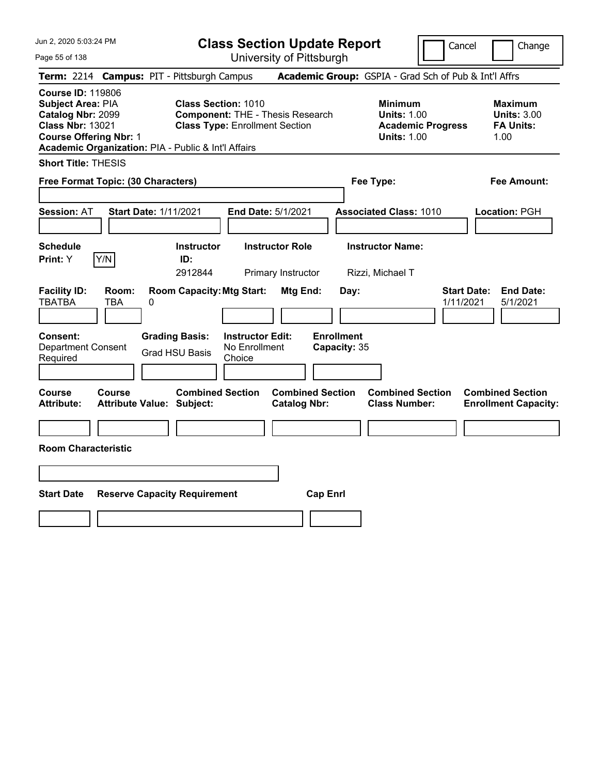| Jun 2, 2020 5:03:24 PM<br>Page 55 of 138                                                                                                                                                     | <b>Class Section Update Report</b><br>University of Pittsburgh                                                 |                                                                                        | Cancel<br>Change                                                |
|----------------------------------------------------------------------------------------------------------------------------------------------------------------------------------------------|----------------------------------------------------------------------------------------------------------------|----------------------------------------------------------------------------------------|-----------------------------------------------------------------|
| Term: 2214 Campus: PIT - Pittsburgh Campus                                                                                                                                                   |                                                                                                                | Academic Group: GSPIA - Grad Sch of Pub & Int'l Affrs                                  |                                                                 |
| <b>Course ID: 119806</b><br><b>Subject Area: PIA</b><br>Catalog Nbr: 2099<br><b>Class Nbr: 13021</b><br><b>Course Offering Nbr: 1</b><br>Academic Organization: PIA - Public & Int'l Affairs | <b>Class Section: 1010</b><br><b>Component: THE - Thesis Research</b><br><b>Class Type: Enrollment Section</b> | <b>Minimum</b><br><b>Units: 1.00</b><br><b>Academic Progress</b><br><b>Units: 1.00</b> | Maximum<br><b>Units: 3.00</b><br><b>FA Units:</b><br>1.00       |
| <b>Short Title: THESIS</b>                                                                                                                                                                   |                                                                                                                |                                                                                        |                                                                 |
| Free Format Topic: (30 Characters)                                                                                                                                                           |                                                                                                                | Fee Type:                                                                              | Fee Amount:                                                     |
| <b>Session: AT</b><br><b>Start Date: 1/11/2021</b>                                                                                                                                           | End Date: 5/1/2021                                                                                             | <b>Associated Class: 1010</b>                                                          | Location: PGH                                                   |
| <b>Schedule</b><br>Y/N<br><b>Print:</b> Y                                                                                                                                                    | <b>Instructor</b><br><b>Instructor Role</b><br>ID:<br>2912844<br>Primary Instructor                            | <b>Instructor Name:</b><br>Rizzi, Michael T                                            |                                                                 |
| Room:<br><b>Facility ID:</b><br><b>TBATBA</b><br>TBA<br>0                                                                                                                                    | <b>Room Capacity: Mtg Start:</b><br>Mtg End:                                                                   | Day:                                                                                   | <b>Start Date:</b><br><b>End Date:</b><br>1/11/2021<br>5/1/2021 |
| <b>Consent:</b><br><b>Department Consent</b><br>Required                                                                                                                                     | <b>Grading Basis:</b><br><b>Instructor Edit:</b><br>No Enrollment<br><b>Grad HSU Basis</b><br>Choice           | <b>Enrollment</b><br>Capacity: 35                                                      |                                                                 |
| Course<br><b>Course</b><br><b>Attribute:</b><br><b>Attribute Value: Subject:</b>                                                                                                             | <b>Combined Section</b><br><b>Combined Section</b><br><b>Catalog Nbr:</b>                                      | <b>Combined Section</b><br><b>Class Number:</b>                                        | <b>Combined Section</b><br><b>Enrollment Capacity:</b>          |
| <b>Room Characteristic</b>                                                                                                                                                                   |                                                                                                                |                                                                                        |                                                                 |
|                                                                                                                                                                                              |                                                                                                                |                                                                                        |                                                                 |
| <b>Start Date</b><br><b>Reserve Capacity Requirement</b>                                                                                                                                     |                                                                                                                | <b>Cap Enrl</b>                                                                        |                                                                 |
|                                                                                                                                                                                              |                                                                                                                |                                                                                        |                                                                 |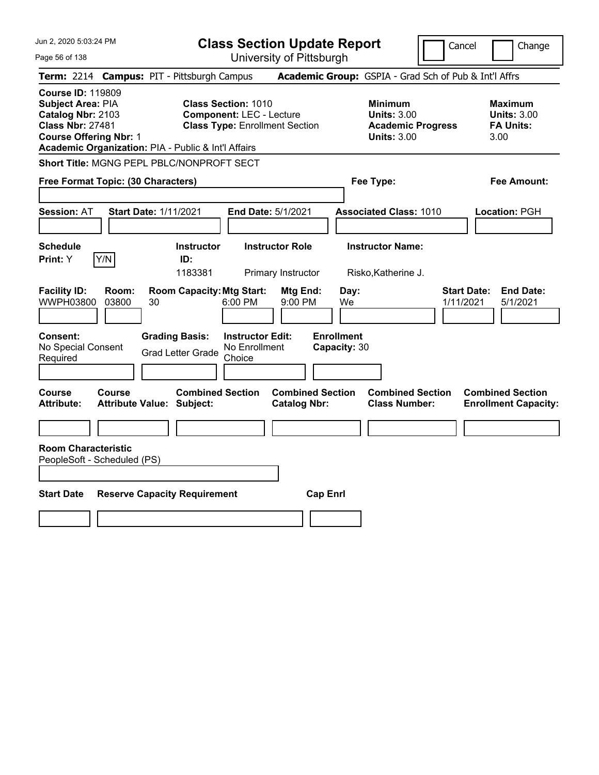Page 56 of 138

**Class Section Update Report**

Cancel Change

| Term: 2214 Campus: PIT - Pittsburgh Campus                                                                                                                                                   |                                                                                                                          | Academic Group: GSPIA - Grad Sch of Pub & Int'l Affrs                                  |                                                                  |  |
|----------------------------------------------------------------------------------------------------------------------------------------------------------------------------------------------|--------------------------------------------------------------------------------------------------------------------------|----------------------------------------------------------------------------------------|------------------------------------------------------------------|--|
| <b>Course ID: 119809</b><br><b>Subject Area: PIA</b><br>Catalog Nbr: 2103<br><b>Class Nbr: 27481</b><br><b>Course Offering Nbr: 1</b><br>Academic Organization: PIA - Public & Int'l Affairs | <b>Class Section: 1010</b><br><b>Component: LEC - Lecture</b><br><b>Class Type: Enrollment Section</b>                   | <b>Minimum</b><br><b>Units: 3.00</b><br><b>Academic Progress</b><br><b>Units: 3.00</b> | <b>Maximum</b><br><b>Units: 3.00</b><br><b>FA Units:</b><br>3.00 |  |
| Short Title: MGNG PEPL PBLC/NONPROFT SECT                                                                                                                                                    |                                                                                                                          |                                                                                        |                                                                  |  |
| Free Format Topic: (30 Characters)                                                                                                                                                           |                                                                                                                          | Fee Type:                                                                              | <b>Fee Amount:</b>                                               |  |
| <b>Session: AT</b><br><b>Start Date: 1/11/2021</b>                                                                                                                                           | <b>End Date: 5/1/2021</b>                                                                                                | <b>Associated Class: 1010</b>                                                          | Location: PGH                                                    |  |
| <b>Schedule</b><br>Y/N<br>Print: Y                                                                                                                                                           | <b>Instructor</b><br><b>Instructor Role</b><br>ID:<br>1183381<br>Primary Instructor                                      | <b>Instructor Name:</b><br>Risko, Katherine J.                                         |                                                                  |  |
| <b>Facility ID:</b><br>Room:<br><b>WWPH03800</b><br>03800<br>30<br>Consent:                                                                                                                  | <b>Room Capacity: Mtg Start:</b><br>Mtg End:<br>6:00 PM<br>$9:00$ PM<br><b>Grading Basis:</b><br><b>Instructor Edit:</b> | <b>Start Date:</b><br>Day:<br>1/11/2021<br>We<br><b>Enrollment</b>                     | <b>End Date:</b><br>5/1/2021                                     |  |
| No Special Consent<br>Required                                                                                                                                                               | No Enrollment<br><b>Grad Letter Grade</b><br>Choice                                                                      | Capacity: 30                                                                           |                                                                  |  |
| <b>Course</b><br><b>Course</b><br><b>Attribute:</b><br><b>Attribute Value: Subject:</b>                                                                                                      | <b>Combined Section</b><br><b>Combined Section</b><br><b>Catalog Nbr:</b>                                                | <b>Combined Section</b><br><b>Class Number:</b>                                        | <b>Combined Section</b><br><b>Enrollment Capacity:</b>           |  |
|                                                                                                                                                                                              |                                                                                                                          |                                                                                        |                                                                  |  |
| <b>Room Characteristic</b><br>PeopleSoft - Scheduled (PS)<br><b>Start Date</b>                                                                                                               | <b>Reserve Capacity Requirement</b>                                                                                      | <b>Cap Enrl</b>                                                                        |                                                                  |  |
|                                                                                                                                                                                              |                                                                                                                          |                                                                                        |                                                                  |  |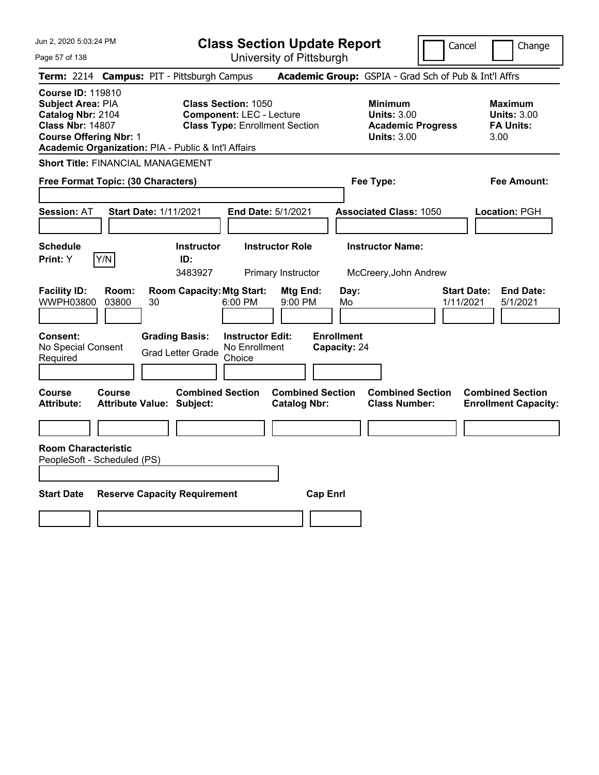Page 57 of 138

**Class Section Update Report**

Cancel Change

| Term: 2214 Campus: PIT - Pittsburgh Campus                                                                                                                                                                                                                                                      |                                  |                                                   |                                                    |                                                |                 |                                   |                                                            | <b>Academic Group:</b> GSPIA - Grad Sch of Pub & Int'l Affrs |                                 |                                                                  |
|-------------------------------------------------------------------------------------------------------------------------------------------------------------------------------------------------------------------------------------------------------------------------------------------------|----------------------------------|---------------------------------------------------|----------------------------------------------------|------------------------------------------------|-----------------|-----------------------------------|------------------------------------------------------------|--------------------------------------------------------------|---------------------------------|------------------------------------------------------------------|
| <b>Course ID: 119810</b><br><b>Class Section: 1050</b><br>Subject Area: PIA<br>Catalog Nbr: 2104<br><b>Component: LEC - Lecture</b><br><b>Class Nbr: 14807</b><br><b>Class Type: Enrollment Section</b><br><b>Course Offering Nbr: 1</b><br>Academic Organization: PIA - Public & Int'l Affairs |                                  |                                                   |                                                    |                                                |                 |                                   | <b>Minimum</b><br><b>Units: 3.00</b><br><b>Units: 3.00</b> | <b>Academic Progress</b>                                     |                                 | <b>Maximum</b><br><b>Units: 3.00</b><br><b>FA Units:</b><br>3.00 |
| <b>Short Title: FINANCIAL MANAGEMENT</b>                                                                                                                                                                                                                                                        |                                  |                                                   |                                                    |                                                |                 |                                   |                                                            |                                                              |                                 |                                                                  |
| Free Format Topic: (30 Characters)                                                                                                                                                                                                                                                              |                                  |                                                   |                                                    |                                                |                 |                                   | Fee Type:                                                  |                                                              |                                 | <b>Fee Amount:</b>                                               |
| <b>Session: AT</b>                                                                                                                                                                                                                                                                              | <b>Start Date: 1/11/2021</b>     |                                                   |                                                    | End Date: 5/1/2021                             |                 |                                   |                                                            | <b>Associated Class: 1050</b>                                |                                 | <b>Location: PGH</b>                                             |
| <b>Schedule</b><br>Y/N<br>Print: Y                                                                                                                                                                                                                                                              |                                  | <b>Instructor</b><br>ID:<br>3483927               |                                                    | <b>Instructor Role</b><br>Primary Instructor   |                 |                                   | <b>Instructor Name:</b>                                    | McCreery, John Andrew                                        |                                 |                                                                  |
| <b>Facility ID:</b><br>WWPH03800<br>03800                                                                                                                                                                                                                                                       | Room:<br>30                      | <b>Room Capacity: Mtg Start:</b>                  | 6:00 PM                                            | Mtg End:<br>9:00 PM                            |                 | Day:<br>Mo                        |                                                            |                                                              | <b>Start Date:</b><br>1/11/2021 | <b>End Date:</b><br>5/1/2021                                     |
| <b>Consent:</b><br>No Special Consent<br>Required                                                                                                                                                                                                                                               |                                  | <b>Grading Basis:</b><br><b>Grad Letter Grade</b> | <b>Instructor Edit:</b><br>No Enrollment<br>Choice |                                                |                 | <b>Enrollment</b><br>Capacity: 24 |                                                            |                                                              |                                 |                                                                  |
| <b>Course</b><br>Course<br><b>Attribute:</b>                                                                                                                                                                                                                                                    | <b>Attribute Value: Subject:</b> | <b>Combined Section</b>                           |                                                    | <b>Combined Section</b><br><b>Catalog Nbr:</b> |                 |                                   |                                                            | <b>Combined Section</b><br><b>Class Number:</b>              |                                 | <b>Combined Section</b><br><b>Enrollment Capacity:</b>           |
|                                                                                                                                                                                                                                                                                                 |                                  |                                                   |                                                    |                                                |                 |                                   |                                                            |                                                              |                                 |                                                                  |
| <b>Room Characteristic</b><br>PeopleSoft - Scheduled (PS)                                                                                                                                                                                                                                       |                                  |                                                   |                                                    |                                                |                 |                                   |                                                            |                                                              |                                 |                                                                  |
| <b>Start Date</b>                                                                                                                                                                                                                                                                               |                                  | <b>Reserve Capacity Requirement</b>               |                                                    |                                                | <b>Cap Enrl</b> |                                   |                                                            |                                                              |                                 |                                                                  |
|                                                                                                                                                                                                                                                                                                 |                                  |                                                   |                                                    |                                                |                 |                                   |                                                            |                                                              |                                 |                                                                  |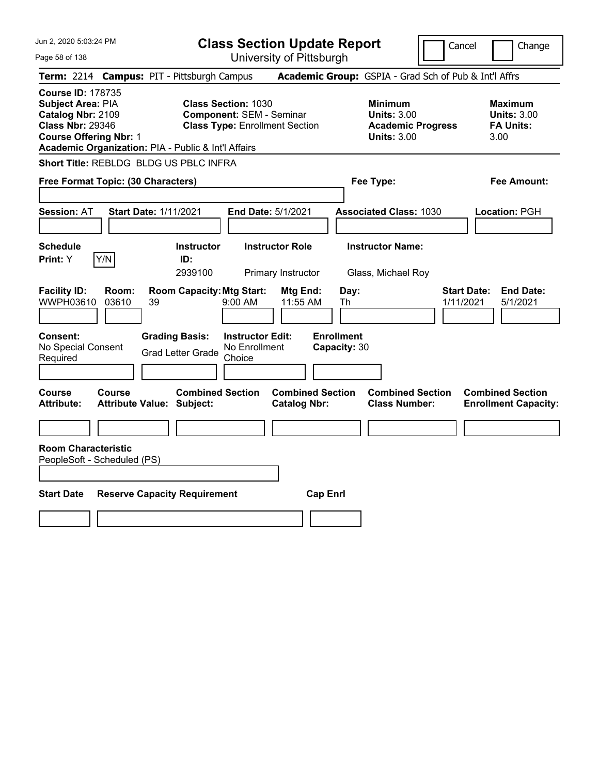Page 58 of 138

**Class Section Update Report**

Cancel Change

|                                                                                                                                       |                | Term: 2214 Campus: PIT - Pittsburgh Campus                  |                                                                                                        |                                   | Academic Group: GSPIA - Grad Sch of Pub & Int'l Affrs                                  |                                                                 |
|---------------------------------------------------------------------------------------------------------------------------------------|----------------|-------------------------------------------------------------|--------------------------------------------------------------------------------------------------------|-----------------------------------|----------------------------------------------------------------------------------------|-----------------------------------------------------------------|
| <b>Course ID: 178735</b><br><b>Subject Area: PIA</b><br>Catalog Nbr: 2109<br><b>Class Nbr: 29346</b><br><b>Course Offering Nbr: 1</b> |                | Academic Organization: PIA - Public & Int'l Affairs         | <b>Class Section: 1030</b><br><b>Component: SEM - Seminar</b><br><b>Class Type: Enrollment Section</b> |                                   | <b>Minimum</b><br><b>Units: 3.00</b><br><b>Academic Progress</b><br><b>Units: 3.00</b> | Maximum<br><b>Units: 3.00</b><br><b>FA Units:</b><br>3.00       |
|                                                                                                                                       |                | Short Title: REBLDG BLDG US PBLC INFRA                      |                                                                                                        |                                   |                                                                                        |                                                                 |
| Free Format Topic: (30 Characters)                                                                                                    |                |                                                             |                                                                                                        |                                   | Fee Type:                                                                              | <b>Fee Amount:</b>                                              |
| <b>Session: AT</b>                                                                                                                    |                | <b>Start Date: 1/11/2021</b>                                | End Date: 5/1/2021                                                                                     |                                   | <b>Associated Class: 1030</b>                                                          | Location: PGH                                                   |
| <b>Schedule</b><br>Print: Y                                                                                                           | Y/N            | <b>Instructor</b><br>ID:<br>2939100                         | <b>Instructor Role</b><br>Primary Instructor                                                           |                                   | <b>Instructor Name:</b><br>Glass, Michael Roy                                          |                                                                 |
| <b>Facility ID:</b><br>WWPH03610                                                                                                      | Room:<br>03610 | <b>Room Capacity: Mtg Start:</b><br>39                      | Mtg End:<br>9:00 AM<br>11:55 AM                                                                        | Day:<br>Th                        |                                                                                        | <b>End Date:</b><br><b>Start Date:</b><br>1/11/2021<br>5/1/2021 |
| Consent:<br>No Special Consent<br>Required                                                                                            |                | <b>Grading Basis:</b><br><b>Grad Letter Grade</b>           | <b>Instructor Edit:</b><br>No Enrollment<br>Choice                                                     | <b>Enrollment</b><br>Capacity: 30 |                                                                                        |                                                                 |
| Course<br><b>Attribute:</b>                                                                                                           | Course         | <b>Combined Section</b><br><b>Attribute Value: Subject:</b> | <b>Catalog Nbr:</b>                                                                                    | <b>Combined Section</b>           | <b>Combined Section</b><br><b>Class Number:</b>                                        | <b>Combined Section</b><br><b>Enrollment Capacity:</b>          |
|                                                                                                                                       |                |                                                             |                                                                                                        |                                   |                                                                                        |                                                                 |
| <b>Room Characteristic</b><br>PeopleSoft - Scheduled (PS)                                                                             |                |                                                             |                                                                                                        |                                   |                                                                                        |                                                                 |
| <b>Start Date</b>                                                                                                                     |                | <b>Reserve Capacity Requirement</b>                         |                                                                                                        | <b>Cap Enrl</b>                   |                                                                                        |                                                                 |
|                                                                                                                                       |                |                                                             |                                                                                                        |                                   |                                                                                        |                                                                 |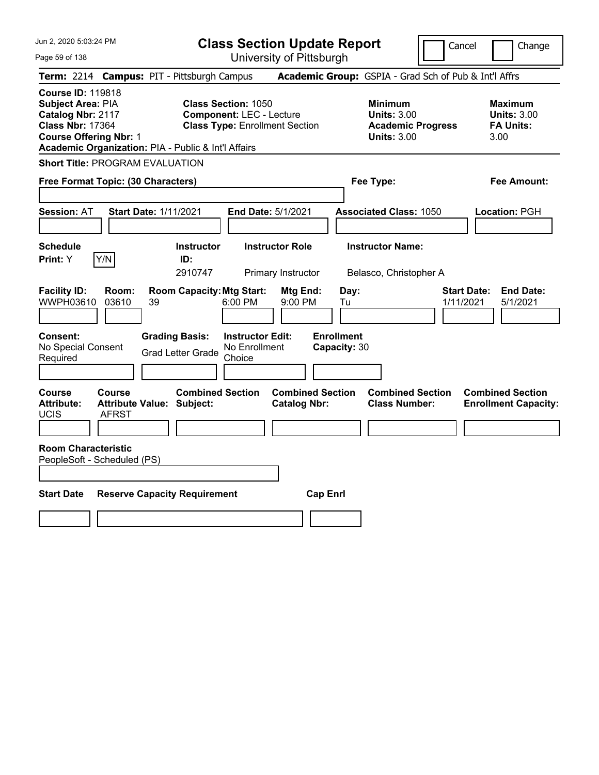**Class Section Update Report**

Cancel Change

| Page 59 of 138                                                                                                                 |                                                                                                                                                               | University of Pittsburgh                       |                                                                                        |                                                                  |
|--------------------------------------------------------------------------------------------------------------------------------|---------------------------------------------------------------------------------------------------------------------------------------------------------------|------------------------------------------------|----------------------------------------------------------------------------------------|------------------------------------------------------------------|
| <b>Term: 2214</b>                                                                                                              | <b>Campus: PIT - Pittsburgh Campus</b>                                                                                                                        |                                                | Academic Group: GSPIA - Grad Sch of Pub & Int'l Affrs                                  |                                                                  |
| <b>Course ID: 119818</b><br>Subject Area: PIA<br>Catalog Nbr: 2117<br><b>Class Nbr: 17364</b><br><b>Course Offering Nbr: 1</b> | <b>Class Section: 1050</b><br><b>Component: LEC - Lecture</b><br><b>Class Type: Enrollment Section</b><br>Academic Organization: PIA - Public & Int'l Affairs |                                                | <b>Minimum</b><br><b>Units: 3.00</b><br><b>Academic Progress</b><br><b>Units: 3.00</b> | <b>Maximum</b><br><b>Units: 3.00</b><br><b>FA Units:</b><br>3.00 |
| <b>Short Title: PROGRAM EVALUATION</b>                                                                                         |                                                                                                                                                               |                                                |                                                                                        |                                                                  |
| Free Format Topic: (30 Characters)                                                                                             |                                                                                                                                                               |                                                | Fee Type:                                                                              | Fee Amount:                                                      |
| <b>Session: AT</b>                                                                                                             | <b>Start Date: 1/11/2021</b>                                                                                                                                  | <b>End Date: 5/1/2021</b>                      | <b>Associated Class: 1050</b>                                                          | Location: PGH                                                    |
| <b>Schedule</b><br>Print: Y<br>Y/N                                                                                             | <b>Instructor</b><br>ID:<br>2910747                                                                                                                           | <b>Instructor Role</b><br>Primary Instructor   | <b>Instructor Name:</b><br>Belasco, Christopher A                                      |                                                                  |
| <b>Facility ID:</b><br>Room:<br>WWPH03610<br>03610                                                                             | <b>Room Capacity: Mtg Start:</b><br>6:00 PM<br>39                                                                                                             | Mtg End:<br>9:00 PM                            | Day:<br>Tu                                                                             | <b>Start Date:</b><br><b>End Date:</b><br>1/11/2021<br>5/1/2021  |
| Consent:<br>No Special Consent<br>Required                                                                                     | <b>Grading Basis:</b><br><b>Grad Letter Grade</b><br>Choice                                                                                                   | <b>Instructor Edit:</b><br>No Enrollment       | <b>Enrollment</b><br>Capacity: 30                                                      |                                                                  |
| <b>Course</b><br>Course<br><b>Attribute:</b><br>UCIS<br>AFRST                                                                  | <b>Combined Section</b><br><b>Attribute Value: Subject:</b>                                                                                                   | <b>Combined Section</b><br><b>Catalog Nbr:</b> | <b>Combined Section</b><br><b>Class Number:</b>                                        | <b>Combined Section</b><br><b>Enrollment Capacity:</b>           |
| <b>Room Characteristic</b><br>PeopleSoft - Scheduled (PS)                                                                      |                                                                                                                                                               |                                                |                                                                                        |                                                                  |
| <b>Start Date</b>                                                                                                              | <b>Reserve Capacity Requirement</b>                                                                                                                           | <b>Cap Enrl</b>                                |                                                                                        |                                                                  |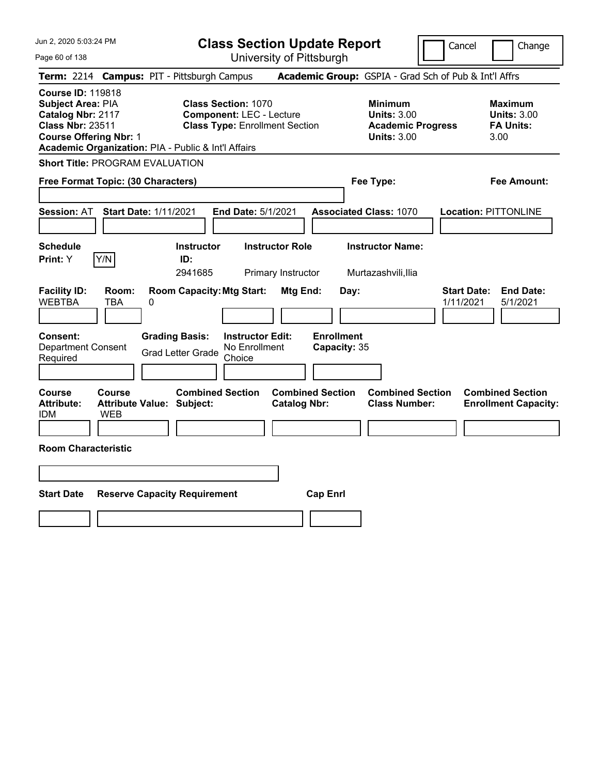Jun 2, 2020 5:03:24 PM Page 60 of 138 **Class Section Update Report** University of Pittsburgh Cancel | Change **Term:** 2214 **Campus:** PIT - Pittsburgh Campus **Academic Group:** GSPIA - Grad Sch of Pub & Int'l Affrs **Course ID:** 119818 **Subject Area:** PIA **Class Section:** 1070 **Minimum Maximum Catalog Nbr: 2117 Component:** LEC - Lecture **Units: 3.00 <b>Units: 3.00 Units: 3.00**<br> **Class Nbr: 23511 Class Type:** Enrollment Section **Academic Progress FA Units: Class Type: Enrollment Section <b>Academic Progress FA Units: Course Offering Nbr:** 1 **Units:** 3.00 3.00 **Academic Organization:** PIA - Public & Int'l Affairs **Short Title:** PROGRAM EVALUATION **Free Format Topic: (30 Characters) Fee Type: Fee Amount: Session:** AT **Start Date:** 1/11/2021 **End Date:** 5/1/2021 **Associated Class:** 1070 **Location:** PITTONLINE **Schedule Instructor Instructor Role Instructor Name: Print:**  $Y$   $|Y/N|$  **ID:** 2941685 Primary Instructor Murtazashvili,Ilia **Facility ID: Room: Room Capacity:Mtg Start: Mtg End: Day: Start Date: End Date:** WEBTBA TBA 0 1/11/2021 5/1/2021 **Consent: Grading Basis: Instructor Edit: Enrollment** Department Consent Required Grad Letter Grade No Enrollment Choice **Capacity:** 35 **Course Course Combined Section Combined Section Combined Section Combined Section Attribute: Attribute Value: Subject: Catalog Nbr: Class Number: Enrollment Capacity:**  IDM WEB **Room Characteristic Start Date Reserve Capacity Requirement Cap Enrl**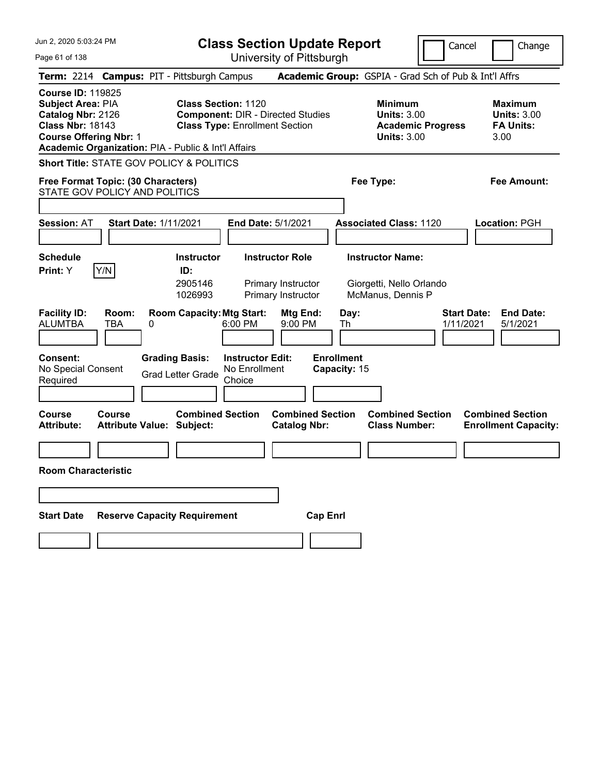| Jun 2, 2020 5:03:24 PM                                                                                                                |                                                                     |                                                   |                                                    | <b>Class Section Update Report</b>                                 |                                   |                                                                          |                          | Cancel<br>Change                                                 |
|---------------------------------------------------------------------------------------------------------------------------------------|---------------------------------------------------------------------|---------------------------------------------------|----------------------------------------------------|--------------------------------------------------------------------|-----------------------------------|--------------------------------------------------------------------------|--------------------------|------------------------------------------------------------------|
| Page 61 of 138                                                                                                                        |                                                                     |                                                   |                                                    | University of Pittsburgh                                           |                                   |                                                                          |                          |                                                                  |
|                                                                                                                                       | Term: 2214 Campus: PIT - Pittsburgh Campus                          |                                                   |                                                    |                                                                    |                                   |                                                                          |                          | Academic Group: GSPIA - Grad Sch of Pub & Int'l Affrs            |
| <b>Course ID: 119825</b><br><b>Subject Area: PIA</b><br>Catalog Nbr: 2126<br><b>Class Nbr: 18143</b><br><b>Course Offering Nbr: 1</b> | Academic Organization: PIA - Public & Int'l Affairs                 | <b>Class Section: 1120</b>                        | <b>Class Type: Enrollment Section</b>              | <b>Component: DIR - Directed Studies</b>                           |                                   | Minimum<br><b>Units: 3.00</b><br><b>Units: 3.00</b>                      | <b>Academic Progress</b> | <b>Maximum</b><br><b>Units: 3.00</b><br><b>FA Units:</b><br>3.00 |
|                                                                                                                                       | <b>Short Title: STATE GOV POLICY &amp; POLITICS</b>                 |                                                   |                                                    |                                                                    |                                   |                                                                          |                          |                                                                  |
|                                                                                                                                       | Free Format Topic: (30 Characters)<br>STATE GOV POLICY AND POLITICS |                                                   |                                                    |                                                                    |                                   | Fee Type:                                                                |                          | Fee Amount:                                                      |
| <b>Session: AT</b>                                                                                                                    | <b>Start Date: 1/11/2021</b>                                        |                                                   |                                                    | <b>End Date: 5/1/2021</b>                                          |                                   | <b>Associated Class: 1120</b>                                            |                          | Location: PGH                                                    |
| <b>Schedule</b><br>Print: Y                                                                                                           | Y/N                                                                 | <b>Instructor</b><br>ID:<br>2905146<br>1026993    |                                                    | <b>Instructor Role</b><br>Primary Instructor<br>Primary Instructor |                                   | <b>Instructor Name:</b><br>Giorgetti, Nello Orlando<br>McManus, Dennis P |                          |                                                                  |
| <b>Facility ID:</b><br><b>ALUMTBA</b>                                                                                                 | Room:<br><b>TBA</b><br>0                                            | <b>Room Capacity: Mtg Start:</b>                  | 6:00 PM                                            | Mtg End:<br>9:00 PM                                                | Day:<br>Th                        |                                                                          |                          | <b>Start Date:</b><br><b>End Date:</b><br>1/11/2021<br>5/1/2021  |
| <b>Consent:</b><br>No Special Consent<br>Required                                                                                     |                                                                     | <b>Grading Basis:</b><br><b>Grad Letter Grade</b> | <b>Instructor Edit:</b><br>No Enrollment<br>Choice |                                                                    | <b>Enrollment</b><br>Capacity: 15 |                                                                          |                          |                                                                  |
| Course<br><b>Attribute:</b>                                                                                                           | Course<br><b>Attribute Value: Subject:</b>                          | <b>Combined Section</b>                           |                                                    | <b>Combined Section</b><br><b>Catalog Nbr:</b>                     |                                   | <b>Combined Section</b><br><b>Class Number:</b>                          |                          | <b>Combined Section</b><br><b>Enrollment Capacity:</b>           |
|                                                                                                                                       |                                                                     |                                                   |                                                    |                                                                    |                                   |                                                                          |                          |                                                                  |
| <b>Room Characteristic</b>                                                                                                            |                                                                     |                                                   |                                                    |                                                                    |                                   |                                                                          |                          |                                                                  |
|                                                                                                                                       |                                                                     |                                                   |                                                    |                                                                    |                                   |                                                                          |                          |                                                                  |
| <b>Start Date</b>                                                                                                                     | <b>Reserve Capacity Requirement</b>                                 |                                                   |                                                    |                                                                    | <b>Cap Enrl</b>                   |                                                                          |                          |                                                                  |
|                                                                                                                                       |                                                                     |                                                   |                                                    |                                                                    |                                   |                                                                          |                          |                                                                  |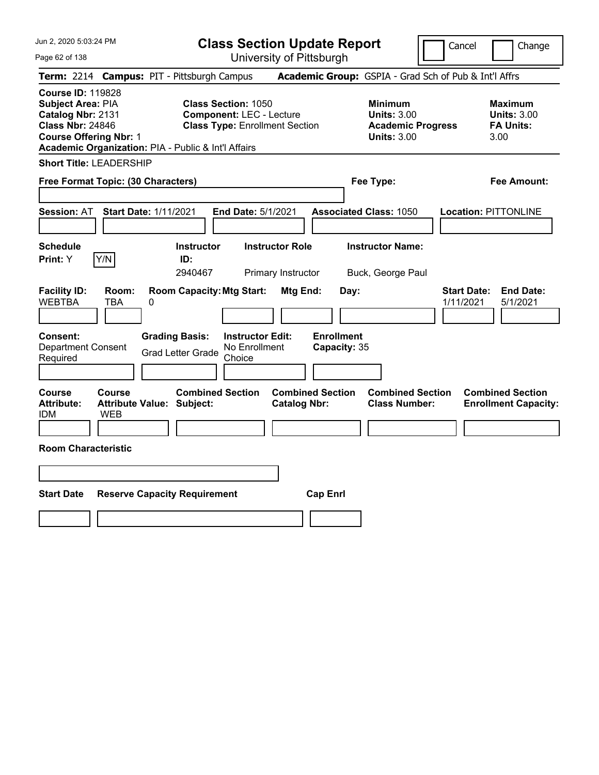Jun 2, 2020 5:03:24 PM

Page 62 of 138

**Class Section Update Report**

Cancel **Change** 

|                                                                                                                                |                      | Term: 2214 Campus: PIT - Pittsburgh Campus                  |                                                                                                        |                                              |                                   | Academic Group: GSPIA - Grad Sch of Pub & Int'l Affrs                                  |                                 |                                                           |
|--------------------------------------------------------------------------------------------------------------------------------|----------------------|-------------------------------------------------------------|--------------------------------------------------------------------------------------------------------|----------------------------------------------|-----------------------------------|----------------------------------------------------------------------------------------|---------------------------------|-----------------------------------------------------------|
| <b>Course ID: 119828</b><br>Subject Area: PIA<br>Catalog Nbr: 2131<br><b>Class Nbr: 24846</b><br><b>Course Offering Nbr: 1</b> |                      | Academic Organization: PIA - Public & Int'l Affairs         | <b>Class Section: 1050</b><br><b>Component: LEC - Lecture</b><br><b>Class Type: Enrollment Section</b> |                                              |                                   | <b>Minimum</b><br><b>Units: 3.00</b><br><b>Academic Progress</b><br><b>Units: 3.00</b> |                                 | Maximum<br><b>Units: 3.00</b><br><b>FA Units:</b><br>3.00 |
| <b>Short Title: LEADERSHIP</b><br>Free Format Topic: (30 Characters)                                                           |                      |                                                             |                                                                                                        |                                              |                                   | Fee Type:                                                                              |                                 | <b>Fee Amount:</b>                                        |
| <b>Session: AT</b>                                                                                                             |                      | <b>Start Date: 1/11/2021</b>                                | End Date: 5/1/2021                                                                                     |                                              |                                   | <b>Associated Class: 1050</b>                                                          |                                 | <b>Location: PITTONLINE</b>                               |
| <b>Schedule</b><br>Print: Y                                                                                                    | Y/N                  | <b>Instructor</b><br>ID:<br>2940467                         |                                                                                                        | <b>Instructor Role</b><br>Primary Instructor |                                   | <b>Instructor Name:</b><br>Buck, George Paul                                           |                                 |                                                           |
| <b>Facility ID:</b><br><b>WEBTBA</b>                                                                                           | Room:<br><b>TBA</b>  | <b>Room Capacity: Mtg Start:</b><br>0                       |                                                                                                        | Mtg End:                                     | Day:                              |                                                                                        | <b>Start Date:</b><br>1/11/2021 | <b>End Date:</b><br>5/1/2021                              |
| <b>Consent:</b><br><b>Department Consent</b><br>Required                                                                       |                      | <b>Grading Basis:</b><br><b>Grad Letter Grade</b>           | <b>Instructor Edit:</b><br>No Enrollment<br>Choice                                                     |                                              | <b>Enrollment</b><br>Capacity: 35 |                                                                                        |                                 |                                                           |
| <b>Course</b><br>Attribute:<br><b>IDM</b>                                                                                      | Course<br><b>WEB</b> | <b>Combined Section</b><br><b>Attribute Value: Subject:</b> |                                                                                                        | <b>Catalog Nbr:</b>                          | <b>Combined Section</b>           | <b>Combined Section</b><br><b>Class Number:</b>                                        |                                 | <b>Combined Section</b><br><b>Enrollment Capacity:</b>    |
| <b>Room Characteristic</b>                                                                                                     |                      |                                                             |                                                                                                        |                                              |                                   |                                                                                        |                                 |                                                           |
| <b>Start Date</b>                                                                                                              |                      | <b>Reserve Capacity Requirement</b>                         |                                                                                                        |                                              | <b>Cap Enrl</b>                   |                                                                                        |                                 |                                                           |
|                                                                                                                                |                      |                                                             |                                                                                                        |                                              |                                   |                                                                                        |                                 |                                                           |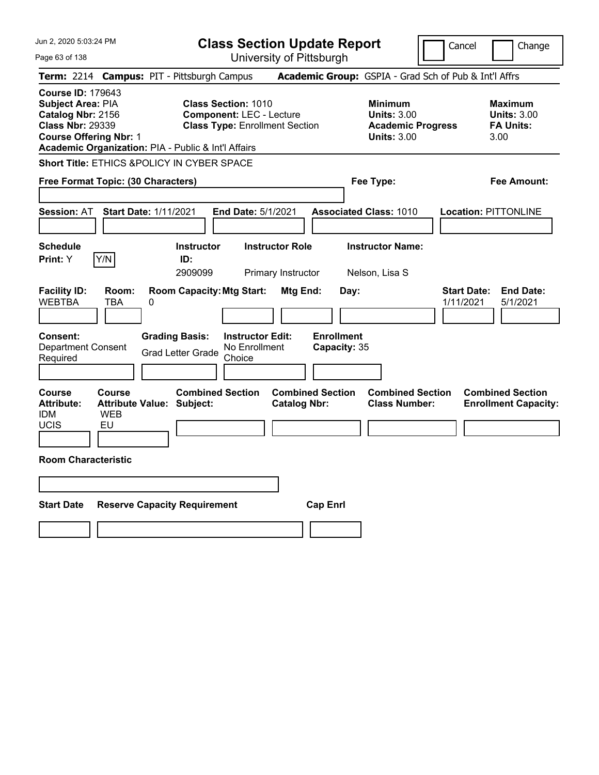Jun 2, 2020 5:03:24 PM

Page 63 of 138

**Class Section Update Report**

Cancel Change

|                                                                                                                                |                                   | Term: 2214 Campus: PIT - Pittsburgh Campus            |                                                                                                        |                                                | Academic Group: GSPIA - Grad Sch of Pub & Int'l Affrs                                  |                                 |                                                                  |
|--------------------------------------------------------------------------------------------------------------------------------|-----------------------------------|-------------------------------------------------------|--------------------------------------------------------------------------------------------------------|------------------------------------------------|----------------------------------------------------------------------------------------|---------------------------------|------------------------------------------------------------------|
| <b>Course ID: 179643</b><br>Subject Area: PIA<br>Catalog Nbr: 2156<br><b>Class Nbr: 29339</b><br><b>Course Offering Nbr: 1</b> |                                   | Academic Organization: PIA - Public & Int'l Affairs   | <b>Class Section: 1010</b><br><b>Component: LEC - Lecture</b><br><b>Class Type: Enrollment Section</b> |                                                | <b>Minimum</b><br><b>Units: 3.00</b><br><b>Academic Progress</b><br><b>Units: 3.00</b> |                                 | <b>Maximum</b><br><b>Units: 3.00</b><br><b>FA Units:</b><br>3.00 |
|                                                                                                                                |                                   | <b>Short Title: ETHICS &amp;POLICY IN CYBER SPACE</b> |                                                                                                        |                                                |                                                                                        |                                 |                                                                  |
| Free Format Topic: (30 Characters)                                                                                             |                                   |                                                       |                                                                                                        |                                                | Fee Type:                                                                              |                                 | Fee Amount:                                                      |
| Session: AT                                                                                                                    |                                   | <b>Start Date: 1/11/2021</b>                          | <b>End Date: 5/1/2021</b>                                                                              |                                                | <b>Associated Class: 1010</b>                                                          |                                 | <b>Location: PITTONLINE</b>                                      |
| <b>Schedule</b><br><b>Print:</b> Y                                                                                             | Y/N                               | <b>Instructor</b><br>ID:<br>2909099                   | <b>Instructor Role</b><br>Primary Instructor                                                           |                                                | <b>Instructor Name:</b><br>Nelson, Lisa S                                              |                                 |                                                                  |
| <b>Facility ID:</b><br><b>WEBTBA</b>                                                                                           | Room:<br>TBA                      | <b>Room Capacity: Mtg Start:</b><br>0                 |                                                                                                        | Mtg End:<br>Day:                               |                                                                                        | <b>Start Date:</b><br>1/11/2021 | <b>End Date:</b><br>5/1/2021                                     |
| <b>Consent:</b><br><b>Department Consent</b><br>Required                                                                       |                                   | <b>Grading Basis:</b><br><b>Grad Letter Grade</b>     | <b>Instructor Edit:</b><br>No Enrollment<br>Choice                                                     | <b>Enrollment</b><br>Capacity: 35              |                                                                                        |                                 |                                                                  |
| <b>Course</b><br><b>Attribute:</b><br><b>IDM</b><br><b>UCIS</b>                                                                | <b>Course</b><br><b>WEB</b><br>EU | <b>Attribute Value: Subject:</b>                      | <b>Combined Section</b>                                                                                | <b>Combined Section</b><br><b>Catalog Nbr:</b> | <b>Combined Section</b><br><b>Class Number:</b>                                        |                                 | <b>Combined Section</b><br><b>Enrollment Capacity:</b>           |
| <b>Room Characteristic</b>                                                                                                     |                                   |                                                       |                                                                                                        |                                                |                                                                                        |                                 |                                                                  |
|                                                                                                                                |                                   |                                                       |                                                                                                        |                                                |                                                                                        |                                 |                                                                  |
| <b>Start Date</b>                                                                                                              |                                   | <b>Reserve Capacity Requirement</b>                   |                                                                                                        | <b>Cap Enrl</b>                                |                                                                                        |                                 |                                                                  |
|                                                                                                                                |                                   |                                                       |                                                                                                        |                                                |                                                                                        |                                 |                                                                  |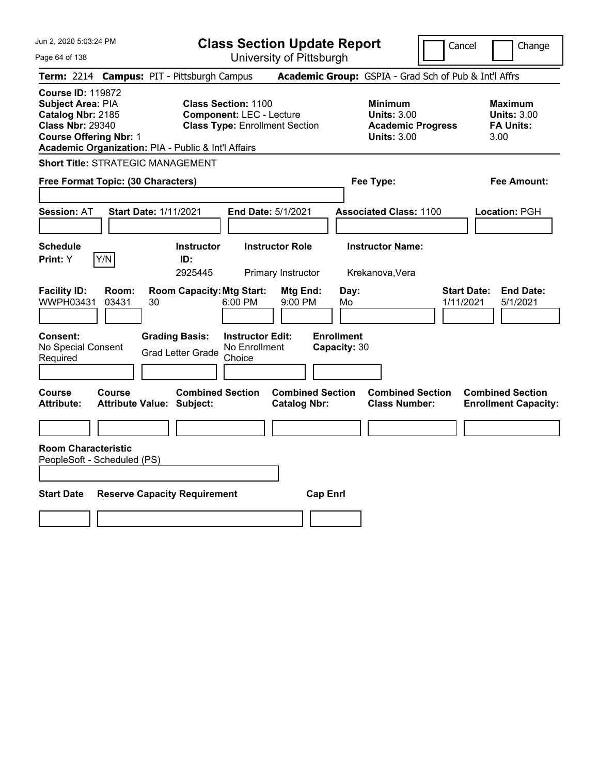Page 64 of 138

**Class Section Update Report**

Cancel Change

| Term: 2214 Campus: PIT - Pittsburgh Campus                                                                                                                                                   |                                                                                                         |                                                | Academic Group: GSPIA - Grad Sch of Pub & Int'l Affrs                                  |                                                                  |
|----------------------------------------------------------------------------------------------------------------------------------------------------------------------------------------------|---------------------------------------------------------------------------------------------------------|------------------------------------------------|----------------------------------------------------------------------------------------|------------------------------------------------------------------|
| <b>Course ID: 119872</b><br><b>Subject Area: PIA</b><br>Catalog Nbr: 2185<br><b>Class Nbr: 29340</b><br><b>Course Offering Nbr: 1</b><br>Academic Organization: PIA - Public & Int'l Affairs | <b>Class Section: 1100</b><br><b>Component: LEC - Lecture</b><br><b>Class Type: Enrollment Section</b>  |                                                | <b>Minimum</b><br><b>Units: 3.00</b><br><b>Academic Progress</b><br><b>Units: 3.00</b> | <b>Maximum</b><br><b>Units: 3.00</b><br><b>FA Units:</b><br>3.00 |
| <b>Short Title: STRATEGIC MANAGEMENT</b>                                                                                                                                                     |                                                                                                         |                                                |                                                                                        |                                                                  |
| Free Format Topic: (30 Characters)                                                                                                                                                           |                                                                                                         |                                                | Fee Type:                                                                              | Fee Amount:                                                      |
| <b>Start Date: 1/11/2021</b><br><b>Session: AT</b>                                                                                                                                           | End Date: 5/1/2021                                                                                      |                                                | <b>Associated Class: 1100</b>                                                          | Location: PGH                                                    |
| <b>Schedule</b><br>Y/N<br>Print: Y                                                                                                                                                           | <b>Instructor Role</b><br><b>Instructor</b><br>ID:<br>2925445<br>Primary Instructor                     |                                                | <b>Instructor Name:</b><br>Krekanova, Vera                                             |                                                                  |
| <b>Facility ID:</b><br>Room:<br>WWPH03431<br>03431<br>30                                                                                                                                     | <b>Room Capacity: Mtg Start:</b><br>6:00 PM                                                             | Mtg End:<br>Day:<br>9:00 PM<br>Mo              | 1/11/2021                                                                              | <b>Start Date:</b><br><b>End Date:</b><br>5/1/2021               |
| Consent:<br>No Special Consent<br>Required                                                                                                                                                   | <b>Grading Basis:</b><br><b>Instructor Edit:</b><br>No Enrollment<br><b>Grad Letter Grade</b><br>Choice | <b>Enrollment</b><br>Capacity: 30              |                                                                                        |                                                                  |
| Course<br><b>Course</b><br><b>Attribute:</b><br><b>Attribute Value: Subject:</b>                                                                                                             | <b>Combined Section</b>                                                                                 | <b>Combined Section</b><br><b>Catalog Nbr:</b> | <b>Combined Section</b><br><b>Class Number:</b>                                        | <b>Combined Section</b><br><b>Enrollment Capacity:</b>           |
|                                                                                                                                                                                              |                                                                                                         |                                                |                                                                                        |                                                                  |
| <b>Room Characteristic</b><br>PeopleSoft - Scheduled (PS)                                                                                                                                    |                                                                                                         |                                                |                                                                                        |                                                                  |
| <b>Start Date</b><br><b>Reserve Capacity Requirement</b>                                                                                                                                     |                                                                                                         | <b>Cap Enrl</b>                                |                                                                                        |                                                                  |
|                                                                                                                                                                                              |                                                                                                         |                                                |                                                                                        |                                                                  |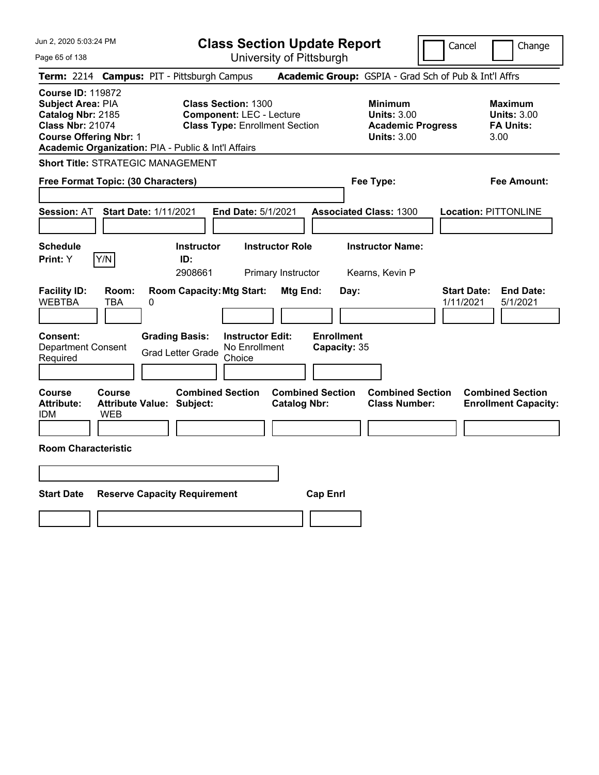| Jun 2, 2020 5:03:24 PM<br>Page 65 of 138                                                                                              |                                     |                                                             | <b>Class Section Update Report</b><br>University of Pittsburgh                                         |                                              |                                   |                                                                                        | Cancel                                                | Change                                                    |
|---------------------------------------------------------------------------------------------------------------------------------------|-------------------------------------|-------------------------------------------------------------|--------------------------------------------------------------------------------------------------------|----------------------------------------------|-----------------------------------|----------------------------------------------------------------------------------------|-------------------------------------------------------|-----------------------------------------------------------|
|                                                                                                                                       |                                     | Term: 2214 Campus: PIT - Pittsburgh Campus                  |                                                                                                        |                                              |                                   |                                                                                        | Academic Group: GSPIA - Grad Sch of Pub & Int'l Affrs |                                                           |
| <b>Course ID: 119872</b><br><b>Subject Area: PIA</b><br>Catalog Nbr: 2185<br><b>Class Nbr: 21074</b><br><b>Course Offering Nbr: 1</b> |                                     | Academic Organization: PIA - Public & Int'l Affairs         | <b>Class Section: 1300</b><br><b>Component: LEC - Lecture</b><br><b>Class Type: Enrollment Section</b> |                                              |                                   | <b>Minimum</b><br><b>Units: 3.00</b><br><b>Academic Progress</b><br><b>Units: 3.00</b> |                                                       | Maximum<br><b>Units: 3.00</b><br><b>FA Units:</b><br>3.00 |
|                                                                                                                                       |                                     | <b>Short Title: STRATEGIC MANAGEMENT</b>                    |                                                                                                        |                                              |                                   |                                                                                        |                                                       |                                                           |
| Free Format Topic: (30 Characters)                                                                                                    |                                     |                                                             |                                                                                                        |                                              |                                   | Fee Type:                                                                              |                                                       | <b>Fee Amount:</b>                                        |
| <b>Session: AT</b><br><b>Schedule</b><br>Print: Y                                                                                     | <b>Start Date: 1/11/2021</b><br>Y/N | <b>Instructor</b><br>ID:<br>2908661                         | <b>End Date: 5/1/2021</b>                                                                              | <b>Instructor Role</b><br>Primary Instructor |                                   | <b>Associated Class: 1300</b><br><b>Instructor Name:</b><br>Kearns, Kevin P            |                                                       | <b>Location: PITTONLINE</b>                               |
| <b>Facility ID:</b><br><b>WEBTBA</b>                                                                                                  | Room:<br>TBA<br>0                   | <b>Room Capacity: Mtg Start:</b>                            |                                                                                                        | Mtg End:                                     | Day:                              |                                                                                        | <b>Start Date:</b><br>1/11/2021                       | <b>End Date:</b><br>5/1/2021                              |
| <b>Consent:</b><br><b>Department Consent</b><br>Required                                                                              |                                     | <b>Grading Basis:</b><br><b>Grad Letter Grade</b>           | <b>Instructor Edit:</b><br>No Enrollment<br>Choice                                                     |                                              | <b>Enrollment</b><br>Capacity: 35 |                                                                                        |                                                       |                                                           |
| Course<br><b>Attribute:</b><br>IDM                                                                                                    | Course<br>WEB                       | <b>Combined Section</b><br><b>Attribute Value: Subject:</b> |                                                                                                        | <b>Catalog Nbr:</b>                          | <b>Combined Section</b>           | <b>Combined Section</b><br><b>Class Number:</b>                                        |                                                       | <b>Combined Section</b><br><b>Enrollment Capacity:</b>    |
| <b>Room Characteristic</b>                                                                                                            |                                     |                                                             |                                                                                                        |                                              |                                   |                                                                                        |                                                       |                                                           |
|                                                                                                                                       |                                     |                                                             |                                                                                                        |                                              |                                   |                                                                                        |                                                       |                                                           |
| <b>Start Date</b>                                                                                                                     |                                     | <b>Reserve Capacity Requirement</b>                         |                                                                                                        |                                              | <b>Cap Enrl</b>                   |                                                                                        |                                                       |                                                           |
|                                                                                                                                       |                                     |                                                             |                                                                                                        |                                              |                                   |                                                                                        |                                                       |                                                           |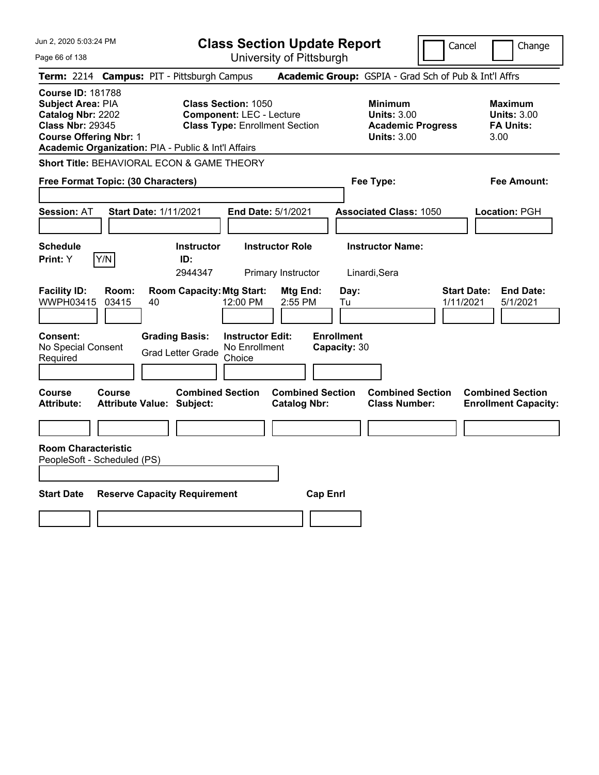| Jun 2, 2020 5:03:24 PM                                                                                                                                                                | <b>Class Section Update Report</b>                                                                      |                                                                                        | Change<br>Cancel                                                 |
|---------------------------------------------------------------------------------------------------------------------------------------------------------------------------------------|---------------------------------------------------------------------------------------------------------|----------------------------------------------------------------------------------------|------------------------------------------------------------------|
| Page 66 of 138                                                                                                                                                                        | University of Pittsburgh                                                                                |                                                                                        |                                                                  |
| Term: 2214 Campus: PIT - Pittsburgh Campus                                                                                                                                            |                                                                                                         | Academic Group: GSPIA - Grad Sch of Pub & Int'l Affrs                                  |                                                                  |
| <b>Course ID: 181788</b><br>Subject Area: PIA<br>Catalog Nbr: 2202<br><b>Class Nbr: 29345</b><br><b>Course Offering Nbr: 1</b><br>Academic Organization: PIA - Public & Int'l Affairs | <b>Class Section: 1050</b><br><b>Component: LEC - Lecture</b><br><b>Class Type: Enrollment Section</b>  | <b>Minimum</b><br><b>Units: 3.00</b><br><b>Academic Progress</b><br><b>Units: 3.00</b> | <b>Maximum</b><br><b>Units: 3.00</b><br><b>FA Units:</b><br>3.00 |
| Short Title: BEHAVIORAL ECON & GAME THEORY                                                                                                                                            |                                                                                                         |                                                                                        |                                                                  |
| Free Format Topic: (30 Characters)                                                                                                                                                    |                                                                                                         | Fee Type:                                                                              | Fee Amount:                                                      |
| <b>Session: AT</b><br><b>Start Date: 1/11/2021</b>                                                                                                                                    | End Date: 5/1/2021                                                                                      | <b>Associated Class: 1050</b>                                                          | Location: PGH                                                    |
| <b>Schedule</b><br>Y/N<br>Print: Y                                                                                                                                                    | <b>Instructor Role</b><br><b>Instructor</b><br>ID:<br>2944347<br>Primary Instructor                     | <b>Instructor Name:</b><br>Linardi, Sera                                               |                                                                  |
| <b>Facility ID:</b><br>Room:<br>WWPH03415<br>03415<br>40                                                                                                                              | <b>Room Capacity: Mtg Start:</b><br>Mtg End:<br>12:00 PM<br>2:55 PM                                     | Day:<br>Tu                                                                             | <b>Start Date:</b><br><b>End Date:</b><br>1/11/2021<br>5/1/2021  |
| Consent:<br>No Special Consent<br>Required                                                                                                                                            | <b>Grading Basis:</b><br><b>Instructor Edit:</b><br>No Enrollment<br><b>Grad Letter Grade</b><br>Choice | <b>Enrollment</b><br>Capacity: 30                                                      |                                                                  |
| Course<br>Course<br><b>Attribute:</b><br><b>Attribute Value: Subject:</b>                                                                                                             | <b>Combined Section</b><br><b>Catalog Nbr:</b>                                                          | <b>Combined Section</b><br><b>Combined Section</b><br><b>Class Number:</b>             | <b>Combined Section</b><br><b>Enrollment Capacity:</b>           |
|                                                                                                                                                                                       |                                                                                                         |                                                                                        |                                                                  |
| <b>Room Characteristic</b><br>PeopleSoft - Scheduled (PS)                                                                                                                             |                                                                                                         |                                                                                        |                                                                  |
| <b>Start Date</b><br><b>Reserve Capacity Requirement</b>                                                                                                                              |                                                                                                         | <b>Cap Enrl</b>                                                                        |                                                                  |
|                                                                                                                                                                                       |                                                                                                         |                                                                                        |                                                                  |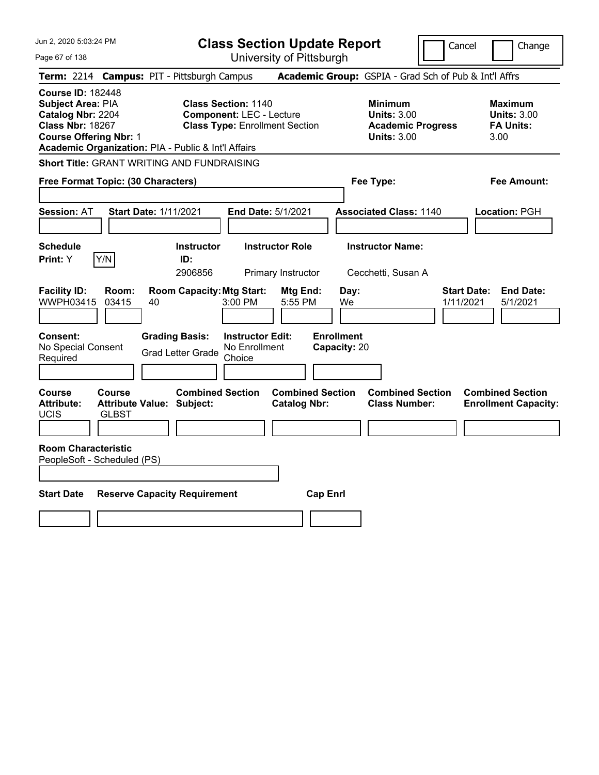Jun 2, 2020 5:03:24 PM Page 67 of 138 **Class Section Update Report** University of Pittsburgh Cancel Change **Term:** 2214 **Campus:** PIT - Pittsburgh Campus **Academic Group:** GSPIA - Grad Sch of Pub & Int'l Affrs **Course ID:** 182448 **Subject Area:** PIA **Class Section:** 1140 **Minimum Maximum Catalog Nbr:** 2204 **Component:** LEC - Lecture **Units:** 3.00 **Units:** 3.00 **Class Nbr:** 18267 **Class Type:** Enrollment Section **Academic Progress FA Units: Course Offering Nbr:** 1 **Units:** 3.00 3.00 **Academic Organization:** PIA - Public & Int'l Affairs **Short Title:** GRANT WRITING AND FUNDRAISING **Free Format Topic: (30 Characters) Fee Type: Fee Amount: Session:** AT **Start Date:** 1/11/2021 **End Date:** 5/1/2021 **Associated Class:** 1140 **Location:** PGH **Schedule Instructor Instructor Role Instructor Name: Print:**  $Y$   $|Y/N|$  **ID:** 2906856 Primary Instructor Cecchetti, Susan A **Facility ID: Room: Room Capacity:Mtg Start: Mtg End: Day: Start Date: End Date:** WWPH03415 03415 40 3:00 PM 5:55 PM We 1/11/2021 5/1/2021 **Consent: Grading Basis: Instructor Edit: Enrollment** No Special Consent No Special Consent Grad Letter Grade No Enrollment<br>Required Choice Choice **Capacity:** 20 **Course Course Combined Section Combined Section Combined Section Combined Section**  Attribute: Attribute Value: Subject: Catalog Nbr: Class Number: Enrollment Capacity: UCIS GLBST **Room Characteristic** PeopleSoft - Scheduled (PS) **Start Date Reserve Capacity Requirement Cap Enrl**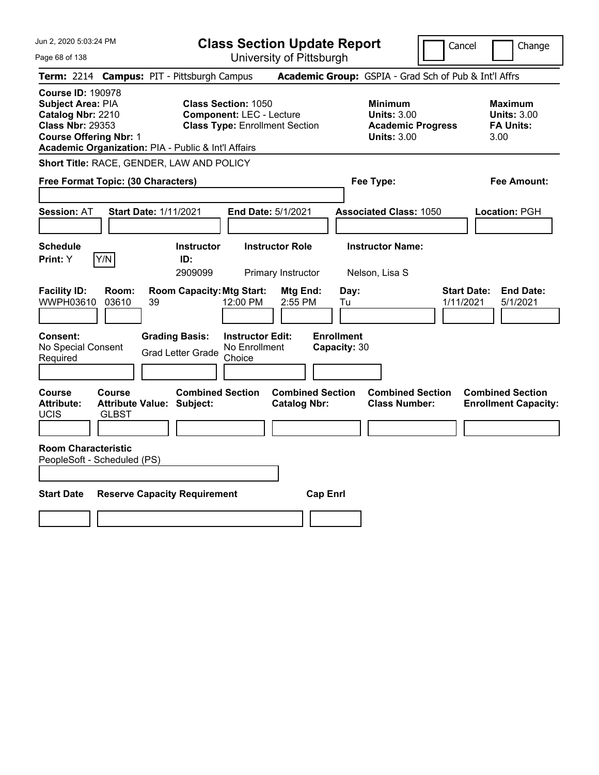Jun 2, 2020 5:03:24 PM Page 68 of 138 **Class Section Update Report** University of Pittsburgh Cancel Change **Term:** 2214 **Campus:** PIT - Pittsburgh Campus **Academic Group:** GSPIA - Grad Sch of Pub & Int'l Affrs **Course ID:** 190978 **Subject Area: PIA Class Section: 1050 Minimum Maximum Maximum Catalog Nbr:** 2210 **Component:** LEC - Lecture **Units:** 3.00 **Units:** 3.00 **Class Nbr:** 29353 **Class Type:** Enrollment Section **Academic Progress FA Units: Course Offering Nbr:** 1 **Units:** 3.00 3.00 **Academic Organization:** PIA - Public & Int'l Affairs **Short Title:** RACE, GENDER, LAW AND POLICY **Free Format Topic: (30 Characters) Fee Type: Fee Amount: Session:** AT **Start Date:** 1/11/2021 **End Date:** 5/1/2021 **Associated Class:** 1050 **Location:** PGH **Schedule Instructor Instructor Role Instructor Name: Print:**  $Y$   $|Y/N|$  **ID:** 2909099 Primary Instructor Nelson, Lisa S **Facility ID: Room: Room Capacity:Mtg Start: Mtg End: Day: Start Date: End Date:** WWPH03610 03610 39 12:00 PM 2:55 PM Tu 1/11/2021 5/1/2021 **Consent: Grading Basis: Instructor Edit: Enrollment** No Special Consent No Special Consent Grad Letter Grade No Enrollment<br>Required Choice Choice **Capacity:** 30 **Course Course Combined Section Combined Section Combined Section Combined Section**  Attribute: Attribute Value: Subject: Catalog Nbr: Class Number: Enrollment Capacity: UCIS GLBST **Room Characteristic** PeopleSoft - Scheduled (PS) **Start Date Reserve Capacity Requirement Cap Enrl**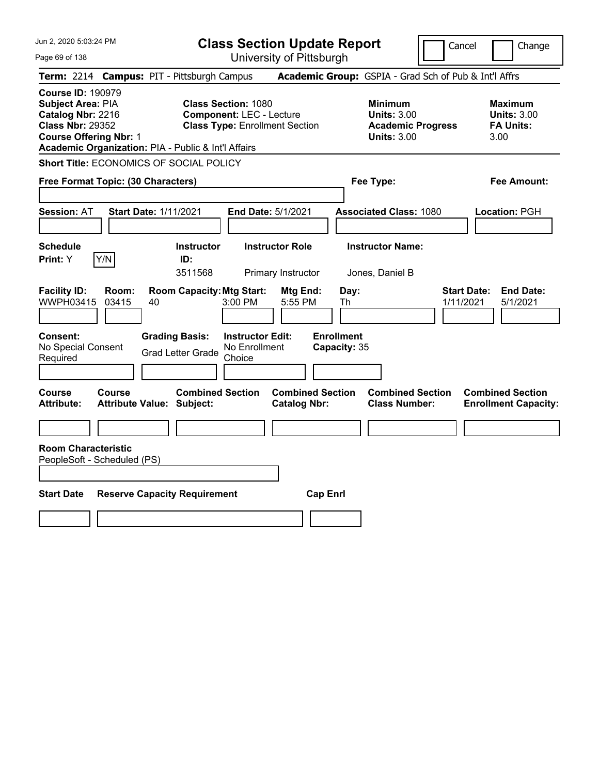| Jun 2, 2020 5:03:24 PM |
|------------------------|
|------------------------|

Page 69 of 138

**Class Section Update Report**

Cancel Change

|                                                                                                                                       |                | Term: 2214 Campus: PIT - Pittsburgh Campus                  |                                                                                                        | Academic Group: GSPIA - Grad Sch of Pub & Int'l Affrs                                  |                                                                  |  |  |
|---------------------------------------------------------------------------------------------------------------------------------------|----------------|-------------------------------------------------------------|--------------------------------------------------------------------------------------------------------|----------------------------------------------------------------------------------------|------------------------------------------------------------------|--|--|
| <b>Course ID: 190979</b><br><b>Subject Area: PIA</b><br>Catalog Nbr: 2216<br><b>Class Nbr: 29352</b><br><b>Course Offering Nbr: 1</b> |                | Academic Organization: PIA - Public & Int'l Affairs         | <b>Class Section: 1080</b><br><b>Component: LEC - Lecture</b><br><b>Class Type: Enrollment Section</b> | <b>Minimum</b><br><b>Units: 3.00</b><br><b>Academic Progress</b><br><b>Units: 3.00</b> | <b>Maximum</b><br><b>Units: 3.00</b><br><b>FA Units:</b><br>3.00 |  |  |
| Short Title: ECONOMICS OF SOCIAL POLICY                                                                                               |                |                                                             |                                                                                                        |                                                                                        |                                                                  |  |  |
| Free Format Topic: (30 Characters)                                                                                                    |                |                                                             | Fee Type:                                                                                              | <b>Fee Amount:</b>                                                                     |                                                                  |  |  |
| <b>Session: AT</b>                                                                                                                    |                | <b>Start Date: 1/11/2021</b>                                | End Date: 5/1/2021                                                                                     | <b>Associated Class: 1080</b>                                                          | Location: PGH                                                    |  |  |
| <b>Schedule</b><br>Print: Y                                                                                                           | Y/N            | <b>Instructor</b><br>ID:<br>3511568                         | <b>Instructor Role</b><br>Primary Instructor                                                           | <b>Instructor Name:</b><br>Jones, Daniel B                                             |                                                                  |  |  |
| <b>Facility ID:</b><br>WWPH03415                                                                                                      | Room:<br>03415 | <b>Room Capacity: Mtg Start:</b><br>40                      | Mtg End:<br>$3:00$ PM<br>5:55 PM                                                                       | Day:<br>Th                                                                             | <b>End Date:</b><br><b>Start Date:</b><br>1/11/2021<br>5/1/2021  |  |  |
| Consent:<br>No Special Consent<br>Required                                                                                            |                | <b>Grading Basis:</b><br><b>Grad Letter Grade</b>           | <b>Instructor Edit:</b><br>No Enrollment<br>Choice                                                     | <b>Enrollment</b><br>Capacity: 35                                                      |                                                                  |  |  |
| Course<br><b>Attribute:</b>                                                                                                           | Course         | <b>Combined Section</b><br><b>Attribute Value: Subject:</b> | <b>Combined Section</b><br><b>Catalog Nbr:</b>                                                         | <b>Combined Section</b><br><b>Class Number:</b>                                        | <b>Combined Section</b><br><b>Enrollment Capacity:</b>           |  |  |
|                                                                                                                                       |                |                                                             |                                                                                                        |                                                                                        |                                                                  |  |  |
| <b>Room Characteristic</b><br>PeopleSoft - Scheduled (PS)                                                                             |                |                                                             |                                                                                                        |                                                                                        |                                                                  |  |  |
| <b>Start Date</b><br><b>Reserve Capacity Requirement</b><br><b>Cap Enrl</b>                                                           |                |                                                             |                                                                                                        |                                                                                        |                                                                  |  |  |
|                                                                                                                                       |                |                                                             |                                                                                                        |                                                                                        |                                                                  |  |  |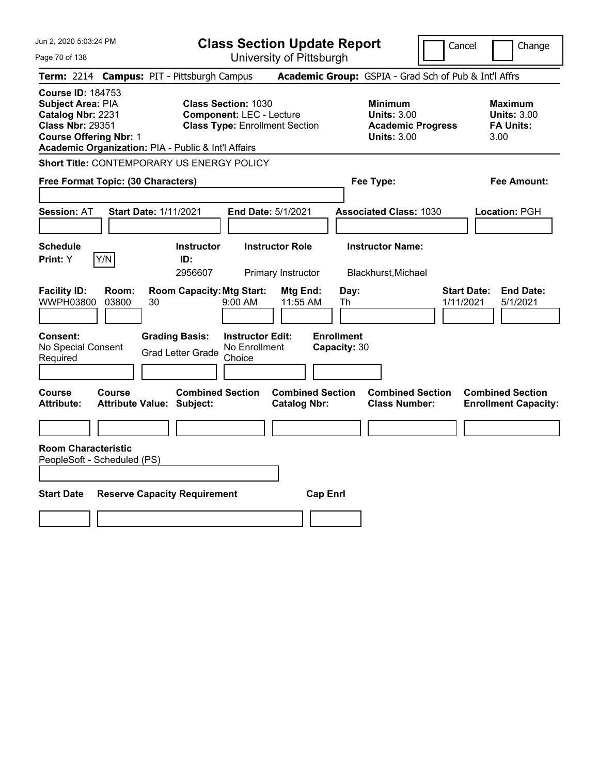| Jun 2, 2020 5:03:24 PM                                                                                                                                                                     | <b>Class Section Update Report</b>                                                                     |                                                                                        | Change<br>Cancel                                                 |  |  |  |  |
|--------------------------------------------------------------------------------------------------------------------------------------------------------------------------------------------|--------------------------------------------------------------------------------------------------------|----------------------------------------------------------------------------------------|------------------------------------------------------------------|--|--|--|--|
| Page 70 of 138                                                                                                                                                                             | University of Pittsburgh                                                                               |                                                                                        |                                                                  |  |  |  |  |
| Term: 2214 Campus: PIT - Pittsburgh Campus                                                                                                                                                 |                                                                                                        | Academic Group: GSPIA - Grad Sch of Pub & Int'l Affrs                                  |                                                                  |  |  |  |  |
| <b>Course ID: 184753</b><br>Subject Area: PIA<br>Catalog Nbr: 2231<br><b>Class Nbr: 29351</b><br><b>Course Offering Nbr: 1</b><br>Academic Organization: PIA - Public & Int'l Affairs      | <b>Class Section: 1030</b><br><b>Component: LEC - Lecture</b><br><b>Class Type: Enrollment Section</b> | <b>Minimum</b><br><b>Units: 3.00</b><br><b>Academic Progress</b><br><b>Units: 3.00</b> | <b>Maximum</b><br><b>Units: 3.00</b><br><b>FA Units:</b><br>3.00 |  |  |  |  |
| Short Title: CONTEMPORARY US ENERGY POLICY                                                                                                                                                 |                                                                                                        |                                                                                        |                                                                  |  |  |  |  |
| Free Format Topic: (30 Characters)                                                                                                                                                         |                                                                                                        | Fee Type:                                                                              | Fee Amount:                                                      |  |  |  |  |
| <b>Session: AT</b><br><b>Start Date: 1/11/2021</b>                                                                                                                                         | End Date: 5/1/2021                                                                                     | <b>Associated Class: 1030</b>                                                          | Location: PGH                                                    |  |  |  |  |
| <b>Schedule</b><br>Y/N<br>Print: Y                                                                                                                                                         | <b>Instructor Role</b><br><b>Instructor</b><br>ID:<br>2956607<br>Primary Instructor                    | <b>Instructor Name:</b><br>Blackhurst, Michael                                         |                                                                  |  |  |  |  |
| <b>Facility ID:</b><br>Room:<br>WWPH03800<br>03800<br>30                                                                                                                                   | <b>Room Capacity: Mtg Start:</b><br>Mtg End:<br>$9:00$ AM<br>11:55 AM                                  | Day:<br>Th                                                                             | <b>Start Date:</b><br><b>End Date:</b><br>1/11/2021<br>5/1/2021  |  |  |  |  |
| <b>Enrollment</b><br>Consent:<br><b>Grading Basis:</b><br><b>Instructor Edit:</b><br>No Special Consent<br>No Enrollment<br>Capacity: 30<br><b>Grad Letter Grade</b><br>Required<br>Choice |                                                                                                        |                                                                                        |                                                                  |  |  |  |  |
| Course<br>Course<br><b>Attribute:</b><br><b>Attribute Value: Subject:</b>                                                                                                                  | <b>Combined Section</b><br><b>Combined Section</b><br><b>Catalog Nbr:</b>                              | <b>Combined Section</b><br><b>Class Number:</b>                                        | <b>Combined Section</b><br><b>Enrollment Capacity:</b>           |  |  |  |  |
|                                                                                                                                                                                            |                                                                                                        |                                                                                        |                                                                  |  |  |  |  |
| <b>Room Characteristic</b><br>PeopleSoft - Scheduled (PS)                                                                                                                                  |                                                                                                        |                                                                                        |                                                                  |  |  |  |  |
| <b>Start Date</b><br><b>Reserve Capacity Requirement</b><br><b>Cap Enrl</b>                                                                                                                |                                                                                                        |                                                                                        |                                                                  |  |  |  |  |
|                                                                                                                                                                                            |                                                                                                        |                                                                                        |                                                                  |  |  |  |  |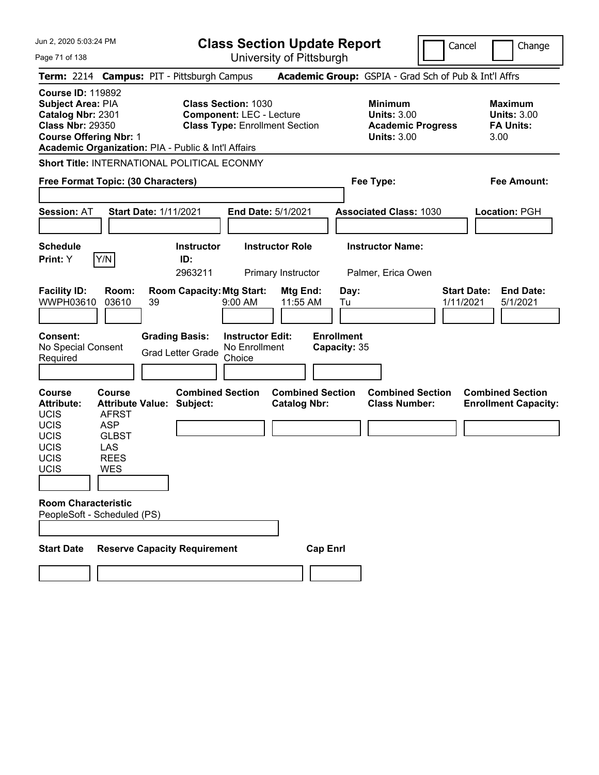Jun 2, 2020 5:03:24 PM Page 71 of 138 **Class Section Update Report** University of Pittsburgh Cancel Change **Term:** 2214 **Campus:** PIT - Pittsburgh Campus **Academic Group:** GSPIA - Grad Sch of Pub & Int'l Affrs **Course ID:** 119892 **Subject Area: PIA Class Section: 1030 Minimum Maximum Maximum Catalog Nbr:** 2301 **Component:** LEC - Lecture **Units:** 3.00 **Units:** 3.00 **Class Nbr:** 29350 **Class Type:** Enrollment Section **Academic Progress FA Units: Course Offering Nbr:** 1 **Units:** 3.00 3.00 **Academic Organization:** PIA - Public & Int'l Affairs **Short Title:** INTERNATIONAL POLITICAL ECONMY **Free Format Topic: (30 Characters) Fee Type: Fee Amount: Session:** AT **Start Date:** 1/11/2021 **End Date:** 5/1/2021 **Associated Class:** 1030 **Location:** PGH **Schedule Instructor Instructor Role Instructor Name: Print:**  $Y$   $|Y/N|$  **ID:** 2963211 Primary Instructor Palmer, Erica Owen **Facility ID: Room: Room Capacity:Mtg Start: Mtg End: Day: Start Date: End Date:** WWPH03610 03610 39 9:00 AM 11:55 AM Tu 1/11/2021 5/1/2021 **Consent: Grading Basis: Instructor Edit: Enrollment** No Special Consent Grad Letter Grade No Enrollment Choice **Capacity:** 35 **Course Course Combined Section Combined Section Combined Section Combined Section Attribute: Attribute Value: Subject: Catalog Nbr: Class Number: Enrollment Capacity:**  UCIS AFRST UCIS ASP UCIS GLBST UCIS LAS UCIS REES UCIS WES **Room Characteristic** PeopleSoft - Scheduled (PS) Start Date Reserve Capacity Requirement Cap Enrl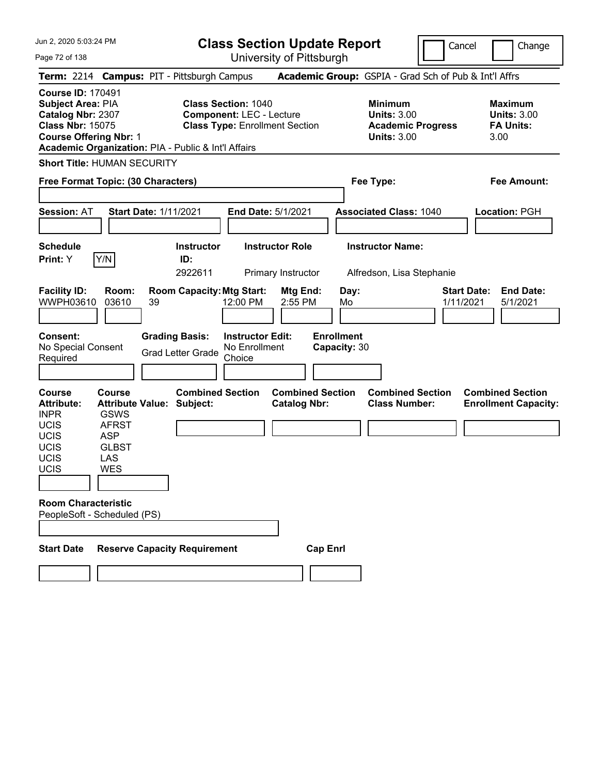Jun 2, 2020 5:03:24 PM Page 72 of 138 **Class Section Update Report** University of Pittsburgh Cancel Change **Term:** 2214 **Campus:** PIT - Pittsburgh Campus **Academic Group:** GSPIA - Grad Sch of Pub & Int'l Affrs **Course ID:** 170491 **Subject Area:** PIA **Class Section:** 1040 **Minimum Maximum Catalog Nbr:** 2307 **Component:** LEC - Lecture **Units:** 3.00 **Units:** 3.00 **Class Nbr:** 15075 **Class Type:** Enrollment Section **Academic Progress FA Units: Course Offering Nbr:** 1 **Units:** 3.00 3.00 **Academic Organization:** PIA - Public & Int'l Affairs **Short Title:** HUMAN SECURITY **Free Format Topic: (30 Characters) Fee Type: Fee Amount: Session:** AT **Start Date:** 1/11/2021 **End Date:** 5/1/2021 **Associated Class:** 1040 **Location:** PGH **Schedule Instructor Instructor Role Instructor Name: Print:**  $Y$   $|Y/N|$  **ID:** 2922611 Primary Instructor Alfredson, Lisa Stephanie **Facility ID: Room: Room Capacity:Mtg Start: Mtg End: Day: Start Date: End Date:** WWPH03610 03610 39 12:00 PM 2:55 PM Mo 1/11/2021 5/1/2021 **Consent: Grading Basis: Instructor Edit: Enrollment** No Special Consent Grad Letter Grade No Enrollment Choice **Capacity:** 30 **Course Course Combined Section Combined Section Combined Section Combined Section Attribute: Attribute Value: Subject: Catalog Nbr: Class Number: Enrollment Capacity:**  INPR GSWS UCIS AFRST UCIS ASP UCIS GLBST UCIS LAS UCIS WES **Room Characteristic** PeopleSoft - Scheduled (PS) Start Date Reserve Capacity Requirement Cap Enrl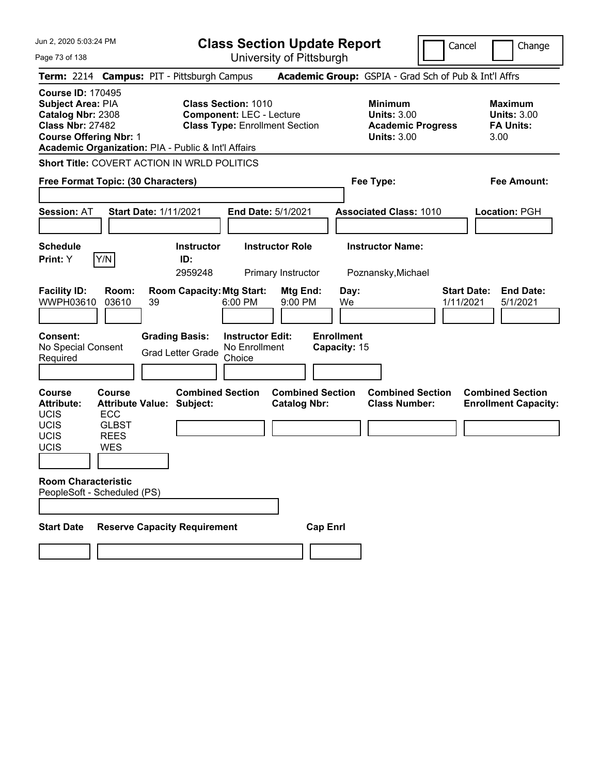Page 73 of 138

**Class Section Update Report**

Cancel **Change** 

|                                                                                                                                       |                                                                                         | Term: 2214 Campus: PIT - Pittsburgh Campus          |                                                                                                        | Academic Group: GSPIA - Grad Sch of Pub & Int'l Affrs                                  |                                                                 |
|---------------------------------------------------------------------------------------------------------------------------------------|-----------------------------------------------------------------------------------------|-----------------------------------------------------|--------------------------------------------------------------------------------------------------------|----------------------------------------------------------------------------------------|-----------------------------------------------------------------|
| <b>Course ID: 170495</b><br><b>Subject Area: PIA</b><br>Catalog Nbr: 2308<br><b>Class Nbr: 27482</b><br><b>Course Offering Nbr: 1</b> |                                                                                         | Academic Organization: PIA - Public & Int'l Affairs | <b>Class Section: 1010</b><br><b>Component: LEC - Lecture</b><br><b>Class Type: Enrollment Section</b> | <b>Minimum</b><br><b>Units: 3.00</b><br><b>Academic Progress</b><br><b>Units: 3.00</b> | Maximum<br><b>Units: 3.00</b><br><b>FA Units:</b><br>3.00       |
|                                                                                                                                       |                                                                                         | Short Title: COVERT ACTION IN WRLD POLITICS         |                                                                                                        |                                                                                        |                                                                 |
|                                                                                                                                       | Free Format Topic: (30 Characters)                                                      |                                                     |                                                                                                        | Fee Type:                                                                              | Fee Amount:                                                     |
| <b>Session: AT</b>                                                                                                                    | <b>Start Date: 1/11/2021</b>                                                            |                                                     | End Date: 5/1/2021                                                                                     | <b>Associated Class: 1010</b>                                                          | Location: PGH                                                   |
| <b>Schedule</b><br><b>Print:</b> Y                                                                                                    | Y/N                                                                                     | <b>Instructor</b><br>ID:<br>2959248                 | <b>Instructor Role</b><br>Primary Instructor                                                           | <b>Instructor Name:</b><br>Poznansky, Michael                                          |                                                                 |
| <b>Facility ID:</b><br>WWPH03610                                                                                                      | Room:<br>03610<br>39                                                                    | <b>Room Capacity: Mtg Start:</b>                    | Mtg End:<br>6:00 PM<br>9:00 PM                                                                         | Day:<br>We                                                                             | <b>Start Date:</b><br><b>End Date:</b><br>1/11/2021<br>5/1/2021 |
| <b>Consent:</b><br>No Special Consent<br>Required                                                                                     |                                                                                         | <b>Grading Basis:</b><br><b>Grad Letter Grade</b>   | <b>Instructor Edit:</b><br>No Enrollment<br>Choice                                                     | <b>Enrollment</b><br>Capacity: 15                                                      |                                                                 |
| <b>Course</b><br><b>Attribute:</b><br><b>UCIS</b><br><b>UCIS</b><br><b>UCIS</b><br>UCIS                                               | Course<br><b>Attribute Value: Subject:</b><br><b>ECC</b><br><b>GLBST</b><br>REES<br>WES | <b>Combined Section</b>                             | <b>Combined Section</b><br><b>Catalog Nbr:</b>                                                         | <b>Combined Section</b><br><b>Class Number:</b>                                        | <b>Combined Section</b><br><b>Enrollment Capacity:</b>          |
| <b>Room Characteristic</b>                                                                                                            | PeopleSoft - Scheduled (PS)                                                             |                                                     |                                                                                                        |                                                                                        |                                                                 |
| Start Date                                                                                                                            |                                                                                         | <b>Reserve Capacity Requirement</b>                 |                                                                                                        | <b>Cap Enri</b>                                                                        |                                                                 |
|                                                                                                                                       |                                                                                         |                                                     |                                                                                                        |                                                                                        |                                                                 |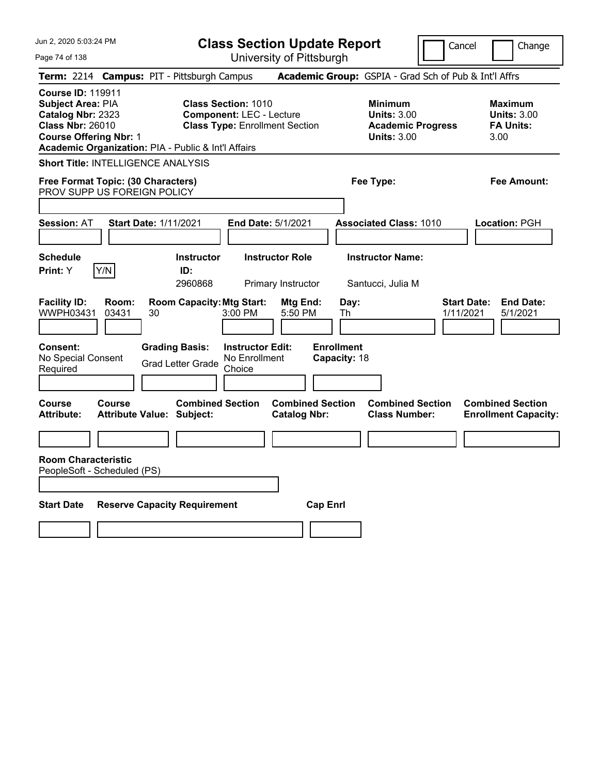| Jun 2, 2020 5:03:24 PM                                                                                                                                                                | <b>Class Section Update Report</b>                                                                     | Cancel                                                                                 | Change                                                           |
|---------------------------------------------------------------------------------------------------------------------------------------------------------------------------------------|--------------------------------------------------------------------------------------------------------|----------------------------------------------------------------------------------------|------------------------------------------------------------------|
| Page 74 of 138                                                                                                                                                                        | University of Pittsburgh                                                                               |                                                                                        |                                                                  |
| <b>Campus: PIT - Pittsburgh Campus</b><br><b>Term: 2214</b>                                                                                                                           |                                                                                                        | Academic Group: GSPIA - Grad Sch of Pub & Int'l Affrs                                  |                                                                  |
| <b>Course ID: 119911</b><br>Subject Area: PIA<br>Catalog Nbr: 2323<br><b>Class Nbr: 26010</b><br><b>Course Offering Nbr: 1</b><br>Academic Organization: PIA - Public & Int'l Affairs | <b>Class Section: 1010</b><br><b>Component: LEC - Lecture</b><br><b>Class Type: Enrollment Section</b> | <b>Minimum</b><br><b>Units: 3.00</b><br><b>Academic Progress</b><br><b>Units: 3.00</b> | <b>Maximum</b><br><b>Units: 3.00</b><br><b>FA Units:</b><br>3.00 |
| <b>Short Title: INTELLIGENCE ANALYSIS</b>                                                                                                                                             |                                                                                                        |                                                                                        |                                                                  |
| Free Format Topic: (30 Characters)<br>PROV SUPP US FOREIGN POLICY                                                                                                                     |                                                                                                        | Fee Type:                                                                              | Fee Amount:                                                      |
| <b>Session: AT</b><br><b>Start Date: 1/11/2021</b>                                                                                                                                    | <b>End Date: 5/1/2021</b>                                                                              | <b>Associated Class: 1010</b>                                                          | Location: PGH                                                    |
| <b>Schedule</b><br>Y/N<br>Print: Y                                                                                                                                                    | <b>Instructor Role</b><br><b>Instructor</b><br>ID:<br>2960868<br>Primary Instructor                    | <b>Instructor Name:</b><br>Santucci, Julia M                                           |                                                                  |
| <b>Facility ID:</b><br>Room:<br>WWPH03431<br>03431<br>30                                                                                                                              | <b>Room Capacity: Mtg Start:</b><br>Mtg End:<br>3:00 PM<br>5:50 PM                                     | Day:<br>1/11/2021<br>Th                                                                | <b>End Date:</b><br><b>Start Date:</b><br>5/1/2021               |
| <b>Grading Basis:</b><br><b>Consent:</b><br>No Special Consent<br>Required                                                                                                            | <b>Instructor Edit:</b><br>No Enrollment<br><b>Grad Letter Grade</b><br>Choice                         | <b>Enrollment</b><br>Capacity: 18                                                      |                                                                  |
| <b>Course</b><br>Course<br><b>Attribute:</b><br><b>Attribute Value: Subject:</b>                                                                                                      | <b>Combined Section</b><br><b>Combined Section</b><br><b>Catalog Nbr:</b>                              | <b>Combined Section</b><br><b>Class Number:</b>                                        | <b>Combined Section</b><br><b>Enrollment Capacity:</b>           |
|                                                                                                                                                                                       |                                                                                                        |                                                                                        |                                                                  |
| <b>Room Characteristic</b><br>PeopleSoft - Scheduled (PS)                                                                                                                             |                                                                                                        |                                                                                        |                                                                  |
| <b>Start Date</b><br><b>Reserve Capacity Requirement</b>                                                                                                                              |                                                                                                        | <b>Cap Enrl</b>                                                                        |                                                                  |
|                                                                                                                                                                                       |                                                                                                        |                                                                                        |                                                                  |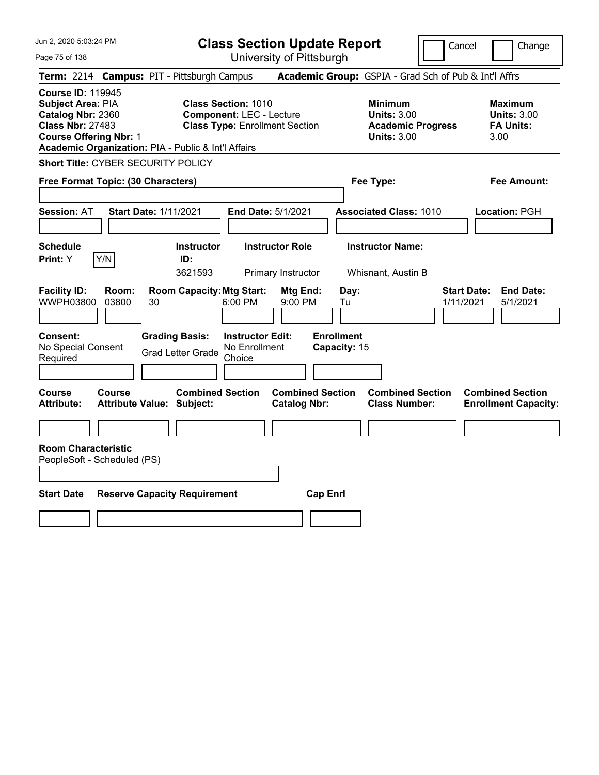Page 75 of 138

**Class Section Update Report**

Cancel **Change** 

|                                                                                                                                | Term: 2214 Campus: PIT - Pittsburgh Campus                                                                                                                    |                                                | Academic Group: GSPIA - Grad Sch of Pub & Int'l Affrs                                  |                                                                  |
|--------------------------------------------------------------------------------------------------------------------------------|---------------------------------------------------------------------------------------------------------------------------------------------------------------|------------------------------------------------|----------------------------------------------------------------------------------------|------------------------------------------------------------------|
|                                                                                                                                |                                                                                                                                                               |                                                |                                                                                        |                                                                  |
| <b>Course ID: 119945</b><br>Subject Area: PIA<br>Catalog Nbr: 2360<br><b>Class Nbr: 27483</b><br><b>Course Offering Nbr: 1</b> | <b>Class Section: 1010</b><br><b>Component: LEC - Lecture</b><br><b>Class Type: Enrollment Section</b><br>Academic Organization: PIA - Public & Int'l Affairs |                                                | <b>Minimum</b><br><b>Units: 3.00</b><br><b>Academic Progress</b><br><b>Units: 3.00</b> | <b>Maximum</b><br><b>Units: 3.00</b><br><b>FA Units:</b><br>3.00 |
| <b>Short Title: CYBER SECURITY POLICY</b>                                                                                      |                                                                                                                                                               |                                                |                                                                                        |                                                                  |
| Free Format Topic: (30 Characters)                                                                                             |                                                                                                                                                               |                                                | Fee Type:                                                                              | <b>Fee Amount:</b>                                               |
| <b>Session: AT</b>                                                                                                             | <b>Start Date: 1/11/2021</b>                                                                                                                                  | End Date: 5/1/2021                             | <b>Associated Class: 1010</b>                                                          | Location: PGH                                                    |
| <b>Schedule</b><br>Y/N<br>Print: Y                                                                                             | <b>Instructor</b><br>ID:<br>3621593                                                                                                                           | <b>Instructor Role</b><br>Primary Instructor   | <b>Instructor Name:</b><br>Whisnant, Austin B                                          |                                                                  |
| <b>Facility ID:</b><br>Room:<br>WWPH03800<br>03800                                                                             | <b>Room Capacity: Mtg Start:</b><br>30<br>6:00 PM                                                                                                             | Mtg End:<br>9:00 PM                            | Day:<br>Tu                                                                             | <b>Start Date:</b><br><b>End Date:</b><br>1/11/2021<br>5/1/2021  |
| Consent:<br>No Special Consent<br>Required                                                                                     | <b>Grading Basis:</b><br><b>Instructor Edit:</b><br>No Enrollment<br><b>Grad Letter Grade</b><br>Choice                                                       |                                                | <b>Enrollment</b><br>Capacity: 15                                                      |                                                                  |
| <b>Course</b><br>Course<br><b>Attribute:</b>                                                                                   | <b>Combined Section</b><br><b>Attribute Value: Subject:</b>                                                                                                   | <b>Combined Section</b><br><b>Catalog Nbr:</b> | <b>Combined Section</b><br><b>Class Number:</b>                                        | <b>Combined Section</b><br><b>Enrollment Capacity:</b>           |
|                                                                                                                                |                                                                                                                                                               |                                                |                                                                                        |                                                                  |
| <b>Room Characteristic</b><br>PeopleSoft - Scheduled (PS)                                                                      |                                                                                                                                                               |                                                |                                                                                        |                                                                  |
| <b>Start Date</b>                                                                                                              | <b>Reserve Capacity Requirement</b>                                                                                                                           | <b>Cap Enrl</b>                                |                                                                                        |                                                                  |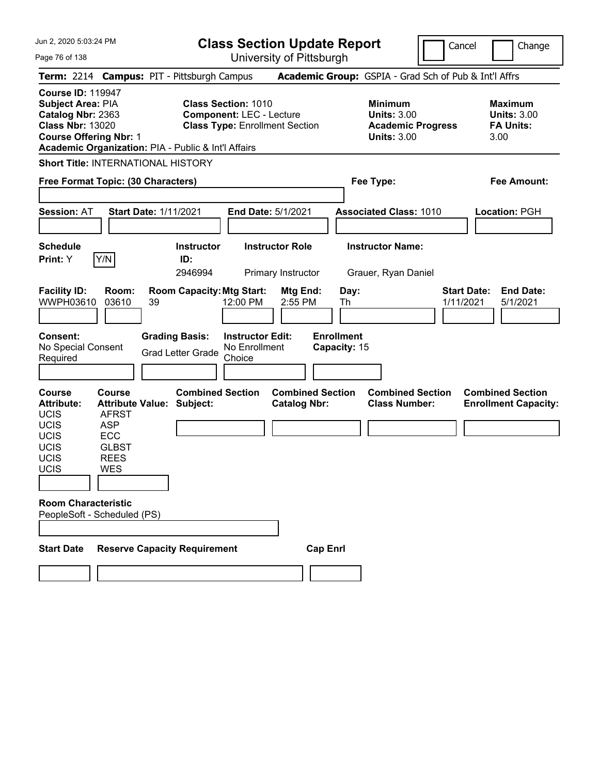**Class Section Update Report** University of Pittsburgh

Cancel Change

Page 76 of 138

| Term: 2214 Campus: PIT - Pittsburgh Campus                                                                                                                                            |                                                                                                                              |                              |                                     |                                                                                                        |                                                |                 |                                   | Academic Group: GSPIA - Grad Sch of Pub & Int'l Affrs                                  |                                                                  |
|---------------------------------------------------------------------------------------------------------------------------------------------------------------------------------------|------------------------------------------------------------------------------------------------------------------------------|------------------------------|-------------------------------------|--------------------------------------------------------------------------------------------------------|------------------------------------------------|-----------------|-----------------------------------|----------------------------------------------------------------------------------------|------------------------------------------------------------------|
| <b>Course ID: 119947</b><br>Subject Area: PIA<br>Catalog Nbr: 2363<br><b>Class Nbr: 13020</b><br><b>Course Offering Nbr: 1</b><br>Academic Organization: PIA - Public & Int'l Affairs |                                                                                                                              |                              |                                     | <b>Class Section: 1010</b><br><b>Component: LEC - Lecture</b><br><b>Class Type: Enrollment Section</b> |                                                |                 |                                   | <b>Minimum</b><br><b>Units: 3.00</b><br><b>Academic Progress</b><br><b>Units: 3.00</b> | <b>Maximum</b><br><b>Units: 3.00</b><br><b>FA Units:</b><br>3.00 |
| Short Title: INTERNATIONAL HISTORY                                                                                                                                                    |                                                                                                                              |                              |                                     |                                                                                                        |                                                |                 |                                   |                                                                                        |                                                                  |
| Free Format Topic: (30 Characters)                                                                                                                                                    |                                                                                                                              |                              |                                     |                                                                                                        |                                                |                 |                                   | Fee Type:                                                                              | Fee Amount:                                                      |
| <b>Session: AT</b>                                                                                                                                                                    |                                                                                                                              | <b>Start Date: 1/11/2021</b> |                                     |                                                                                                        | <b>End Date: 5/1/2021</b>                      |                 |                                   | <b>Associated Class: 1010</b>                                                          | Location: PGH                                                    |
| <b>Schedule</b><br><b>Print:</b> Y                                                                                                                                                    | Y/N                                                                                                                          |                              | <b>Instructor</b><br>ID:<br>2946994 |                                                                                                        | <b>Instructor Role</b><br>Primary Instructor   |                 |                                   | <b>Instructor Name:</b><br>Grauer, Ryan Daniel                                         |                                                                  |
| <b>Facility ID:</b><br>WWPH03610                                                                                                                                                      | Room:<br>03610                                                                                                               | 39                           |                                     | <b>Room Capacity: Mtg Start:</b><br>12:00 PM                                                           | Mtg End:<br>2:55 PM                            |                 | Day:<br>Th                        |                                                                                        | <b>Start Date:</b><br><b>End Date:</b><br>1/11/2021<br>5/1/2021  |
| Consent:<br>No Special Consent<br>Required                                                                                                                                            |                                                                                                                              | <b>Grading Basis:</b>        | <b>Grad Letter Grade</b>            | <b>Instructor Edit:</b><br>No Enrollment<br>Choice                                                     |                                                |                 | <b>Enrollment</b><br>Capacity: 15 |                                                                                        |                                                                  |
| <b>Course</b><br><b>Attribute:</b><br>UCIS<br>UCIS<br>UCIS<br><b>UCIS</b><br><b>UCIS</b><br>UCIS                                                                                      | <b>Course</b><br><b>Attribute Value: Subject:</b><br><b>AFRST</b><br><b>ASP</b><br><b>ECC</b><br><b>GLBST</b><br>REES<br>WES |                              | <b>Combined Section</b>             |                                                                                                        | <b>Combined Section</b><br><b>Catalog Nbr:</b> |                 |                                   | <b>Combined Section</b><br><b>Class Number:</b>                                        | <b>Combined Section</b><br><b>Enrollment Capacity:</b>           |
| <b>Room Characteristic</b><br>PeopleSoft - Scheduled (PS)                                                                                                                             |                                                                                                                              |                              |                                     |                                                                                                        |                                                |                 |                                   |                                                                                        |                                                                  |
| <b>Start Date</b>                                                                                                                                                                     |                                                                                                                              |                              | <b>Reserve Capacity Requirement</b> |                                                                                                        |                                                | <b>Cap Enri</b> |                                   |                                                                                        |                                                                  |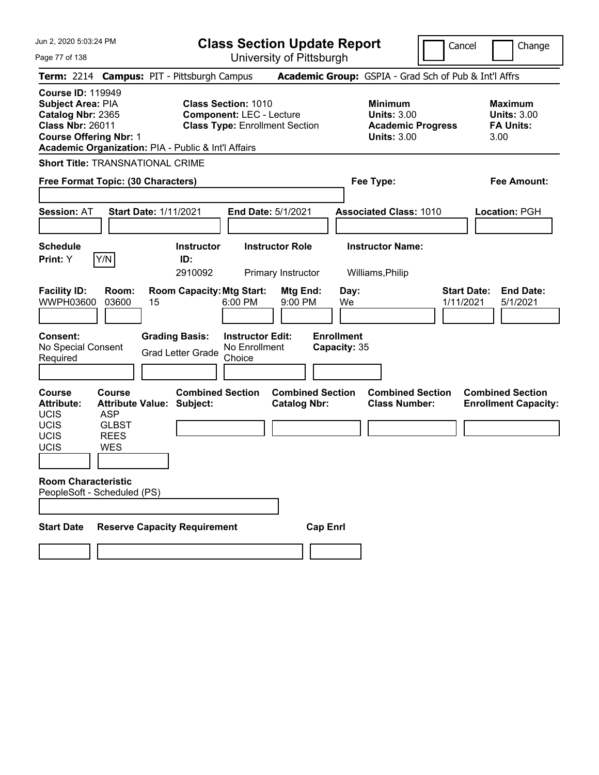|  |  | Jun 2, 2020 5:03:24 PM |  |
|--|--|------------------------|--|
|--|--|------------------------|--|

**Class Section Update Report** University of Pittsburgh

Cancel Change

Page 77 of 138

| Term: 2214 Campus: PIT - Pittsburgh Campus                                                                                                                                                   |                                                                                                       |                              |                                                   |                                                               |                                                |                                   | Academic Group: GSPIA - Grad Sch of Pub & Int'l Affrs                                  |           |                                                                  |
|----------------------------------------------------------------------------------------------------------------------------------------------------------------------------------------------|-------------------------------------------------------------------------------------------------------|------------------------------|---------------------------------------------------|---------------------------------------------------------------|------------------------------------------------|-----------------------------------|----------------------------------------------------------------------------------------|-----------|------------------------------------------------------------------|
| <b>Course ID: 119949</b><br><b>Subject Area: PIA</b><br>Catalog Nbr: 2365<br><b>Class Nbr: 26011</b><br><b>Course Offering Nbr: 1</b><br>Academic Organization: PIA - Public & Int'l Affairs |                                                                                                       |                              |                                                   | <b>Class Section: 1010</b><br><b>Component: LEC - Lecture</b> | <b>Class Type: Enrollment Section</b>          |                                   | <b>Minimum</b><br><b>Units: 3.00</b><br><b>Academic Progress</b><br><b>Units: 3.00</b> |           | <b>Maximum</b><br><b>Units: 3.00</b><br><b>FA Units:</b><br>3.00 |
| <b>Short Title: TRANSNATIONAL CRIME</b>                                                                                                                                                      |                                                                                                       |                              |                                                   |                                                               |                                                |                                   |                                                                                        |           |                                                                  |
| Free Format Topic: (30 Characters)                                                                                                                                                           |                                                                                                       |                              |                                                   |                                                               |                                                |                                   | Fee Type:                                                                              |           | Fee Amount:                                                      |
| <b>Session: AT</b>                                                                                                                                                                           |                                                                                                       | <b>Start Date: 1/11/2021</b> |                                                   |                                                               | <b>End Date: 5/1/2021</b>                      |                                   | <b>Associated Class: 1010</b>                                                          |           | Location: PGH                                                    |
| <b>Schedule</b><br><b>Print: Y</b>                                                                                                                                                           | Y/N                                                                                                   |                              | <b>Instructor</b><br>ID:<br>2910092               |                                                               | <b>Instructor Role</b><br>Primary Instructor   |                                   | <b>Instructor Name:</b><br>Williams, Philip                                            |           |                                                                  |
| <b>Facility ID:</b><br>WWPH03600                                                                                                                                                             | Room:<br>03600                                                                                        | 15                           | <b>Room Capacity: Mtg Start:</b>                  | 6:00 PM                                                       | Mtg End:<br>9:00 PM                            | Day:<br>We                        |                                                                                        | 1/11/2021 | <b>Start Date:</b><br><b>End Date:</b><br>5/1/2021               |
| <b>Consent:</b><br>No Special Consent<br>Required                                                                                                                                            |                                                                                                       |                              | <b>Grading Basis:</b><br><b>Grad Letter Grade</b> | <b>Instructor Edit:</b><br>No Enrollment<br>Choice            |                                                | <b>Enrollment</b><br>Capacity: 35 |                                                                                        |           |                                                                  |
| Course<br><b>Attribute:</b><br><b>UCIS</b><br>UCIS<br><b>UCIS</b><br>UCIS                                                                                                                    | Course<br><b>Attribute Value: Subject:</b><br><b>ASP</b><br><b>GLBST</b><br><b>REES</b><br><b>WES</b> |                              | <b>Combined Section</b>                           |                                                               | <b>Combined Section</b><br><b>Catalog Nbr:</b> |                                   | <b>Combined Section</b><br><b>Class Number:</b>                                        |           | <b>Combined Section</b><br><b>Enrollment Capacity:</b>           |
| <b>Room Characteristic</b><br>PeopleSoft - Scheduled (PS)                                                                                                                                    |                                                                                                       |                              |                                                   |                                                               |                                                |                                   |                                                                                        |           |                                                                  |
| <b>Start Date</b>                                                                                                                                                                            |                                                                                                       |                              | <b>Reserve Capacity Requirement</b>               |                                                               |                                                | <b>Cap Enrl</b>                   |                                                                                        |           |                                                                  |
|                                                                                                                                                                                              |                                                                                                       |                              |                                                   |                                                               |                                                |                                   |                                                                                        |           |                                                                  |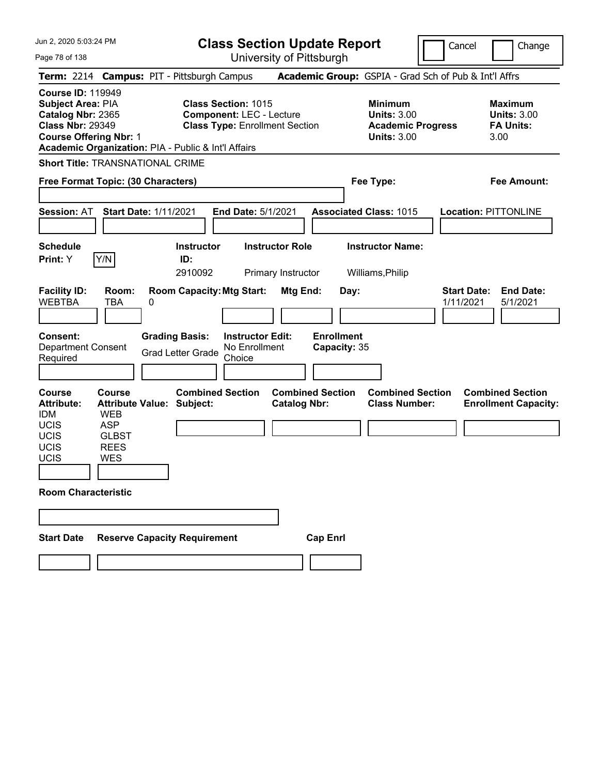Jun 2, 2020 5:03:24 PM Page 78 of 138 **Class Section Update Report** University of Pittsburgh Cancel Change **Term:** 2214 **Campus:** PIT - Pittsburgh Campus **Academic Group:** GSPIA - Grad Sch of Pub & Int'l Affrs **Course ID:** 119949 **Subject Area:** PIA **Class Section:** 1015 **Minimum Maximum Catalog Nbr:** 2365 **Component:** LEC - Lecture **Units:** 3.00 **Units:** 3.00 **Class Nbr:** 29349 **Class Type:** Enrollment Section **Academic Progress FA Units: Course Offering Nbr:** 1 **Units:** 3.00 3.00 **Academic Organization:** PIA - Public & Int'l Affairs **Short Title:** TRANSNATIONAL CRIME **Free Format Topic: (30 Characters) Fee Type: Fee Amount: Session:** AT **Start Date:** 1/11/2021 **End Date:** 5/1/2021 **Associated Class:** 1015 **Location:** PITTONLINE **Schedule Instructor Instructor Role Instructor Name: Print:**  $Y$   $|Y/N|$  **ID:** 2910092 Primary Instructor Williams,Philip **Facility ID: Room: Room Capacity:Mtg Start: Mtg End: Day: Start Date: End Date:** WEBTBA TBA 0 1/11/2021 5/1/2021 **Consent: Grading Basis: Instructor Edit: Enrollment** Department Consent Required Grad Letter Grade No Enrollment Choice **Capacity:** 35 **Course Course Combined Section Combined Section Combined Section Combined Section Attribute: Attribute Value: Subject: Catalog Nbr: Class Number: Enrollment Capacity:**  IDM WEB UCIS ASP UCIS GLBST UCIS REES UCIS WES **Room Characteristic Start Date Reserve Capacity Requirement Cap Enrl**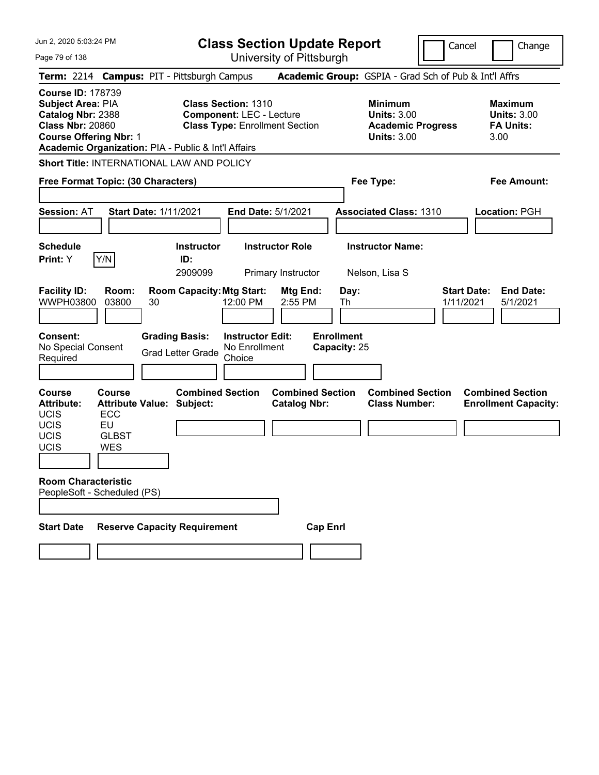| Jun 2, 2020 5:03:24 PM |  |  |  |  |
|------------------------|--|--|--|--|
|------------------------|--|--|--|--|

Page 79 of 138

**Class Section Update Report**

Cancel **Change** 

| Term: 2214 Campus: PIT - Pittsburgh Campus                                                                                                                                            |                                                   |    |                                                   |                                                               |                                                |                                   | Academic Group: GSPIA - Grad Sch of Pub & Int'l Affrs                                  |                                 |                                                                  |
|---------------------------------------------------------------------------------------------------------------------------------------------------------------------------------------|---------------------------------------------------|----|---------------------------------------------------|---------------------------------------------------------------|------------------------------------------------|-----------------------------------|----------------------------------------------------------------------------------------|---------------------------------|------------------------------------------------------------------|
| <b>Course ID: 178739</b><br>Subject Area: PIA<br>Catalog Nbr: 2388<br><b>Class Nbr: 20860</b><br><b>Course Offering Nbr: 1</b><br>Academic Organization: PIA - Public & Int'l Affairs |                                                   |    |                                                   | <b>Class Section: 1310</b><br><b>Component: LEC - Lecture</b> | <b>Class Type: Enrollment Section</b>          |                                   | <b>Minimum</b><br><b>Units: 3.00</b><br><b>Academic Progress</b><br><b>Units: 3.00</b> |                                 | <b>Maximum</b><br><b>Units: 3.00</b><br><b>FA Units:</b><br>3.00 |
| Short Title: INTERNATIONAL LAW AND POLICY                                                                                                                                             |                                                   |    |                                                   |                                                               |                                                |                                   |                                                                                        |                                 |                                                                  |
| Free Format Topic: (30 Characters)                                                                                                                                                    |                                                   |    |                                                   |                                                               |                                                |                                   | Fee Type:                                                                              |                                 | Fee Amount:                                                      |
|                                                                                                                                                                                       |                                                   |    |                                                   |                                                               |                                                |                                   |                                                                                        |                                 |                                                                  |
| <b>Session: AT</b>                                                                                                                                                                    | <b>Start Date: 1/11/2021</b>                      |    |                                                   |                                                               | <b>End Date: 5/1/2021</b>                      |                                   | <b>Associated Class: 1310</b>                                                          |                                 | Location: PGH                                                    |
|                                                                                                                                                                                       |                                                   |    |                                                   |                                                               |                                                |                                   |                                                                                        |                                 |                                                                  |
| <b>Schedule</b>                                                                                                                                                                       |                                                   |    | <b>Instructor</b>                                 |                                                               | <b>Instructor Role</b>                         |                                   | <b>Instructor Name:</b>                                                                |                                 |                                                                  |
| <b>Print:</b> Y                                                                                                                                                                       | Y/N                                               |    | ID:                                               |                                                               |                                                |                                   |                                                                                        |                                 |                                                                  |
|                                                                                                                                                                                       |                                                   |    | 2909099                                           |                                                               | Primary Instructor                             |                                   | Nelson, Lisa S                                                                         |                                 |                                                                  |
| <b>Facility ID:</b><br>WWPH03800                                                                                                                                                      | Room:<br>03800                                    | 30 | <b>Room Capacity: Mtg Start:</b>                  | 12:00 PM                                                      | <b>Mtg End:</b><br>2:55 PM                     | Day:<br>Th                        |                                                                                        | <b>Start Date:</b><br>1/11/2021 | <b>End Date:</b><br>5/1/2021                                     |
| Consent:<br>No Special Consent<br>Required                                                                                                                                            |                                                   |    | <b>Grading Basis:</b><br><b>Grad Letter Grade</b> | <b>Instructor Edit:</b><br>No Enrollment<br>Choice            |                                                | <b>Enrollment</b><br>Capacity: 25 |                                                                                        |                                 |                                                                  |
|                                                                                                                                                                                       |                                                   |    |                                                   |                                                               |                                                |                                   |                                                                                        |                                 |                                                                  |
| Course<br><b>Attribute:</b><br>UCIS                                                                                                                                                   | Course<br><b>Attribute Value: Subject:</b><br>ECC |    | <b>Combined Section</b>                           |                                                               | <b>Combined Section</b><br><b>Catalog Nbr:</b> |                                   | <b>Combined Section</b><br><b>Class Number:</b>                                        |                                 | <b>Combined Section</b><br><b>Enrollment Capacity:</b>           |
| <b>UCIS</b>                                                                                                                                                                           | EU                                                |    |                                                   |                                                               |                                                |                                   |                                                                                        |                                 |                                                                  |
| <b>UCIS</b><br>UCIS                                                                                                                                                                   | <b>GLBST</b><br><b>WES</b>                        |    |                                                   |                                                               |                                                |                                   |                                                                                        |                                 |                                                                  |
|                                                                                                                                                                                       |                                                   |    |                                                   |                                                               |                                                |                                   |                                                                                        |                                 |                                                                  |
| <b>Room Characteristic</b>                                                                                                                                                            |                                                   |    |                                                   |                                                               |                                                |                                   |                                                                                        |                                 |                                                                  |
| PeopleSoft - Scheduled (PS)                                                                                                                                                           |                                                   |    |                                                   |                                                               |                                                |                                   |                                                                                        |                                 |                                                                  |
|                                                                                                                                                                                       |                                                   |    |                                                   |                                                               |                                                |                                   |                                                                                        |                                 |                                                                  |
| <b>Start Date</b>                                                                                                                                                                     |                                                   |    | <b>Reserve Capacity Requirement</b>               |                                                               | <b>Cap Enrl</b>                                |                                   |                                                                                        |                                 |                                                                  |
|                                                                                                                                                                                       |                                                   |    |                                                   |                                                               |                                                |                                   |                                                                                        |                                 |                                                                  |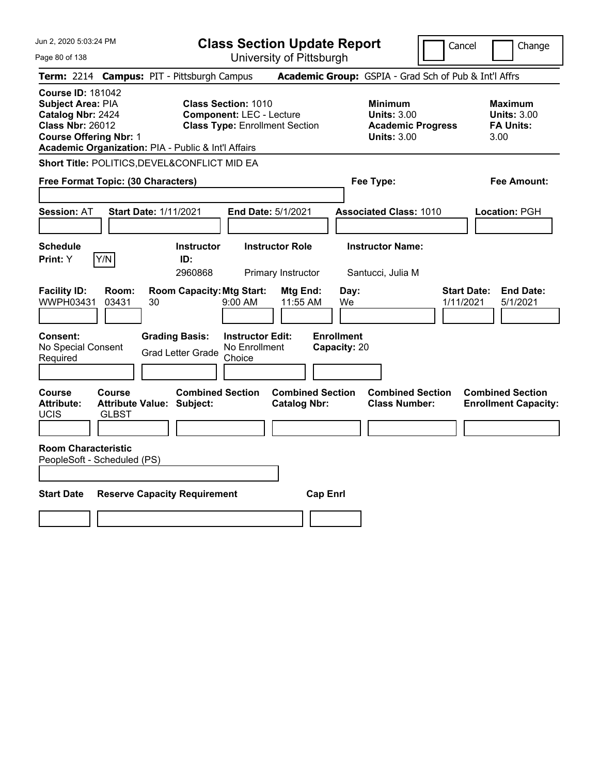Jun 2, 2020 5:03:24 PM Page 80 of 138 **Class Section Update Report** University of Pittsburgh Cancel Change **Term:** 2214 **Campus:** PIT - Pittsburgh Campus **Academic Group:** GSPIA - Grad Sch of Pub & Int'l Affrs **Course ID:** 181042 **Subject Area:** PIA **Class Section:** 1010 **Minimum Maximum Catalog Nbr:** 2424 **Component:** LEC - Lecture **Units:** 3.00 **Units:** 3.00 **Class Nbr:** 26012 **Class Type:** Enrollment Section **Academic Progress FA Units: Course Offering Nbr:** 1 **Units:** 3.00 3.00 **Academic Organization:** PIA - Public & Int'l Affairs **Short Title:** POLITICS,DEVEL&CONFLICT MID EA **Free Format Topic: (30 Characters) Fee Type: Fee Amount: Session:** AT **Start Date:** 1/11/2021 **End Date:** 5/1/2021 **Associated Class:** 1010 **Location:** PGH **Schedule Instructor Instructor Role Instructor Name: Print:**  $Y$   $|Y/N|$  **ID:** 2960868 Primary Instructor Santucci, Julia M **Facility ID: Room: Room Capacity:Mtg Start: Mtg End: Day: Start Date: End Date:** WWPH03431 03431 30 9:00 AM 11:55 AM We 1/11/2021 5/1/2021 **Consent: Grading Basis: Instructor Edit: Enrollment** No Special Consent No Special Consent Grad Letter Grade No Enrollment<br>Required Choice Choice **Capacity:** 20 **Course Course Combined Section Combined Section Combined Section Combined Section**  Attribute: Attribute Value: Subject: Catalog Nbr: Class Number: Enrollment Capacity: UCIS GLBST **Room Characteristic** PeopleSoft - Scheduled (PS) **Start Date Reserve Capacity Requirement Cap Enrl**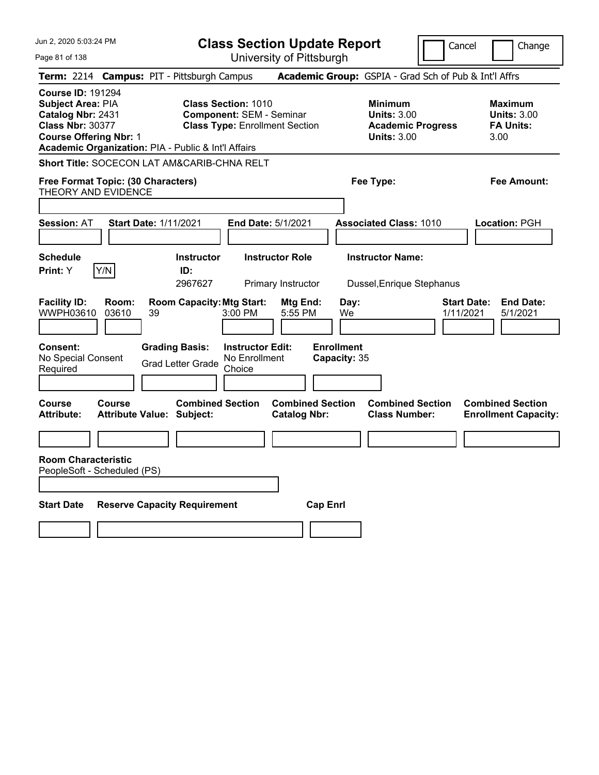| Jun 2, 2020 5:03:24 PM                                                                                                                                                                | <b>Class Section Update Report</b>                                                                                                                   |                                                                                        | Cancel<br>Change                                                 |
|---------------------------------------------------------------------------------------------------------------------------------------------------------------------------------------|------------------------------------------------------------------------------------------------------------------------------------------------------|----------------------------------------------------------------------------------------|------------------------------------------------------------------|
| Page 81 of 138                                                                                                                                                                        | University of Pittsburgh                                                                                                                             |                                                                                        |                                                                  |
| Term: 2214 Campus: PIT - Pittsburgh Campus                                                                                                                                            |                                                                                                                                                      | <b>Academic Group:</b> GSPIA - Grad Sch of Pub & Int'l Affrs                           |                                                                  |
| <b>Course ID: 191294</b><br>Subject Area: PIA<br>Catalog Nbr: 2431<br><b>Class Nbr: 30377</b><br><b>Course Offering Nbr: 1</b><br>Academic Organization: PIA - Public & Int'l Affairs | <b>Class Section: 1010</b><br><b>Component: SEM - Seminar</b><br><b>Class Type: Enrollment Section</b>                                               | <b>Minimum</b><br><b>Units: 3.00</b><br><b>Academic Progress</b><br><b>Units: 3.00</b> | <b>Maximum</b><br><b>Units: 3.00</b><br><b>FA Units:</b><br>3.00 |
| <b>Short Title: SOCECON LAT AM&amp;CARIB-CHNA RELT</b>                                                                                                                                |                                                                                                                                                      |                                                                                        |                                                                  |
| Free Format Topic: (30 Characters)<br>THEORY AND EVIDENCE                                                                                                                             |                                                                                                                                                      | Fee Type:                                                                              | <b>Fee Amount:</b>                                               |
|                                                                                                                                                                                       |                                                                                                                                                      |                                                                                        |                                                                  |
| <b>Session: AT</b><br><b>Start Date: 1/11/2021</b>                                                                                                                                    | End Date: 5/1/2021                                                                                                                                   | <b>Associated Class: 1010</b>                                                          | Location: PGH                                                    |
| <b>Schedule</b><br>Y/N<br>Print: Y                                                                                                                                                    | <b>Instructor</b><br><b>Instructor Role</b><br>ID:<br>2967627<br><b>Primary Instructor</b>                                                           | <b>Instructor Name:</b><br>Dussel, Enrique Stephanus                                   |                                                                  |
| <b>Facility ID:</b><br>Room:<br>WWPH03610<br>03610<br>39<br><b>Grading Basis:</b><br>Consent:<br>No Special Consent<br>Required                                                       | <b>Room Capacity: Mtg Start:</b><br>Mtg End:<br>5:55 PM<br>3:00 PM<br><b>Instructor Edit:</b><br>No Enrollment<br><b>Grad Letter Grade</b><br>Choice | Day:<br>We<br><b>Enrollment</b><br>Capacity: 35                                        | <b>Start Date:</b><br><b>End Date:</b><br>1/11/2021<br>5/1/2021  |
| <b>Course</b><br><b>Course</b><br><b>Attribute:</b><br><b>Attribute Value: Subject:</b>                                                                                               | <b>Combined Section</b><br><b>Combined Section</b><br><b>Catalog Nbr:</b>                                                                            | <b>Combined Section</b><br><b>Class Number:</b>                                        | <b>Combined Section</b><br><b>Enrollment Capacity:</b>           |
|                                                                                                                                                                                       |                                                                                                                                                      |                                                                                        |                                                                  |
| <b>Room Characteristic</b><br>PeopleSoft - Scheduled (PS)                                                                                                                             |                                                                                                                                                      |                                                                                        |                                                                  |
| <b>Start Date</b><br><b>Reserve Capacity Requirement</b>                                                                                                                              |                                                                                                                                                      | <b>Cap Enrl</b>                                                                        |                                                                  |
|                                                                                                                                                                                       |                                                                                                                                                      |                                                                                        |                                                                  |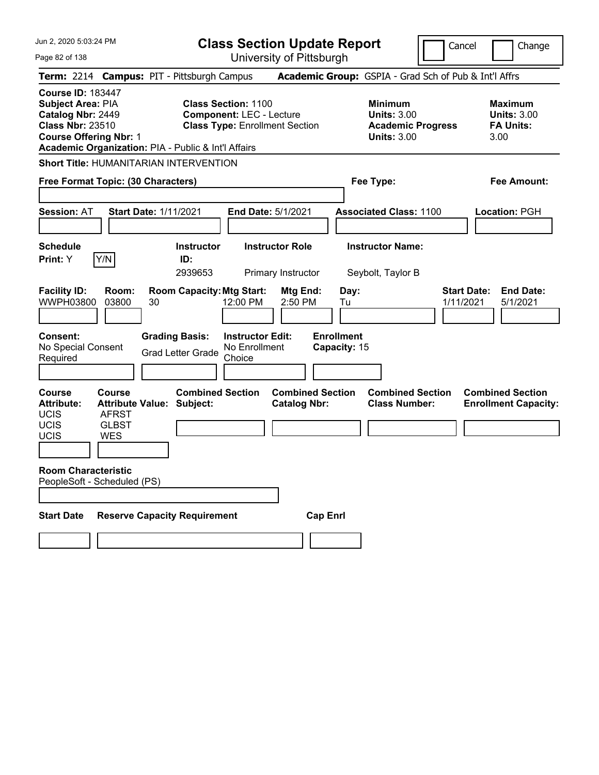Page 82 of 138

**Class Section Update Report**

Cancel **Change** 

| Term: 2214 Campus: PIT - Pittsburgh Campus                                                                                                                                                                                                                                                      |                                                                                          |    |                                                                                       |                                                                                        |                                                |                 |                                                 | Academic Group: GSPIA - Grad Sch of Pub & Int'l Affrs            |  |                                 |                                                        |
|-------------------------------------------------------------------------------------------------------------------------------------------------------------------------------------------------------------------------------------------------------------------------------------------------|------------------------------------------------------------------------------------------|----|---------------------------------------------------------------------------------------|----------------------------------------------------------------------------------------|------------------------------------------------|-----------------|-------------------------------------------------|------------------------------------------------------------------|--|---------------------------------|--------------------------------------------------------|
| <b>Course ID: 183447</b><br>Subject Area: PIA<br><b>Class Section: 1100</b><br>Catalog Nbr: 2449<br><b>Component: LEC - Lecture</b><br><b>Class Nbr: 23510</b><br><b>Class Type: Enrollment Section</b><br><b>Course Offering Nbr: 1</b><br>Academic Organization: PIA - Public & Int'l Affairs |                                                                                          |    |                                                                                       | <b>Minimum</b><br><b>Units: 3.00</b><br><b>Academic Progress</b><br><b>Units: 3.00</b> |                                                |                 |                                                 | <b>Maximum</b><br><b>Units: 3.00</b><br><b>FA Units:</b><br>3.00 |  |                                 |                                                        |
| <b>Short Title: HUMANITARIAN INTERVENTION</b>                                                                                                                                                                                                                                                   |                                                                                          |    |                                                                                       |                                                                                        |                                                |                 |                                                 |                                                                  |  |                                 |                                                        |
| Free Format Topic: (30 Characters)                                                                                                                                                                                                                                                              |                                                                                          |    |                                                                                       |                                                                                        |                                                |                 |                                                 | Fee Type:                                                        |  |                                 | <b>Fee Amount:</b>                                     |
|                                                                                                                                                                                                                                                                                                 |                                                                                          |    |                                                                                       |                                                                                        |                                                |                 |                                                 |                                                                  |  |                                 |                                                        |
| <b>Session: AT</b>                                                                                                                                                                                                                                                                              | <b>Start Date: 1/11/2021</b>                                                             |    |                                                                                       |                                                                                        | End Date: 5/1/2021                             |                 |                                                 | <b>Associated Class: 1100</b>                                    |  |                                 | Location: PGH                                          |
|                                                                                                                                                                                                                                                                                                 |                                                                                          |    |                                                                                       |                                                                                        |                                                |                 |                                                 |                                                                  |  |                                 |                                                        |
| <b>Schedule</b>                                                                                                                                                                                                                                                                                 |                                                                                          |    | <b>Instructor</b>                                                                     |                                                                                        | <b>Instructor Role</b>                         |                 |                                                 | <b>Instructor Name:</b>                                          |  |                                 |                                                        |
| <b>Print: Y</b>                                                                                                                                                                                                                                                                                 | Y/N                                                                                      |    | ID:<br>2939653                                                                        |                                                                                        | <b>Primary Instructor</b>                      |                 |                                                 | Seybolt, Taylor B                                                |  |                                 |                                                        |
| <b>Facility ID:</b><br><b>WWPH03800</b><br><b>Consent:</b><br>No Special Consent<br>Required                                                                                                                                                                                                    | Room:<br>03800                                                                           | 30 | <b>Room Capacity: Mtg Start:</b><br><b>Grading Basis:</b><br><b>Grad Letter Grade</b> | 12:00 PM<br><b>Instructor Edit:</b><br>No Enrollment<br>Choice                         | Mtg End:<br>2:50 PM                            |                 | Day:<br>Tu<br><b>Enrollment</b><br>Capacity: 15 |                                                                  |  | <b>Start Date:</b><br>1/11/2021 | <b>End Date:</b><br>5/1/2021                           |
|                                                                                                                                                                                                                                                                                                 |                                                                                          |    |                                                                                       |                                                                                        |                                                |                 |                                                 |                                                                  |  |                                 |                                                        |
| Course<br><b>Attribute:</b><br>UCIS<br>UCIS<br>UCIS                                                                                                                                                                                                                                             | <b>Course</b><br><b>Attribute Value: Subject:</b><br><b>AFRST</b><br><b>GLBST</b><br>WES |    | <b>Combined Section</b>                                                               |                                                                                        | <b>Combined Section</b><br><b>Catalog Nbr:</b> |                 |                                                 | <b>Combined Section</b><br><b>Class Number:</b>                  |  |                                 | <b>Combined Section</b><br><b>Enrollment Capacity:</b> |
| <b>Room Characteristic</b>                                                                                                                                                                                                                                                                      |                                                                                          |    |                                                                                       |                                                                                        |                                                |                 |                                                 |                                                                  |  |                                 |                                                        |
| PeopleSoft - Scheduled (PS)                                                                                                                                                                                                                                                                     |                                                                                          |    |                                                                                       |                                                                                        |                                                |                 |                                                 |                                                                  |  |                                 |                                                        |
|                                                                                                                                                                                                                                                                                                 |                                                                                          |    |                                                                                       |                                                                                        |                                                |                 |                                                 |                                                                  |  |                                 |                                                        |
| <b>Start Date</b>                                                                                                                                                                                                                                                                               |                                                                                          |    | <b>Reserve Capacity Requirement</b>                                                   |                                                                                        |                                                | <b>Cap Enrl</b> |                                                 |                                                                  |  |                                 |                                                        |
|                                                                                                                                                                                                                                                                                                 |                                                                                          |    |                                                                                       |                                                                                        |                                                |                 |                                                 |                                                                  |  |                                 |                                                        |
|                                                                                                                                                                                                                                                                                                 |                                                                                          |    |                                                                                       |                                                                                        |                                                |                 |                                                 |                                                                  |  |                                 |                                                        |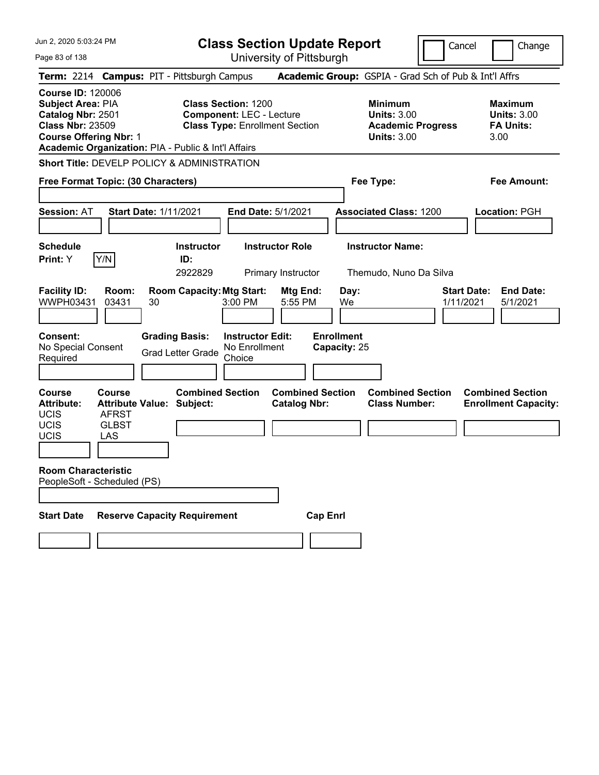Jun 2, 2020 5:03:24 PM Page 83 of 138 **Class Section Update Report** University of Pittsburgh **Term:** 2214 **Campus:** PIT - Pittsburgh Campus **Academic Group:** GSPIA - Grad Sch of Pub & Int'l Affrs **Course ID:** 120006 **Subject Area:** PIA **Class Section:** 1200 **Minimum Maximum Catalog Nbr:** 2501 **Component:** LEC - Lecture **Units:** 3.00 **Units:** 3.00 **Class Nbr:** 23509 **Class Type:** Enrollment Section **Academic Progress FA Units: Course Offering Nbr:** 1 **Units:** 3.00 3.00 **Academic Organization:** PIA - Public & Int'l Affairs **Short Title:** DEVELP POLICY & ADMINISTRATION

**Free Format Topic: (30 Characters) Fee Type: Fee Amount: Session:** AT **Start Date:** 1/11/2021 **End Date:** 5/1/2021 **Associated Class:** 1200 **Location:** PGH **Schedule Instructor Instructor Role Instructor Name: Print:**  $Y$   $|Y/N|$  **ID:** 2922829 Primary Instructor Themudo, Nuno Da Silva **Facility ID: Room: Room Capacity:Mtg Start: Mtg End: Day: Start Date: End Date:** WWPH03431 03431 30 3:00 PM 5:55 PM We 1/11/2021 5/1/2021 **Consent: Grading Basis: Instructor Edit: Enrollment** No Special Consent Grad Letter Grade No Enrollment Choice **Capacity:** 25 **Course Course Combined Section Combined Section Combined Section Combined Section Attribute: Attribute Value: Subject: Catalog Nbr: Class Number: Enrollment Capacity:**  UCIS AFRST UCIS GLBST UCIS LAS **Room Characteristic** PeopleSoft - Scheduled (PS) **Start Date Reserve Capacity Requirement Cap Enrl** 

Cancel Change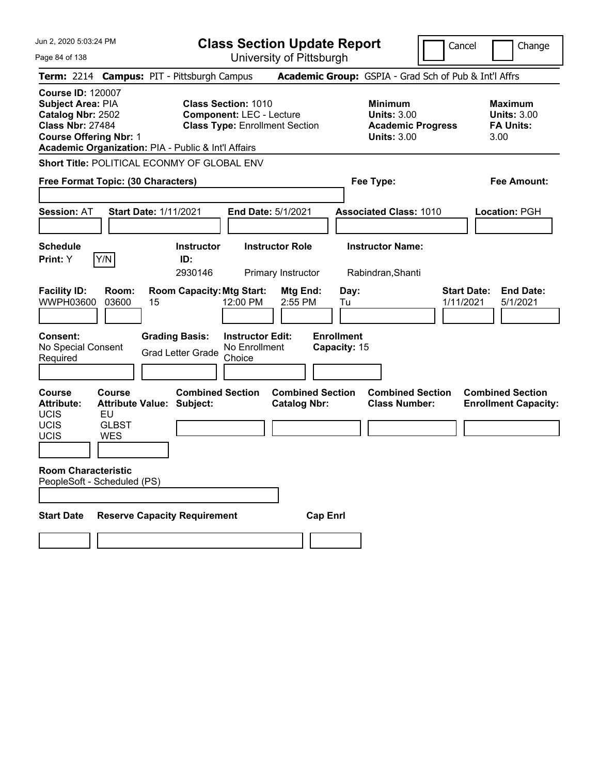Jun 2, 2020 5:03:24 PM Page 84 of 138 **Class Section Update Report** University of Pittsburgh Cancel Change **Term:** 2214 **Campus:** PIT - Pittsburgh Campus **Academic Group:** GSPIA - Grad Sch of Pub & Int'l Affrs **Course ID:** 120007 **Subject Area:** PIA **Class Section:** 1010 **Minimum Maximum Catalog Nbr:** 2502 **Component:** LEC - Lecture **Units:** 3.00 **Units:** 3.00 **Class Nbr:** 27484 **Class Type:** Enrollment Section **Academic Progress FA Units: Course Offering Nbr:** 1 **Units:** 3.00 3.00 **Academic Organization:** PIA - Public & Int'l Affairs **Short Title:** POLITICAL ECONMY OF GLOBAL ENV **Free Format Topic: (30 Characters) Fee Type: Fee Amount: Session:** AT **Start Date:** 1/11/2021 **End Date:** 5/1/2021 **Associated Class:** 1010 **Location:** PGH **Schedule Instructor Instructor Role Instructor Name: Print:**  $Y$   $|Y/N|$  **ID:** 2930146 Primary Instructor Rabindran,Shanti **Facility ID: Room: Room Capacity:Mtg Start: Mtg End: Day: Start Date: End Date:** WWPH03600 03600 15 12:00 PM 2:55 PM Tu 1/11/2021 5/1/2021 **Consent: Grading Basis: Instructor Edit: Enrollment** No Special Consent Grad Letter Grade No Enrollment Choice **Capacity:** 15 **Course Course Combined Section Combined Section Combined Section Combined Section Attribute: Attribute Value: Subject: Catalog Nbr: Class Number: Enrollment Capacity:**  UCIS EU UCIS GLBST UCIS WES **Room Characteristic** PeopleSoft - Scheduled (PS) **Start Date Reserve Capacity Requirement Cap Enrl**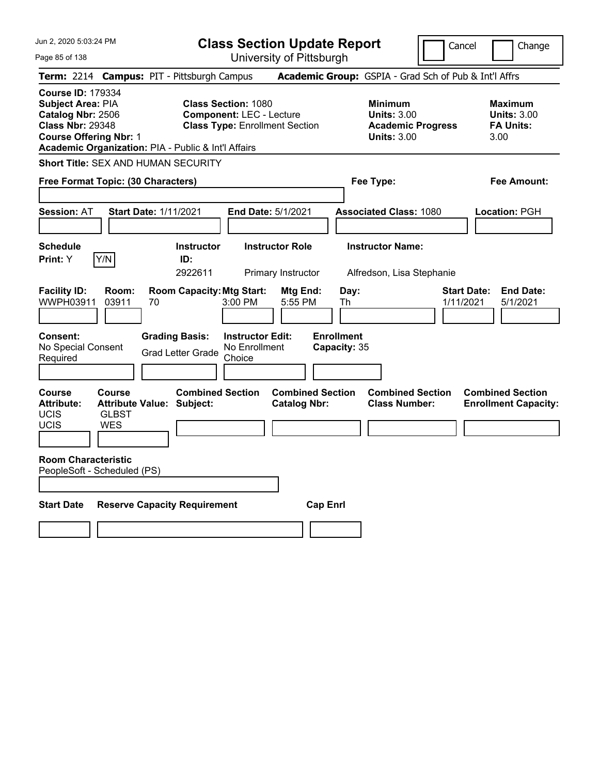Page 85 of 138

**Class Section Update Report**

Cancel Change

|                                                                                                                                |                                      | Term: 2214 Campus: PIT - Pittsburgh Campus                  |                                                                                                        | Academic Group: GSPIA - Grad Sch of Pub & Int'l Affrs                                  |                                                                  |
|--------------------------------------------------------------------------------------------------------------------------------|--------------------------------------|-------------------------------------------------------------|--------------------------------------------------------------------------------------------------------|----------------------------------------------------------------------------------------|------------------------------------------------------------------|
| <b>Course ID: 179334</b><br>Subject Area: PIA<br>Catalog Nbr: 2506<br><b>Class Nbr: 29348</b><br><b>Course Offering Nbr: 1</b> |                                      | Academic Organization: PIA - Public & Int'l Affairs         | <b>Class Section: 1080</b><br><b>Component: LEC - Lecture</b><br><b>Class Type: Enrollment Section</b> | <b>Minimum</b><br><b>Units: 3.00</b><br><b>Academic Progress</b><br><b>Units: 3.00</b> | <b>Maximum</b><br><b>Units: 3.00</b><br><b>FA Units:</b><br>3.00 |
|                                                                                                                                |                                      | <b>Short Title: SEX AND HUMAN SECURITY</b>                  |                                                                                                        |                                                                                        |                                                                  |
| Free Format Topic: (30 Characters)                                                                                             |                                      |                                                             |                                                                                                        | Fee Type:                                                                              | <b>Fee Amount:</b>                                               |
| <b>Session: AT</b>                                                                                                             |                                      | <b>Start Date: 1/11/2021</b>                                | End Date: 5/1/2021                                                                                     | <b>Associated Class: 1080</b>                                                          | Location: PGH                                                    |
| <b>Schedule</b><br><b>Print:</b> Y                                                                                             | Y/N                                  | <b>Instructor</b><br>ID:<br>2922611                         | <b>Instructor Role</b><br>Primary Instructor                                                           | <b>Instructor Name:</b><br>Alfredson, Lisa Stephanie                                   |                                                                  |
| <b>Facility ID:</b><br>WWPH03911                                                                                               | Room:<br>03911                       | <b>Room Capacity: Mtg Start:</b><br>70                      | <b>Mtg End:</b><br>3:00 PM<br>5:55 PM                                                                  | Day:<br>1/11/2021<br>Th                                                                | <b>End Date:</b><br><b>Start Date:</b><br>5/1/2021               |
| Consent:<br>No Special Consent<br>Required                                                                                     |                                      | <b>Grading Basis:</b><br><b>Grad Letter Grade</b>           | <b>Instructor Edit:</b><br>No Enrollment<br>Choice                                                     | <b>Enrollment</b><br>Capacity: 35                                                      |                                                                  |
| <b>Course</b><br><b>Attribute:</b><br><b>UCIS</b><br>UCIS                                                                      | Course<br><b>GLBST</b><br><b>WES</b> | <b>Combined Section</b><br><b>Attribute Value: Subject:</b> | <b>Combined Section</b><br><b>Catalog Nbr:</b>                                                         | <b>Combined Section</b><br><b>Class Number:</b>                                        | <b>Combined Section</b><br><b>Enrollment Capacity:</b>           |
| <b>Room Characteristic</b><br>PeopleSoft - Scheduled (PS)                                                                      |                                      |                                                             |                                                                                                        |                                                                                        |                                                                  |
| <b>Start Date</b>                                                                                                              |                                      | <b>Reserve Capacity Requirement</b>                         | <b>Cap Enrl</b>                                                                                        |                                                                                        |                                                                  |
|                                                                                                                                |                                      |                                                             |                                                                                                        |                                                                                        |                                                                  |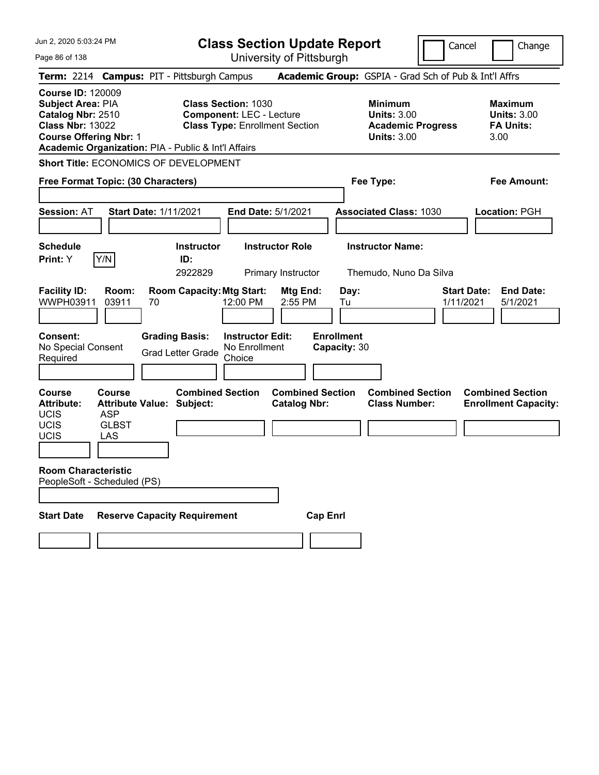Page 86 of 138

**Class Section Update Report**

Cancel **Change** 

|                                                                                                                                                                                              |                                             | Term: 2214 Campus: PIT - Pittsburgh Campus                  |                                                                                                        |                                                |                                                                                        | Academic Group: GSPIA - Grad Sch of Pub & Int'l Affrs |                                                                  |
|----------------------------------------------------------------------------------------------------------------------------------------------------------------------------------------------|---------------------------------------------|-------------------------------------------------------------|--------------------------------------------------------------------------------------------------------|------------------------------------------------|----------------------------------------------------------------------------------------|-------------------------------------------------------|------------------------------------------------------------------|
| <b>Course ID: 120009</b><br><b>Subject Area: PIA</b><br>Catalog Nbr: 2510<br><b>Class Nbr: 13022</b><br><b>Course Offering Nbr: 1</b><br>Academic Organization: PIA - Public & Int'l Affairs |                                             |                                                             | <b>Class Section: 1030</b><br><b>Component: LEC - Lecture</b><br><b>Class Type: Enrollment Section</b> |                                                | <b>Minimum</b><br><b>Units: 3.00</b><br><b>Academic Progress</b><br><b>Units: 3.00</b> |                                                       | <b>Maximum</b><br><b>Units: 3.00</b><br><b>FA Units:</b><br>3.00 |
|                                                                                                                                                                                              |                                             | Short Title: ECONOMICS OF DEVELOPMENT                       |                                                                                                        |                                                |                                                                                        |                                                       |                                                                  |
| Free Format Topic: (30 Characters)                                                                                                                                                           |                                             |                                                             |                                                                                                        |                                                | Fee Type:                                                                              |                                                       | Fee Amount:                                                      |
| <b>Session: AT</b>                                                                                                                                                                           |                                             | Start Date: 1/11/2021                                       | End Date: 5/1/2021                                                                                     |                                                | <b>Associated Class: 1030</b>                                                          |                                                       | Location: PGH                                                    |
| <b>Schedule</b><br>Print: Y                                                                                                                                                                  | Y/N                                         | <b>Instructor</b><br>ID:<br>2922829                         | <b>Instructor Role</b><br>Primary Instructor                                                           |                                                | <b>Instructor Name:</b>                                                                | Themudo, Nuno Da Silva                                |                                                                  |
| <b>Facility ID:</b><br>WWPH03911                                                                                                                                                             | Room:<br>03911                              | <b>Room Capacity: Mtg Start:</b><br>70                      | 12:00 PM                                                                                               | Mtg End:<br>2:55 PM                            | Day:<br>Tu                                                                             |                                                       | <b>End Date:</b><br><b>Start Date:</b><br>1/11/2021<br>5/1/2021  |
| <b>Consent:</b><br>No Special Consent<br>Required                                                                                                                                            |                                             | <b>Grading Basis:</b><br><b>Grad Letter Grade</b>           | <b>Instructor Edit:</b><br>No Enrollment<br>Choice                                                     |                                                | <b>Enrollment</b><br>Capacity: 30                                                      |                                                       |                                                                  |
| Course<br><b>Attribute:</b><br><b>UCIS</b><br>UCIS<br><b>UCIS</b>                                                                                                                            | Course<br><b>ASP</b><br><b>GLBST</b><br>LAS | <b>Combined Section</b><br><b>Attribute Value: Subject:</b> |                                                                                                        | <b>Combined Section</b><br><b>Catalog Nbr:</b> |                                                                                        | <b>Combined Section</b><br><b>Class Number:</b>       | <b>Combined Section</b><br><b>Enrollment Capacity:</b>           |
| <b>Room Characteristic</b><br>PeopleSoft - Scheduled (PS)                                                                                                                                    |                                             |                                                             |                                                                                                        |                                                |                                                                                        |                                                       |                                                                  |
| <b>Start Date</b>                                                                                                                                                                            |                                             | <b>Reserve Capacity Requirement</b>                         |                                                                                                        | <b>Cap Enri</b>                                |                                                                                        |                                                       |                                                                  |
|                                                                                                                                                                                              |                                             |                                                             |                                                                                                        |                                                |                                                                                        |                                                       |                                                                  |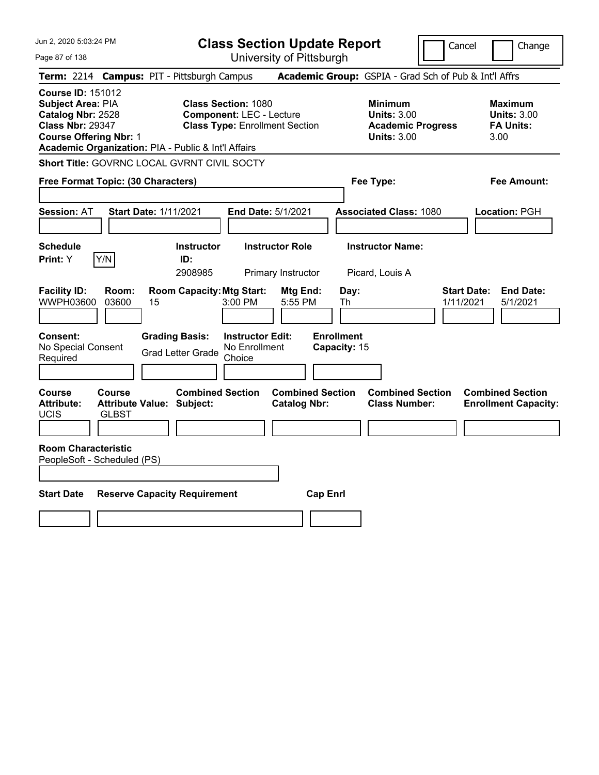Jun 2, 2020 5:03:24 PM Page 87 of 138 **Class Section Update Report** University of Pittsburgh Cancel Change **Term:** 2214 **Campus:** PIT - Pittsburgh Campus **Academic Group:** GSPIA - Grad Sch of Pub & Int'l Affrs **Course ID:** 151012 **Subject Area:** PIA **Class Section:** 1080 **Minimum Maximum Catalog Nbr:** 2528 **Component:** LEC - Lecture **Component: LEC - Lecture Beam Limits: 3.00 Units: 3.00**<br> **Class Nbr: 29347 Class Type:** Enrollment Section **Academic Progress** FA Units: **Class Type: Enrollment Section <b>Academic Progress FA Units: Course Offering Nbr:** 1 **Units:** 3.00 3.00 **Academic Organization:** PIA - Public & Int'l Affairs **Short Title:** GOVRNC LOCAL GVRNT CIVIL SOCTY **Free Format Topic: (30 Characters) Fee Type: Fee Amount: Session:** AT **Start Date:** 1/11/2021 **End Date:** 5/1/2021 **Associated Class:** 1080 **Location:** PGH **Schedule Instructor Instructor Role Instructor Name: Print:**  $Y$   $|Y/N|$  **ID:** 2908985 Primary Instructor Picard, Louis A **Facility ID: Room: Room Capacity:Mtg Start: Mtg End: Day: Start Date: End Date:** WWPH03600 03600 15 3:00 PM 5:55 PM Th 1/11/2021 5/1/2021 **Consent: Grading Basis: Instructor Edit: Enrollment** No Special Consent No Special Consent Grad Letter Grade No Enrollment<br>Required Choice Choice **Capacity:** 15 **Course Course Combined Section Combined Section Combined Section Combined Section**  Attribute: Attribute Value: Subject: Catalog Nbr: Class Number: Enrollment Capacity: UCIS GLBST **Room Characteristic** PeopleSoft - Scheduled (PS) **Start Date Reserve Capacity Requirement Cap Enrl**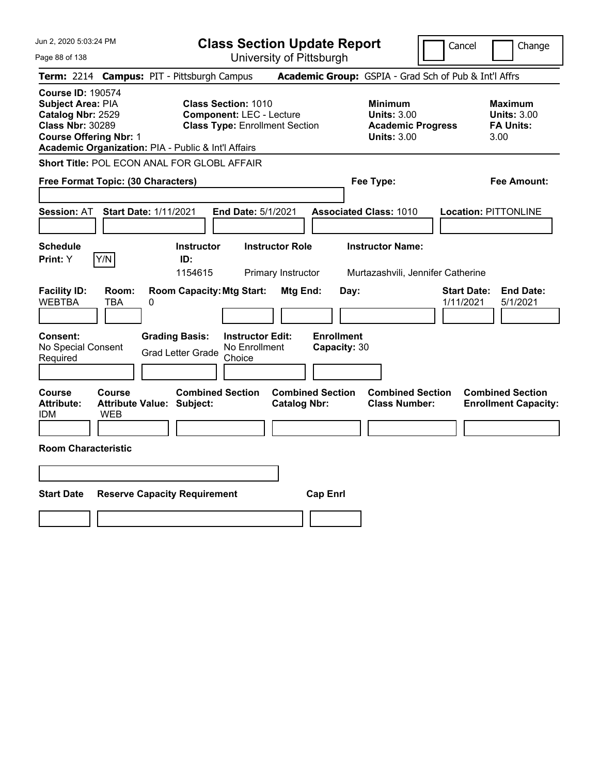Jun 2, 2020 5:03:24 PM Page 88 of 138 **Class Section Update Report** University of Pittsburgh Cancel Change **Term:** 2214 **Campus:** PIT - Pittsburgh Campus **Academic Group:** GSPIA - Grad Sch of Pub & Int'l Affrs **Course ID:** 190574 **Subject Area: PIA Class Section: 1010 Minimum Maximum <br>
<b>Catalog Nbr:** 2529 **Component:** LEC - Lecture **Units: 3.00** Units: 3.00 **Catalog Nbr: 2529 Component: LEC - Lecture Units: 3.00 Units: 3.00 Units: 3.00 Class Nbr: 30289 Class Type: Enrollment Section Academic Progress FA Units: Class Type: Enrollment Section <b>Academic Progress FA Units: Course Offering Nbr:** 1 **Units:** 3.00 3.00 **Academic Organization:** PIA - Public & Int'l Affairs **Short Title:** POL ECON ANAL FOR GLOBL AFFAIR **Free Format Topic: (30 Characters) Fee Type: Fee Amount: Session:** AT **Start Date:** 1/11/2021 **End Date:** 5/1/2021 **Associated Class:** 1010 **Location:** PITTONLINE **Schedule Instructor Instructor Role Instructor Name: Print:**  $Y$   $|Y/N|$  **ID:** 1154615 Primary Instructor Murtazashvili, Jennifer Catherine **Facility ID: Room: Room Capacity:Mtg Start: Mtg End: Day: Start Date: End Date:** WEBTBA TBA 0 1/11/2021 5/1/2021 **Consent: Grading Basis: Instructor Edit: Enrollment** No Special Consent Grad Letter Grade No Enrollment Choice **Capacity:** 30 **Course Course Combined Section Combined Section Combined Section Combined Section Attribute: Attribute Value: Subject: Catalog Nbr: Class Number: Enrollment Capacity:**  IDM WEB **Room Characteristic Start Date Reserve Capacity Requirement Cap Enrl**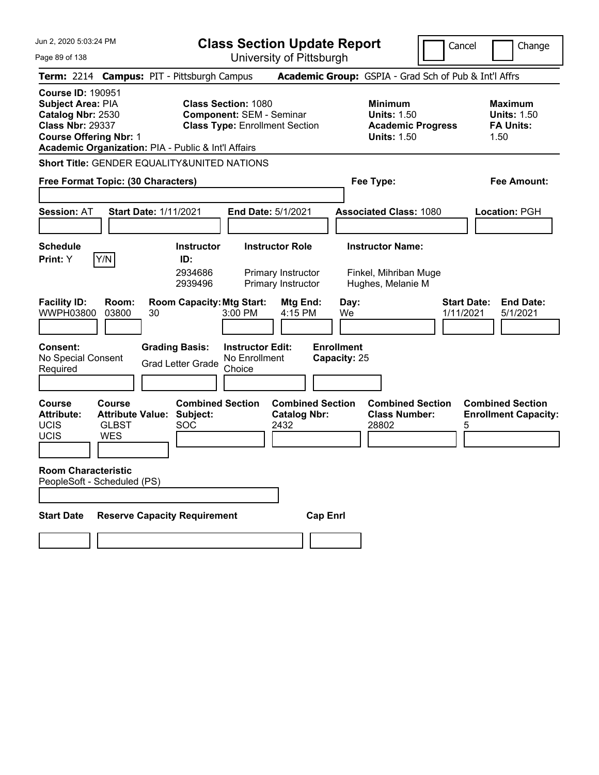**Class Section Update Report**

University of Pittsburgh

Cancel | Change

Page 89 of 138 **Term:** 2214 **Campus:** PIT - Pittsburgh Campus **Academic Group:** GSPIA - Grad Sch of Pub & Int'l Affrs **Course ID:** 190951 **Subject Area: PIA Class Section: 1080 Minimum 1080 Minimum 1080 Minimum 11881 Maximum Catalog Nbr: 2530 Component: SEM - Seminar** 150 **Units: 1.50 Units: 1.50 Catalog Nbr: 2530 Component: SEM - Seminar Component: SEM - Seminar Component: SEM - Seminar Component Component<br>
<b>Class Nbr: 29337** Class Type: Enrollment Section **Academic Progress** FA Units: **Class Type: Enrollment Section <b>Academic Progress Course Offering Nbr: 1 Course Offering Nbr: 1 Academic Organization:** PIA - Public & Int'l Affairs **Short Title:** GENDER EQUALITY&UNITED NATIONS

|                                                           | Free Format Topic: (30 Characters)                              |                                                   |                                                                    |                                                | Fee Type:                                                             | <b>Fee Amount:</b>              |                                                        |
|-----------------------------------------------------------|-----------------------------------------------------------------|---------------------------------------------------|--------------------------------------------------------------------|------------------------------------------------|-----------------------------------------------------------------------|---------------------------------|--------------------------------------------------------|
| <b>Session: AT</b>                                        | <b>Start Date: 1/11/2021</b>                                    |                                                   | <b>End Date: 5/1/2021</b>                                          |                                                | <b>Associated Class: 1080</b>                                         |                                 | <b>Location: PGH</b>                                   |
| <b>Schedule</b><br>Print: Y                               | Y/N                                                             | <b>Instructor</b><br>ID:<br>2934686<br>2939496    | <b>Instructor Role</b><br>Primary Instructor<br>Primary Instructor |                                                | <b>Instructor Name:</b><br>Finkel, Mihriban Muge<br>Hughes, Melanie M |                                 |                                                        |
| <b>Facility ID:</b><br>WWPH03800                          | Room:<br>03800<br>30                                            | <b>Room Capacity: Mtg Start:</b>                  | $3:00$ PM                                                          | Mtg End:<br>4:15 PM                            | Day:<br>We                                                            | <b>Start Date:</b><br>1/11/2021 | <b>End Date:</b><br>5/1/2021                           |
| Consent:<br>No Special Consent<br>Required                | <b>Grading Basis:</b>                                           | <b>Grad Letter Grade</b>                          | <b>Instructor Edit:</b><br>No Enrollment<br>Choice                 | <b>Enrollment</b><br>Capacity: 25              |                                                                       |                                 |                                                        |
| <b>Course</b><br><b>Attribute:</b><br>UCIS<br><b>UCIS</b> | Course<br><b>Attribute Value:</b><br><b>GLBST</b><br><b>WES</b> | <b>Combined Section</b><br>Subject:<br><b>SOC</b> | 2432                                                               | <b>Combined Section</b><br><b>Catalog Nbr:</b> | <b>Combined Section</b><br><b>Class Number:</b><br>28802              | 5                               | <b>Combined Section</b><br><b>Enrollment Capacity:</b> |
| <b>Room Characteristic</b><br>PeopleSoft - Scheduled (PS) |                                                                 |                                                   |                                                                    |                                                |                                                                       |                                 |                                                        |
| <b>Start Date</b>                                         | <b>Reserve Capacity Requirement</b>                             |                                                   |                                                                    | <b>Cap Enrl</b>                                |                                                                       |                                 |                                                        |
|                                                           |                                                                 |                                                   |                                                                    |                                                |                                                                       |                                 |                                                        |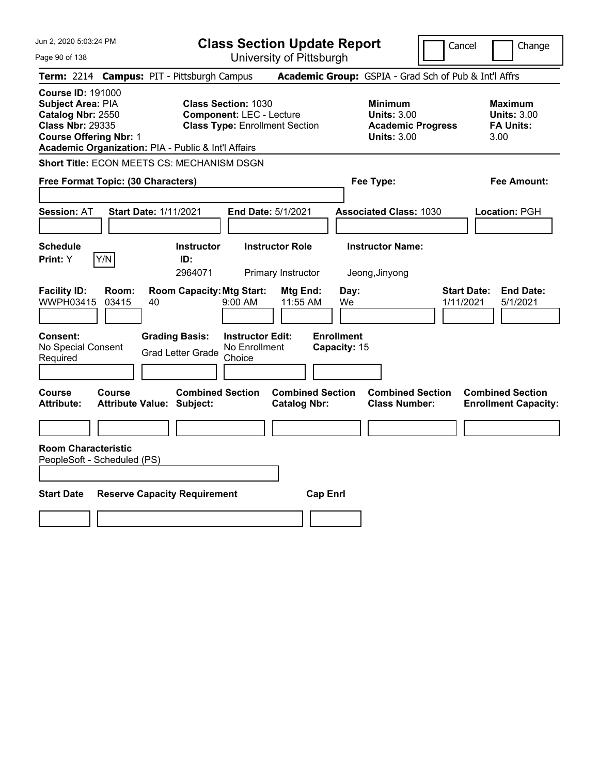| Jun 2, 2020 5:03:24 PM                                                                                                                                                                | <b>Class Section Update Report</b>                                                                      |                                                                                        | Change<br>Cancel                                                 |
|---------------------------------------------------------------------------------------------------------------------------------------------------------------------------------------|---------------------------------------------------------------------------------------------------------|----------------------------------------------------------------------------------------|------------------------------------------------------------------|
| Page 90 of 138                                                                                                                                                                        | University of Pittsburgh                                                                                |                                                                                        |                                                                  |
| <b>Term: 2214</b>                                                                                                                                                                     | <b>Campus: PIT - Pittsburgh Campus</b>                                                                  | Academic Group: GSPIA - Grad Sch of Pub & Int'l Affrs                                  |                                                                  |
| <b>Course ID: 191000</b><br>Subject Area: PIA<br>Catalog Nbr: 2550<br><b>Class Nbr: 29335</b><br><b>Course Offering Nbr: 1</b><br>Academic Organization: PIA - Public & Int'l Affairs | <b>Class Section: 1030</b><br><b>Component: LEC - Lecture</b><br><b>Class Type: Enrollment Section</b>  | <b>Minimum</b><br><b>Units: 3.00</b><br><b>Academic Progress</b><br><b>Units: 3.00</b> | <b>Maximum</b><br><b>Units: 3.00</b><br><b>FA Units:</b><br>3.00 |
| Short Title: ECON MEETS CS: MECHANISM DSGN                                                                                                                                            |                                                                                                         |                                                                                        |                                                                  |
| Free Format Topic: (30 Characters)                                                                                                                                                    |                                                                                                         | Fee Type:                                                                              | Fee Amount:                                                      |
| <b>Session: AT</b><br><b>Start Date: 1/11/2021</b>                                                                                                                                    | End Date: 5/1/2021                                                                                      | <b>Associated Class: 1030</b>                                                          | Location: PGH                                                    |
| <b>Schedule</b><br>Y/N<br>Print: Y                                                                                                                                                    | <b>Instructor Role</b><br><b>Instructor</b><br>ID:<br>2964071<br>Primary Instructor                     | <b>Instructor Name:</b><br>Jeong, Jinyong                                              |                                                                  |
| <b>Facility ID:</b><br>Room:<br>WWPH03415<br>03415<br>40                                                                                                                              | <b>Room Capacity: Mtg Start:</b><br>Mtg End:<br>$9:00$ AM<br>11:55 AM                                   | Day:<br>We                                                                             | <b>Start Date:</b><br><b>End Date:</b><br>1/11/2021<br>5/1/2021  |
| Consent:<br>No Special Consent<br>Required                                                                                                                                            | <b>Grading Basis:</b><br><b>Instructor Edit:</b><br>No Enrollment<br><b>Grad Letter Grade</b><br>Choice | <b>Enrollment</b><br>Capacity: 15                                                      |                                                                  |
| Course<br>Course<br><b>Attribute:</b><br><b>Attribute Value: Subject:</b>                                                                                                             | <b>Combined Section</b><br><b>Combined Section</b><br><b>Catalog Nbr:</b>                               | <b>Combined Section</b><br><b>Class Number:</b>                                        | <b>Combined Section</b><br><b>Enrollment Capacity:</b>           |
|                                                                                                                                                                                       |                                                                                                         |                                                                                        |                                                                  |
| <b>Room Characteristic</b><br>PeopleSoft - Scheduled (PS)                                                                                                                             |                                                                                                         |                                                                                        |                                                                  |
| <b>Start Date</b><br><b>Reserve Capacity Requirement</b>                                                                                                                              |                                                                                                         | <b>Cap Enrl</b>                                                                        |                                                                  |
|                                                                                                                                                                                       |                                                                                                         |                                                                                        |                                                                  |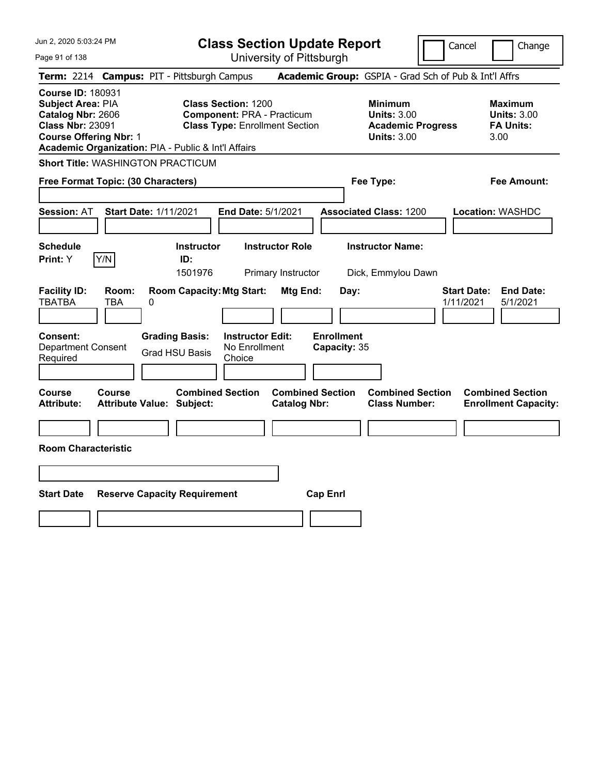| Jun 2, 2020 5:03:24 PM<br>Page 91 of 138                                                                                                                                              | <b>Class Section Update Report</b><br>University of Pittsburgh                                           |                                                                                        | Cancel<br>Change                                                 |
|---------------------------------------------------------------------------------------------------------------------------------------------------------------------------------------|----------------------------------------------------------------------------------------------------------|----------------------------------------------------------------------------------------|------------------------------------------------------------------|
| Term: 2214 Campus: PIT - Pittsburgh Campus                                                                                                                                            |                                                                                                          | Academic Group: GSPIA - Grad Sch of Pub & Int'l Affrs                                  |                                                                  |
| <b>Course ID: 180931</b><br>Subject Area: PIA<br>Catalog Nbr: 2606<br><b>Class Nbr: 23091</b><br><b>Course Offering Nbr: 1</b><br>Academic Organization: PIA - Public & Int'l Affairs | <b>Class Section: 1200</b><br><b>Component: PRA - Practicum</b><br><b>Class Type: Enrollment Section</b> | <b>Minimum</b><br><b>Units: 3.00</b><br><b>Academic Progress</b><br><b>Units: 3.00</b> | <b>Maximum</b><br><b>Units: 3.00</b><br><b>FA Units:</b><br>3.00 |
| <b>Short Title: WASHINGTON PRACTICUM</b>                                                                                                                                              |                                                                                                          |                                                                                        |                                                                  |
| Free Format Topic: (30 Characters)                                                                                                                                                    |                                                                                                          | Fee Type:                                                                              | <b>Fee Amount:</b>                                               |
| <b>Session: AT</b><br><b>Start Date: 1/11/2021</b>                                                                                                                                    | End Date: 5/1/2021                                                                                       | <b>Associated Class: 1200</b>                                                          | Location: WASHDC                                                 |
| <b>Schedule</b><br>Y/N<br>Print: Y<br>ID:<br>1501976                                                                                                                                  | <b>Instructor</b><br><b>Instructor Role</b><br>Primary Instructor                                        | <b>Instructor Name:</b><br>Dick, Emmylou Dawn                                          |                                                                  |
| <b>Facility ID:</b><br>Room:<br><b>TBATBA</b><br>TBA<br>0                                                                                                                             | <b>Room Capacity: Mtg Start:</b><br>Mtg End:                                                             | Day:                                                                                   | <b>End Date:</b><br><b>Start Date:</b><br>1/11/2021<br>5/1/2021  |
| <b>Consent:</b><br><b>Grading Basis:</b><br><b>Department Consent</b><br><b>Grad HSU Basis</b><br>Required                                                                            | <b>Enrollment</b><br><b>Instructor Edit:</b><br>No Enrollment<br>Choice                                  | Capacity: 35                                                                           |                                                                  |
| Course<br>Course<br><b>Attribute:</b><br><b>Attribute Value: Subject:</b>                                                                                                             | <b>Combined Section</b><br><b>Combined Section</b><br><b>Catalog Nbr:</b>                                | <b>Combined Section</b><br><b>Class Number:</b>                                        | <b>Combined Section</b><br><b>Enrollment Capacity:</b>           |
| <b>Room Characteristic</b>                                                                                                                                                            |                                                                                                          |                                                                                        |                                                                  |
|                                                                                                                                                                                       |                                                                                                          |                                                                                        |                                                                  |
|                                                                                                                                                                                       |                                                                                                          |                                                                                        |                                                                  |
| <b>Start Date</b><br><b>Reserve Capacity Requirement</b>                                                                                                                              | <b>Cap Enrl</b>                                                                                          |                                                                                        |                                                                  |
|                                                                                                                                                                                       |                                                                                                          |                                                                                        |                                                                  |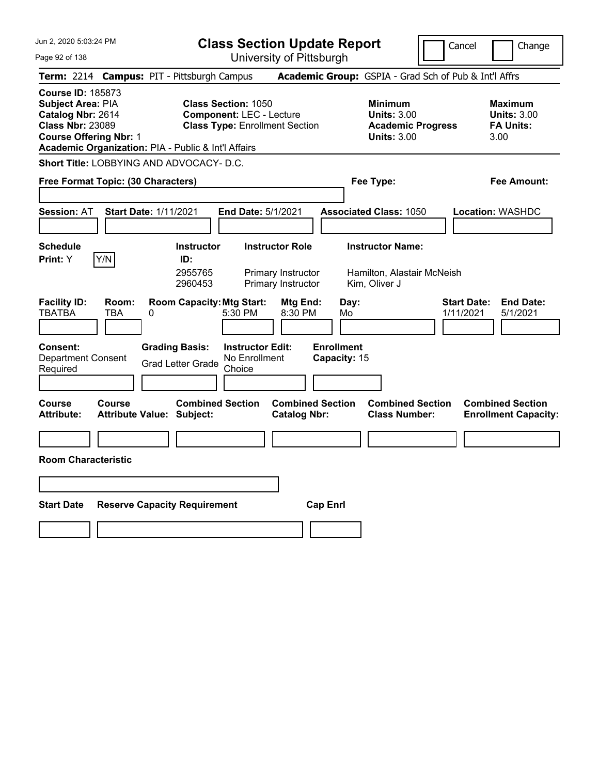**Class Section Update Report** University of Pittsburgh

Cancel Change

Page 92 of 138

|                                                                                                                                                                                       |                     |                                                             |                                                                                                        | University of Fillspurgh                                                  |                                   |                                                                                        |                                                                  |                                                                 |
|---------------------------------------------------------------------------------------------------------------------------------------------------------------------------------------|---------------------|-------------------------------------------------------------|--------------------------------------------------------------------------------------------------------|---------------------------------------------------------------------------|-----------------------------------|----------------------------------------------------------------------------------------|------------------------------------------------------------------|-----------------------------------------------------------------|
|                                                                                                                                                                                       |                     | Term: 2214 Campus: PIT - Pittsburgh Campus                  |                                                                                                        |                                                                           |                                   |                                                                                        |                                                                  | <b>Academic Group:</b> GSPIA - Grad Sch of Pub & Int'l Affrs    |
| <b>Course ID: 185873</b><br>Subject Area: PIA<br>Catalog Nbr: 2614<br><b>Class Nbr: 23089</b><br><b>Course Offering Nbr: 1</b><br>Academic Organization: PIA - Public & Int'l Affairs |                     |                                                             | <b>Class Section: 1050</b><br><b>Component: LEC - Lecture</b><br><b>Class Type: Enrollment Section</b> |                                                                           |                                   | <b>Minimum</b><br><b>Units: 3.00</b><br><b>Academic Progress</b><br><b>Units: 3.00</b> | <b>Maximum</b><br><b>Units: 3.00</b><br><b>FA Units:</b><br>3.00 |                                                                 |
|                                                                                                                                                                                       |                     | <b>Short Title: LOBBYING AND ADVOCACY- D.C.</b>             |                                                                                                        |                                                                           |                                   |                                                                                        |                                                                  |                                                                 |
| Free Format Topic: (30 Characters)                                                                                                                                                    |                     |                                                             |                                                                                                        |                                                                           |                                   | Fee Type:                                                                              |                                                                  | Fee Amount:                                                     |
| <b>Session: AT</b>                                                                                                                                                                    |                     | <b>Start Date: 1/11/2021</b>                                | <b>End Date: 5/1/2021</b>                                                                              |                                                                           |                                   | <b>Associated Class: 1050</b>                                                          |                                                                  | <b>Location: WASHDC</b>                                         |
| <b>Schedule</b><br><b>Print:</b> Y                                                                                                                                                    | Y/N                 | <b>Instructor</b><br>ID:<br>2955765<br>2960453              |                                                                                                        | <b>Instructor Role</b><br><b>Primary Instructor</b><br>Primary Instructor |                                   | <b>Instructor Name:</b><br>Hamilton, Alastair McNeish<br>Kim, Oliver J                 |                                                                  |                                                                 |
| <b>Facility ID:</b><br><b>TBATBA</b>                                                                                                                                                  | Room:<br><b>TBA</b> | <b>Room Capacity: Mtg Start:</b><br>0                       | 5:30 PM                                                                                                | Mtg End:<br>8:30 PM                                                       | Day:<br>Mo                        |                                                                                        |                                                                  | <b>Start Date:</b><br><b>End Date:</b><br>1/11/2021<br>5/1/2021 |
| Consent:<br>Department Consent<br>Required                                                                                                                                            |                     | <b>Grading Basis:</b><br><b>Grad Letter Grade</b>           | <b>Instructor Edit:</b><br>No Enrollment<br>Choice                                                     |                                                                           | <b>Enrollment</b><br>Capacity: 15 |                                                                                        |                                                                  |                                                                 |
| <b>Course</b><br><b>Attribute:</b>                                                                                                                                                    | <b>Course</b>       | <b>Combined Section</b><br><b>Attribute Value: Subject:</b> |                                                                                                        | <b>Combined Section</b><br><b>Catalog Nbr:</b>                            |                                   | <b>Combined Section</b><br><b>Class Number:</b>                                        |                                                                  | <b>Combined Section</b><br><b>Enrollment Capacity:</b>          |
| <b>Room Characteristic</b>                                                                                                                                                            |                     |                                                             |                                                                                                        |                                                                           |                                   |                                                                                        |                                                                  |                                                                 |
|                                                                                                                                                                                       |                     |                                                             |                                                                                                        |                                                                           |                                   |                                                                                        |                                                                  |                                                                 |
| <b>Start Date</b>                                                                                                                                                                     |                     | <b>Reserve Capacity Requirement</b>                         |                                                                                                        | <b>Cap Enrl</b>                                                           |                                   |                                                                                        |                                                                  |                                                                 |
|                                                                                                                                                                                       |                     |                                                             |                                                                                                        |                                                                           |                                   |                                                                                        |                                                                  |                                                                 |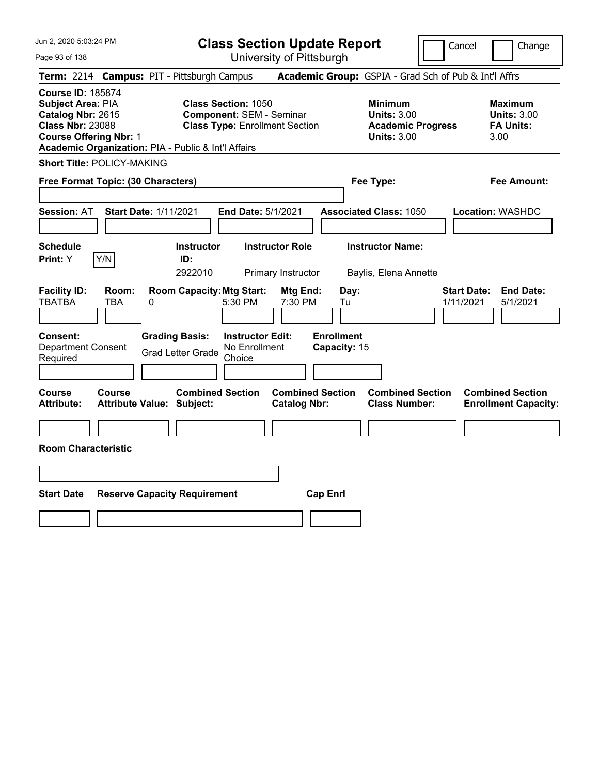Page 93 of 138

**Class Section Update Report**

Cancel Change

|                                                                                                                                |               | Term: 2214 Campus: PIT - Pittsburgh Campus                  |                                                                                                        |                                                | Academic Group: GSPIA - Grad Sch of Pub & Int'l Affrs                                  |                                 |                                                                  |
|--------------------------------------------------------------------------------------------------------------------------------|---------------|-------------------------------------------------------------|--------------------------------------------------------------------------------------------------------|------------------------------------------------|----------------------------------------------------------------------------------------|---------------------------------|------------------------------------------------------------------|
| <b>Course ID: 185874</b><br>Subject Area: PIA<br>Catalog Nbr: 2615<br><b>Class Nbr: 23088</b><br><b>Course Offering Nbr: 1</b> |               | Academic Organization: PIA - Public & Int'l Affairs         | <b>Class Section: 1050</b><br><b>Component: SEM - Seminar</b><br><b>Class Type: Enrollment Section</b> |                                                | <b>Minimum</b><br><b>Units: 3.00</b><br><b>Academic Progress</b><br><b>Units: 3.00</b> |                                 | <b>Maximum</b><br><b>Units: 3.00</b><br><b>FA Units:</b><br>3.00 |
| <b>Short Title: POLICY-MAKING</b>                                                                                              |               |                                                             |                                                                                                        |                                                |                                                                                        |                                 |                                                                  |
| Free Format Topic: (30 Characters)                                                                                             |               |                                                             |                                                                                                        |                                                | Fee Type:                                                                              |                                 | <b>Fee Amount:</b>                                               |
| <b>Session: AT</b>                                                                                                             |               | <b>Start Date: 1/11/2021</b>                                | End Date: 5/1/2021                                                                                     |                                                | <b>Associated Class: 1050</b>                                                          |                                 | <b>Location: WASHDC</b>                                          |
| <b>Schedule</b><br>Print: Y                                                                                                    | Y/N           | <b>Instructor</b><br>ID:<br>2922010                         | <b>Instructor Role</b><br>Primary Instructor                                                           |                                                | <b>Instructor Name:</b><br>Baylis, Elena Annette                                       |                                 |                                                                  |
| <b>Facility ID:</b><br><b>TBATBA</b>                                                                                           | Room:<br>TBA  | <b>Room Capacity: Mtg Start:</b><br>0                       | 5:30 PM                                                                                                | Mtg End:<br>7:30 PM<br>Tu                      | Day:                                                                                   | <b>Start Date:</b><br>1/11/2021 | <b>End Date:</b><br>5/1/2021                                     |
| <b>Consent:</b><br><b>Department Consent</b><br>Required                                                                       |               | <b>Grading Basis:</b><br><b>Grad Letter Grade</b>           | <b>Instructor Edit:</b><br>No Enrollment<br>Choice                                                     | <b>Enrollment</b><br>Capacity: 15              |                                                                                        |                                 |                                                                  |
| <b>Course</b><br><b>Attribute:</b>                                                                                             | <b>Course</b> | <b>Combined Section</b><br><b>Attribute Value: Subject:</b> |                                                                                                        | <b>Combined Section</b><br><b>Catalog Nbr:</b> | <b>Combined Section</b><br><b>Class Number:</b>                                        |                                 | <b>Combined Section</b><br><b>Enrollment Capacity:</b>           |
| <b>Room Characteristic</b>                                                                                                     |               |                                                             |                                                                                                        |                                                |                                                                                        |                                 |                                                                  |
|                                                                                                                                |               |                                                             |                                                                                                        |                                                |                                                                                        |                                 |                                                                  |
| <b>Start Date</b>                                                                                                              |               | <b>Reserve Capacity Requirement</b>                         |                                                                                                        | <b>Cap Enrl</b>                                |                                                                                        |                                 |                                                                  |
|                                                                                                                                |               |                                                             |                                                                                                        |                                                |                                                                                        |                                 |                                                                  |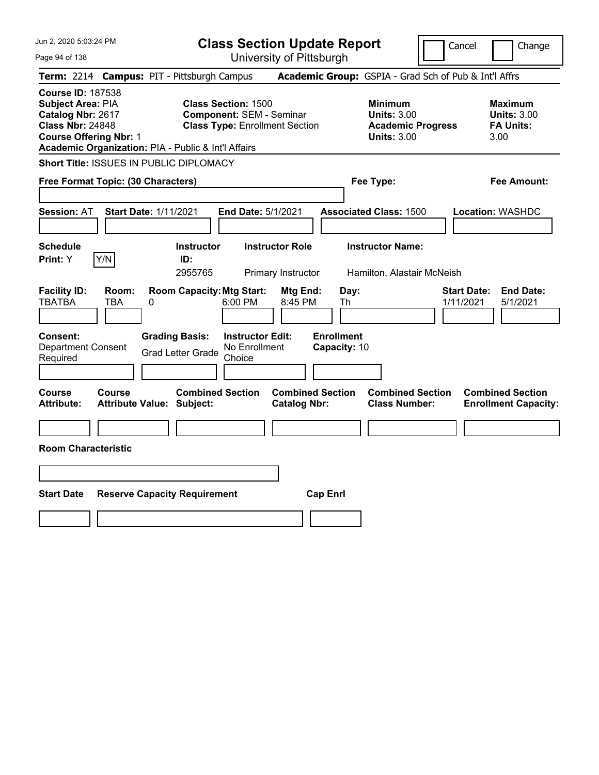| Jun 2, 2020 5:03:24 PM<br>Page 94 of 138                                                                                              |                                                          |                                                                                   | <b>Class Section Update Report</b><br>University of Pittsburgh                                              |                                                              |                                                                                        | Cancel                          | Change                                                           |
|---------------------------------------------------------------------------------------------------------------------------------------|----------------------------------------------------------|-----------------------------------------------------------------------------------|-------------------------------------------------------------------------------------------------------------|--------------------------------------------------------------|----------------------------------------------------------------------------------------|---------------------------------|------------------------------------------------------------------|
|                                                                                                                                       |                                                          | Term: 2214 Campus: PIT - Pittsburgh Campus                                        |                                                                                                             |                                                              | Academic Group: GSPIA - Grad Sch of Pub & Int'l Affrs                                  |                                 |                                                                  |
| <b>Course ID: 187538</b><br><b>Subject Area: PIA</b><br>Catalog Nbr: 2617<br><b>Class Nbr: 24848</b><br><b>Course Offering Nbr: 1</b> |                                                          | <b>Class Section: 1500</b><br>Academic Organization: PIA - Public & Int'l Affairs | <b>Component: SEM - Seminar</b><br><b>Class Type: Enrollment Section</b>                                    |                                                              | <b>Minimum</b><br><b>Units: 3.00</b><br><b>Academic Progress</b><br><b>Units: 3.00</b> |                                 | <b>Maximum</b><br><b>Units: 3.00</b><br><b>FA Units:</b><br>3.00 |
|                                                                                                                                       |                                                          | Short Title: ISSUES IN PUBLIC DIPLOMACY                                           |                                                                                                             |                                                              |                                                                                        |                                 |                                                                  |
|                                                                                                                                       | Free Format Topic: (30 Characters)                       |                                                                                   |                                                                                                             |                                                              | Fee Type:                                                                              |                                 | Fee Amount:                                                      |
| <b>Session: AT</b><br><b>Schedule</b><br>Print: Y<br><b>Facility ID:</b><br>TBATBA                                                    | <b>Start Date: 1/11/2021</b><br>Y/N<br>Room:<br>TBA<br>0 | <b>Instructor</b><br>ID:<br>2955765<br><b>Room Capacity: Mtg Start:</b>           | <b>End Date: 5/1/2021</b><br><b>Instructor Role</b><br>Primary Instructor<br>Mtg End:<br>6:00 PM<br>8:45 PM | Day:<br>Th                                                   | <b>Associated Class: 1500</b><br><b>Instructor Name:</b><br>Hamilton, Alastair McNeish | <b>Start Date:</b><br>1/11/2021 | Location: WASHDC<br><b>End Date:</b><br>5/1/2021                 |
| <b>Consent:</b><br><b>Department Consent</b><br>Required<br><b>Course</b><br><b>Attribute:</b>                                        | <b>Course</b><br><b>Attribute Value: Subject:</b>        | <b>Grading Basis:</b><br><b>Grad Letter Grade</b><br><b>Combined Section</b>      | <b>Instructor Edit:</b><br>No Enrollment<br>Choice<br><b>Catalog Nbr:</b>                                   | <b>Enrollment</b><br>Capacity: 10<br><b>Combined Section</b> | <b>Combined Section</b><br><b>Class Number:</b>                                        |                                 | <b>Combined Section</b><br><b>Enrollment Capacity:</b>           |
| <b>Room Characteristic</b>                                                                                                            |                                                          |                                                                                   |                                                                                                             |                                                              |                                                                                        |                                 |                                                                  |
| <b>Start Date</b>                                                                                                                     |                                                          | <b>Reserve Capacity Requirement</b>                                               |                                                                                                             | <b>Cap Enrl</b>                                              |                                                                                        |                                 |                                                                  |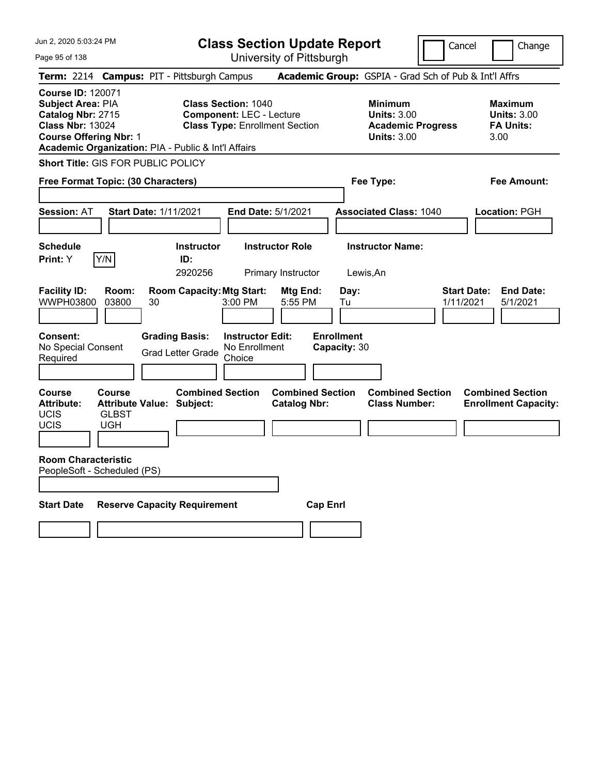Jun 2, 2020 5:03:24 PM Page 95 of 138 **Class Section Update Report** University of Pittsburgh Cancel | Change **Term:** 2214 **Campus:** PIT - Pittsburgh Campus **Academic Group:** GSPIA - Grad Sch of Pub & Int'l Affrs **Course ID:** 120071 **Subject Area: PIA Class Section: 1040 Minimum Maximum Maximum <b>Catalog Nbr:** 2715 Component: LEC - Lecture **Units: 3.00** Units: 3.00 **Catalog Nbr:** 2715 **Component:** LEC - Lecture **Units:** 3.00 **Units:** 3.00 **Class Type: Enrollment Section <b>Academic Progress FA Units: Course Offering Nbr:** 1 **Units:** 3.00 3.00 **Academic Organization:** PIA - Public & Int'l Affairs **Short Title:** GIS FOR PUBLIC POLICY **Free Format Topic: (30 Characters) Fee Type: Fee Amount: Session:** AT **Start Date:** 1/11/2021 **End Date:** 5/1/2021 **Associated Class:** 1040 **Location:** PGH **Schedule Instructor Instructor Role Instructor Name: Print:**  $Y$   $|Y/N|$  **ID:** 2920256 Primary Instructor Lewis,An **Facility ID: Room: Room Capacity:Mtg Start: Mtg End: Day: Start Date: End Date:** WWPH03800 03800 30 3:00 PM 5:55 PM Tu 1/11/2021 5/1/2021 **Consent: Grading Basis: Instructor Edit: Enrollment** No Special Consent Grad Letter Grade No Enrollment Choice **Capacity:** 30 **Course Course Combined Section Combined Section Combined Section Combined Section**  Attribute: Attribute Value: Subject: Catalog Nbr: Class Number: Enrollment Capacity: UCIS GLBST UCIS UGH **Room Characteristic** PeopleSoft - Scheduled (PS) **Start Date Reserve Capacity Requirement Cap Enrl**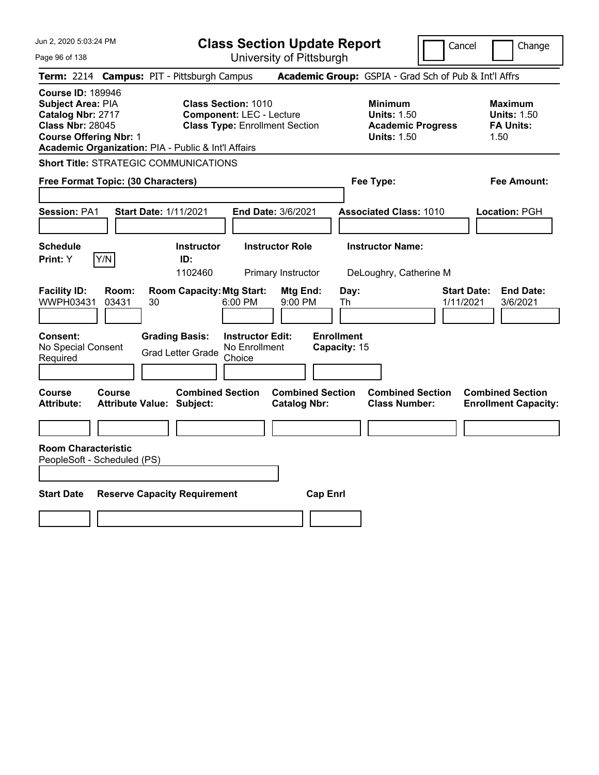Page 96 of 138

**Class Section Update Report**

Cancel Change

|                                                                                                                                       |                | Term: 2214 Campus: PIT - Pittsburgh Campus                  |                                                                                                        | Academic Group: GSPIA - Grad Sch of Pub & Int'l Affrs                                  |                                 |                                                                  |
|---------------------------------------------------------------------------------------------------------------------------------------|----------------|-------------------------------------------------------------|--------------------------------------------------------------------------------------------------------|----------------------------------------------------------------------------------------|---------------------------------|------------------------------------------------------------------|
| <b>Course ID: 189946</b><br><b>Subject Area: PIA</b><br>Catalog Nbr: 2717<br><b>Class Nbr: 28045</b><br><b>Course Offering Nbr: 1</b> |                | Academic Organization: PIA - Public & Int'l Affairs         | <b>Class Section: 1010</b><br><b>Component: LEC - Lecture</b><br><b>Class Type: Enrollment Section</b> | <b>Minimum</b><br><b>Units: 1.50</b><br><b>Academic Progress</b><br><b>Units: 1.50</b> |                                 | <b>Maximum</b><br><b>Units: 1.50</b><br><b>FA Units:</b><br>1.50 |
|                                                                                                                                       |                | <b>Short Title: STRATEGIC COMMUNICATIONS</b>                |                                                                                                        |                                                                                        |                                 |                                                                  |
| Free Format Topic: (30 Characters)                                                                                                    |                |                                                             |                                                                                                        | Fee Type:                                                                              |                                 | Fee Amount:                                                      |
| <b>Session: PA1</b>                                                                                                                   |                | <b>Start Date: 1/11/2021</b>                                | End Date: 3/6/2021                                                                                     | <b>Associated Class: 1010</b>                                                          |                                 | Location: PGH                                                    |
| <b>Schedule</b><br>Print: Y                                                                                                           | Y/N            | <b>Instructor</b><br>ID:<br>1102460                         | <b>Instructor Role</b><br>Primary Instructor                                                           | <b>Instructor Name:</b><br>DeLoughry, Catherine M                                      |                                 |                                                                  |
| <b>Facility ID:</b><br>WWPH03431                                                                                                      | Room:<br>03431 | <b>Room Capacity: Mtg Start:</b><br>30                      | Mtg End:<br>6:00 PM<br>9:00 PM                                                                         | Day:<br>Th                                                                             | <b>Start Date:</b><br>1/11/2021 | <b>End Date:</b><br>3/6/2021                                     |
| Consent:<br>No Special Consent<br>Required                                                                                            |                | <b>Grading Basis:</b><br><b>Grad Letter Grade</b>           | <b>Instructor Edit:</b><br>No Enrollment<br>Choice                                                     | <b>Enrollment</b><br>Capacity: 15                                                      |                                 |                                                                  |
| <b>Course</b><br><b>Attribute:</b>                                                                                                    | Course         | <b>Combined Section</b><br><b>Attribute Value: Subject:</b> | <b>Combined Section</b><br><b>Catalog Nbr:</b>                                                         | <b>Combined Section</b><br><b>Class Number:</b>                                        |                                 | <b>Combined Section</b><br><b>Enrollment Capacity:</b>           |
|                                                                                                                                       |                |                                                             |                                                                                                        |                                                                                        |                                 |                                                                  |
| <b>Room Characteristic</b><br>PeopleSoft - Scheduled (PS)                                                                             |                |                                                             |                                                                                                        |                                                                                        |                                 |                                                                  |
| <b>Start Date</b>                                                                                                                     |                | <b>Reserve Capacity Requirement</b>                         |                                                                                                        | <b>Cap Enri</b>                                                                        |                                 |                                                                  |
|                                                                                                                                       |                |                                                             |                                                                                                        |                                                                                        |                                 |                                                                  |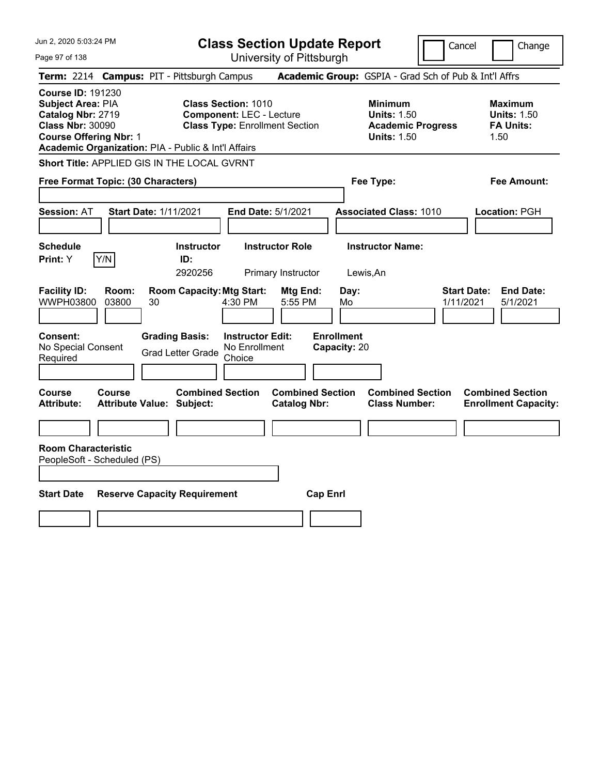Page 97 of 138

**Class Section Update Report**

Cancel Change

|                                                                                                                                |                | Term: 2214 Campus: PIT - Pittsburgh Campus                  |                                                                                                        | Academic Group: GSPIA - Grad Sch of Pub & Int'l Affrs                                  |                                                                  |
|--------------------------------------------------------------------------------------------------------------------------------|----------------|-------------------------------------------------------------|--------------------------------------------------------------------------------------------------------|----------------------------------------------------------------------------------------|------------------------------------------------------------------|
| <b>Course ID: 191230</b><br>Subject Area: PIA<br>Catalog Nbr: 2719<br><b>Class Nbr: 30090</b><br><b>Course Offering Nbr: 1</b> |                | Academic Organization: PIA - Public & Int'l Affairs         | <b>Class Section: 1010</b><br><b>Component: LEC - Lecture</b><br><b>Class Type: Enrollment Section</b> | <b>Minimum</b><br><b>Units: 1.50</b><br><b>Academic Progress</b><br><b>Units: 1.50</b> | <b>Maximum</b><br><b>Units: 1.50</b><br><b>FA Units:</b><br>1.50 |
|                                                                                                                                |                | Short Title: APPLIED GIS IN THE LOCAL GVRNT                 |                                                                                                        |                                                                                        |                                                                  |
| Free Format Topic: (30 Characters)                                                                                             |                |                                                             |                                                                                                        | Fee Type:                                                                              | Fee Amount:                                                      |
| Session: AT                                                                                                                    |                | <b>Start Date: 1/11/2021</b>                                | End Date: 5/1/2021                                                                                     | <b>Associated Class: 1010</b>                                                          | Location: PGH                                                    |
| <b>Schedule</b><br>Print: Y                                                                                                    | Y/N            | <b>Instructor</b><br>ID:<br>2920256                         | <b>Instructor Role</b><br>Primary Instructor                                                           | <b>Instructor Name:</b><br>Lewis, An                                                   |                                                                  |
| <b>Facility ID:</b><br>WWPH03800                                                                                               | Room:<br>03800 | <b>Room Capacity: Mtg Start:</b><br>30                      | Mtg End:<br>5:55 PM<br>4:30 PM                                                                         | Day:<br>1/11/2021<br>Mo                                                                | <b>Start Date:</b><br><b>End Date:</b><br>5/1/2021               |
| Consent:<br>No Special Consent<br>Required                                                                                     |                | <b>Grading Basis:</b><br><b>Grad Letter Grade</b>           | <b>Instructor Edit:</b><br>No Enrollment<br>Choice                                                     | <b>Enrollment</b><br>Capacity: 20                                                      |                                                                  |
| Course<br><b>Attribute:</b>                                                                                                    | Course         | <b>Combined Section</b><br><b>Attribute Value: Subject:</b> | <b>Combined Section</b><br><b>Catalog Nbr:</b>                                                         | <b>Combined Section</b><br><b>Class Number:</b>                                        | <b>Combined Section</b><br><b>Enrollment Capacity:</b>           |
|                                                                                                                                |                |                                                             |                                                                                                        |                                                                                        |                                                                  |
| <b>Room Characteristic</b><br>PeopleSoft - Scheduled (PS)                                                                      |                |                                                             |                                                                                                        |                                                                                        |                                                                  |
| <b>Start Date</b>                                                                                                              |                | <b>Reserve Capacity Requirement</b>                         | <b>Cap Enrl</b>                                                                                        |                                                                                        |                                                                  |
|                                                                                                                                |                |                                                             |                                                                                                        |                                                                                        |                                                                  |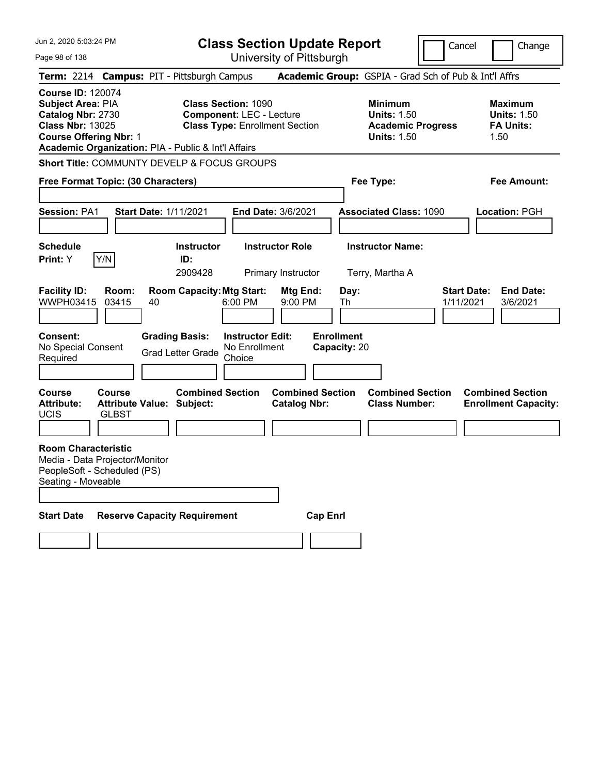Jun 2, 2020 5:03:24 PM Page 98 of 138 **Class Section Update Report** University of Pittsburgh Cancel Change **Term:** 2214 **Campus:** PIT - Pittsburgh Campus **Academic Group:** GSPIA - Grad Sch of Pub & Int'l Affrs **Course ID:** 120074 **Subject Area:** PIA **Class Section:** 1090 **Minimum Maximum Catalog Nbr:** 2730 **Component:** LEC - Lecture **Units:** 1.50 **Units:** 1.50 **Class Nbr:** 13025 **Class Type:** Enrollment Section **Academic Progress FA Units: Course Offering Nbr: 1 Course Offering Nbr: 1 Units: 1.50 Units: 1.50** 1.50 **Academic Organization:** PIA - Public & Int'l Affairs **Short Title:** COMMUNTY DEVELP & FOCUS GROUPS **Free Format Topic: (30 Characters) Fee Type: Fee Amount: Session:** PA1 **Start Date:** 1/11/2021 **End Date:** 3/6/2021 **Associated Class:** 1090 **Location:** PGH **Schedule Instructor Instructor Role Instructor Name: Print:**  $Y$   $|Y/N|$  **ID:** 2909428 Primary Instructor Terry, Martha A **Facility ID: Room: Room Capacity:Mtg Start: Mtg End: Day: Start Date: End Date:** WWPH03415 03415 40 6:00 PM 9:00 PM Th 1/11/2021 3/6/2021 **Consent: Grading Basis: Instructor Edit: Enrollment** No Special Consent Grad Letter Grade No Enrollment Choice **Capacity:** 20 **Course Course Combined Section Combined Section Combined Section Combined Section**  Attribute: Attribute Value: Subject: Catalog Nbr: Class Number: Enrollment Capacity: UCIS GLBST **Room Characteristic** Media - Data Projector/Monitor PeopleSoft - Scheduled (PS) Seating - Moveable **Start Date Reserve Capacity Requirement Cap Enrl**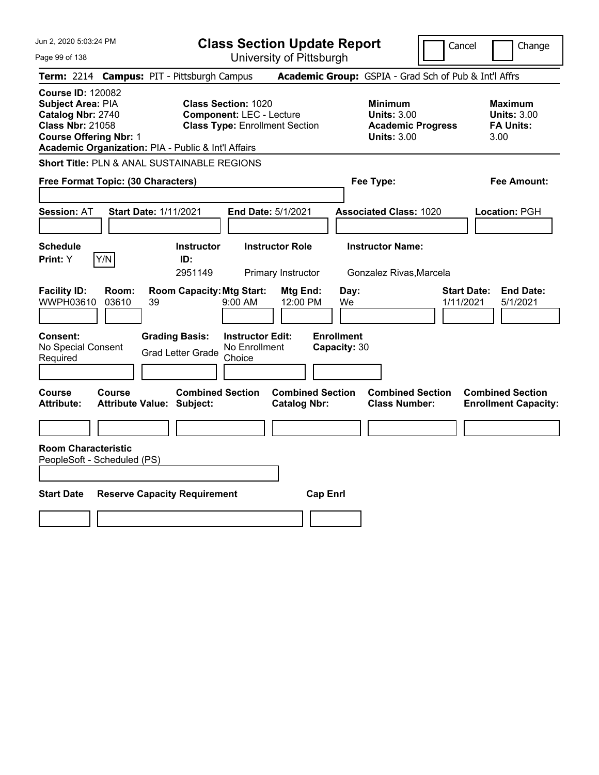Jun 2, 2020 5:03:24 PM Page 99 of 138 **Class Section Update Report** University of Pittsburgh Cancel Change **Term:** 2214 **Campus:** PIT - Pittsburgh Campus **Academic Group:** GSPIA - Grad Sch of Pub & Int'l Affrs **Course ID:** 120082 **Subject Area: PIA Class Section: 1020 Minimum Maximum Maximum Catalog Nbr:** 2740 **Component:** LEC - Lecture **Units:** 3.00 **Units:** 3.00 **Class Nbr:** 21058 **Class Type:** Enrollment Section **Academic Progress FA Units: Course Offering Nbr:** 1 **Units:** 3.00 3.00 **Academic Organization:** PIA - Public & Int'l Affairs **Short Title:** PLN & ANAL SUSTAINABLE REGIONS **Free Format Topic: (30 Characters) Fee Type: Fee Amount: Session:** AT **Start Date:** 1/11/2021 **End Date:** 5/1/2021 **Associated Class:** 1020 **Location:** PGH **Schedule Instructor Instructor Role Instructor Name: Print:**  $Y$   $|Y/N|$  **ID:** 2951149 Primary Instructor Gonzalez Rivas,Marcela **Facility ID: Room: Room Capacity:Mtg Start: Mtg End: Day: Start Date: End Date:** WWPH03610 03610 39 9:00 AM 12:00 PM We 1/11/2021 5/1/2021 **Consent: Grading Basis: Instructor Edit: Enrollment** No Special Consent No Special Consent Grad Letter Grade No Enrollment<br>Required Choice Choice **Capacity:** 30 **Course Course Combined Section Combined Section Combined Section Combined Section Attribute: Attribute Value: Subject: Catalog Nbr: Class Number: Enrollment Capacity: Room Characteristic** PeopleSoft - Scheduled (PS) **Start Date Reserve Capacity Requirement Cap Enrl**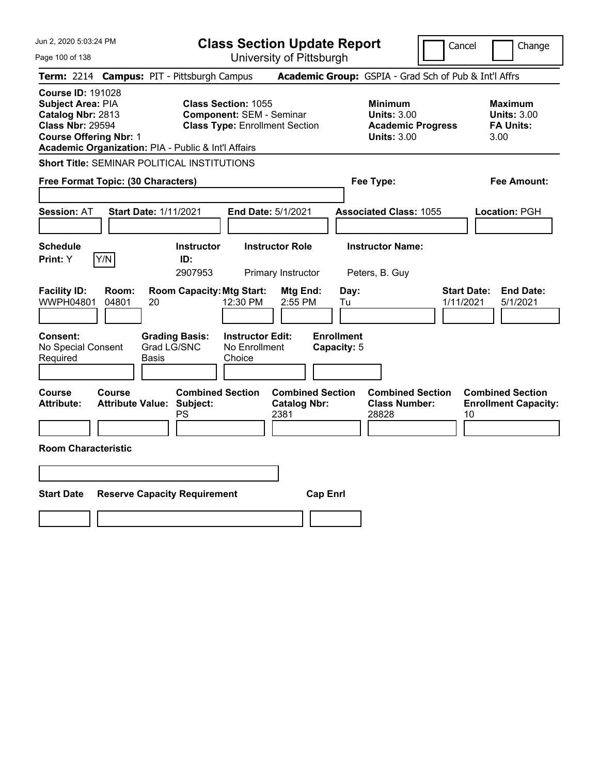Jun 2, 2020 5:03:24 PM Page 100 of 138 **Class Section Update Report** University of Pittsburgh Cancel | Change **Term:** 2214 **Campus:** PIT - Pittsburgh Campus **Academic Group:** GSPIA - Grad Sch of Pub & Int'l Affrs **Course ID:** 191028 **Subject Area: PIA Class Section: 1055 Minimum Maximum Maximum <br>
<b>Catalog Nbr:** 2813 Component: SEM - Seminar **Units: 3.00** Units: 3.00 **Catalog Nbr:** 2813 **Component:** SEM - Seminar **Units:** 3.00 **Units:** 3.00 **Class Type: Enrollment Section <b>Academic Progress FA Units: Course Offering Nbr:** 1 **Units:** 3.00 3.00 **Academic Organization:** PIA - Public & Int'l Affairs **Short Title:** SEMINAR POLITICAL INSTITUTIONS **Free Format Topic: (30 Characters) Fee Type: Fee Amount: Session:** AT **Start Date:** 1/11/2021 **End Date:** 5/1/2021 **Associated Class:** 1055 **Location:** PGH **Schedule Instructor Instructor Role Instructor Name: Print:**  $Y$   $|Y/N|$  **ID:** 2907953 Primary Instructor Peters, B. Guy **Facility ID: Room: Room Capacity:Mtg Start: Mtg End: Day: Start Date: End Date:** WWPH04801 04801 20 12:30 PM 2:55 PM Tu 1/11/2021 5/1/2021 **Consent: Grading Basis: Instructor Edit: Enrollment** No Special Consent Required Grad LG/SNC Basis No Enrollment Choice **Capacity:** 5 **Course Course Combined Section Combined Section Combined Section Combined Section Attribute: Attribute Value: Subject: Catalog Nbr: Class Number: Enrollment Capacity:**  PS 2381 23828 28828 **Room Characteristic Start Date Reserve Capacity Requirement Cap Enrl**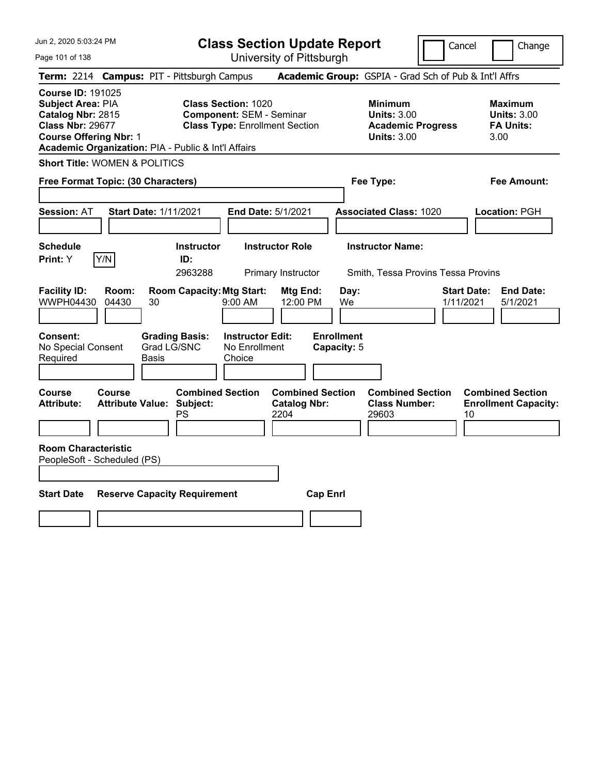| Jun 2, 2020 5:03:24 PM |  |  |  |  |  |
|------------------------|--|--|--|--|--|
|------------------------|--|--|--|--|--|

Page 101 of 138

**Class Section Update Report**

Cancel **Change** 

|                                                                                                                                |                | Term: 2214 Campus: PIT - Pittsburgh Campus                 |                                                                                                        |                                                        |                                                                                        | Academic Group: GSPIA - Grad Sch of Pub & Int'l Affrs         |                                 |                                                                  |
|--------------------------------------------------------------------------------------------------------------------------------|----------------|------------------------------------------------------------|--------------------------------------------------------------------------------------------------------|--------------------------------------------------------|----------------------------------------------------------------------------------------|---------------------------------------------------------------|---------------------------------|------------------------------------------------------------------|
| <b>Course ID: 191025</b><br>Subject Area: PIA<br>Catalog Nbr: 2815<br><b>Class Nbr: 29677</b><br><b>Course Offering Nbr: 1</b> |                | Academic Organization: PIA - Public & Int'l Affairs        | <b>Class Section: 1020</b><br><b>Component: SEM - Seminar</b><br><b>Class Type: Enrollment Section</b> |                                                        | <b>Minimum</b><br><b>Units: 3.00</b><br><b>Academic Progress</b><br><b>Units: 3.00</b> |                                                               |                                 | <b>Maximum</b><br><b>Units: 3.00</b><br><b>FA Units:</b><br>3.00 |
| <b>Short Title: WOMEN &amp; POLITICS</b>                                                                                       |                |                                                            |                                                                                                        |                                                        |                                                                                        |                                                               |                                 |                                                                  |
| Free Format Topic: (30 Characters)                                                                                             |                |                                                            |                                                                                                        |                                                        |                                                                                        | Fee Type:                                                     |                                 | Fee Amount:                                                      |
| <b>Session: AT</b>                                                                                                             |                | <b>Start Date: 1/11/2021</b>                               | <b>End Date: 5/1/2021</b>                                                                              |                                                        |                                                                                        | <b>Associated Class: 1020</b>                                 |                                 | <b>Location: PGH</b>                                             |
| <b>Schedule</b><br>Print: Y                                                                                                    | Y/N            | <b>Instructor</b><br>ID:<br>2963288                        |                                                                                                        | <b>Instructor Role</b><br>Primary Instructor           |                                                                                        | <b>Instructor Name:</b><br>Smith, Tessa Provins Tessa Provins |                                 |                                                                  |
| <b>Facility ID:</b><br>WWPH04430                                                                                               | Room:<br>04430 | <b>Room Capacity: Mtg Start:</b><br>30                     | $9:00 \, \text{AM}$                                                                                    | Mtg End:<br>12:00 PM                                   | Day:<br>We                                                                             |                                                               | <b>Start Date:</b><br>1/11/2021 | <b>End Date:</b><br>5/1/2021                                     |
| Consent:<br>No Special Consent<br>Required                                                                                     |                | <b>Grading Basis:</b><br>Grad LG/SNC<br><b>Basis</b>       | <b>Instructor Edit:</b><br>No Enrollment<br>Choice                                                     |                                                        | <b>Enrollment</b><br>Capacity: 5                                                       |                                                               |                                 |                                                                  |
| <b>Course</b><br><b>Attribute:</b>                                                                                             | <b>Course</b>  | <b>Combined Section</b><br>Attribute Value: Subject:<br>PS |                                                                                                        | <b>Combined Section</b><br><b>Catalog Nbr:</b><br>2204 |                                                                                        | <b>Combined Section</b><br><b>Class Number:</b><br>29603      | 10                              | <b>Combined Section</b><br><b>Enrollment Capacity:</b>           |
| <b>Room Characteristic</b><br>PeopleSoft - Scheduled (PS)                                                                      |                |                                                            |                                                                                                        |                                                        |                                                                                        |                                                               |                                 |                                                                  |
| <b>Start Date</b>                                                                                                              |                | <b>Reserve Capacity Requirement</b>                        |                                                                                                        | <b>Cap Enrl</b>                                        |                                                                                        |                                                               |                                 |                                                                  |
|                                                                                                                                |                |                                                            |                                                                                                        |                                                        |                                                                                        |                                                               |                                 |                                                                  |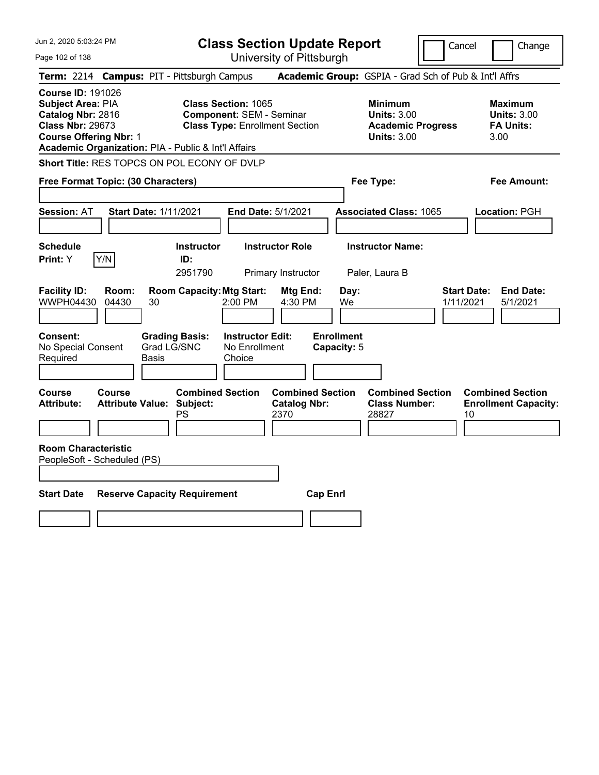Jun 2, 2020 5:03:24 PM Page 102 of 138 **Class Section Update Report** University of Pittsburgh Cancel | Change **Term:** 2214 **Campus:** PIT - Pittsburgh Campus **Academic Group:** GSPIA - Grad Sch of Pub & Int'l Affrs **Course ID:** 191026 **Subject Area:** PIA **Class Section:** 1065 **Minimum Maximum Catalog Nbr:** 2816 **Component:** SEM - Seminar **Units:** 3.00 **Units:** 3.00 **Class Type: Enrollment Section <b>Academic Progress FA Units: Course Offering Nbr:** 1 **Units:** 3.00 3.00 **Academic Organization:** PIA - Public & Int'l Affairs **Short Title:** RES TOPCS ON POL ECONY OF DVLP **Free Format Topic: (30 Characters) Fee Type: Fee Amount: Session:** AT **Start Date:** 1/11/2021 **End Date:** 5/1/2021 **Associated Class:** 1065 **Location:** PGH **Schedule Instructor Instructor Role Instructor Name: Print:**  $Y$   $|Y/N|$  **ID:** 2951790 Primary Instructor Paler, Laura B **Facility ID: Room: Room Capacity:Mtg Start: Mtg End: Day: Start Date: End Date:** WWPH04430 04430 30 2:00 PM 4:30 PM We 1/11/2021 5/1/2021 **Consent: Grading Basis: Instructor Edit: Enrollment** No Special Consent Required Grad LG/SNC Basis No Enrollment Choice **Capacity:** 5 **Course Course Combined Section Combined Section Combined Section Combined Section Attribute: Attribute Value: Subject: Catalog Nbr: Class Number: Enrollment Capacity:**  PS 2370 28827 10 **Room Characteristic** PeopleSoft - Scheduled (PS) **Start Date Reserve Capacity Requirement Cap Enrl**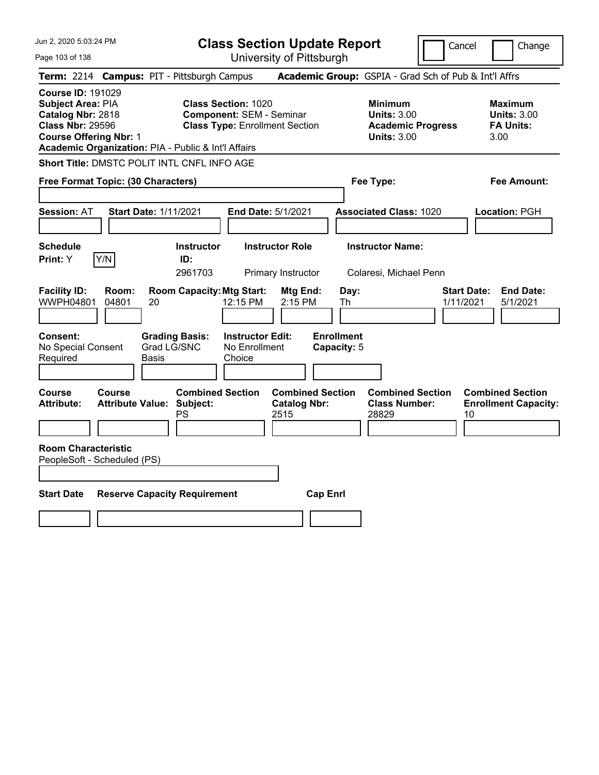|  | Jun 2, 2020 5:03:24 PM |  |
|--|------------------------|--|
|--|------------------------|--|

**Class Section Update Report** University of Pittsburgh

Cancel Change

Page 103 of 138

|                                                                                                                                                                                                                                                                                                        |                | Term: 2214 Campus: PIT - Pittsburgh Campus                        |                                                    |                                  | Academic Group: GSPIA - Grad Sch of Pub & Int'l Affrs                                  |                                                                  |
|--------------------------------------------------------------------------------------------------------------------------------------------------------------------------------------------------------------------------------------------------------------------------------------------------------|----------------|-------------------------------------------------------------------|----------------------------------------------------|----------------------------------|----------------------------------------------------------------------------------------|------------------------------------------------------------------|
| <b>Course ID: 191029</b><br><b>Class Section: 1020</b><br><b>Subject Area: PIA</b><br>Catalog Nbr: 2818<br><b>Component: SEM - Seminar</b><br><b>Class Nbr: 29596</b><br><b>Class Type: Enrollment Section</b><br><b>Course Offering Nbr: 1</b><br>Academic Organization: PIA - Public & Int'l Affairs |                |                                                                   |                                                    |                                  | <b>Minimum</b><br><b>Units: 3.00</b><br><b>Academic Progress</b><br><b>Units: 3.00</b> | <b>Maximum</b><br><b>Units: 3.00</b><br><b>FA Units:</b><br>3.00 |
|                                                                                                                                                                                                                                                                                                        |                | Short Title: DMSTC POLIT INTL CNFL INFO AGE                       |                                                    |                                  |                                                                                        |                                                                  |
| Free Format Topic: (30 Characters)                                                                                                                                                                                                                                                                     |                |                                                                   |                                                    |                                  | Fee Type:                                                                              | <b>Fee Amount:</b>                                               |
| <b>Session: AT</b>                                                                                                                                                                                                                                                                                     |                | <b>Start Date: 1/11/2021</b>                                      | End Date: 5/1/2021                                 |                                  | <b>Associated Class: 1020</b>                                                          | Location: PGH                                                    |
| <b>Schedule</b><br>Print: Y                                                                                                                                                                                                                                                                            | Y/N            | <b>Instructor</b><br>ID:<br>2961703                               | <b>Instructor Role</b><br>Primary Instructor       |                                  | <b>Instructor Name:</b><br>Colaresi, Michael Penn                                      |                                                                  |
| <b>Facility ID:</b><br>WWPH04801                                                                                                                                                                                                                                                                       | Room:<br>04801 | <b>Room Capacity: Mtg Start:</b><br>20                            | Mtg End:<br>12:15 PM<br>2:15 PM                    | Day:<br>Th                       |                                                                                        | <b>Start Date:</b><br><b>End Date:</b><br>1/11/2021<br>5/1/2021  |
| Consent:<br>No Special Consent<br>Required                                                                                                                                                                                                                                                             |                | <b>Grading Basis:</b><br>Grad LG/SNC<br>Basis                     | <b>Instructor Edit:</b><br>No Enrollment<br>Choice | <b>Enrollment</b><br>Capacity: 5 |                                                                                        |                                                                  |
| Course<br><b>Attribute:</b>                                                                                                                                                                                                                                                                            | Course         | <b>Combined Section</b><br><b>Attribute Value: Subject:</b><br>PS | <b>Catalog Nbr:</b><br>2515                        | <b>Combined Section</b>          | <b>Combined Section</b><br><b>Class Number:</b><br>28829                               | <b>Combined Section</b><br><b>Enrollment Capacity:</b><br>10     |
| <b>Room Characteristic</b><br>PeopleSoft - Scheduled (PS)                                                                                                                                                                                                                                              |                |                                                                   |                                                    |                                  |                                                                                        |                                                                  |
| <b>Start Date</b>                                                                                                                                                                                                                                                                                      |                | <b>Reserve Capacity Requirement</b>                               |                                                    | <b>Cap Enrl</b>                  |                                                                                        |                                                                  |
|                                                                                                                                                                                                                                                                                                        |                |                                                                   |                                                    |                                  |                                                                                        |                                                                  |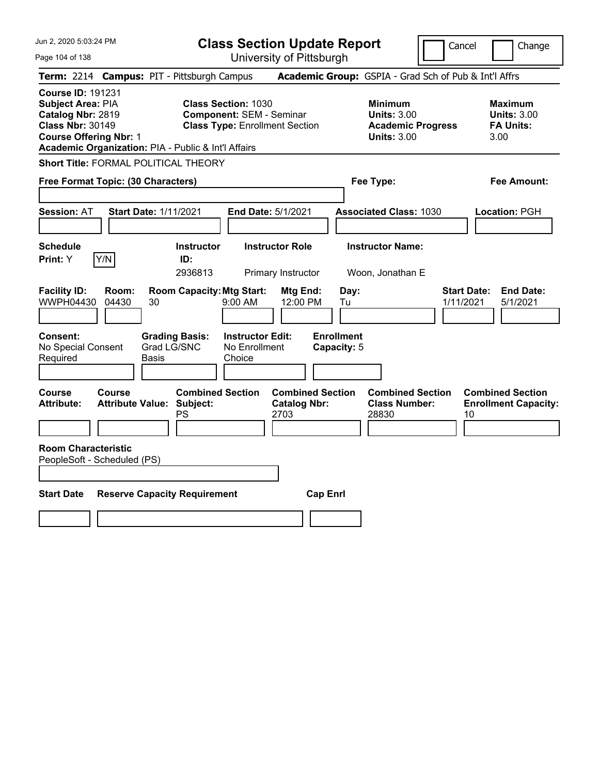|  | Jun 2, 2020 5:03:24 PM |  |
|--|------------------------|--|
|--|------------------------|--|

Page 104 of 138

**Class Section Update Report**

Cancel **Change** 

|                                                                                                                                |                |                                                                                         |                                                               | UNIVUOILY ULI ILLUUUI YN                               |                                                |                                                                                        |                                                                  |
|--------------------------------------------------------------------------------------------------------------------------------|----------------|-----------------------------------------------------------------------------------------|---------------------------------------------------------------|--------------------------------------------------------|------------------------------------------------|----------------------------------------------------------------------------------------|------------------------------------------------------------------|
|                                                                                                                                |                | Term: 2214 Campus: PIT - Pittsburgh Campus                                              |                                                               |                                                        |                                                | Academic Group: GSPIA - Grad Sch of Pub & Int'l Affrs                                  |                                                                  |
| <b>Course ID: 191231</b><br>Subject Area: PIA<br>Catalog Nbr: 2819<br><b>Class Nbr: 30149</b><br><b>Course Offering Nbr: 1</b> |                | Academic Organization: PIA - Public & Int'l Affairs                                     | <b>Class Section: 1030</b><br><b>Component: SEM - Seminar</b> | <b>Class Type: Enrollment Section</b>                  |                                                | <b>Minimum</b><br><b>Units: 3.00</b><br><b>Academic Progress</b><br><b>Units: 3.00</b> | <b>Maximum</b><br><b>Units: 3.00</b><br><b>FA Units:</b><br>3.00 |
|                                                                                                                                |                | Short Title: FORMAL POLITICAL THEORY                                                    |                                                               |                                                        |                                                |                                                                                        |                                                                  |
| Free Format Topic: (30 Characters)                                                                                             |                |                                                                                         |                                                               |                                                        | Fee Type:                                      |                                                                                        | Fee Amount:                                                      |
| <b>Session: AT</b>                                                                                                             |                | <b>Start Date: 1/11/2021</b>                                                            |                                                               | End Date: 5/1/2021                                     |                                                | <b>Associated Class: 1030</b>                                                          | Location: PGH                                                    |
| <b>Schedule</b><br>Print: Y                                                                                                    | Y/N            | <b>Instructor</b><br>ID:<br>2936813                                                     |                                                               | <b>Instructor Role</b><br>Primary Instructor           | <b>Instructor Name:</b><br>Woon, Jonathan E    |                                                                                        |                                                                  |
| <b>Facility ID:</b><br>WWPH04430<br>Consent:<br>No Special Consent<br>Required                                                 | Room:<br>04430 | <b>Room Capacity: Mtg Start:</b><br>30<br><b>Grading Basis:</b><br>Grad LG/SNC<br>Basis | 9:00 AM<br><b>Instructor Edit:</b><br>No Enrollment<br>Choice | Mtg End:<br>12:00 PM                                   | Day:<br>Tu<br><b>Enrollment</b><br>Capacity: 5 | 1/11/2021                                                                              | <b>Start Date:</b><br><b>End Date:</b><br>5/1/2021               |
| Course<br><b>Attribute:</b>                                                                                                    | Course         | <b>Combined Section</b><br><b>Attribute Value: Subject:</b><br>PS                       |                                                               | <b>Combined Section</b><br><b>Catalog Nbr:</b><br>2703 | 28830                                          | <b>Combined Section</b><br><b>Class Number:</b>                                        | <b>Combined Section</b><br><b>Enrollment Capacity:</b><br>10     |
| <b>Room Characteristic</b><br>PeopleSoft - Scheduled (PS)<br><b>Start Date</b>                                                 |                | <b>Reserve Capacity Requirement</b>                                                     |                                                               | <b>Cap Enrl</b>                                        |                                                |                                                                                        |                                                                  |
|                                                                                                                                |                |                                                                                         |                                                               |                                                        |                                                |                                                                                        |                                                                  |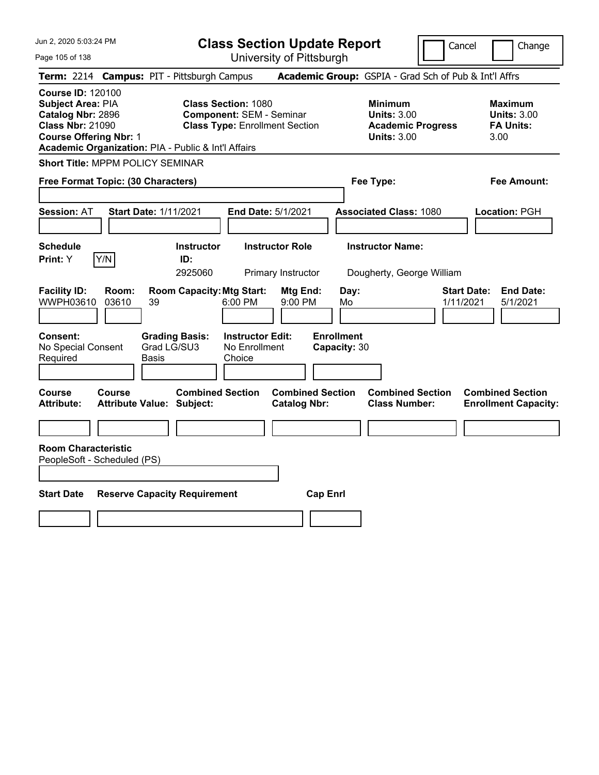**Class Section Update Report** University of Pittsburgh

Cancel Change

Page 105 of 138

**Term:** 2214 **Campus:** PIT - Pittsburgh Campus **Academic Group:** GSPIA - Grad Sch of Pub & Int'l Affrs **Course ID:** 120100 **Subject Area: PIA Class Section: 1080 Minimum Maximum Maximum <b>Catalog Nbr:** 2896 Component: SEM - Seminar **Units:** 3.00 Units: 3.00 **Catalog Nbr:** 2896 **Component:** SEM - Seminar **Units:** 3.00 **Units:** 3.00 **Class Type: Enrollment Section <b>Academic Progress FA Units: Course Offering Nbr:** 1 **Units:** 3.00 3.00 **Academic Organization:** PIA - Public & Int'l Affairs **Short Title:** MPPM POLICY SEMINAR **Free Format Topic: (30 Characters) Fee Type: Fee Amount: Session:** AT **Start Date:** 1/11/2021 **End Date:** 5/1/2021 **Associated Class:** 1080 **Location:** PGH **Schedule Instructor Instructor Role Instructor Name: Print:**  $Y$   $|Y/N|$  **ID:** 2925060 Primary Instructor Dougherty, George William **Facility ID: Room: Room Capacity:Mtg Start: Mtg End: Day: Start Date: End Date:** WWPH03610 03610 39 6:00 PM 9:00 PM Mo 1/11/2021 5/1/2021 **Consent: Grading Basis: Instructor Edit: Enrollment** No Special Consent Required Grad LG/SU3 Basis No Enrollment Choice **Capacity:** 30 **Course Course Combined Section Combined Section Combined Section Combined Section Attribute: Attribute Value: Subject: Catalog Nbr: Class Number: Enrollment Capacity: Room Characteristic** PeopleSoft - Scheduled (PS) **Start Date Reserve Capacity Requirement Cap Enrl**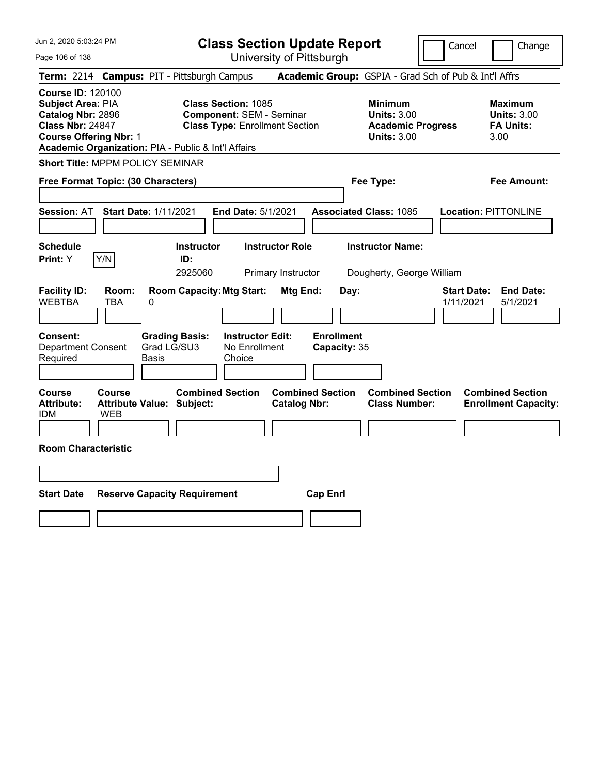|  | Jun 2, 2020 5:03:24 PM |  |
|--|------------------------|--|
|--|------------------------|--|

Page 106 of 138

**Class Section Update Report**

Cancel **Change** 

|                                                                                                                                |                     |                                                      |                                                                                                        | UNIVUOILY ULI ILLUUUI YN                     |                                   |                                                                                        |                                 |                                                                  |
|--------------------------------------------------------------------------------------------------------------------------------|---------------------|------------------------------------------------------|--------------------------------------------------------------------------------------------------------|----------------------------------------------|-----------------------------------|----------------------------------------------------------------------------------------|---------------------------------|------------------------------------------------------------------|
|                                                                                                                                |                     | Term: 2214 Campus: PIT - Pittsburgh Campus           |                                                                                                        |                                              |                                   | Academic Group: GSPIA - Grad Sch of Pub & Int'l Affrs                                  |                                 |                                                                  |
| <b>Course ID: 120100</b><br>Subject Area: PIA<br>Catalog Nbr: 2896<br><b>Class Nbr: 24847</b><br><b>Course Offering Nbr: 1</b> |                     | Academic Organization: PIA - Public & Int'l Affairs  | <b>Class Section: 1085</b><br><b>Component: SEM - Seminar</b><br><b>Class Type: Enrollment Section</b> |                                              |                                   | <b>Minimum</b><br><b>Units: 3.00</b><br><b>Academic Progress</b><br><b>Units: 3.00</b> |                                 | <b>Maximum</b><br><b>Units: 3.00</b><br><b>FA Units:</b><br>3.00 |
| Short Title: MPPM POLICY SEMINAR                                                                                               |                     |                                                      |                                                                                                        |                                              |                                   |                                                                                        |                                 |                                                                  |
| Free Format Topic: (30 Characters)                                                                                             |                     |                                                      |                                                                                                        |                                              |                                   | Fee Type:                                                                              |                                 | Fee Amount:                                                      |
| <b>Session: AT</b>                                                                                                             |                     | <b>Start Date: 1/11/2021</b>                         | <b>End Date: 5/1/2021</b>                                                                              |                                              |                                   | <b>Associated Class: 1085</b>                                                          |                                 | <b>Location: PITTONLINE</b>                                      |
| <b>Schedule</b><br>Print: Y                                                                                                    | Y/N                 | <b>Instructor</b><br>ID:<br>2925060                  |                                                                                                        | <b>Instructor Role</b><br>Primary Instructor |                                   | <b>Instructor Name:</b><br>Dougherty, George William                                   |                                 |                                                                  |
| <b>Facility ID:</b><br><b>WEBTBA</b>                                                                                           | Room:<br><b>TBA</b> | <b>Room Capacity: Mtg Start:</b><br>0                |                                                                                                        | Mtg End:                                     | Day:                              |                                                                                        | <b>Start Date:</b><br>1/11/2021 | <b>End Date:</b><br>5/1/2021                                     |
| <b>Consent:</b><br><b>Department Consent</b><br>Required                                                                       |                     | <b>Grading Basis:</b><br>Grad LG/SU3<br><b>Basis</b> | <b>Instructor Edit:</b><br>No Enrollment<br>Choice                                                     |                                              | <b>Enrollment</b><br>Capacity: 35 |                                                                                        |                                 |                                                                  |
| <b>Course</b><br><b>Attribute:</b><br>IDM                                                                                      | Course<br>WEB       | <b>Attribute Value: Subject:</b>                     | <b>Combined Section</b>                                                                                | <b>Catalog Nbr:</b>                          | <b>Combined Section</b>           | <b>Combined Section</b><br><b>Class Number:</b>                                        |                                 | <b>Combined Section</b><br><b>Enrollment Capacity:</b>           |
| <b>Room Characteristic</b>                                                                                                     |                     |                                                      |                                                                                                        |                                              |                                   |                                                                                        |                                 |                                                                  |
|                                                                                                                                |                     |                                                      |                                                                                                        |                                              |                                   |                                                                                        |                                 |                                                                  |
| <b>Start Date</b>                                                                                                              |                     | <b>Reserve Capacity Requirement</b>                  |                                                                                                        |                                              | <b>Cap Enrl</b>                   |                                                                                        |                                 |                                                                  |
|                                                                                                                                |                     |                                                      |                                                                                                        |                                              |                                   |                                                                                        |                                 |                                                                  |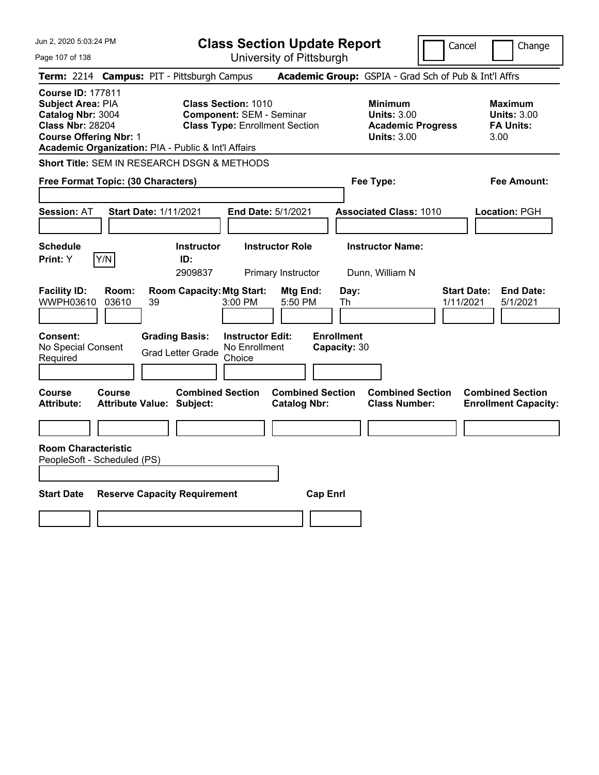| Jun 2, 2020 5:03:24 PM                                                                                                                                                                | <b>Class Section Update Report</b>                                                                      |                                                                                        | Change<br>Cancel                                                 |
|---------------------------------------------------------------------------------------------------------------------------------------------------------------------------------------|---------------------------------------------------------------------------------------------------------|----------------------------------------------------------------------------------------|------------------------------------------------------------------|
| Page 107 of 138                                                                                                                                                                       | University of Pittsburgh                                                                                |                                                                                        |                                                                  |
| <b>Term: 2214</b>                                                                                                                                                                     | <b>Campus: PIT - Pittsburgh Campus</b>                                                                  | Academic Group: GSPIA - Grad Sch of Pub & Int'l Affrs                                  |                                                                  |
| <b>Course ID: 177811</b><br>Subject Area: PIA<br>Catalog Nbr: 3004<br><b>Class Nbr: 28204</b><br><b>Course Offering Nbr: 1</b><br>Academic Organization: PIA - Public & Int'l Affairs | <b>Class Section: 1010</b><br><b>Component: SEM - Seminar</b><br><b>Class Type: Enrollment Section</b>  | <b>Minimum</b><br><b>Units: 3.00</b><br><b>Academic Progress</b><br><b>Units: 3.00</b> | <b>Maximum</b><br><b>Units: 3.00</b><br><b>FA Units:</b><br>3.00 |
| Short Title: SEM IN RESEARCH DSGN & METHODS                                                                                                                                           |                                                                                                         |                                                                                        |                                                                  |
| Free Format Topic: (30 Characters)                                                                                                                                                    |                                                                                                         | Fee Type:                                                                              | Fee Amount:                                                      |
| <b>Session: AT</b><br><b>Start Date: 1/11/2021</b>                                                                                                                                    | End Date: 5/1/2021                                                                                      | <b>Associated Class: 1010</b>                                                          | Location: PGH                                                    |
| <b>Schedule</b><br>Y/N<br>Print: Y                                                                                                                                                    | <b>Instructor Role</b><br><b>Instructor</b><br>ID:<br>2909837<br>Primary Instructor                     | <b>Instructor Name:</b><br>Dunn, William N                                             |                                                                  |
| <b>Facility ID:</b><br>Room:<br>WWPH03610<br>03610<br>39                                                                                                                              | <b>Room Capacity: Mtg Start:</b><br>Mtg End:<br>3:00 PM<br>5:50 PM                                      | Day:<br>Th                                                                             | <b>Start Date:</b><br><b>End Date:</b><br>1/11/2021<br>5/1/2021  |
| Consent:<br>No Special Consent<br>Required                                                                                                                                            | <b>Grading Basis:</b><br><b>Instructor Edit:</b><br>No Enrollment<br><b>Grad Letter Grade</b><br>Choice | <b>Enrollment</b><br>Capacity: 30                                                      |                                                                  |
| Course<br>Course<br><b>Attribute:</b><br><b>Attribute Value: Subject:</b>                                                                                                             | <b>Combined Section</b><br><b>Combined Section</b><br><b>Catalog Nbr:</b>                               | <b>Combined Section</b><br><b>Class Number:</b>                                        | <b>Combined Section</b><br><b>Enrollment Capacity:</b>           |
|                                                                                                                                                                                       |                                                                                                         |                                                                                        |                                                                  |
| <b>Room Characteristic</b><br>PeopleSoft - Scheduled (PS)                                                                                                                             |                                                                                                         |                                                                                        |                                                                  |
| <b>Start Date</b><br><b>Reserve Capacity Requirement</b>                                                                                                                              |                                                                                                         | <b>Cap Enrl</b>                                                                        |                                                                  |
|                                                                                                                                                                                       |                                                                                                         |                                                                                        |                                                                  |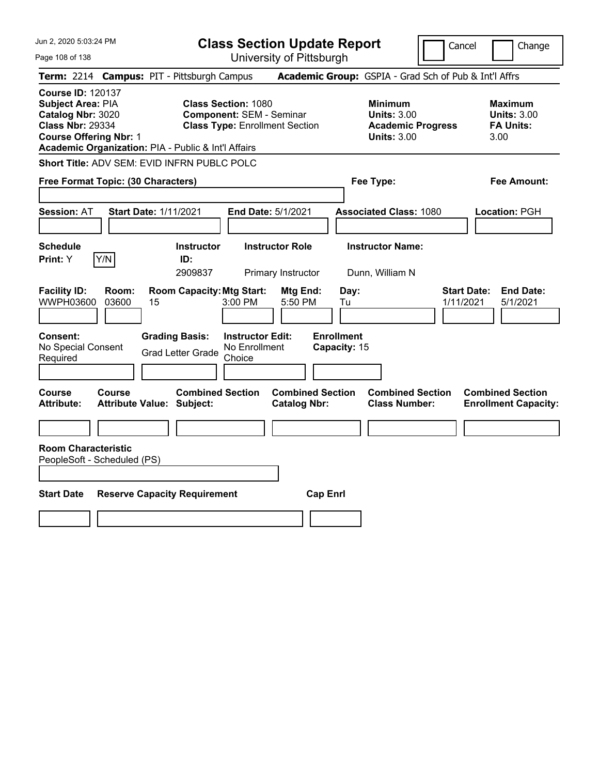| Jun 2, 2020 5:03:24 PM<br>Page 108 of 138                                                                                                                                                    | <b>Class Section Update Report</b><br>University of Pittsburgh                                          |                                                                                        | Cancel<br>Change                                                 |
|----------------------------------------------------------------------------------------------------------------------------------------------------------------------------------------------|---------------------------------------------------------------------------------------------------------|----------------------------------------------------------------------------------------|------------------------------------------------------------------|
| Term: 2214 Campus: PIT - Pittsburgh Campus                                                                                                                                                   |                                                                                                         | Academic Group: GSPIA - Grad Sch of Pub & Int'l Affrs                                  |                                                                  |
| <b>Course ID: 120137</b><br><b>Subject Area: PIA</b><br>Catalog Nbr: 3020<br><b>Class Nbr: 29334</b><br><b>Course Offering Nbr: 1</b><br>Academic Organization: PIA - Public & Int'l Affairs | <b>Class Section: 1080</b><br><b>Component: SEM - Seminar</b><br><b>Class Type: Enrollment Section</b>  | <b>Minimum</b><br><b>Units: 3.00</b><br><b>Academic Progress</b><br><b>Units: 3.00</b> | <b>Maximum</b><br><b>Units: 3.00</b><br><b>FA Units:</b><br>3.00 |
| Short Title: ADV SEM: EVID INFRN PUBLC POLC                                                                                                                                                  |                                                                                                         |                                                                                        |                                                                  |
| Free Format Topic: (30 Characters)                                                                                                                                                           |                                                                                                         | Fee Type:                                                                              | Fee Amount:                                                      |
| <b>Start Date: 1/11/2021</b><br><b>Session: AT</b>                                                                                                                                           | End Date: 5/1/2021                                                                                      | <b>Associated Class: 1080</b>                                                          | Location: PGH                                                    |
| <b>Schedule</b><br>Y/N<br><b>Print: Y</b>                                                                                                                                                    | <b>Instructor Role</b><br><b>Instructor</b><br>ID:<br>2909837<br>Primary Instructor                     | <b>Instructor Name:</b><br>Dunn, William N                                             |                                                                  |
| <b>Facility ID:</b><br>Room:<br>WWPH03600<br>03600<br>15                                                                                                                                     | <b>Room Capacity: Mtg Start:</b><br>Mtg End:<br>3:00 PM<br>5:50 PM                                      | Day:<br>Tu                                                                             | <b>Start Date:</b><br><b>End Date:</b><br>1/11/2021<br>5/1/2021  |
| Consent:<br>No Special Consent<br>Required                                                                                                                                                   | <b>Grading Basis:</b><br><b>Instructor Edit:</b><br>No Enrollment<br><b>Grad Letter Grade</b><br>Choice | <b>Enrollment</b><br>Capacity: 15                                                      |                                                                  |
| Course<br><b>Course</b><br><b>Attribute:</b><br><b>Attribute Value: Subject:</b>                                                                                                             | <b>Combined Section</b><br><b>Catalog Nbr:</b>                                                          | <b>Combined Section</b><br><b>Combined Section</b><br><b>Class Number:</b>             | <b>Combined Section</b><br><b>Enrollment Capacity:</b>           |
|                                                                                                                                                                                              |                                                                                                         |                                                                                        |                                                                  |
| <b>Room Characteristic</b><br>PeopleSoft - Scheduled (PS)                                                                                                                                    |                                                                                                         |                                                                                        |                                                                  |
| <b>Start Date</b><br><b>Reserve Capacity Requirement</b>                                                                                                                                     |                                                                                                         | <b>Cap Enrl</b>                                                                        |                                                                  |
|                                                                                                                                                                                              |                                                                                                         |                                                                                        |                                                                  |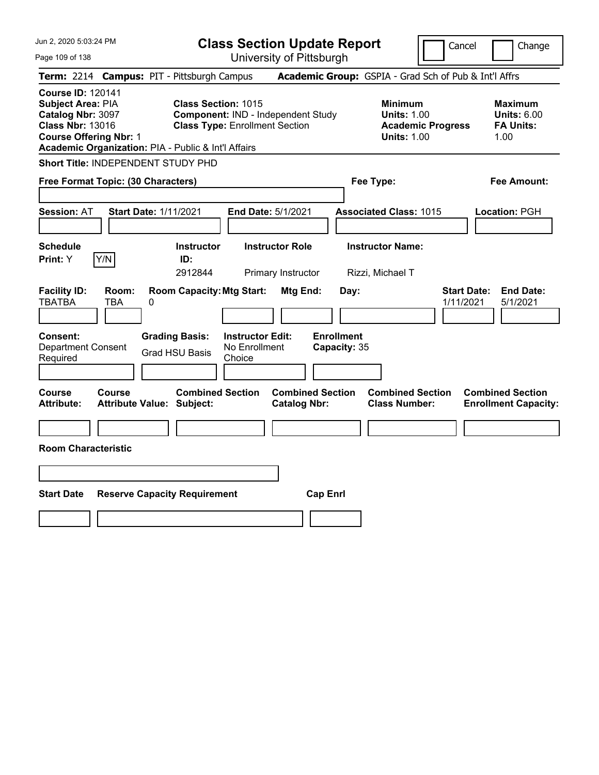| Jun 2, 2020 5:03:24 PM                                                                                                                                                                |                                                                     | <b>Class Section Update Report</b>                                            |                                                                                        | Cancel<br>Change                                                 |  |  |
|---------------------------------------------------------------------------------------------------------------------------------------------------------------------------------------|---------------------------------------------------------------------|-------------------------------------------------------------------------------|----------------------------------------------------------------------------------------|------------------------------------------------------------------|--|--|
| Page 109 of 138                                                                                                                                                                       |                                                                     | University of Pittsburgh                                                      |                                                                                        |                                                                  |  |  |
| Term: 2214 Campus: PIT - Pittsburgh Campus                                                                                                                                            |                                                                     |                                                                               | Academic Group: GSPIA - Grad Sch of Pub & Int'l Affrs                                  |                                                                  |  |  |
| <b>Course ID: 120141</b><br>Subject Area: PIA<br>Catalog Nbr: 3097<br><b>Class Nbr: 13016</b><br><b>Course Offering Nbr: 1</b><br>Academic Organization: PIA - Public & Int'l Affairs | <b>Class Section: 1015</b><br><b>Class Type: Enrollment Section</b> | Component: IND - Independent Study                                            | <b>Minimum</b><br><b>Units: 1.00</b><br><b>Academic Progress</b><br><b>Units: 1.00</b> | <b>Maximum</b><br><b>Units: 6.00</b><br><b>FA Units:</b><br>1.00 |  |  |
| Short Title: INDEPENDENT STUDY PHD                                                                                                                                                    |                                                                     |                                                                               |                                                                                        |                                                                  |  |  |
| Free Format Topic: (30 Characters)                                                                                                                                                    |                                                                     |                                                                               | Fee Type:                                                                              | Fee Amount:                                                      |  |  |
| <b>Session: AT</b>                                                                                                                                                                    | <b>Start Date: 1/11/2021</b>                                        | End Date: 5/1/2021                                                            | <b>Associated Class: 1015</b>                                                          | Location: PGH                                                    |  |  |
| <b>Schedule</b><br>Y/N<br>Print: Y                                                                                                                                                    | <b>Instructor</b><br>ID:<br>2912844                                 | <b>Instructor Role</b><br>Primary Instructor                                  | <b>Instructor Name:</b><br>Rizzi, Michael T                                            |                                                                  |  |  |
| <b>Facility ID:</b><br>Room:<br><b>TBATBA</b><br>TBA                                                                                                                                  | <b>Room Capacity: Mtg Start:</b><br>0                               | Mtg End:                                                                      | Day:                                                                                   | <b>Start Date:</b><br><b>End Date:</b><br>1/11/2021<br>5/1/2021  |  |  |
| <b>Consent:</b><br><b>Department Consent</b><br>Required                                                                                                                              | <b>Grading Basis:</b><br><b>Grad HSU Basis</b><br>Choice            | <b>Enrollment</b><br><b>Instructor Edit:</b><br>No Enrollment<br>Capacity: 35 |                                                                                        |                                                                  |  |  |
| <b>Course</b><br><b>Course</b><br><b>Attribute:</b>                                                                                                                                   | <b>Combined Section</b><br><b>Attribute Value: Subject:</b>         | <b>Combined Section</b><br><b>Catalog Nbr:</b>                                | <b>Combined Section</b><br><b>Class Number:</b>                                        | <b>Combined Section</b><br><b>Enrollment Capacity:</b>           |  |  |
| <b>Room Characteristic</b>                                                                                                                                                            |                                                                     |                                                                               |                                                                                        |                                                                  |  |  |
|                                                                                                                                                                                       |                                                                     |                                                                               |                                                                                        |                                                                  |  |  |
| <b>Start Date</b>                                                                                                                                                                     | <b>Reserve Capacity Requirement</b>                                 | <b>Cap Enrl</b>                                                               |                                                                                        |                                                                  |  |  |
|                                                                                                                                                                                       |                                                                     |                                                                               |                                                                                        |                                                                  |  |  |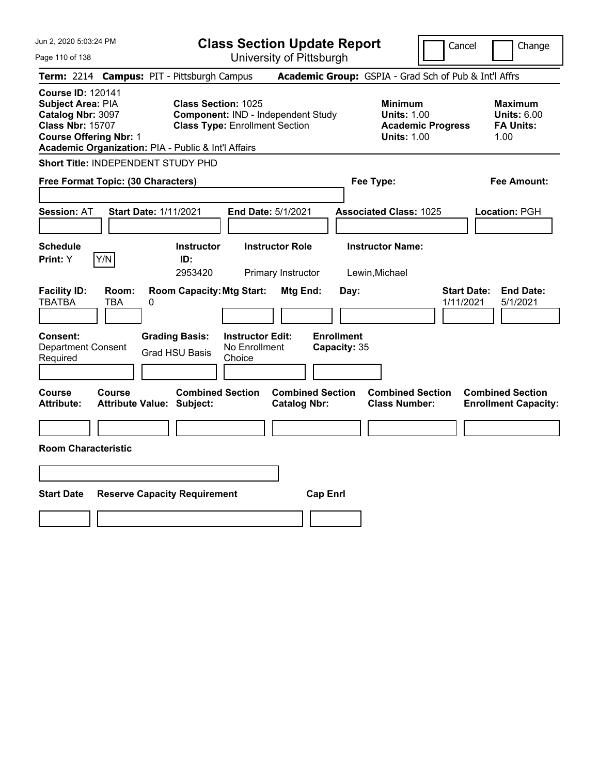| Jun 2, 2020 5:03:24 PM                                                                                                                                                                |                                                                                                           | <b>Class Section Update Report</b>             |                                                                                        | Cancel<br>Change                                                 |  |  |
|---------------------------------------------------------------------------------------------------------------------------------------------------------------------------------------|-----------------------------------------------------------------------------------------------------------|------------------------------------------------|----------------------------------------------------------------------------------------|------------------------------------------------------------------|--|--|
| Page 110 of 138                                                                                                                                                                       |                                                                                                           | University of Pittsburgh                       |                                                                                        |                                                                  |  |  |
| Term: 2214 Campus: PIT - Pittsburgh Campus                                                                                                                                            |                                                                                                           |                                                | Academic Group: GSPIA - Grad Sch of Pub & Int'l Affrs                                  |                                                                  |  |  |
| <b>Course ID: 120141</b><br>Subject Area: PIA<br>Catalog Nbr: 3097<br><b>Class Nbr: 15707</b><br><b>Course Offering Nbr: 1</b><br>Academic Organization: PIA - Public & Int'l Affairs | <b>Class Section: 1025</b><br>Component: IND - Independent Study<br><b>Class Type: Enrollment Section</b> |                                                | <b>Minimum</b><br><b>Units: 1.00</b><br><b>Academic Progress</b><br><b>Units: 1.00</b> | <b>Maximum</b><br><b>Units: 6.00</b><br><b>FA Units:</b><br>1.00 |  |  |
| Short Title: INDEPENDENT STUDY PHD                                                                                                                                                    |                                                                                                           |                                                |                                                                                        |                                                                  |  |  |
| Free Format Topic: (30 Characters)                                                                                                                                                    |                                                                                                           |                                                | Fee Type:                                                                              | Fee Amount:                                                      |  |  |
| <b>Start Date: 1/11/2021</b><br><b>Session: AT</b>                                                                                                                                    |                                                                                                           | End Date: 5/1/2021                             | <b>Associated Class: 1025</b>                                                          | Location: PGH                                                    |  |  |
| <b>Schedule</b><br>Y/N<br>Print: Y                                                                                                                                                    | <b>Instructor</b><br>ID:<br>2953420                                                                       | <b>Instructor Role</b><br>Primary Instructor   | <b>Instructor Name:</b><br>Lewin, Michael                                              |                                                                  |  |  |
| <b>Facility ID:</b><br>Room:<br><b>TBATBA</b><br>TBA<br>0                                                                                                                             | <b>Room Capacity: Mtg Start:</b>                                                                          | Mtg End:<br>Day:                               |                                                                                        | <b>Start Date:</b><br><b>End Date:</b><br>1/11/2021<br>5/1/2021  |  |  |
| <b>Consent:</b><br><b>Department Consent</b><br>Required                                                                                                                              | <b>Instructor Edit:</b><br><b>Grading Basis:</b><br>No Enrollment<br><b>Grad HSU Basis</b><br>Choice      | <b>Enrollment</b><br>Capacity: 35              |                                                                                        |                                                                  |  |  |
| <b>Course</b><br><b>Course</b><br><b>Attribute:</b><br><b>Attribute Value: Subject:</b>                                                                                               | <b>Combined Section</b>                                                                                   | <b>Combined Section</b><br><b>Catalog Nbr:</b> | <b>Combined Section</b><br><b>Class Number:</b>                                        | <b>Combined Section</b><br><b>Enrollment Capacity:</b>           |  |  |
| <b>Room Characteristic</b>                                                                                                                                                            |                                                                                                           |                                                |                                                                                        |                                                                  |  |  |
|                                                                                                                                                                                       |                                                                                                           |                                                |                                                                                        |                                                                  |  |  |
| <b>Start Date</b>                                                                                                                                                                     | <b>Reserve Capacity Requirement</b>                                                                       | <b>Cap Enrl</b>                                |                                                                                        |                                                                  |  |  |
|                                                                                                                                                                                       |                                                                                                           |                                                |                                                                                        |                                                                  |  |  |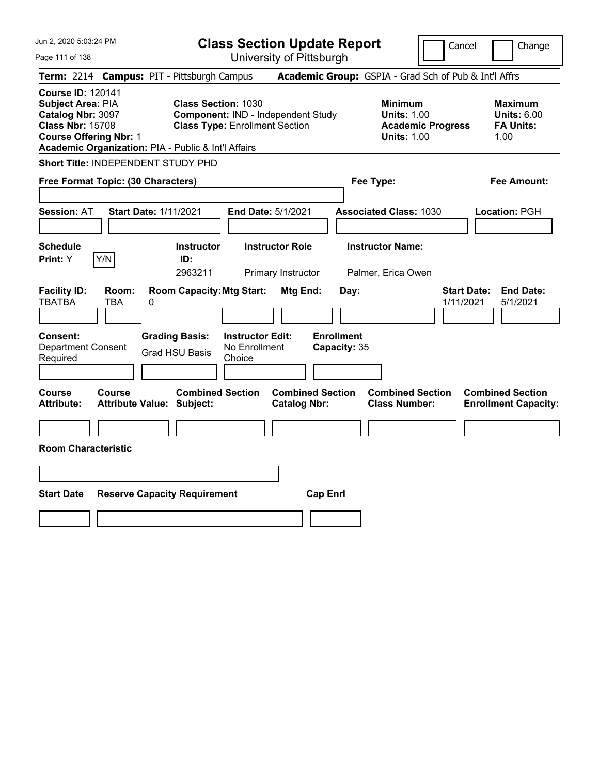| Jun 2, 2020 5:03:24 PM                                                                                                                                                                |                                                             | <b>Class Section Update Report</b><br>Cancel                                |                                                       |                                                            |                                 |                                                                  |
|---------------------------------------------------------------------------------------------------------------------------------------------------------------------------------------|-------------------------------------------------------------|-----------------------------------------------------------------------------|-------------------------------------------------------|------------------------------------------------------------|---------------------------------|------------------------------------------------------------------|
| Page 111 of 138                                                                                                                                                                       |                                                             | University of Pittsburgh                                                    |                                                       |                                                            |                                 | Change                                                           |
| Term: 2214 Campus: PIT - Pittsburgh Campus                                                                                                                                            |                                                             |                                                                             | Academic Group: GSPIA - Grad Sch of Pub & Int'l Affrs |                                                            |                                 |                                                                  |
| <b>Course ID: 120141</b><br>Subject Area: PIA<br>Catalog Nbr: 3097<br><b>Class Nbr: 15708</b><br><b>Course Offering Nbr: 1</b><br>Academic Organization: PIA - Public & Int'l Affairs | <b>Class Section: 1030</b>                                  | Component: IND - Independent Study<br><b>Class Type: Enrollment Section</b> |                                                       | <b>Minimum</b><br><b>Units: 1.00</b><br><b>Units: 1.00</b> | <b>Academic Progress</b>        | <b>Maximum</b><br><b>Units: 6.00</b><br><b>FA Units:</b><br>1.00 |
| Short Title: INDEPENDENT STUDY PHD                                                                                                                                                    |                                                             |                                                                             |                                                       |                                                            |                                 |                                                                  |
| Free Format Topic: (30 Characters)                                                                                                                                                    |                                                             |                                                                             |                                                       | Fee Type:                                                  |                                 | Fee Amount:                                                      |
| <b>Session: AT</b>                                                                                                                                                                    | <b>Start Date: 1/11/2021</b>                                | End Date: 5/1/2021                                                          |                                                       | <b>Associated Class: 1030</b>                              |                                 | Location: PGH                                                    |
| <b>Schedule</b><br>Y/N<br>Print: Y                                                                                                                                                    | <b>Instructor</b><br>ID:<br>2963211                         | <b>Instructor Role</b><br>Primary Instructor                                |                                                       | <b>Instructor Name:</b><br>Palmer, Erica Owen              |                                 |                                                                  |
| <b>Facility ID:</b><br>Room:<br><b>TBATBA</b><br>TBA                                                                                                                                  | <b>Room Capacity: Mtg Start:</b><br>0                       |                                                                             | Mtg End:<br>Day:                                      |                                                            | <b>Start Date:</b><br>1/11/2021 | <b>End Date:</b><br>5/1/2021                                     |
| <b>Consent:</b><br><b>Department Consent</b><br>Required                                                                                                                              | <b>Grading Basis:</b><br><b>Grad HSU Basis</b>              | <b>Instructor Edit:</b><br>No Enrollment<br>Choice                          | <b>Enrollment</b><br>Capacity: 35                     |                                                            |                                 |                                                                  |
| <b>Course</b><br><b>Course</b><br><b>Attribute:</b>                                                                                                                                   | <b>Combined Section</b><br><b>Attribute Value: Subject:</b> |                                                                             | <b>Combined Section</b><br><b>Catalog Nbr:</b>        | <b>Combined Section</b><br><b>Class Number:</b>            |                                 | <b>Combined Section</b><br><b>Enrollment Capacity:</b>           |
| <b>Room Characteristic</b>                                                                                                                                                            |                                                             |                                                                             |                                                       |                                                            |                                 |                                                                  |
|                                                                                                                                                                                       |                                                             |                                                                             |                                                       |                                                            |                                 |                                                                  |
| <b>Start Date</b>                                                                                                                                                                     | <b>Reserve Capacity Requirement</b>                         |                                                                             | <b>Cap Enrl</b>                                       |                                                            |                                 |                                                                  |
|                                                                                                                                                                                       |                                                             |                                                                             |                                                       |                                                            |                                 |                                                                  |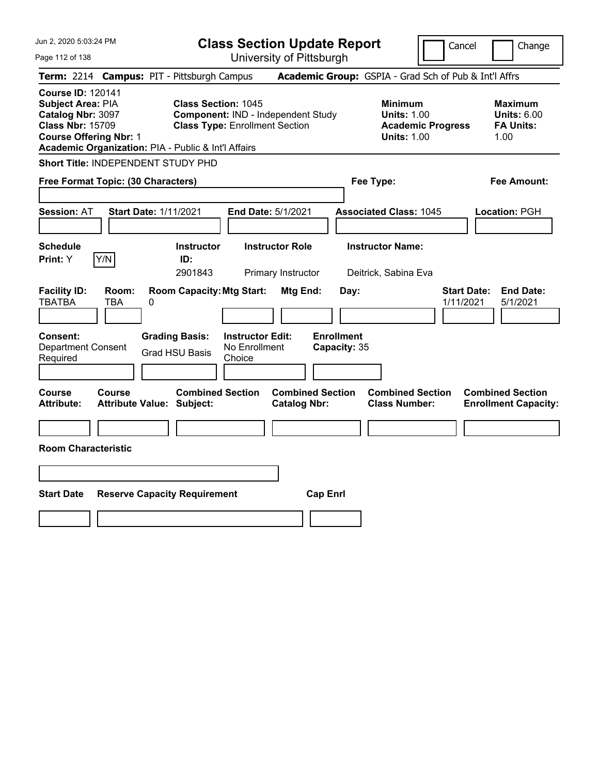| Jun 2, 2020 5:03:24 PM                                                                                                                                                                |                                            | <b>Class Section Update Report</b><br>Cancel                                       |                                          |                                                |                                           |                                                            | Change                   |                                                                  |
|---------------------------------------------------------------------------------------------------------------------------------------------------------------------------------------|--------------------------------------------|------------------------------------------------------------------------------------|------------------------------------------|------------------------------------------------|-------------------------------------------|------------------------------------------------------------|--------------------------|------------------------------------------------------------------|
| Page 112 of 138                                                                                                                                                                       |                                            |                                                                                    |                                          | University of Pittsburgh                       |                                           |                                                            |                          |                                                                  |
| Term: 2214 Campus: PIT - Pittsburgh Campus                                                                                                                                            |                                            |                                                                                    |                                          |                                                |                                           |                                                            |                          | Academic Group: GSPIA - Grad Sch of Pub & Int'l Affrs            |
| <b>Course ID: 120141</b><br>Subject Area: PIA<br>Catalog Nbr: 3097<br><b>Class Nbr: 15709</b><br><b>Course Offering Nbr: 1</b><br>Academic Organization: PIA - Public & Int'l Affairs |                                            | <b>Class Section: 1045</b><br><b>Class Type: Enrollment Section</b>                |                                          | Component: IND - Independent Study             |                                           | <b>Minimum</b><br><b>Units: 1.00</b><br><b>Units: 1.00</b> | <b>Academic Progress</b> | <b>Maximum</b><br><b>Units: 6.00</b><br><b>FA Units:</b><br>1.00 |
| Short Title: INDEPENDENT STUDY PHD                                                                                                                                                    |                                            |                                                                                    |                                          |                                                |                                           |                                                            |                          |                                                                  |
| Free Format Topic: (30 Characters)                                                                                                                                                    |                                            |                                                                                    |                                          |                                                |                                           | Fee Type:                                                  |                          | Fee Amount:                                                      |
| <b>Session: AT</b>                                                                                                                                                                    | <b>Start Date: 1/11/2021</b>               |                                                                                    |                                          | End Date: 5/1/2021                             |                                           | <b>Associated Class: 1045</b>                              |                          | Location: PGH                                                    |
| <b>Schedule</b><br>Y/N<br>Print: Y                                                                                                                                                    |                                            | <b>Instructor</b><br>ID:                                                           |                                          | <b>Instructor Role</b>                         |                                           | <b>Instructor Name:</b>                                    |                          |                                                                  |
|                                                                                                                                                                                       |                                            | 2901843                                                                            |                                          | Primary Instructor                             |                                           | Deitrick, Sabina Eva                                       |                          |                                                                  |
| <b>Facility ID:</b><br><b>TBATBA</b><br>Consent:<br><b>Department Consent</b>                                                                                                         | Room:<br>TBA<br>0                          | <b>Room Capacity: Mtg Start:</b><br><b>Grading Basis:</b><br><b>Grad HSU Basis</b> | <b>Instructor Edit:</b><br>No Enrollment | <b>Mtg End:</b>                                | Day:<br><b>Enrollment</b><br>Capacity: 35 |                                                            |                          | <b>End Date:</b><br><b>Start Date:</b><br>1/11/2021<br>5/1/2021  |
| Required                                                                                                                                                                              |                                            |                                                                                    | Choice                                   |                                                |                                           |                                                            |                          |                                                                  |
| Course<br><b>Attribute:</b><br><b>Room Characteristic</b>                                                                                                                             | <b>Course</b><br>Attribute Value: Subject: | <b>Combined Section</b>                                                            |                                          | <b>Combined Section</b><br><b>Catalog Nbr:</b> |                                           | <b>Combined Section</b><br><b>Class Number:</b>            |                          | <b>Combined Section</b><br><b>Enrollment Capacity:</b>           |
|                                                                                                                                                                                       |                                            |                                                                                    |                                          |                                                |                                           |                                                            |                          |                                                                  |
|                                                                                                                                                                                       |                                            |                                                                                    |                                          |                                                |                                           |                                                            |                          |                                                                  |
| <b>Start Date</b>                                                                                                                                                                     | <b>Reserve Capacity Requirement</b>        |                                                                                    |                                          | <b>Cap Enrl</b>                                |                                           |                                                            |                          |                                                                  |
|                                                                                                                                                                                       |                                            |                                                                                    |                                          |                                                |                                           |                                                            |                          |                                                                  |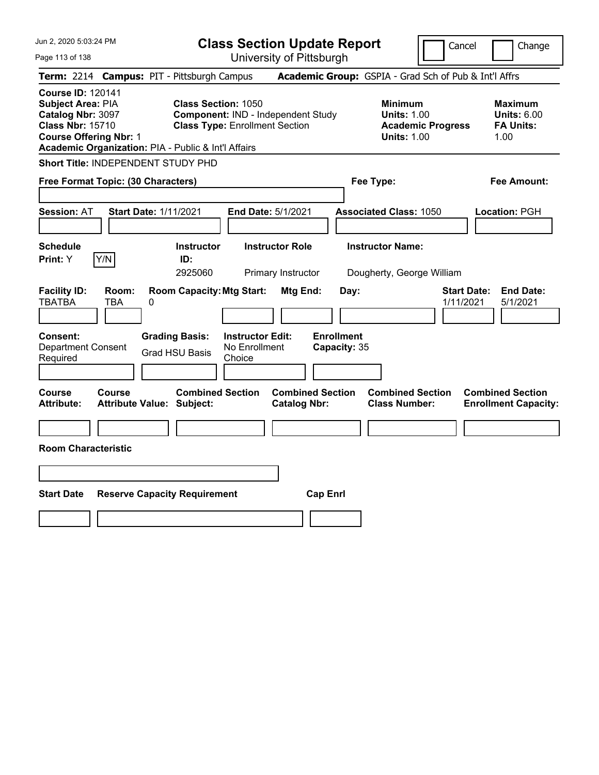| Jun 2, 2020 5:03:24 PM                                                                                                                                                                |                                                      |                                                                             | <b>Class Section Update Report</b>                    |                                                            | Cancel<br>Change                |                                                                  |  |
|---------------------------------------------------------------------------------------------------------------------------------------------------------------------------------------|------------------------------------------------------|-----------------------------------------------------------------------------|-------------------------------------------------------|------------------------------------------------------------|---------------------------------|------------------------------------------------------------------|--|
| Page 113 of 138                                                                                                                                                                       |                                                      | University of Pittsburgh                                                    |                                                       |                                                            |                                 |                                                                  |  |
| Term: 2214 Campus: PIT - Pittsburgh Campus                                                                                                                                            |                                                      |                                                                             | Academic Group: GSPIA - Grad Sch of Pub & Int'l Affrs |                                                            |                                 |                                                                  |  |
| <b>Course ID: 120141</b><br>Subject Area: PIA<br>Catalog Nbr: 3097<br><b>Class Nbr: 15710</b><br><b>Course Offering Nbr: 1</b><br>Academic Organization: PIA - Public & Int'l Affairs | <b>Class Section: 1050</b>                           | Component: IND - Independent Study<br><b>Class Type: Enrollment Section</b> |                                                       | <b>Minimum</b><br><b>Units: 1.00</b><br><b>Units: 1.00</b> | <b>Academic Progress</b>        | <b>Maximum</b><br><b>Units: 6.00</b><br><b>FA Units:</b><br>1.00 |  |
| Short Title: INDEPENDENT STUDY PHD                                                                                                                                                    |                                                      |                                                                             |                                                       |                                                            |                                 |                                                                  |  |
| Free Format Topic: (30 Characters)                                                                                                                                                    |                                                      |                                                                             |                                                       | Fee Type:                                                  |                                 | Fee Amount:                                                      |  |
| <b>Session: AT</b>                                                                                                                                                                    | <b>Start Date: 1/11/2021</b>                         | <b>End Date: 5/1/2021</b>                                                   |                                                       | <b>Associated Class: 1050</b>                              |                                 | Location: PGH                                                    |  |
| <b>Schedule</b><br>Y/N<br>Print: Y                                                                                                                                                    | <b>Instructor</b><br>ID:<br>2925060                  | <b>Instructor Role</b><br>Primary Instructor                                |                                                       | <b>Instructor Name:</b><br>Dougherty, George William       |                                 |                                                                  |  |
| <b>Facility ID:</b><br>Room:<br><b>TBATBA</b><br><b>TBA</b>                                                                                                                           | <b>Room Capacity: Mtg Start:</b><br>0                |                                                                             | Mtg End:<br>Day:                                      |                                                            | <b>Start Date:</b><br>1/11/2021 | <b>End Date:</b><br>5/1/2021                                     |  |
| Consent:<br><b>Department Consent</b><br>Required                                                                                                                                     | <b>Grading Basis:</b><br><b>Grad HSU Basis</b>       | <b>Instructor Edit:</b><br>No Enrollment<br>Choice                          | <b>Enrollment</b><br>Capacity: 35                     |                                                            |                                 |                                                                  |  |
| Course<br><b>Course</b><br><b>Attribute:</b>                                                                                                                                          | <b>Combined Section</b><br>Attribute Value: Subject: |                                                                             | <b>Combined Section</b><br><b>Catalog Nbr:</b>        | <b>Combined Section</b><br><b>Class Number:</b>            |                                 | <b>Combined Section</b><br><b>Enrollment Capacity:</b>           |  |
| <b>Room Characteristic</b>                                                                                                                                                            |                                                      |                                                                             |                                                       |                                                            |                                 |                                                                  |  |
|                                                                                                                                                                                       |                                                      |                                                                             |                                                       |                                                            |                                 |                                                                  |  |
| <b>Start Date</b>                                                                                                                                                                     | <b>Reserve Capacity Requirement</b>                  |                                                                             | <b>Cap Enrl</b>                                       |                                                            |                                 |                                                                  |  |
|                                                                                                                                                                                       |                                                      |                                                                             |                                                       |                                                            |                                 |                                                                  |  |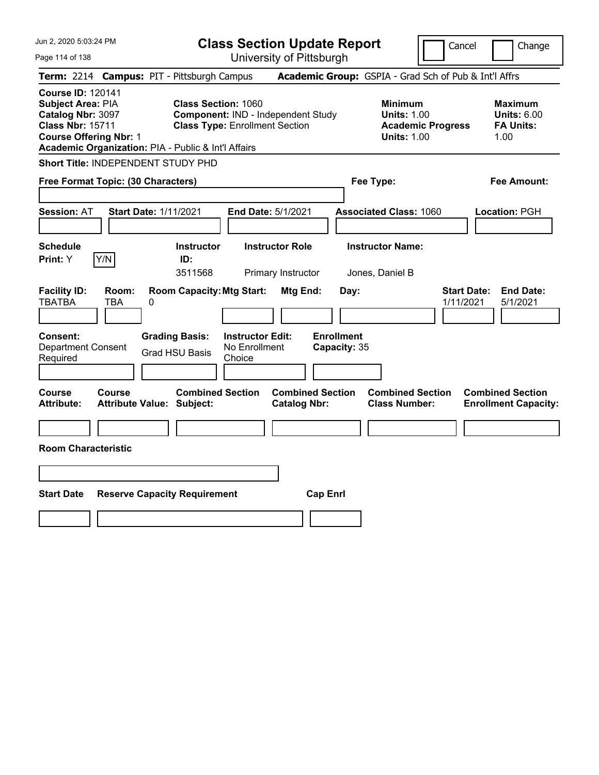| Jun 2, 2020 5:03:24 PM                                                                                                                                                                |                                                   | <b>Class Section Update Report</b><br>Cancel                        |                                                    |                                                |                                   |                                                            | Change                   |                                                                  |
|---------------------------------------------------------------------------------------------------------------------------------------------------------------------------------------|---------------------------------------------------|---------------------------------------------------------------------|----------------------------------------------------|------------------------------------------------|-----------------------------------|------------------------------------------------------------|--------------------------|------------------------------------------------------------------|
| Page 114 of 138                                                                                                                                                                       |                                                   |                                                                     |                                                    | University of Pittsburgh                       |                                   |                                                            |                          |                                                                  |
| <b>Term: 2214</b>                                                                                                                                                                     | <b>Campus: PIT - Pittsburgh Campus</b>            |                                                                     |                                                    |                                                |                                   |                                                            |                          | Academic Group: GSPIA - Grad Sch of Pub & Int'l Affrs            |
| <b>Course ID: 120141</b><br>Subject Area: PIA<br>Catalog Nbr: 3097<br><b>Class Nbr: 15711</b><br><b>Course Offering Nbr: 1</b><br>Academic Organization: PIA - Public & Int'l Affairs |                                                   | <b>Class Section: 1060</b><br><b>Class Type: Enrollment Section</b> |                                                    | Component: IND - Independent Study             |                                   | <b>Minimum</b><br><b>Units: 1.00</b><br><b>Units: 1.00</b> | <b>Academic Progress</b> | <b>Maximum</b><br><b>Units: 6.00</b><br><b>FA Units:</b><br>1.00 |
| Short Title: INDEPENDENT STUDY PHD                                                                                                                                                    |                                                   |                                                                     |                                                    |                                                |                                   |                                                            |                          |                                                                  |
| Free Format Topic: (30 Characters)                                                                                                                                                    |                                                   |                                                                     |                                                    |                                                |                                   | Fee Type:                                                  |                          | Fee Amount:                                                      |
| <b>Session: AT</b>                                                                                                                                                                    | <b>Start Date: 1/11/2021</b>                      |                                                                     |                                                    | End Date: 5/1/2021                             |                                   | <b>Associated Class: 1060</b>                              |                          | Location: PGH                                                    |
| <b>Schedule</b><br>Y/N<br>Print: Y                                                                                                                                                    |                                                   | <b>Instructor</b><br>ID:<br>3511568                                 |                                                    | <b>Instructor Role</b><br>Primary Instructor   |                                   | <b>Instructor Name:</b><br>Jones, Daniel B                 |                          |                                                                  |
| <b>Facility ID:</b><br><b>TBATBA</b>                                                                                                                                                  | Room:<br><b>TBA</b><br>0                          | <b>Room Capacity: Mtg Start:</b>                                    |                                                    | Mtg End:                                       | Day:                              |                                                            | 1/11/2021                | <b>Start Date:</b><br><b>End Date:</b><br>5/1/2021               |
| Consent:<br><b>Department Consent</b><br>Required                                                                                                                                     |                                                   | <b>Grading Basis:</b><br><b>Grad HSU Basis</b>                      | <b>Instructor Edit:</b><br>No Enrollment<br>Choice |                                                | <b>Enrollment</b><br>Capacity: 35 |                                                            |                          |                                                                  |
| <b>Course</b><br><b>Attribute:</b>                                                                                                                                                    | <b>Course</b><br><b>Attribute Value: Subject:</b> | <b>Combined Section</b>                                             |                                                    | <b>Combined Section</b><br><b>Catalog Nbr:</b> |                                   | <b>Combined Section</b><br><b>Class Number:</b>            |                          | <b>Combined Section</b><br><b>Enrollment Capacity:</b>           |
|                                                                                                                                                                                       |                                                   |                                                                     |                                                    |                                                |                                   |                                                            |                          |                                                                  |
| <b>Room Characteristic</b>                                                                                                                                                            |                                                   |                                                                     |                                                    |                                                |                                   |                                                            |                          |                                                                  |
|                                                                                                                                                                                       |                                                   |                                                                     |                                                    |                                                |                                   |                                                            |                          |                                                                  |
| <b>Start Date</b>                                                                                                                                                                     | <b>Reserve Capacity Requirement</b>               |                                                                     |                                                    | <b>Cap Enrl</b>                                |                                   |                                                            |                          |                                                                  |
|                                                                                                                                                                                       |                                                   |                                                                     |                                                    |                                                |                                   |                                                            |                          |                                                                  |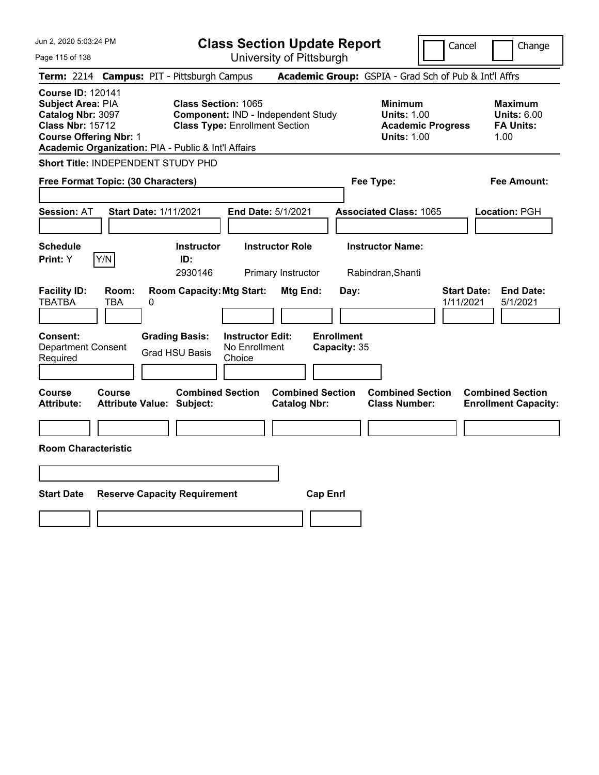| Jun 2, 2020 5:03:24 PM                                                                                                                                                                |                                                                                                           | <b>Class Section Update Report</b>             |                                                                                        | Cancel<br>Change                                                 |  |  |
|---------------------------------------------------------------------------------------------------------------------------------------------------------------------------------------|-----------------------------------------------------------------------------------------------------------|------------------------------------------------|----------------------------------------------------------------------------------------|------------------------------------------------------------------|--|--|
| Page 115 of 138                                                                                                                                                                       |                                                                                                           | University of Pittsburgh                       |                                                                                        |                                                                  |  |  |
| Term: 2214 Campus: PIT - Pittsburgh Campus                                                                                                                                            |                                                                                                           |                                                | Academic Group: GSPIA - Grad Sch of Pub & Int'l Affrs                                  |                                                                  |  |  |
| <b>Course ID: 120141</b><br>Subject Area: PIA<br>Catalog Nbr: 3097<br><b>Class Nbr: 15712</b><br><b>Course Offering Nbr: 1</b><br>Academic Organization: PIA - Public & Int'l Affairs | <b>Class Section: 1065</b><br>Component: IND - Independent Study<br><b>Class Type: Enrollment Section</b> |                                                | <b>Minimum</b><br><b>Units: 1.00</b><br><b>Academic Progress</b><br><b>Units: 1.00</b> | <b>Maximum</b><br><b>Units: 6.00</b><br><b>FA Units:</b><br>1.00 |  |  |
| Short Title: INDEPENDENT STUDY PHD                                                                                                                                                    |                                                                                                           |                                                |                                                                                        |                                                                  |  |  |
| Free Format Topic: (30 Characters)                                                                                                                                                    |                                                                                                           |                                                | Fee Type:                                                                              | Fee Amount:                                                      |  |  |
| <b>Session: AT</b>                                                                                                                                                                    | <b>Start Date: 1/11/2021</b>                                                                              | End Date: 5/1/2021                             | <b>Associated Class: 1065</b>                                                          | Location: PGH                                                    |  |  |
| <b>Schedule</b><br>Y/N<br>Print: Y                                                                                                                                                    | <b>Instructor</b><br>ID:<br>2930146                                                                       | <b>Instructor Role</b><br>Primary Instructor   | <b>Instructor Name:</b><br>Rabindran, Shanti                                           |                                                                  |  |  |
| <b>Facility ID:</b><br>Room:<br><b>TBATBA</b><br>TBA<br>0                                                                                                                             | <b>Room Capacity: Mtg Start:</b>                                                                          | <b>Mtg End:</b><br>Day:                        |                                                                                        | <b>Start Date:</b><br><b>End Date:</b><br>1/11/2021<br>5/1/2021  |  |  |
| <b>Consent:</b><br><b>Department Consent</b><br>Required                                                                                                                              | <b>Instructor Edit:</b><br><b>Grading Basis:</b><br>No Enrollment<br><b>Grad HSU Basis</b><br>Choice      | <b>Enrollment</b><br>Capacity: 35              |                                                                                        |                                                                  |  |  |
| <b>Course</b><br><b>Course</b><br><b>Attribute:</b>                                                                                                                                   | <b>Combined Section</b><br><b>Attribute Value: Subject:</b>                                               | <b>Combined Section</b><br><b>Catalog Nbr:</b> | <b>Combined Section</b><br><b>Class Number:</b>                                        | <b>Combined Section</b><br><b>Enrollment Capacity:</b>           |  |  |
| <b>Room Characteristic</b>                                                                                                                                                            |                                                                                                           |                                                |                                                                                        |                                                                  |  |  |
|                                                                                                                                                                                       |                                                                                                           |                                                |                                                                                        |                                                                  |  |  |
| <b>Start Date</b>                                                                                                                                                                     | <b>Reserve Capacity Requirement</b>                                                                       | <b>Cap Enrl</b>                                |                                                                                        |                                                                  |  |  |
|                                                                                                                                                                                       |                                                                                                           |                                                |                                                                                        |                                                                  |  |  |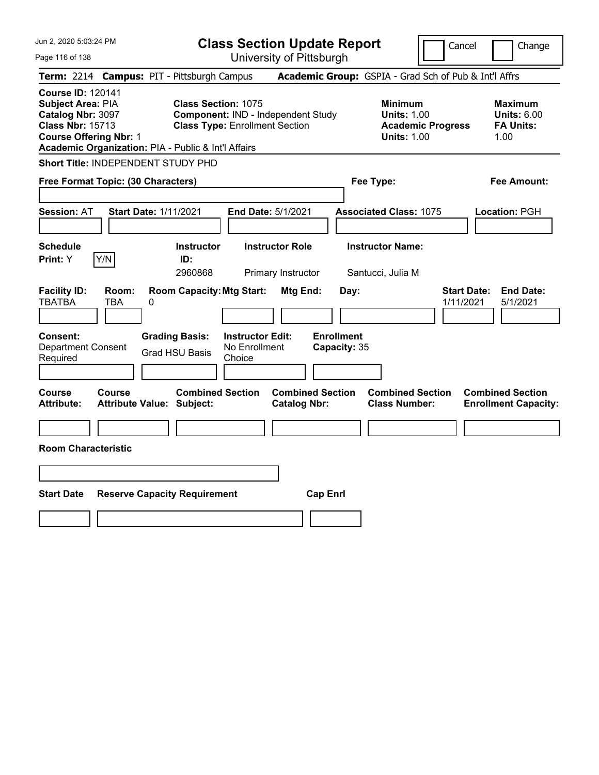| Jun 2, 2020 5:03:24 PM                                                                                                                                                                |                                                                                                           | <b>Class Section Update Report</b>                           |                                                                                        | Cancel<br>Change                                                 |  |  |
|---------------------------------------------------------------------------------------------------------------------------------------------------------------------------------------|-----------------------------------------------------------------------------------------------------------|--------------------------------------------------------------|----------------------------------------------------------------------------------------|------------------------------------------------------------------|--|--|
| Page 116 of 138                                                                                                                                                                       |                                                                                                           | University of Pittsburgh                                     |                                                                                        |                                                                  |  |  |
| Term: 2214 Campus: PIT - Pittsburgh Campus                                                                                                                                            |                                                                                                           |                                                              | Academic Group: GSPIA - Grad Sch of Pub & Int'l Affrs                                  |                                                                  |  |  |
| <b>Course ID: 120141</b><br>Subject Area: PIA<br>Catalog Nbr: 3097<br><b>Class Nbr: 15713</b><br><b>Course Offering Nbr: 1</b><br>Academic Organization: PIA - Public & Int'l Affairs | <b>Class Section: 1075</b><br>Component: IND - Independent Study<br><b>Class Type: Enrollment Section</b> |                                                              | <b>Minimum</b><br><b>Units: 1.00</b><br><b>Academic Progress</b><br><b>Units: 1.00</b> | <b>Maximum</b><br><b>Units: 6.00</b><br><b>FA Units:</b><br>1.00 |  |  |
| Short Title: INDEPENDENT STUDY PHD                                                                                                                                                    |                                                                                                           |                                                              |                                                                                        |                                                                  |  |  |
| Free Format Topic: (30 Characters)                                                                                                                                                    |                                                                                                           |                                                              | Fee Type:                                                                              | Fee Amount:                                                      |  |  |
| <b>Session: AT</b>                                                                                                                                                                    | <b>Start Date: 1/11/2021</b>                                                                              | <b>End Date: 5/1/2021</b>                                    | <b>Associated Class: 1075</b>                                                          | Location: PGH                                                    |  |  |
| <b>Schedule</b><br>Y/N<br>Print: Y                                                                                                                                                    | <b>Instructor</b><br>ID:<br>2960868                                                                       | <b>Instructor Role</b><br>Primary Instructor                 | <b>Instructor Name:</b><br>Santucci, Julia M                                           |                                                                  |  |  |
| <b>Facility ID:</b><br>Room:<br><b>TBATBA</b><br><b>TBA</b>                                                                                                                           | <b>Room Capacity: Mtg Start:</b><br>0                                                                     | Mtg End:<br>Day:                                             |                                                                                        | <b>Start Date:</b><br><b>End Date:</b><br>1/11/2021<br>5/1/2021  |  |  |
| Consent:<br><b>Department Consent</b><br>Required                                                                                                                                     | <b>Grading Basis:</b><br>No Enrollment<br><b>Grad HSU Basis</b><br>Choice                                 | <b>Enrollment</b><br><b>Instructor Edit:</b><br>Capacity: 35 |                                                                                        |                                                                  |  |  |
| Course<br>Course<br><b>Attribute:</b>                                                                                                                                                 | <b>Combined Section</b><br>Attribute Value: Subject:                                                      | <b>Combined Section</b><br><b>Catalog Nbr:</b>               | <b>Combined Section</b><br><b>Class Number:</b>                                        | <b>Combined Section</b><br><b>Enrollment Capacity:</b>           |  |  |
| <b>Room Characteristic</b>                                                                                                                                                            |                                                                                                           |                                                              |                                                                                        |                                                                  |  |  |
|                                                                                                                                                                                       |                                                                                                           |                                                              |                                                                                        |                                                                  |  |  |
| <b>Start Date</b>                                                                                                                                                                     | <b>Reserve Capacity Requirement</b>                                                                       | <b>Cap Enrl</b>                                              |                                                                                        |                                                                  |  |  |
|                                                                                                                                                                                       |                                                                                                           |                                                              |                                                                                        |                                                                  |  |  |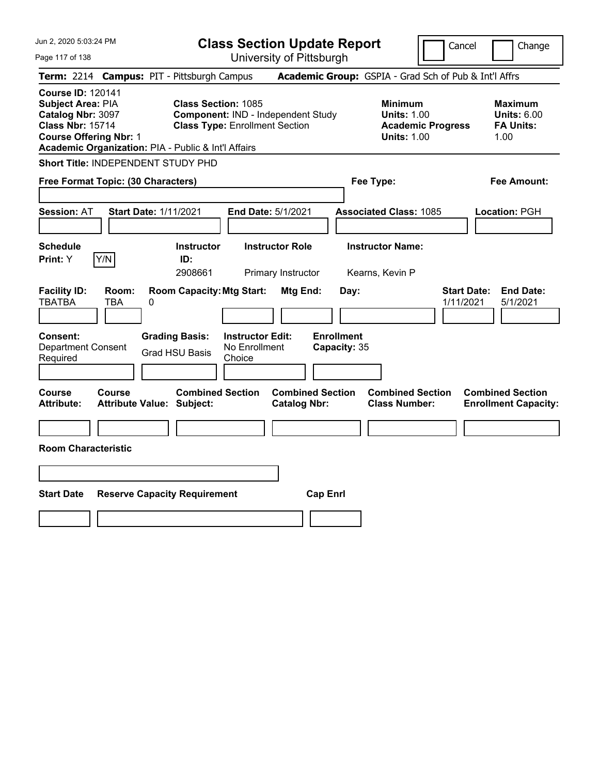| Jun 2, 2020 5:03:24 PM                                                                                                                                                                |                                                   |                                                                                                           | <b>Class Section Update Report</b>                 |                                                |                                   |                                                            |                          | Cancel<br>Change                                                 |  |  |
|---------------------------------------------------------------------------------------------------------------------------------------------------------------------------------------|---------------------------------------------------|-----------------------------------------------------------------------------------------------------------|----------------------------------------------------|------------------------------------------------|-----------------------------------|------------------------------------------------------------|--------------------------|------------------------------------------------------------------|--|--|
| Page 117 of 138                                                                                                                                                                       |                                                   |                                                                                                           |                                                    | University of Pittsburgh                       |                                   |                                                            |                          |                                                                  |  |  |
| Term: 2214 Campus: PIT - Pittsburgh Campus                                                                                                                                            |                                                   |                                                                                                           |                                                    |                                                |                                   | Academic Group: GSPIA - Grad Sch of Pub & Int'l Affrs      |                          |                                                                  |  |  |
| <b>Course ID: 120141</b><br>Subject Area: PIA<br>Catalog Nbr: 3097<br><b>Class Nbr: 15714</b><br><b>Course Offering Nbr: 1</b><br>Academic Organization: PIA - Public & Int'l Affairs |                                                   | <b>Class Section: 1085</b><br>Component: IND - Independent Study<br><b>Class Type: Enrollment Section</b> |                                                    |                                                |                                   | <b>Minimum</b><br><b>Units: 1.00</b><br><b>Units: 1.00</b> | <b>Academic Progress</b> | <b>Maximum</b><br><b>Units: 6.00</b><br><b>FA Units:</b><br>1.00 |  |  |
| Short Title: INDEPENDENT STUDY PHD                                                                                                                                                    |                                                   |                                                                                                           |                                                    |                                                |                                   |                                                            |                          |                                                                  |  |  |
| Free Format Topic: (30 Characters)                                                                                                                                                    |                                                   |                                                                                                           |                                                    |                                                |                                   | Fee Type:                                                  |                          | Fee Amount:                                                      |  |  |
| <b>Session: AT</b>                                                                                                                                                                    | <b>Start Date: 1/11/2021</b>                      |                                                                                                           |                                                    | End Date: 5/1/2021                             |                                   | <b>Associated Class: 1085</b>                              |                          | Location: PGH                                                    |  |  |
| <b>Schedule</b><br>Print: Y                                                                                                                                                           | Y/N                                               | <b>Instructor</b><br>ID:<br>2908661                                                                       |                                                    | <b>Instructor Role</b><br>Primary Instructor   |                                   | <b>Instructor Name:</b><br>Kearns, Kevin P                 |                          |                                                                  |  |  |
| <b>Facility ID:</b><br><b>TBATBA</b>                                                                                                                                                  | Room:<br>0<br>TBA                                 | <b>Room Capacity: Mtg Start:</b>                                                                          |                                                    | Mtg End:                                       | Day:                              |                                                            | 1/11/2021                | <b>Start Date:</b><br><b>End Date:</b><br>5/1/2021               |  |  |
| Consent:<br><b>Department Consent</b><br>Required                                                                                                                                     |                                                   | <b>Grading Basis:</b><br><b>Grad HSU Basis</b>                                                            | <b>Instructor Edit:</b><br>No Enrollment<br>Choice |                                                | <b>Enrollment</b><br>Capacity: 35 |                                                            |                          |                                                                  |  |  |
| Course<br><b>Attribute:</b>                                                                                                                                                           | <b>Course</b><br><b>Attribute Value: Subject:</b> | <b>Combined Section</b>                                                                                   |                                                    | <b>Combined Section</b><br><b>Catalog Nbr:</b> |                                   | <b>Combined Section</b><br><b>Class Number:</b>            |                          | <b>Combined Section</b><br><b>Enrollment Capacity:</b>           |  |  |
|                                                                                                                                                                                       |                                                   |                                                                                                           |                                                    |                                                |                                   |                                                            |                          |                                                                  |  |  |
| <b>Room Characteristic</b>                                                                                                                                                            |                                                   |                                                                                                           |                                                    |                                                |                                   |                                                            |                          |                                                                  |  |  |
|                                                                                                                                                                                       |                                                   |                                                                                                           |                                                    |                                                |                                   |                                                            |                          |                                                                  |  |  |
| <b>Start Date</b>                                                                                                                                                                     | <b>Reserve Capacity Requirement</b>               |                                                                                                           |                                                    |                                                | <b>Cap Enrl</b>                   |                                                            |                          |                                                                  |  |  |
|                                                                                                                                                                                       |                                                   |                                                                                                           |                                                    |                                                |                                   |                                                            |                          |                                                                  |  |  |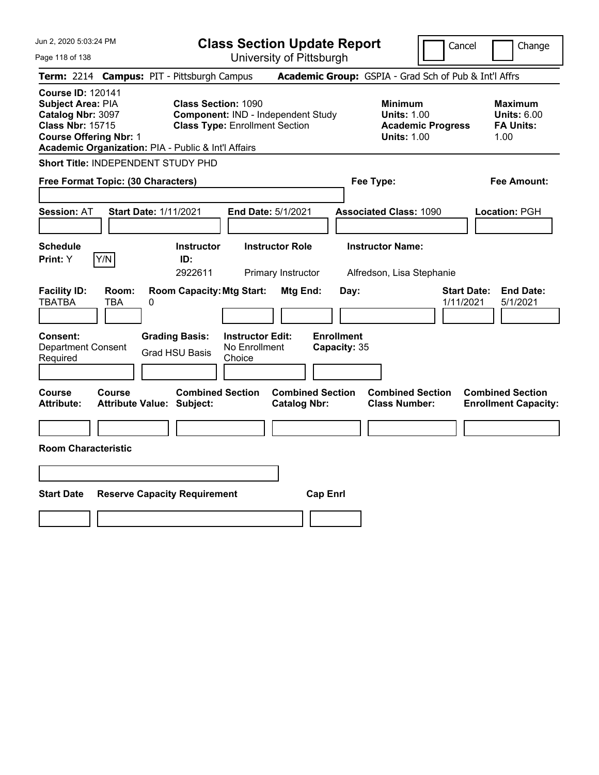| Jun 2, 2020 5:03:24 PM                                                                                                                                                                |                                                   | <b>Class Section Update Report</b><br>Cancel                        |                                                    |                                                |                                   |                                                            | Change                   |                                                                  |
|---------------------------------------------------------------------------------------------------------------------------------------------------------------------------------------|---------------------------------------------------|---------------------------------------------------------------------|----------------------------------------------------|------------------------------------------------|-----------------------------------|------------------------------------------------------------|--------------------------|------------------------------------------------------------------|
| Page 118 of 138                                                                                                                                                                       |                                                   |                                                                     |                                                    | University of Pittsburgh                       |                                   |                                                            |                          |                                                                  |
| Term: 2214 Campus: PIT - Pittsburgh Campus                                                                                                                                            |                                                   |                                                                     |                                                    |                                                |                                   |                                                            |                          | Academic Group: GSPIA - Grad Sch of Pub & Int'l Affrs            |
| <b>Course ID: 120141</b><br>Subject Area: PIA<br>Catalog Nbr: 3097<br><b>Class Nbr: 15715</b><br><b>Course Offering Nbr: 1</b><br>Academic Organization: PIA - Public & Int'l Affairs |                                                   | <b>Class Section: 1090</b><br><b>Class Type: Enrollment Section</b> |                                                    | Component: IND - Independent Study             |                                   | <b>Minimum</b><br><b>Units: 1.00</b><br><b>Units: 1.00</b> | <b>Academic Progress</b> | <b>Maximum</b><br><b>Units: 6.00</b><br><b>FA Units:</b><br>1.00 |
| Short Title: INDEPENDENT STUDY PHD                                                                                                                                                    |                                                   |                                                                     |                                                    |                                                |                                   |                                                            |                          |                                                                  |
| Free Format Topic: (30 Characters)                                                                                                                                                    |                                                   |                                                                     |                                                    |                                                |                                   | Fee Type:                                                  |                          | Fee Amount:                                                      |
| <b>Session: AT</b>                                                                                                                                                                    | <b>Start Date: 1/11/2021</b>                      |                                                                     |                                                    | End Date: 5/1/2021                             |                                   | <b>Associated Class: 1090</b>                              |                          | Location: PGH                                                    |
| <b>Schedule</b><br>Y/N<br>Print: Y                                                                                                                                                    |                                                   | <b>Instructor</b><br>ID:<br>2922611                                 |                                                    | <b>Instructor Role</b><br>Primary Instructor   |                                   | <b>Instructor Name:</b><br>Alfredson, Lisa Stephanie       |                          |                                                                  |
| <b>Facility ID:</b><br><b>TBATBA</b>                                                                                                                                                  | Room:<br>TBA<br>0                                 | <b>Room Capacity: Mtg Start:</b>                                    |                                                    | <b>Mtg End:</b>                                | Day:                              |                                                            |                          | <b>End Date:</b><br><b>Start Date:</b><br>1/11/2021<br>5/1/2021  |
| <b>Consent:</b><br><b>Department Consent</b><br>Required                                                                                                                              |                                                   | <b>Grading Basis:</b><br><b>Grad HSU Basis</b>                      | <b>Instructor Edit:</b><br>No Enrollment<br>Choice |                                                | <b>Enrollment</b><br>Capacity: 35 |                                                            |                          |                                                                  |
| <b>Course</b><br><b>Attribute:</b>                                                                                                                                                    | <b>Course</b><br><b>Attribute Value: Subject:</b> | <b>Combined Section</b>                                             |                                                    | <b>Combined Section</b><br><b>Catalog Nbr:</b> |                                   | <b>Combined Section</b><br><b>Class Number:</b>            |                          | <b>Combined Section</b><br><b>Enrollment Capacity:</b>           |
| <b>Room Characteristic</b>                                                                                                                                                            |                                                   |                                                                     |                                                    |                                                |                                   |                                                            |                          |                                                                  |
|                                                                                                                                                                                       |                                                   |                                                                     |                                                    |                                                |                                   |                                                            |                          |                                                                  |
| <b>Start Date</b>                                                                                                                                                                     | <b>Reserve Capacity Requirement</b>               |                                                                     |                                                    | <b>Cap Enrl</b>                                |                                   |                                                            |                          |                                                                  |
|                                                                                                                                                                                       |                                                   |                                                                     |                                                    |                                                |                                   |                                                            |                          |                                                                  |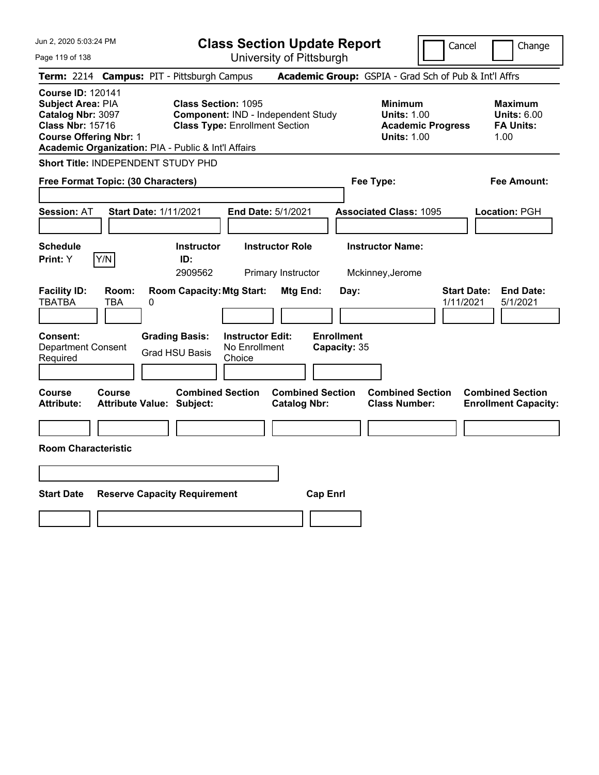| Jun 2, 2020 5:03:24 PM                                                                                                                                                                |                                                   |                                                                     | <b>Class Section Update Report</b>                 |                                                |                                   |                                                            |                          | Cancel<br>Change                                                 |  |  |
|---------------------------------------------------------------------------------------------------------------------------------------------------------------------------------------|---------------------------------------------------|---------------------------------------------------------------------|----------------------------------------------------|------------------------------------------------|-----------------------------------|------------------------------------------------------------|--------------------------|------------------------------------------------------------------|--|--|
| Page 119 of 138                                                                                                                                                                       |                                                   |                                                                     |                                                    | University of Pittsburgh                       |                                   |                                                            |                          |                                                                  |  |  |
| Term: 2214 Campus: PIT - Pittsburgh Campus                                                                                                                                            |                                                   |                                                                     |                                                    |                                                |                                   |                                                            |                          | Academic Group: GSPIA - Grad Sch of Pub & Int'l Affrs            |  |  |
| <b>Course ID: 120141</b><br>Subject Area: PIA<br>Catalog Nbr: 3097<br><b>Class Nbr: 15716</b><br><b>Course Offering Nbr: 1</b><br>Academic Organization: PIA - Public & Int'l Affairs |                                                   | <b>Class Section: 1095</b><br><b>Class Type: Enrollment Section</b> |                                                    | Component: IND - Independent Study             |                                   | <b>Minimum</b><br><b>Units: 1.00</b><br><b>Units: 1.00</b> | <b>Academic Progress</b> | <b>Maximum</b><br><b>Units: 6.00</b><br><b>FA Units:</b><br>1.00 |  |  |
| Short Title: INDEPENDENT STUDY PHD                                                                                                                                                    |                                                   |                                                                     |                                                    |                                                |                                   |                                                            |                          |                                                                  |  |  |
| Free Format Topic: (30 Characters)                                                                                                                                                    |                                                   |                                                                     |                                                    |                                                |                                   | Fee Type:                                                  |                          | Fee Amount:                                                      |  |  |
| <b>Session: AT</b>                                                                                                                                                                    | <b>Start Date: 1/11/2021</b>                      |                                                                     |                                                    | End Date: 5/1/2021                             |                                   | <b>Associated Class: 1095</b>                              |                          | Location: PGH                                                    |  |  |
| <b>Schedule</b><br>Y/N<br>Print: Y                                                                                                                                                    |                                                   | <b>Instructor</b><br>ID:<br>2909562                                 |                                                    | <b>Instructor Role</b><br>Primary Instructor   |                                   | <b>Instructor Name:</b><br>Mckinney, Jerome                |                          |                                                                  |  |  |
| <b>Facility ID:</b><br><b>TBATBA</b>                                                                                                                                                  | Room:<br>TBA<br>0                                 | <b>Room Capacity: Mtg Start:</b>                                    |                                                    | <b>Mtg End:</b>                                | Day:                              |                                                            |                          | <b>Start Date:</b><br><b>End Date:</b><br>1/11/2021<br>5/1/2021  |  |  |
| <b>Consent:</b><br><b>Department Consent</b><br>Required                                                                                                                              |                                                   | <b>Grading Basis:</b><br><b>Grad HSU Basis</b>                      | <b>Instructor Edit:</b><br>No Enrollment<br>Choice |                                                | <b>Enrollment</b><br>Capacity: 35 |                                                            |                          |                                                                  |  |  |
| <b>Course</b><br><b>Attribute:</b>                                                                                                                                                    | <b>Course</b><br><b>Attribute Value: Subject:</b> | <b>Combined Section</b>                                             |                                                    | <b>Combined Section</b><br><b>Catalog Nbr:</b> |                                   | <b>Combined Section</b><br><b>Class Number:</b>            |                          | <b>Combined Section</b><br><b>Enrollment Capacity:</b>           |  |  |
|                                                                                                                                                                                       |                                                   |                                                                     |                                                    |                                                |                                   |                                                            |                          |                                                                  |  |  |
| <b>Room Characteristic</b>                                                                                                                                                            |                                                   |                                                                     |                                                    |                                                |                                   |                                                            |                          |                                                                  |  |  |
|                                                                                                                                                                                       |                                                   |                                                                     |                                                    |                                                |                                   |                                                            |                          |                                                                  |  |  |
| <b>Start Date</b>                                                                                                                                                                     | <b>Reserve Capacity Requirement</b>               |                                                                     |                                                    | <b>Cap Enrl</b>                                |                                   |                                                            |                          |                                                                  |  |  |
|                                                                                                                                                                                       |                                                   |                                                                     |                                                    |                                                |                                   |                                                            |                          |                                                                  |  |  |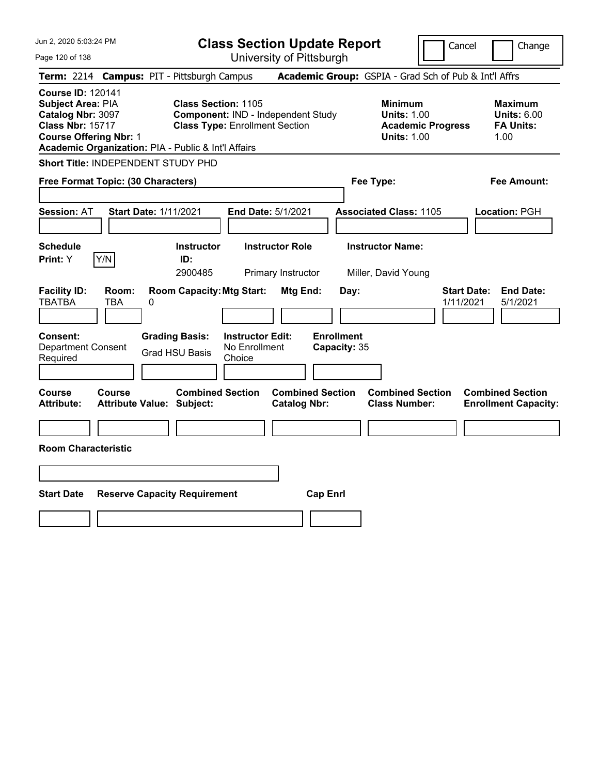| Jun 2, 2020 5:03:24 PM                                                                                                                                                                |                                        |                                                                     |                                                    | <b>Class Section Update Report</b>             |                                           |                                                            | Cancel                   | Change                                                           |
|---------------------------------------------------------------------------------------------------------------------------------------------------------------------------------------|----------------------------------------|---------------------------------------------------------------------|----------------------------------------------------|------------------------------------------------|-------------------------------------------|------------------------------------------------------------|--------------------------|------------------------------------------------------------------|
| Page 120 of 138                                                                                                                                                                       |                                        |                                                                     |                                                    | University of Pittsburgh                       |                                           |                                                            |                          |                                                                  |
| <b>Term: 2214</b>                                                                                                                                                                     | <b>Campus: PIT - Pittsburgh Campus</b> |                                                                     |                                                    |                                                |                                           |                                                            |                          | Academic Group: GSPIA - Grad Sch of Pub & Int'l Affrs            |
| <b>Course ID: 120141</b><br>Subject Area: PIA<br>Catalog Nbr: 3097<br><b>Class Nbr: 15717</b><br><b>Course Offering Nbr: 1</b><br>Academic Organization: PIA - Public & Int'l Affairs |                                        | <b>Class Section: 1105</b><br><b>Class Type: Enrollment Section</b> |                                                    | Component: IND - Independent Study             |                                           | <b>Minimum</b><br><b>Units: 1.00</b><br><b>Units: 1.00</b> | <b>Academic Progress</b> | <b>Maximum</b><br><b>Units: 6.00</b><br><b>FA Units:</b><br>1.00 |
| Short Title: INDEPENDENT STUDY PHD                                                                                                                                                    |                                        |                                                                     |                                                    |                                                |                                           |                                                            |                          |                                                                  |
| Free Format Topic: (30 Characters)                                                                                                                                                    |                                        |                                                                     |                                                    |                                                |                                           | Fee Type:                                                  |                          | Fee Amount:                                                      |
| <b>Session: AT</b>                                                                                                                                                                    | <b>Start Date: 1/11/2021</b>           |                                                                     |                                                    | End Date: 5/1/2021                             |                                           | <b>Associated Class: 1105</b>                              |                          | Location: PGH                                                    |
| <b>Schedule</b>                                                                                                                                                                       |                                        | <b>Instructor</b>                                                   |                                                    | <b>Instructor Role</b>                         |                                           | <b>Instructor Name:</b>                                    |                          |                                                                  |
| Y/N<br>Print: Y                                                                                                                                                                       |                                        | ID:<br>2900485                                                      |                                                    | Primary Instructor                             |                                           | Miller, David Young                                        |                          |                                                                  |
| <b>Facility ID:</b><br><b>TBATBA</b><br><b>TBA</b><br>Consent:<br><b>Department Consent</b><br>Required                                                                               | Room:<br>0<br><b>Grading Basis:</b>    | <b>Room Capacity: Mtg Start:</b><br><b>Grad HSU Basis</b>           | <b>Instructor Edit:</b><br>No Enrollment<br>Choice | Mtg End:                                       | Day:<br><b>Enrollment</b><br>Capacity: 35 |                                                            |                          | <b>Start Date:</b><br><b>End Date:</b><br>1/11/2021<br>5/1/2021  |
| <b>Course</b><br><b>Course</b><br><b>Attribute:</b>                                                                                                                                   | <b>Attribute Value: Subject:</b>       | <b>Combined Section</b>                                             |                                                    | <b>Combined Section</b><br><b>Catalog Nbr:</b> |                                           | <b>Combined Section</b><br><b>Class Number:</b>            |                          | <b>Combined Section</b><br><b>Enrollment Capacity:</b>           |
|                                                                                                                                                                                       |                                        |                                                                     |                                                    |                                                |                                           |                                                            |                          |                                                                  |
| <b>Room Characteristic</b>                                                                                                                                                            |                                        |                                                                     |                                                    |                                                |                                           |                                                            |                          |                                                                  |
|                                                                                                                                                                                       |                                        |                                                                     |                                                    |                                                |                                           |                                                            |                          |                                                                  |
| <b>Start Date</b>                                                                                                                                                                     | <b>Reserve Capacity Requirement</b>    |                                                                     |                                                    |                                                | <b>Cap Enrl</b>                           |                                                            |                          |                                                                  |
|                                                                                                                                                                                       |                                        |                                                                     |                                                    |                                                |                                           |                                                            |                          |                                                                  |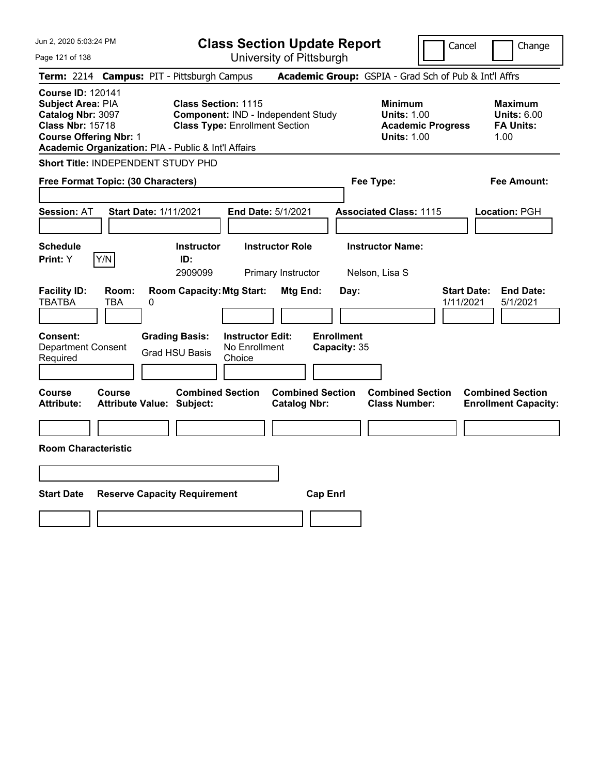| Jun 2, 2020 5:03:24 PM                                                                                                                                                                |                                            |                                                                     | <b>Class Section Update Report</b>                 |                                                |                                   |                                                            | Cancel                   | Change                                                           |
|---------------------------------------------------------------------------------------------------------------------------------------------------------------------------------------|--------------------------------------------|---------------------------------------------------------------------|----------------------------------------------------|------------------------------------------------|-----------------------------------|------------------------------------------------------------|--------------------------|------------------------------------------------------------------|
| Page 121 of 138                                                                                                                                                                       |                                            |                                                                     |                                                    | University of Pittsburgh                       |                                   |                                                            |                          |                                                                  |
| Term: 2214 Campus: PIT - Pittsburgh Campus                                                                                                                                            |                                            |                                                                     |                                                    |                                                |                                   | Academic Group: GSPIA - Grad Sch of Pub & Int'l Affrs      |                          |                                                                  |
| <b>Course ID: 120141</b><br>Subject Area: PIA<br>Catalog Nbr: 3097<br><b>Class Nbr: 15718</b><br><b>Course Offering Nbr: 1</b><br>Academic Organization: PIA - Public & Int'l Affairs |                                            | <b>Class Section: 1115</b><br><b>Class Type: Enrollment Section</b> |                                                    | Component: IND - Independent Study             |                                   | <b>Minimum</b><br><b>Units: 1.00</b><br><b>Units: 1.00</b> | <b>Academic Progress</b> | <b>Maximum</b><br><b>Units: 6.00</b><br><b>FA Units:</b><br>1.00 |
| Short Title: INDEPENDENT STUDY PHD                                                                                                                                                    |                                            |                                                                     |                                                    |                                                |                                   |                                                            |                          |                                                                  |
| Free Format Topic: (30 Characters)                                                                                                                                                    |                                            |                                                                     |                                                    |                                                |                                   | Fee Type:                                                  |                          | Fee Amount:                                                      |
| <b>Session: AT</b>                                                                                                                                                                    | <b>Start Date: 1/11/2021</b>               |                                                                     |                                                    | End Date: 5/1/2021                             |                                   | <b>Associated Class: 1115</b>                              |                          | Location: PGH                                                    |
| <b>Schedule</b><br>Print: Y                                                                                                                                                           | Y/N                                        | <b>Instructor</b><br>ID:<br>2909099                                 |                                                    | <b>Instructor Role</b><br>Primary Instructor   |                                   | <b>Instructor Name:</b><br>Nelson, Lisa S                  |                          |                                                                  |
| <b>Facility ID:</b><br><b>TBATBA</b>                                                                                                                                                  | Room:<br>0<br>TBA                          | <b>Room Capacity: Mtg Start:</b>                                    |                                                    | Mtg End:                                       | Day:                              |                                                            | 1/11/2021                | <b>Start Date:</b><br><b>End Date:</b><br>5/1/2021               |
| Consent:<br><b>Department Consent</b><br>Required                                                                                                                                     |                                            | <b>Grading Basis:</b><br><b>Grad HSU Basis</b>                      | <b>Instructor Edit:</b><br>No Enrollment<br>Choice |                                                | <b>Enrollment</b><br>Capacity: 35 |                                                            |                          |                                                                  |
| Course<br><b>Attribute:</b>                                                                                                                                                           | <b>Course</b><br>Attribute Value: Subject: | <b>Combined Section</b>                                             |                                                    | <b>Combined Section</b><br><b>Catalog Nbr:</b> |                                   | <b>Combined Section</b><br><b>Class Number:</b>            |                          | <b>Combined Section</b><br><b>Enrollment Capacity:</b>           |
|                                                                                                                                                                                       |                                            |                                                                     |                                                    |                                                |                                   |                                                            |                          |                                                                  |
| <b>Room Characteristic</b>                                                                                                                                                            |                                            |                                                                     |                                                    |                                                |                                   |                                                            |                          |                                                                  |
|                                                                                                                                                                                       |                                            |                                                                     |                                                    |                                                |                                   |                                                            |                          |                                                                  |
| <b>Start Date</b>                                                                                                                                                                     | <b>Reserve Capacity Requirement</b>        |                                                                     |                                                    |                                                | <b>Cap Enrl</b>                   |                                                            |                          |                                                                  |
|                                                                                                                                                                                       |                                            |                                                                     |                                                    |                                                |                                   |                                                            |                          |                                                                  |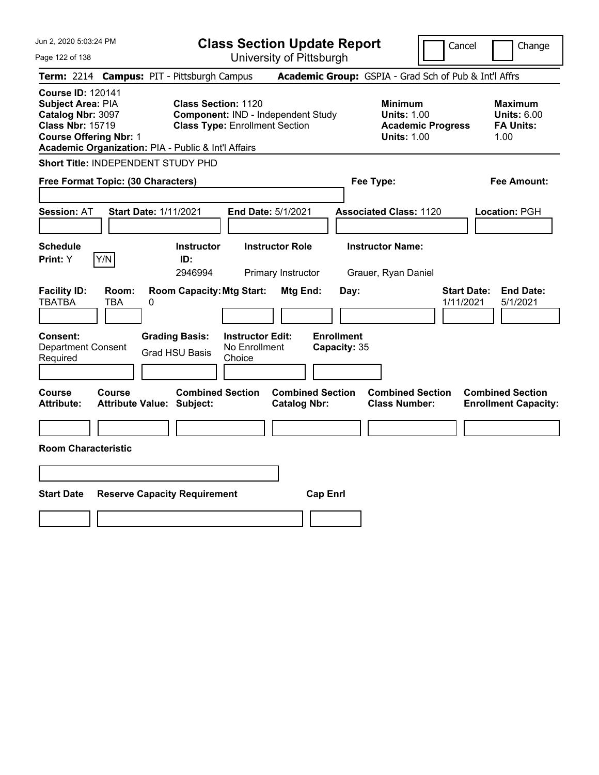| Jun 2, 2020 5:03:24 PM                                                                                                                                                                |                                                             |                                                                             | <b>Class Section Update Report</b>                    |                                                            | Cancel                          | Change                                                           |
|---------------------------------------------------------------------------------------------------------------------------------------------------------------------------------------|-------------------------------------------------------------|-----------------------------------------------------------------------------|-------------------------------------------------------|------------------------------------------------------------|---------------------------------|------------------------------------------------------------------|
| Page 122 of 138                                                                                                                                                                       |                                                             |                                                                             | University of Pittsburgh                              |                                                            |                                 |                                                                  |
| Term: 2214 Campus: PIT - Pittsburgh Campus                                                                                                                                            |                                                             |                                                                             | Academic Group: GSPIA - Grad Sch of Pub & Int'l Affrs |                                                            |                                 |                                                                  |
| <b>Course ID: 120141</b><br>Subject Area: PIA<br>Catalog Nbr: 3097<br><b>Class Nbr: 15719</b><br><b>Course Offering Nbr: 1</b><br>Academic Organization: PIA - Public & Int'l Affairs | <b>Class Section: 1120</b>                                  | Component: IND - Independent Study<br><b>Class Type: Enrollment Section</b> |                                                       | <b>Minimum</b><br><b>Units: 1.00</b><br><b>Units: 1.00</b> | <b>Academic Progress</b>        | <b>Maximum</b><br><b>Units: 6.00</b><br><b>FA Units:</b><br>1.00 |
| Short Title: INDEPENDENT STUDY PHD                                                                                                                                                    |                                                             |                                                                             |                                                       |                                                            |                                 |                                                                  |
| Free Format Topic: (30 Characters)                                                                                                                                                    |                                                             |                                                                             |                                                       | Fee Type:                                                  |                                 | Fee Amount:                                                      |
| <b>Session: AT</b>                                                                                                                                                                    | <b>Start Date: 1/11/2021</b>                                | End Date: 5/1/2021                                                          |                                                       | <b>Associated Class: 1120</b>                              |                                 | Location: PGH                                                    |
| <b>Schedule</b><br>Y/N<br>Print: Y                                                                                                                                                    | <b>Instructor</b><br>ID:<br>2946994                         | <b>Instructor Role</b><br>Primary Instructor                                |                                                       | <b>Instructor Name:</b><br>Grauer, Ryan Daniel             |                                 |                                                                  |
| <b>Facility ID:</b><br>Room:<br><b>TBATBA</b><br>TBA                                                                                                                                  | <b>Room Capacity: Mtg Start:</b><br>0                       |                                                                             | <b>Mtg End:</b><br>Day:                               |                                                            | <b>Start Date:</b><br>1/11/2021 | <b>End Date:</b><br>5/1/2021                                     |
| <b>Consent:</b><br><b>Department Consent</b><br>Required                                                                                                                              | <b>Grading Basis:</b><br><b>Grad HSU Basis</b>              | <b>Instructor Edit:</b><br>No Enrollment<br>Choice                          | <b>Enrollment</b><br>Capacity: 35                     |                                                            |                                 |                                                                  |
| <b>Course</b><br><b>Course</b><br><b>Attribute:</b>                                                                                                                                   | <b>Combined Section</b><br><b>Attribute Value: Subject:</b> |                                                                             | <b>Combined Section</b><br><b>Catalog Nbr:</b>        | <b>Combined Section</b><br><b>Class Number:</b>            |                                 | <b>Combined Section</b><br><b>Enrollment Capacity:</b>           |
| <b>Room Characteristic</b>                                                                                                                                                            |                                                             |                                                                             |                                                       |                                                            |                                 |                                                                  |
|                                                                                                                                                                                       |                                                             |                                                                             |                                                       |                                                            |                                 |                                                                  |
| <b>Start Date</b>                                                                                                                                                                     | <b>Reserve Capacity Requirement</b>                         |                                                                             | <b>Cap Enrl</b>                                       |                                                            |                                 |                                                                  |
|                                                                                                                                                                                       |                                                             |                                                                             |                                                       |                                                            |                                 |                                                                  |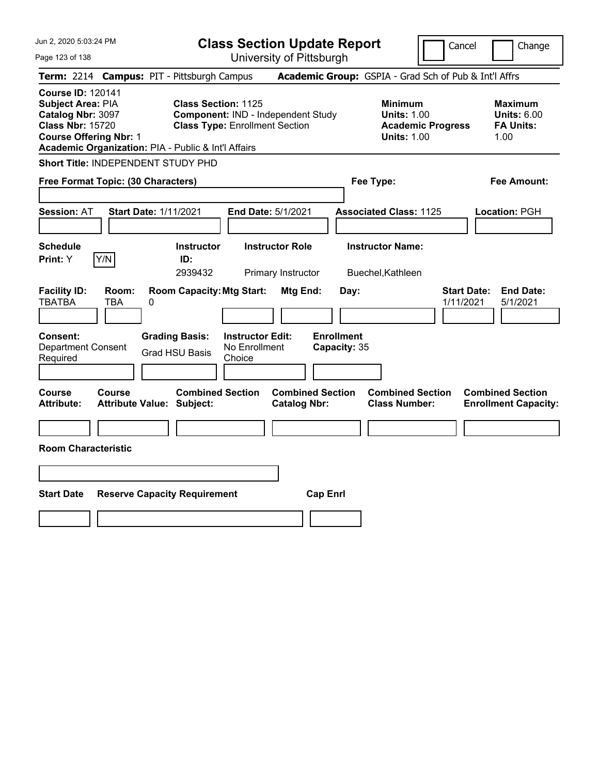| Jun 2, 2020 5:03:24 PM                                                                                                                                                                |                                                   |                                                                                    | <b>Class Section Update Report</b><br>Cancel<br>Change |                                                |                                           |                                                            |                          |                                                                  |
|---------------------------------------------------------------------------------------------------------------------------------------------------------------------------------------|---------------------------------------------------|------------------------------------------------------------------------------------|--------------------------------------------------------|------------------------------------------------|-------------------------------------------|------------------------------------------------------------|--------------------------|------------------------------------------------------------------|
| Page 123 of 138                                                                                                                                                                       |                                                   |                                                                                    |                                                        | University of Pittsburgh                       |                                           |                                                            |                          |                                                                  |
| Term: 2214 Campus: PIT - Pittsburgh Campus                                                                                                                                            |                                                   |                                                                                    |                                                        |                                                |                                           |                                                            |                          | Academic Group: GSPIA - Grad Sch of Pub & Int'l Affrs            |
| <b>Course ID: 120141</b><br>Subject Area: PIA<br>Catalog Nbr: 3097<br><b>Class Nbr: 15720</b><br><b>Course Offering Nbr: 1</b><br>Academic Organization: PIA - Public & Int'l Affairs |                                                   | <b>Class Section: 1125</b><br><b>Class Type: Enrollment Section</b>                |                                                        | Component: IND - Independent Study             |                                           | <b>Minimum</b><br><b>Units: 1.00</b><br><b>Units: 1.00</b> | <b>Academic Progress</b> | <b>Maximum</b><br><b>Units: 6.00</b><br><b>FA Units:</b><br>1.00 |
| Short Title: INDEPENDENT STUDY PHD                                                                                                                                                    |                                                   |                                                                                    |                                                        |                                                |                                           |                                                            |                          |                                                                  |
| Free Format Topic: (30 Characters)                                                                                                                                                    |                                                   |                                                                                    |                                                        |                                                |                                           | Fee Type:                                                  |                          | Fee Amount:                                                      |
| <b>Session: AT</b>                                                                                                                                                                    | <b>Start Date: 1/11/2021</b>                      |                                                                                    |                                                        | End Date: 5/1/2021                             |                                           | <b>Associated Class: 1125</b>                              |                          | Location: PGH                                                    |
| <b>Schedule</b>                                                                                                                                                                       |                                                   | <b>Instructor</b>                                                                  |                                                        | <b>Instructor Role</b>                         |                                           | <b>Instructor Name:</b>                                    |                          |                                                                  |
| Y/N<br>Print: Y                                                                                                                                                                       |                                                   | ID:<br>2939432                                                                     |                                                        | Primary Instructor                             |                                           | Buechel, Kathleen                                          |                          |                                                                  |
| <b>Facility ID:</b><br><b>TBATBA</b><br><b>Consent:</b><br><b>Department Consent</b><br>Required                                                                                      | Room:<br>TBA<br>0                                 | <b>Room Capacity: Mtg Start:</b><br><b>Grading Basis:</b><br><b>Grad HSU Basis</b> | <b>Instructor Edit:</b><br>No Enrollment<br>Choice     | <b>Mtg End:</b>                                | Day:<br><b>Enrollment</b><br>Capacity: 35 |                                                            |                          | <b>Start Date:</b><br><b>End Date:</b><br>1/11/2021<br>5/1/2021  |
|                                                                                                                                                                                       |                                                   |                                                                                    |                                                        |                                                |                                           |                                                            |                          |                                                                  |
| <b>Course</b><br><b>Attribute:</b>                                                                                                                                                    | <b>Course</b><br><b>Attribute Value: Subject:</b> | <b>Combined Section</b>                                                            |                                                        | <b>Combined Section</b><br><b>Catalog Nbr:</b> |                                           | <b>Combined Section</b><br><b>Class Number:</b>            |                          | <b>Combined Section</b><br><b>Enrollment Capacity:</b>           |
|                                                                                                                                                                                       |                                                   |                                                                                    |                                                        |                                                |                                           |                                                            |                          |                                                                  |
| <b>Room Characteristic</b>                                                                                                                                                            |                                                   |                                                                                    |                                                        |                                                |                                           |                                                            |                          |                                                                  |
|                                                                                                                                                                                       |                                                   |                                                                                    |                                                        |                                                |                                           |                                                            |                          |                                                                  |
| <b>Start Date</b>                                                                                                                                                                     | <b>Reserve Capacity Requirement</b>               |                                                                                    |                                                        | <b>Cap Enrl</b>                                |                                           |                                                            |                          |                                                                  |
|                                                                                                                                                                                       |                                                   |                                                                                    |                                                        |                                                |                                           |                                                            |                          |                                                                  |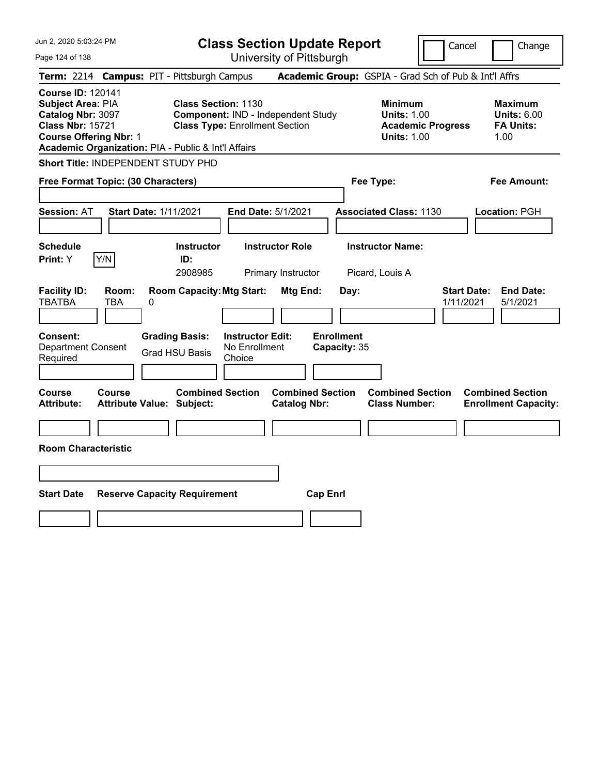| Jun 2, 2020 5:03:24 PM                                                                                                                                                                |                                                                                                           | <b>Class Section Update Report</b><br>Cancel<br>Change |                                                                                        |                                                                  |  |  |
|---------------------------------------------------------------------------------------------------------------------------------------------------------------------------------------|-----------------------------------------------------------------------------------------------------------|--------------------------------------------------------|----------------------------------------------------------------------------------------|------------------------------------------------------------------|--|--|
| Page 124 of 138                                                                                                                                                                       |                                                                                                           | University of Pittsburgh                               |                                                                                        |                                                                  |  |  |
| Term: 2214 Campus: PIT - Pittsburgh Campus                                                                                                                                            |                                                                                                           |                                                        | Academic Group: GSPIA - Grad Sch of Pub & Int'l Affrs                                  |                                                                  |  |  |
| <b>Course ID: 120141</b><br>Subject Area: PIA<br>Catalog Nbr: 3097<br><b>Class Nbr: 15721</b><br><b>Course Offering Nbr: 1</b><br>Academic Organization: PIA - Public & Int'l Affairs | <b>Class Section: 1130</b><br>Component: IND - Independent Study<br><b>Class Type: Enrollment Section</b> |                                                        | <b>Minimum</b><br><b>Units: 1.00</b><br><b>Academic Progress</b><br><b>Units: 1.00</b> | <b>Maximum</b><br><b>Units: 6.00</b><br><b>FA Units:</b><br>1.00 |  |  |
| Short Title: INDEPENDENT STUDY PHD                                                                                                                                                    |                                                                                                           |                                                        |                                                                                        |                                                                  |  |  |
| Free Format Topic: (30 Characters)                                                                                                                                                    |                                                                                                           |                                                        | Fee Type:                                                                              | Fee Amount:                                                      |  |  |
| <b>Session: AT</b><br><b>Start Date: 1/11/2021</b>                                                                                                                                    |                                                                                                           | <b>End Date: 5/1/2021</b>                              | <b>Associated Class: 1130</b>                                                          | Location: PGH                                                    |  |  |
| <b>Schedule</b><br>Y/N<br>Print: Y                                                                                                                                                    | <b>Instructor</b><br>ID:<br>2908985                                                                       | <b>Instructor Role</b><br>Primary Instructor           | <b>Instructor Name:</b><br>Picard, Louis A                                             |                                                                  |  |  |
| <b>Facility ID:</b><br>Room:<br><b>TBATBA</b><br><b>TBA</b><br>0                                                                                                                      | <b>Room Capacity: Mtg Start:</b>                                                                          | Mtg End:<br>Day:                                       |                                                                                        | <b>Start Date:</b><br><b>End Date:</b><br>1/11/2021<br>5/1/2021  |  |  |
| Consent:<br><b>Department Consent</b><br>Required                                                                                                                                     | <b>Grading Basis:</b><br><b>Instructor Edit:</b><br>No Enrollment<br><b>Grad HSU Basis</b><br>Choice      | <b>Enrollment</b><br>Capacity: 35                      |                                                                                        |                                                                  |  |  |
| Course<br>Course<br><b>Attribute:</b><br>Attribute Value: Subject:                                                                                                                    | <b>Combined Section</b>                                                                                   | <b>Combined Section</b><br><b>Catalog Nbr:</b>         | <b>Combined Section</b><br><b>Class Number:</b>                                        | <b>Combined Section</b><br><b>Enrollment Capacity:</b>           |  |  |
| <b>Room Characteristic</b>                                                                                                                                                            |                                                                                                           |                                                        |                                                                                        |                                                                  |  |  |
|                                                                                                                                                                                       |                                                                                                           |                                                        |                                                                                        |                                                                  |  |  |
| <b>Start Date</b>                                                                                                                                                                     | <b>Reserve Capacity Requirement</b>                                                                       | <b>Cap Enrl</b>                                        |                                                                                        |                                                                  |  |  |
|                                                                                                                                                                                       |                                                                                                           |                                                        |                                                                                        |                                                                  |  |  |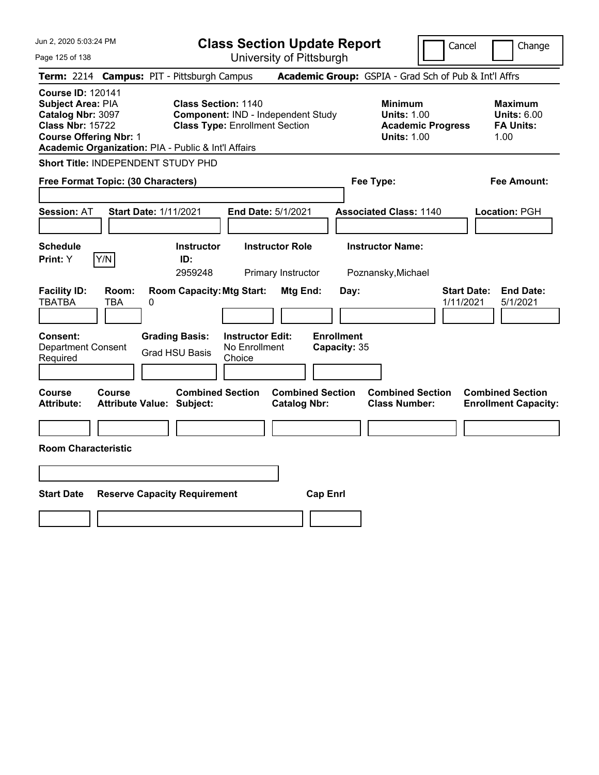| Jun 2, 2020 5:03:24 PM                                                                                                                                                                |                                                                     | <b>Class Section Update Report</b><br>Cancel<br>Change                        |                                                                                        |                                                                  |  |  |
|---------------------------------------------------------------------------------------------------------------------------------------------------------------------------------------|---------------------------------------------------------------------|-------------------------------------------------------------------------------|----------------------------------------------------------------------------------------|------------------------------------------------------------------|--|--|
| Page 125 of 138                                                                                                                                                                       |                                                                     | University of Pittsburgh                                                      |                                                                                        |                                                                  |  |  |
| Term: 2214 Campus: PIT - Pittsburgh Campus                                                                                                                                            |                                                                     |                                                                               | Academic Group: GSPIA - Grad Sch of Pub & Int'l Affrs                                  |                                                                  |  |  |
| <b>Course ID: 120141</b><br>Subject Area: PIA<br>Catalog Nbr: 3097<br><b>Class Nbr: 15722</b><br><b>Course Offering Nbr: 1</b><br>Academic Organization: PIA - Public & Int'l Affairs | <b>Class Section: 1140</b><br><b>Class Type: Enrollment Section</b> | Component: IND - Independent Study                                            | <b>Minimum</b><br><b>Units: 1.00</b><br><b>Academic Progress</b><br><b>Units: 1.00</b> | <b>Maximum</b><br><b>Units: 6.00</b><br><b>FA Units:</b><br>1.00 |  |  |
| Short Title: INDEPENDENT STUDY PHD                                                                                                                                                    |                                                                     |                                                                               |                                                                                        |                                                                  |  |  |
| Free Format Topic: (30 Characters)                                                                                                                                                    |                                                                     |                                                                               | Fee Type:                                                                              | Fee Amount:                                                      |  |  |
| <b>Session: AT</b>                                                                                                                                                                    | <b>Start Date: 1/11/2021</b>                                        | End Date: 5/1/2021                                                            | <b>Associated Class: 1140</b>                                                          | Location: PGH                                                    |  |  |
| <b>Schedule</b><br>Y/N<br>Print: Y                                                                                                                                                    | <b>Instructor</b><br>ID:<br>2959248                                 | <b>Instructor Role</b><br>Primary Instructor                                  | <b>Instructor Name:</b><br>Poznansky, Michael                                          |                                                                  |  |  |
| <b>Facility ID:</b><br>Room:<br><b>TBATBA</b><br>TBA                                                                                                                                  | <b>Room Capacity: Mtg Start:</b><br>0                               | Mtg End:<br>Day:                                                              |                                                                                        | <b>End Date:</b><br><b>Start Date:</b><br>1/11/2021<br>5/1/2021  |  |  |
| <b>Consent:</b><br><b>Department Consent</b><br>Required                                                                                                                              | <b>Grading Basis:</b><br><b>Grad HSU Basis</b><br>Choice            | <b>Enrollment</b><br><b>Instructor Edit:</b><br>No Enrollment<br>Capacity: 35 |                                                                                        |                                                                  |  |  |
| <b>Course</b><br><b>Course</b><br><b>Attribute:</b>                                                                                                                                   | <b>Combined Section</b><br><b>Attribute Value: Subject:</b>         | <b>Combined Section</b><br><b>Catalog Nbr:</b>                                | <b>Combined Section</b><br><b>Class Number:</b>                                        | <b>Combined Section</b><br><b>Enrollment Capacity:</b>           |  |  |
| <b>Room Characteristic</b>                                                                                                                                                            |                                                                     |                                                                               |                                                                                        |                                                                  |  |  |
|                                                                                                                                                                                       |                                                                     |                                                                               |                                                                                        |                                                                  |  |  |
| <b>Start Date</b>                                                                                                                                                                     | <b>Reserve Capacity Requirement</b>                                 | <b>Cap Enrl</b>                                                               |                                                                                        |                                                                  |  |  |
|                                                                                                                                                                                       |                                                                     |                                                                               |                                                                                        |                                                                  |  |  |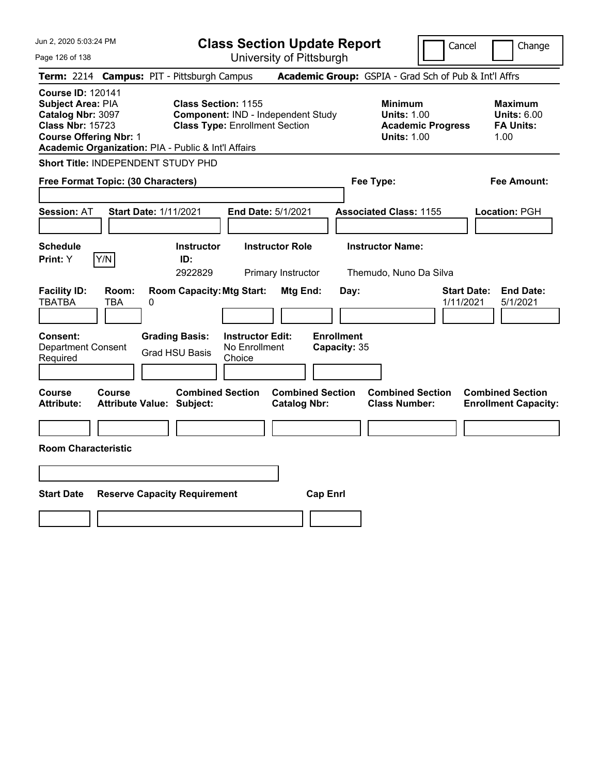| Jun 2, 2020 5:03:24 PM                                                                                                                                                                |                                                                                                           | <b>Class Section Update Report</b>             |                                                                                        | Cancel<br>Change                                                 |
|---------------------------------------------------------------------------------------------------------------------------------------------------------------------------------------|-----------------------------------------------------------------------------------------------------------|------------------------------------------------|----------------------------------------------------------------------------------------|------------------------------------------------------------------|
| Page 126 of 138                                                                                                                                                                       |                                                                                                           | University of Pittsburgh                       |                                                                                        |                                                                  |
| Term: 2214 Campus: PIT - Pittsburgh Campus                                                                                                                                            |                                                                                                           |                                                | Academic Group: GSPIA - Grad Sch of Pub & Int'l Affrs                                  |                                                                  |
| <b>Course ID: 120141</b><br>Subject Area: PIA<br>Catalog Nbr: 3097<br><b>Class Nbr: 15723</b><br><b>Course Offering Nbr: 1</b><br>Academic Organization: PIA - Public & Int'l Affairs | <b>Class Section: 1155</b><br>Component: IND - Independent Study<br><b>Class Type: Enrollment Section</b> |                                                | <b>Minimum</b><br><b>Units: 1.00</b><br><b>Academic Progress</b><br><b>Units: 1.00</b> | <b>Maximum</b><br><b>Units: 6.00</b><br><b>FA Units:</b><br>1.00 |
| Short Title: INDEPENDENT STUDY PHD                                                                                                                                                    |                                                                                                           |                                                |                                                                                        |                                                                  |
| Free Format Topic: (30 Characters)                                                                                                                                                    |                                                                                                           |                                                | Fee Type:                                                                              | Fee Amount:                                                      |
| <b>Session: AT</b>                                                                                                                                                                    | <b>Start Date: 1/11/2021</b>                                                                              | End Date: 5/1/2021                             | <b>Associated Class: 1155</b>                                                          | Location: PGH                                                    |
| <b>Schedule</b><br>Y/N<br>Print: Y                                                                                                                                                    | <b>Instructor</b><br>ID:<br>2922829                                                                       | <b>Instructor Role</b><br>Primary Instructor   | <b>Instructor Name:</b><br>Themudo, Nuno Da Silva                                      |                                                                  |
| <b>Facility ID:</b><br>Room:<br><b>TBATBA</b><br>TBA<br>0                                                                                                                             | <b>Room Capacity: Mtg Start:</b>                                                                          | Mtg End:<br>Day:                               |                                                                                        | <b>End Date:</b><br><b>Start Date:</b><br>1/11/2021<br>5/1/2021  |
| <b>Consent:</b><br><b>Department Consent</b><br>Required                                                                                                                              | <b>Instructor Edit:</b><br><b>Grading Basis:</b><br>No Enrollment<br><b>Grad HSU Basis</b><br>Choice      | <b>Enrollment</b><br>Capacity: 35              |                                                                                        |                                                                  |
| <b>Course</b><br><b>Course</b><br><b>Attribute:</b>                                                                                                                                   | <b>Combined Section</b><br><b>Attribute Value: Subject:</b>                                               | <b>Combined Section</b><br><b>Catalog Nbr:</b> | <b>Combined Section</b><br><b>Class Number:</b>                                        | <b>Combined Section</b><br><b>Enrollment Capacity:</b>           |
| <b>Room Characteristic</b>                                                                                                                                                            |                                                                                                           |                                                |                                                                                        |                                                                  |
|                                                                                                                                                                                       |                                                                                                           |                                                |                                                                                        |                                                                  |
| <b>Start Date</b>                                                                                                                                                                     | <b>Reserve Capacity Requirement</b>                                                                       | <b>Cap Enrl</b>                                |                                                                                        |                                                                  |
|                                                                                                                                                                                       |                                                                                                           |                                                |                                                                                        |                                                                  |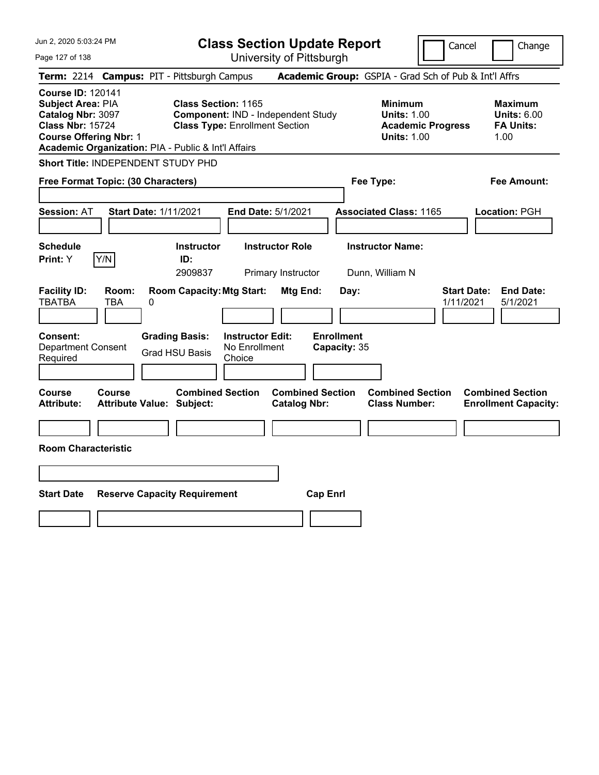| Jun 2, 2020 5:03:24 PM                                                                                                                                                                |                                     | <b>Class Section Update Report</b>                                  |                                                    |                                                |                                   |                                                            | Cancel                   | Change                          |                                                          |
|---------------------------------------------------------------------------------------------------------------------------------------------------------------------------------------|-------------------------------------|---------------------------------------------------------------------|----------------------------------------------------|------------------------------------------------|-----------------------------------|------------------------------------------------------------|--------------------------|---------------------------------|----------------------------------------------------------|
| Page 127 of 138                                                                                                                                                                       |                                     |                                                                     |                                                    | University of Pittsburgh                       |                                   |                                                            |                          |                                 |                                                          |
| Term: 2214 Campus: PIT - Pittsburgh Campus                                                                                                                                            |                                     |                                                                     |                                                    |                                                |                                   | Academic Group: GSPIA - Grad Sch of Pub & Int'l Affrs      |                          |                                 |                                                          |
| <b>Course ID: 120141</b><br>Subject Area: PIA<br>Catalog Nbr: 3097<br><b>Class Nbr: 15724</b><br><b>Course Offering Nbr: 1</b><br>Academic Organization: PIA - Public & Int'l Affairs |                                     | <b>Class Section: 1165</b><br><b>Class Type: Enrollment Section</b> |                                                    | Component: IND - Independent Study             |                                   | <b>Minimum</b><br><b>Units: 1.00</b><br><b>Units: 1.00</b> | <b>Academic Progress</b> | 1.00                            | <b>Maximum</b><br><b>Units: 6.00</b><br><b>FA Units:</b> |
| Short Title: INDEPENDENT STUDY PHD                                                                                                                                                    |                                     |                                                                     |                                                    |                                                |                                   |                                                            |                          |                                 |                                                          |
| Free Format Topic: (30 Characters)                                                                                                                                                    |                                     |                                                                     |                                                    |                                                |                                   | Fee Type:                                                  |                          |                                 | Fee Amount:                                              |
| <b>Session: AT</b>                                                                                                                                                                    | <b>Start Date: 1/11/2021</b>        |                                                                     |                                                    | End Date: 5/1/2021                             |                                   | <b>Associated Class: 1165</b>                              |                          |                                 | Location: PGH                                            |
| <b>Schedule</b><br>Y/N<br>Print: Y                                                                                                                                                    |                                     | <b>Instructor</b><br>ID:<br>2909837                                 |                                                    | <b>Instructor Role</b><br>Primary Instructor   |                                   | <b>Instructor Name:</b><br>Dunn, William N                 |                          |                                 |                                                          |
| <b>Facility ID:</b><br><b>TBATBA</b><br>TBA                                                                                                                                           | Room:<br>0                          | <b>Room Capacity: Mtg Start:</b>                                    |                                                    | Mtg End:                                       | Day:                              |                                                            |                          | <b>Start Date:</b><br>1/11/2021 | <b>End Date:</b><br>5/1/2021                             |
| <b>Consent:</b><br><b>Department Consent</b><br>Required                                                                                                                              |                                     | <b>Grading Basis:</b><br><b>Grad HSU Basis</b>                      | <b>Instructor Edit:</b><br>No Enrollment<br>Choice |                                                | <b>Enrollment</b><br>Capacity: 35 |                                                            |                          |                                 |                                                          |
| <b>Course</b><br><b>Course</b><br><b>Attribute:</b>                                                                                                                                   | <b>Attribute Value: Subject:</b>    | <b>Combined Section</b>                                             |                                                    | <b>Combined Section</b><br><b>Catalog Nbr:</b> |                                   | <b>Combined Section</b><br><b>Class Number:</b>            |                          | <b>Combined Section</b>         | <b>Enrollment Capacity:</b>                              |
| <b>Room Characteristic</b>                                                                                                                                                            |                                     |                                                                     |                                                    |                                                |                                   |                                                            |                          |                                 |                                                          |
|                                                                                                                                                                                       |                                     |                                                                     |                                                    |                                                |                                   |                                                            |                          |                                 |                                                          |
| <b>Start Date</b>                                                                                                                                                                     | <b>Reserve Capacity Requirement</b> |                                                                     |                                                    | <b>Cap Enrl</b>                                |                                   |                                                            |                          |                                 |                                                          |
|                                                                                                                                                                                       |                                     |                                                                     |                                                    |                                                |                                   |                                                            |                          |                                 |                                                          |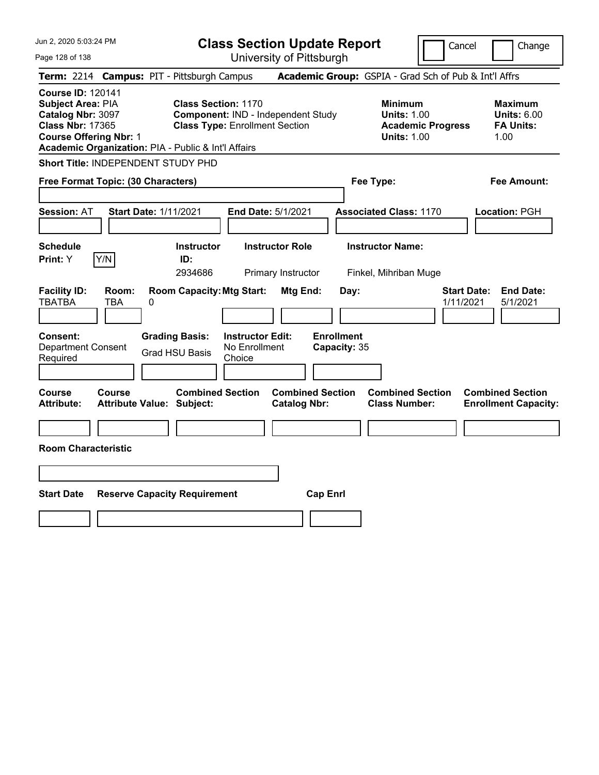| Jun 2, 2020 5:03:24 PM                                                                                                                                                                |                                     | <b>Class Section Update Report</b><br>Cancel<br>Change              |                                                    |                                                |                                   |                                                            |                          |                                                                  |  |
|---------------------------------------------------------------------------------------------------------------------------------------------------------------------------------------|-------------------------------------|---------------------------------------------------------------------|----------------------------------------------------|------------------------------------------------|-----------------------------------|------------------------------------------------------------|--------------------------|------------------------------------------------------------------|--|
| Page 128 of 138                                                                                                                                                                       |                                     |                                                                     |                                                    | University of Pittsburgh                       |                                   |                                                            |                          |                                                                  |  |
| Term: 2214 Campus: PIT - Pittsburgh Campus                                                                                                                                            |                                     |                                                                     |                                                    |                                                |                                   |                                                            |                          | Academic Group: GSPIA - Grad Sch of Pub & Int'l Affrs            |  |
| <b>Course ID: 120141</b><br>Subject Area: PIA<br>Catalog Nbr: 3097<br><b>Class Nbr: 17365</b><br><b>Course Offering Nbr: 1</b><br>Academic Organization: PIA - Public & Int'l Affairs |                                     | <b>Class Section: 1170</b><br><b>Class Type: Enrollment Section</b> |                                                    | Component: IND - Independent Study             |                                   | <b>Minimum</b><br><b>Units: 1.00</b><br><b>Units: 1.00</b> | <b>Academic Progress</b> | <b>Maximum</b><br><b>Units: 6.00</b><br><b>FA Units:</b><br>1.00 |  |
| Short Title: INDEPENDENT STUDY PHD                                                                                                                                                    |                                     |                                                                     |                                                    |                                                |                                   |                                                            |                          |                                                                  |  |
| Free Format Topic: (30 Characters)                                                                                                                                                    |                                     |                                                                     |                                                    |                                                |                                   | Fee Type:                                                  |                          | Fee Amount:                                                      |  |
| <b>Session: AT</b>                                                                                                                                                                    | <b>Start Date: 1/11/2021</b>        |                                                                     |                                                    | End Date: 5/1/2021                             |                                   | <b>Associated Class: 1170</b>                              |                          | Location: PGH                                                    |  |
| <b>Schedule</b><br>Y/N<br>Print: Y                                                                                                                                                    |                                     | <b>Instructor</b><br>ID:<br>2934686                                 |                                                    | <b>Instructor Role</b><br>Primary Instructor   |                                   | <b>Instructor Name:</b><br>Finkel, Mihriban Muge           |                          |                                                                  |  |
| <b>Facility ID:</b><br><b>TBATBA</b><br>TBA                                                                                                                                           | Room:<br>0                          | <b>Room Capacity: Mtg Start:</b>                                    |                                                    | Mtg End:                                       | Day:                              |                                                            |                          | <b>End Date:</b><br><b>Start Date:</b><br>1/11/2021<br>5/1/2021  |  |
| <b>Consent:</b><br><b>Department Consent</b><br>Required                                                                                                                              |                                     | <b>Grading Basis:</b><br><b>Grad HSU Basis</b>                      | <b>Instructor Edit:</b><br>No Enrollment<br>Choice |                                                | <b>Enrollment</b><br>Capacity: 35 |                                                            |                          |                                                                  |  |
| <b>Course</b><br><b>Course</b><br><b>Attribute:</b>                                                                                                                                   | <b>Attribute Value: Subject:</b>    | <b>Combined Section</b>                                             |                                                    | <b>Combined Section</b><br><b>Catalog Nbr:</b> |                                   | <b>Combined Section</b><br><b>Class Number:</b>            |                          | <b>Combined Section</b><br><b>Enrollment Capacity:</b>           |  |
| <b>Room Characteristic</b>                                                                                                                                                            |                                     |                                                                     |                                                    |                                                |                                   |                                                            |                          |                                                                  |  |
|                                                                                                                                                                                       |                                     |                                                                     |                                                    |                                                |                                   |                                                            |                          |                                                                  |  |
| <b>Start Date</b>                                                                                                                                                                     | <b>Reserve Capacity Requirement</b> |                                                                     |                                                    | <b>Cap Enrl</b>                                |                                   |                                                            |                          |                                                                  |  |
|                                                                                                                                                                                       |                                     |                                                                     |                                                    |                                                |                                   |                                                            |                          |                                                                  |  |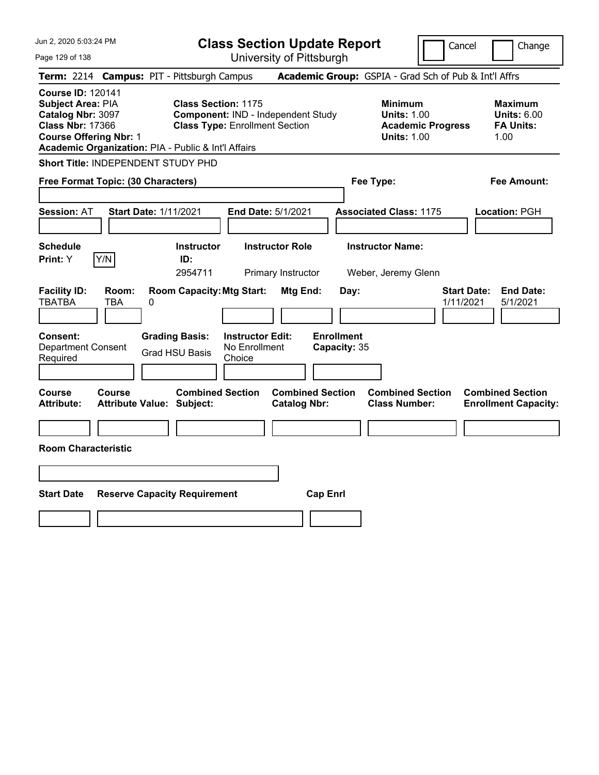| Jun 2, 2020 5:03:24 PM                                                                                                                                                                | <b>Class Section Update Report</b>                                                                        |                                                |                                                                                        | Cancel<br>Change                                                 |
|---------------------------------------------------------------------------------------------------------------------------------------------------------------------------------------|-----------------------------------------------------------------------------------------------------------|------------------------------------------------|----------------------------------------------------------------------------------------|------------------------------------------------------------------|
| Page 129 of 138                                                                                                                                                                       |                                                                                                           | University of Pittsburgh                       |                                                                                        |                                                                  |
| <b>Term: 2214</b>                                                                                                                                                                     | <b>Campus: PIT - Pittsburgh Campus</b>                                                                    |                                                | Academic Group: GSPIA - Grad Sch of Pub & Int'l Affrs                                  |                                                                  |
| <b>Course ID: 120141</b><br>Subject Area: PIA<br>Catalog Nbr: 3097<br><b>Class Nbr: 17366</b><br><b>Course Offering Nbr: 1</b><br>Academic Organization: PIA - Public & Int'l Affairs | <b>Class Section: 1175</b><br>Component: IND - Independent Study<br><b>Class Type: Enrollment Section</b> |                                                | <b>Minimum</b><br><b>Units: 1.00</b><br><b>Academic Progress</b><br><b>Units: 1.00</b> | <b>Maximum</b><br><b>Units: 6.00</b><br><b>FA Units:</b><br>1.00 |
| Short Title: INDEPENDENT STUDY PHD                                                                                                                                                    |                                                                                                           |                                                |                                                                                        |                                                                  |
| Free Format Topic: (30 Characters)                                                                                                                                                    |                                                                                                           |                                                | Fee Type:                                                                              | Fee Amount:                                                      |
| <b>Session: AT</b><br><b>Start Date: 1/11/2021</b>                                                                                                                                    | <b>End Date: 5/1/2021</b>                                                                                 |                                                | <b>Associated Class: 1175</b>                                                          | Location: PGH                                                    |
| <b>Schedule</b><br>Y/N<br>Print: Y                                                                                                                                                    | <b>Instructor</b><br><b>Instructor Role</b><br>ID:<br>2954711                                             | Primary Instructor                             | <b>Instructor Name:</b><br>Weber, Jeremy Glenn                                         |                                                                  |
| <b>Facility ID:</b><br>Room:<br><b>TBATBA</b><br><b>TBA</b><br>0                                                                                                                      | <b>Room Capacity: Mtg Start:</b>                                                                          | Mtg End:<br>Day:                               |                                                                                        | <b>Start Date:</b><br><b>End Date:</b><br>1/11/2021<br>5/1/2021  |
| Consent:<br><b>Department Consent</b><br>Required                                                                                                                                     | <b>Grading Basis:</b><br><b>Instructor Edit:</b><br>No Enrollment<br><b>Grad HSU Basis</b><br>Choice      | <b>Enrollment</b><br>Capacity: 35              |                                                                                        |                                                                  |
| Course<br><b>Course</b><br>Attribute Value: Subject:<br><b>Attribute:</b>                                                                                                             | <b>Combined Section</b>                                                                                   | <b>Combined Section</b><br><b>Catalog Nbr:</b> | <b>Combined Section</b><br><b>Class Number:</b>                                        | <b>Combined Section</b><br><b>Enrollment Capacity:</b>           |
| <b>Room Characteristic</b>                                                                                                                                                            |                                                                                                           |                                                |                                                                                        |                                                                  |
|                                                                                                                                                                                       |                                                                                                           |                                                |                                                                                        |                                                                  |
| <b>Start Date</b>                                                                                                                                                                     | <b>Reserve Capacity Requirement</b>                                                                       | <b>Cap Enrl</b>                                |                                                                                        |                                                                  |
|                                                                                                                                                                                       |                                                                                                           |                                                |                                                                                        |                                                                  |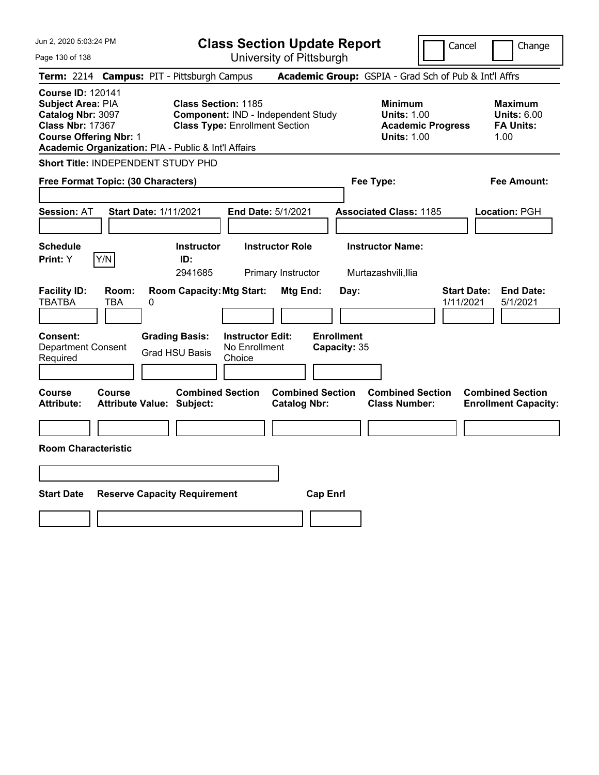| Jun 2, 2020 5:03:24 PM                                                                                                                                                                |                                                                                                                                          | <b>Class Section Update Report</b>                    |                                                                                        | Cancel<br>Change                                                 |
|---------------------------------------------------------------------------------------------------------------------------------------------------------------------------------------|------------------------------------------------------------------------------------------------------------------------------------------|-------------------------------------------------------|----------------------------------------------------------------------------------------|------------------------------------------------------------------|
| Page 130 of 138                                                                                                                                                                       |                                                                                                                                          | University of Pittsburgh                              |                                                                                        |                                                                  |
| <b>Term: 2214</b>                                                                                                                                                                     | <b>Campus: PIT - Pittsburgh Campus</b>                                                                                                   |                                                       | Academic Group: GSPIA - Grad Sch of Pub & Int'l Affrs                                  |                                                                  |
| <b>Course ID: 120141</b><br>Subject Area: PIA<br>Catalog Nbr: 3097<br><b>Class Nbr: 17367</b><br><b>Course Offering Nbr: 1</b><br>Academic Organization: PIA - Public & Int'l Affairs | <b>Class Section: 1185</b><br>Component: IND - Independent Study<br><b>Class Type: Enrollment Section</b>                                |                                                       | <b>Minimum</b><br><b>Units: 1.00</b><br><b>Academic Progress</b><br><b>Units: 1.00</b> | <b>Maximum</b><br><b>Units: 6.00</b><br><b>FA Units:</b><br>1.00 |
| Short Title: INDEPENDENT STUDY PHD                                                                                                                                                    |                                                                                                                                          |                                                       |                                                                                        |                                                                  |
| Free Format Topic: (30 Characters)                                                                                                                                                    |                                                                                                                                          |                                                       | Fee Type:                                                                              | Fee Amount:                                                      |
| <b>Session: AT</b>                                                                                                                                                                    | <b>Start Date: 1/11/2021</b>                                                                                                             | End Date: 5/1/2021                                    | <b>Associated Class: 1185</b>                                                          | Location: PGH                                                    |
| <b>Schedule</b>                                                                                                                                                                       | <b>Instructor</b>                                                                                                                        | <b>Instructor Role</b>                                | <b>Instructor Name:</b>                                                                |                                                                  |
| Y/N<br>Print: Y                                                                                                                                                                       | ID:<br>2941685                                                                                                                           | Primary Instructor                                    | Murtazashvili, Ilia                                                                    |                                                                  |
| <b>Facility ID:</b><br>Room:<br><b>TBATBA</b><br><b>TBA</b><br>0<br>Consent:<br><b>Department Consent</b><br>Required                                                                 | <b>Room Capacity: Mtg Start:</b><br><b>Grading Basis:</b><br><b>Instructor Edit:</b><br>No Enrollment<br><b>Grad HSU Basis</b><br>Choice | Mtg End:<br>Day:<br><b>Enrollment</b><br>Capacity: 35 |                                                                                        | <b>Start Date:</b><br><b>End Date:</b><br>1/11/2021<br>5/1/2021  |
| <b>Course</b><br><b>Course</b><br><b>Attribute:</b>                                                                                                                                   | <b>Combined Section</b><br><b>Attribute Value: Subject:</b>                                                                              | <b>Combined Section</b><br><b>Catalog Nbr:</b>        | <b>Combined Section</b><br><b>Class Number:</b>                                        | <b>Combined Section</b><br><b>Enrollment Capacity:</b>           |
|                                                                                                                                                                                       |                                                                                                                                          |                                                       |                                                                                        |                                                                  |
| <b>Room Characteristic</b>                                                                                                                                                            |                                                                                                                                          |                                                       |                                                                                        |                                                                  |
|                                                                                                                                                                                       |                                                                                                                                          |                                                       |                                                                                        |                                                                  |
| <b>Start Date</b>                                                                                                                                                                     | <b>Reserve Capacity Requirement</b>                                                                                                      | <b>Cap Enrl</b>                                       |                                                                                        |                                                                  |
|                                                                                                                                                                                       |                                                                                                                                          |                                                       |                                                                                        |                                                                  |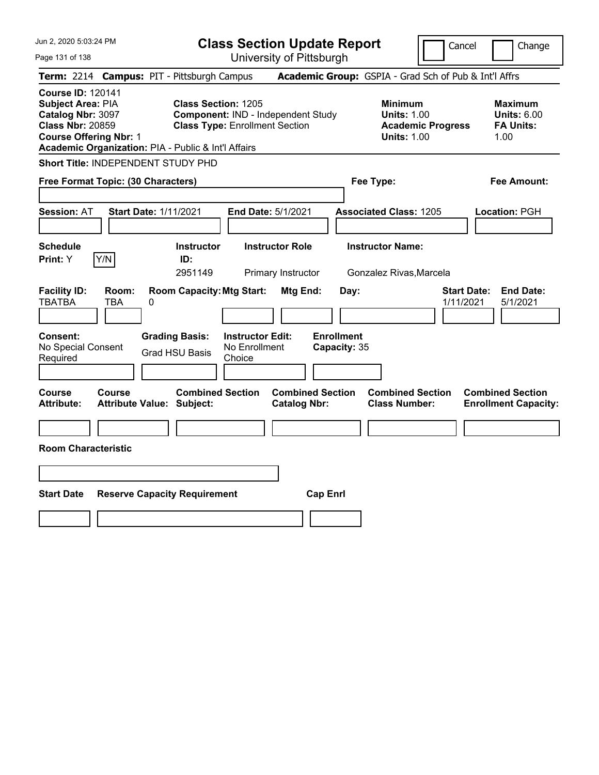| Jun 2, 2020 5:03:24 PM                                                                                                                                                                |                                                      | <b>Class Section Update Report</b><br>Cancel                                |                                                       |                                                            |                                 |                                                                  |
|---------------------------------------------------------------------------------------------------------------------------------------------------------------------------------------|------------------------------------------------------|-----------------------------------------------------------------------------|-------------------------------------------------------|------------------------------------------------------------|---------------------------------|------------------------------------------------------------------|
| Page 131 of 138                                                                                                                                                                       |                                                      | University of Pittsburgh                                                    |                                                       |                                                            |                                 | Change                                                           |
| Term: 2214 Campus: PIT - Pittsburgh Campus                                                                                                                                            |                                                      |                                                                             | Academic Group: GSPIA - Grad Sch of Pub & Int'l Affrs |                                                            |                                 |                                                                  |
| <b>Course ID: 120141</b><br>Subject Area: PIA<br>Catalog Nbr: 3097<br><b>Class Nbr: 20859</b><br><b>Course Offering Nbr: 1</b><br>Academic Organization: PIA - Public & Int'l Affairs | <b>Class Section: 1205</b>                           | Component: IND - Independent Study<br><b>Class Type: Enrollment Section</b> |                                                       | <b>Minimum</b><br><b>Units: 1.00</b><br><b>Units: 1.00</b> | <b>Academic Progress</b>        | <b>Maximum</b><br><b>Units: 6.00</b><br><b>FA Units:</b><br>1.00 |
| Short Title: INDEPENDENT STUDY PHD                                                                                                                                                    |                                                      |                                                                             |                                                       |                                                            |                                 |                                                                  |
| Free Format Topic: (30 Characters)                                                                                                                                                    |                                                      |                                                                             |                                                       | Fee Type:                                                  |                                 | Fee Amount:                                                      |
| <b>Session: AT</b>                                                                                                                                                                    | <b>Start Date: 1/11/2021</b>                         | <b>End Date: 5/1/2021</b>                                                   |                                                       | <b>Associated Class: 1205</b>                              |                                 | Location: PGH                                                    |
| <b>Schedule</b><br>Y/N<br>Print: Y                                                                                                                                                    | <b>Instructor</b><br>ID:<br>2951149                  | <b>Instructor Role</b><br>Primary Instructor                                |                                                       | <b>Instructor Name:</b><br>Gonzalez Rivas, Marcela         |                                 |                                                                  |
| <b>Facility ID:</b><br>Room:<br><b>TBATBA</b><br><b>TBA</b>                                                                                                                           | <b>Room Capacity: Mtg Start:</b><br>0                |                                                                             | Mtg End:<br>Day:                                      |                                                            | <b>Start Date:</b><br>1/11/2021 | <b>End Date:</b><br>5/1/2021                                     |
| Consent:<br>No Special Consent<br>Required                                                                                                                                            | <b>Grading Basis:</b><br><b>Grad HSU Basis</b>       | <b>Instructor Edit:</b><br>No Enrollment<br>Choice                          | <b>Enrollment</b><br>Capacity: 35                     |                                                            |                                 |                                                                  |
| Course<br>Course<br><b>Attribute:</b>                                                                                                                                                 | <b>Combined Section</b><br>Attribute Value: Subject: |                                                                             | <b>Combined Section</b><br><b>Catalog Nbr:</b>        | <b>Combined Section</b><br><b>Class Number:</b>            |                                 | <b>Combined Section</b><br><b>Enrollment Capacity:</b>           |
| <b>Room Characteristic</b>                                                                                                                                                            |                                                      |                                                                             |                                                       |                                                            |                                 |                                                                  |
|                                                                                                                                                                                       |                                                      |                                                                             |                                                       |                                                            |                                 |                                                                  |
| <b>Start Date</b>                                                                                                                                                                     | <b>Reserve Capacity Requirement</b>                  |                                                                             | <b>Cap Enrl</b>                                       |                                                            |                                 |                                                                  |
|                                                                                                                                                                                       |                                                      |                                                                             |                                                       |                                                            |                                 |                                                                  |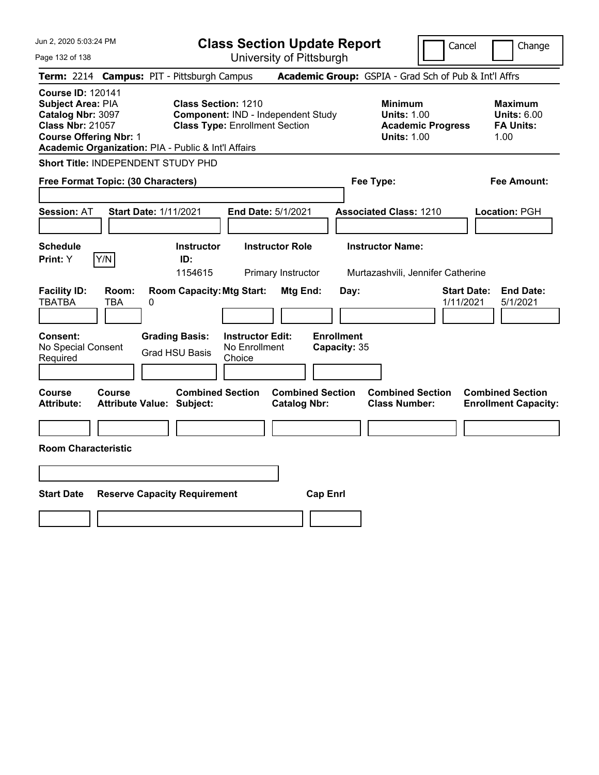| Jun 2, 2020 5:03:24 PM                                                                                                                                                                | <b>Class Section Update Report</b>                                                                   |                                                |                                                                                        | Cancel<br>Change                                                 |
|---------------------------------------------------------------------------------------------------------------------------------------------------------------------------------------|------------------------------------------------------------------------------------------------------|------------------------------------------------|----------------------------------------------------------------------------------------|------------------------------------------------------------------|
| Page 132 of 138                                                                                                                                                                       | University of Pittsburgh                                                                             |                                                |                                                                                        |                                                                  |
| Term: 2214 Campus: PIT - Pittsburgh Campus                                                                                                                                            |                                                                                                      |                                                | Academic Group: GSPIA - Grad Sch of Pub & Int'l Affrs                                  |                                                                  |
| <b>Course ID: 120141</b><br>Subject Area: PIA<br>Catalog Nbr: 3097<br><b>Class Nbr: 21057</b><br><b>Course Offering Nbr: 1</b><br>Academic Organization: PIA - Public & Int'l Affairs | Class Section: 1210<br>Component: IND - Independent Study<br><b>Class Type: Enrollment Section</b>   |                                                | <b>Minimum</b><br><b>Units: 1.00</b><br><b>Academic Progress</b><br><b>Units: 1.00</b> | <b>Maximum</b><br><b>Units: 6.00</b><br><b>FA Units:</b><br>1.00 |
| Short Title: INDEPENDENT STUDY PHD                                                                                                                                                    |                                                                                                      |                                                |                                                                                        |                                                                  |
| Free Format Topic: (30 Characters)                                                                                                                                                    |                                                                                                      |                                                | Fee Type:                                                                              | Fee Amount:                                                      |
| <b>Session: AT</b><br><b>Start Date: 1/11/2021</b>                                                                                                                                    | <b>End Date: 5/1/2021</b>                                                                            |                                                | <b>Associated Class: 1210</b>                                                          | Location: PGH                                                    |
| <b>Schedule</b><br>Y/N<br>Print: Y                                                                                                                                                    | <b>Instructor</b><br><b>Instructor Role</b><br>ID:<br>1154615<br>Primary Instructor                  |                                                | <b>Instructor Name:</b><br>Murtazashvili, Jennifer Catherine                           |                                                                  |
| <b>Facility ID:</b><br>Room:<br><b>TBATBA</b><br><b>TBA</b><br>0                                                                                                                      | <b>Room Capacity: Mtg Start:</b>                                                                     | Mtg End:<br>Day:                               |                                                                                        | <b>Start Date:</b><br><b>End Date:</b><br>1/11/2021<br>5/1/2021  |
| Consent:<br>No Special Consent<br>Required                                                                                                                                            | <b>Grading Basis:</b><br><b>Instructor Edit:</b><br>No Enrollment<br><b>Grad HSU Basis</b><br>Choice | <b>Enrollment</b><br>Capacity: 35              |                                                                                        |                                                                  |
| Course<br>Course<br><b>Attribute:</b><br>Attribute Value: Subject:                                                                                                                    | <b>Combined Section</b>                                                                              | <b>Combined Section</b><br><b>Catalog Nbr:</b> | <b>Combined Section</b><br><b>Class Number:</b>                                        | <b>Combined Section</b><br><b>Enrollment Capacity:</b>           |
| <b>Room Characteristic</b>                                                                                                                                                            |                                                                                                      |                                                |                                                                                        |                                                                  |
|                                                                                                                                                                                       |                                                                                                      |                                                |                                                                                        |                                                                  |
| <b>Start Date</b>                                                                                                                                                                     | <b>Reserve Capacity Requirement</b>                                                                  | <b>Cap Enrl</b>                                |                                                                                        |                                                                  |
|                                                                                                                                                                                       |                                                                                                      |                                                |                                                                                        |                                                                  |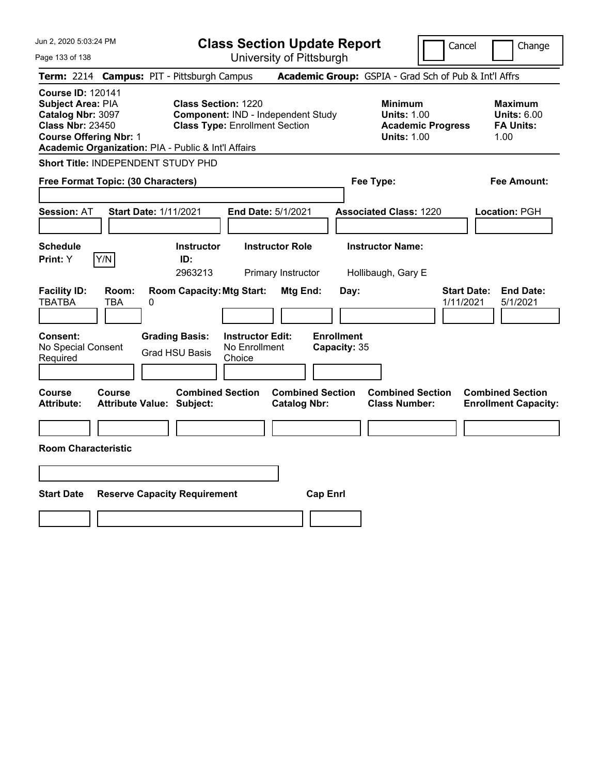| Jun 2, 2020 5:03:24 PM                                                                                                                                                                | <b>Class Section Update Report</b>                                                                        |                                                | Cancel<br>Change                                                                       |                                                                  |  |
|---------------------------------------------------------------------------------------------------------------------------------------------------------------------------------------|-----------------------------------------------------------------------------------------------------------|------------------------------------------------|----------------------------------------------------------------------------------------|------------------------------------------------------------------|--|
| Page 133 of 138                                                                                                                                                                       |                                                                                                           | University of Pittsburgh                       |                                                                                        |                                                                  |  |
| Term: 2214 Campus: PIT - Pittsburgh Campus                                                                                                                                            |                                                                                                           |                                                | Academic Group: GSPIA - Grad Sch of Pub & Int'l Affrs                                  |                                                                  |  |
| <b>Course ID: 120141</b><br>Subject Area: PIA<br>Catalog Nbr: 3097<br><b>Class Nbr: 23450</b><br><b>Course Offering Nbr: 1</b><br>Academic Organization: PIA - Public & Int'l Affairs | <b>Class Section: 1220</b><br>Component: IND - Independent Study<br><b>Class Type: Enrollment Section</b> |                                                | <b>Minimum</b><br><b>Units: 1.00</b><br><b>Academic Progress</b><br><b>Units: 1.00</b> | <b>Maximum</b><br><b>Units: 6.00</b><br><b>FA Units:</b><br>1.00 |  |
| Short Title: INDEPENDENT STUDY PHD                                                                                                                                                    |                                                                                                           |                                                |                                                                                        |                                                                  |  |
| Free Format Topic: (30 Characters)                                                                                                                                                    |                                                                                                           |                                                | Fee Type:                                                                              | Fee Amount:                                                      |  |
| <b>Start Date: 1/11/2021</b><br><b>Session: AT</b>                                                                                                                                    |                                                                                                           | End Date: 5/1/2021                             | <b>Associated Class: 1220</b>                                                          | Location: PGH                                                    |  |
| <b>Schedule</b><br>Y/N<br>Print: Y                                                                                                                                                    | <b>Instructor</b><br>ID:<br>2963213                                                                       | <b>Instructor Role</b><br>Primary Instructor   | <b>Instructor Name:</b><br>Hollibaugh, Gary E                                          |                                                                  |  |
| <b>Facility ID:</b><br>Room:<br><b>TBATBA</b><br>TBA<br>0                                                                                                                             | <b>Room Capacity: Mtg Start:</b>                                                                          | Mtg End:<br>Day:                               |                                                                                        | <b>End Date:</b><br><b>Start Date:</b><br>1/11/2021<br>5/1/2021  |  |
| <b>Consent:</b><br>No Special Consent<br>Required                                                                                                                                     | <b>Instructor Edit:</b><br><b>Grading Basis:</b><br>No Enrollment<br><b>Grad HSU Basis</b><br>Choice      | <b>Enrollment</b><br>Capacity: 35              |                                                                                        |                                                                  |  |
| <b>Course</b><br><b>Course</b><br><b>Attribute:</b><br><b>Attribute Value: Subject:</b>                                                                                               | <b>Combined Section</b>                                                                                   | <b>Combined Section</b><br><b>Catalog Nbr:</b> | <b>Combined Section</b><br><b>Class Number:</b>                                        | <b>Combined Section</b><br><b>Enrollment Capacity:</b>           |  |
| <b>Room Characteristic</b>                                                                                                                                                            |                                                                                                           |                                                |                                                                                        |                                                                  |  |
|                                                                                                                                                                                       |                                                                                                           |                                                |                                                                                        |                                                                  |  |
| <b>Start Date</b>                                                                                                                                                                     | <b>Reserve Capacity Requirement</b>                                                                       | <b>Cap Enrl</b>                                |                                                                                        |                                                                  |  |
|                                                                                                                                                                                       |                                                                                                           |                                                |                                                                                        |                                                                  |  |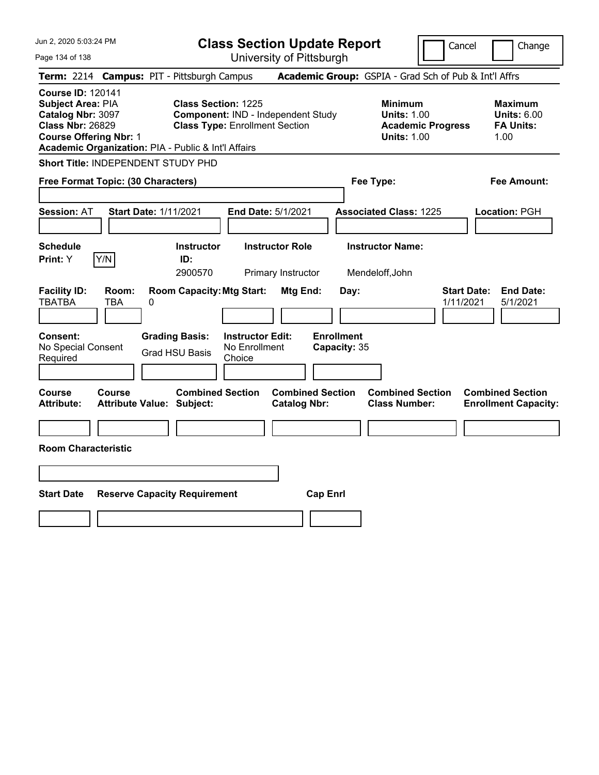| Jun 2, 2020 5:03:24 PM                                                                                                                                                                |                                                |                                                                     | <b>Class Section Update Report</b>             |                                                       | Cancel                                                               | Change                                                           |
|---------------------------------------------------------------------------------------------------------------------------------------------------------------------------------------|------------------------------------------------|---------------------------------------------------------------------|------------------------------------------------|-------------------------------------------------------|----------------------------------------------------------------------|------------------------------------------------------------------|
| Page 134 of 138                                                                                                                                                                       |                                                |                                                                     | University of Pittsburgh                       |                                                       |                                                                      |                                                                  |
| Term: 2214 Campus: PIT - Pittsburgh Campus                                                                                                                                            |                                                |                                                                     |                                                | Academic Group: GSPIA - Grad Sch of Pub & Int'l Affrs |                                                                      |                                                                  |
| <b>Course ID: 120141</b><br>Subject Area: PIA<br>Catalog Nbr: 3097<br><b>Class Nbr: 26829</b><br><b>Course Offering Nbr: 1</b><br>Academic Organization: PIA - Public & Int'l Affairs |                                                | <b>Class Section: 1225</b><br><b>Class Type: Enrollment Section</b> | Component: IND - Independent Study             | <b>Minimum</b>                                        | <b>Units: 1.00</b><br><b>Academic Progress</b><br><b>Units: 1.00</b> | <b>Maximum</b><br><b>Units: 6.00</b><br><b>FA Units:</b><br>1.00 |
| Short Title: INDEPENDENT STUDY PHD                                                                                                                                                    |                                                |                                                                     |                                                |                                                       |                                                                      |                                                                  |
| Free Format Topic: (30 Characters)                                                                                                                                                    |                                                |                                                                     |                                                | Fee Type:                                             |                                                                      | Fee Amount:                                                      |
| <b>Session: AT</b>                                                                                                                                                                    | <b>Start Date: 1/11/2021</b>                   |                                                                     | End Date: 5/1/2021                             | <b>Associated Class: 1225</b>                         |                                                                      | Location: PGH                                                    |
| <b>Schedule</b><br>Y/N<br>Print: Y                                                                                                                                                    | <b>Instructor</b><br>ID:<br>2900570            |                                                                     | <b>Instructor Role</b><br>Primary Instructor   | <b>Instructor Name:</b><br>Mendeloff, John            |                                                                      |                                                                  |
| <b>Facility ID:</b><br>Room:<br><b>TBATBA</b><br>TBA                                                                                                                                  | 0                                              | <b>Room Capacity: Mtg Start:</b>                                    | Mtg End:                                       | Day:                                                  | <b>Start Date:</b><br>1/11/2021                                      | <b>End Date:</b><br>5/1/2021                                     |
| <b>Consent:</b><br>No Special Consent<br>Required                                                                                                                                     | <b>Grading Basis:</b><br><b>Grad HSU Basis</b> | <b>Instructor Edit:</b><br>No Enrollment<br>Choice                  | <b>Enrollment</b>                              | Capacity: 35                                          |                                                                      |                                                                  |
| <b>Course</b><br><b>Course</b><br><b>Attribute:</b>                                                                                                                                   | <b>Attribute Value: Subject:</b>               | <b>Combined Section</b>                                             | <b>Combined Section</b><br><b>Catalog Nbr:</b> | <b>Class Number:</b>                                  | <b>Combined Section</b>                                              | <b>Combined Section</b><br><b>Enrollment Capacity:</b>           |
| <b>Room Characteristic</b>                                                                                                                                                            |                                                |                                                                     |                                                |                                                       |                                                                      |                                                                  |
|                                                                                                                                                                                       |                                                |                                                                     |                                                |                                                       |                                                                      |                                                                  |
| <b>Start Date</b>                                                                                                                                                                     | <b>Reserve Capacity Requirement</b>            |                                                                     | <b>Cap Enrl</b>                                |                                                       |                                                                      |                                                                  |
|                                                                                                                                                                                       |                                                |                                                                     |                                                |                                                       |                                                                      |                                                                  |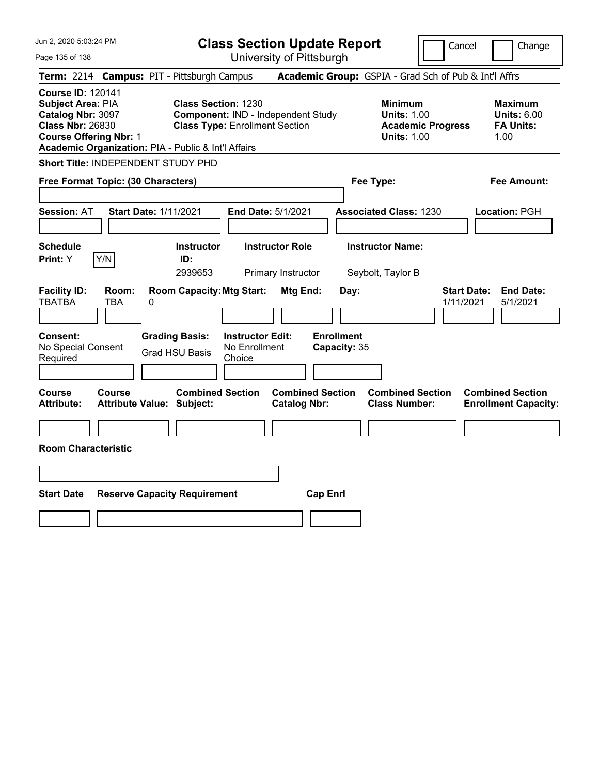| Jun 2, 2020 5:03:24 PM                                                                                                                                                                |                                                   |                                                                                    |                                                    | <b>Class Section Update Report</b>             |                                           |                                                            |                          | Cancel<br>Change                                                 |  |
|---------------------------------------------------------------------------------------------------------------------------------------------------------------------------------------|---------------------------------------------------|------------------------------------------------------------------------------------|----------------------------------------------------|------------------------------------------------|-------------------------------------------|------------------------------------------------------------|--------------------------|------------------------------------------------------------------|--|
| Page 135 of 138                                                                                                                                                                       |                                                   |                                                                                    |                                                    | University of Pittsburgh                       |                                           |                                                            |                          |                                                                  |  |
| Term: 2214 Campus: PIT - Pittsburgh Campus                                                                                                                                            |                                                   |                                                                                    |                                                    |                                                |                                           |                                                            |                          | Academic Group: GSPIA - Grad Sch of Pub & Int'l Affrs            |  |
| <b>Course ID: 120141</b><br>Subject Area: PIA<br>Catalog Nbr: 3097<br><b>Class Nbr: 26830</b><br><b>Course Offering Nbr: 1</b><br>Academic Organization: PIA - Public & Int'l Affairs |                                                   | <b>Class Section: 1230</b><br><b>Class Type: Enrollment Section</b>                |                                                    | Component: IND - Independent Study             |                                           | <b>Minimum</b><br><b>Units: 1.00</b><br><b>Units: 1.00</b> | <b>Academic Progress</b> | <b>Maximum</b><br><b>Units: 6.00</b><br><b>FA Units:</b><br>1.00 |  |
| Short Title: INDEPENDENT STUDY PHD                                                                                                                                                    |                                                   |                                                                                    |                                                    |                                                |                                           |                                                            |                          |                                                                  |  |
| Free Format Topic: (30 Characters)                                                                                                                                                    |                                                   |                                                                                    |                                                    |                                                |                                           | Fee Type:                                                  |                          | Fee Amount:                                                      |  |
| <b>Session: AT</b>                                                                                                                                                                    | <b>Start Date: 1/11/2021</b>                      |                                                                                    |                                                    | End Date: 5/1/2021                             |                                           | <b>Associated Class: 1230</b>                              |                          | Location: PGH                                                    |  |
| <b>Schedule</b>                                                                                                                                                                       |                                                   | <b>Instructor</b>                                                                  |                                                    | <b>Instructor Role</b>                         |                                           | <b>Instructor Name:</b>                                    |                          |                                                                  |  |
| Y/N<br>Print: Y                                                                                                                                                                       |                                                   | ID:<br>2939653                                                                     |                                                    | Primary Instructor                             |                                           | Seybolt, Taylor B                                          |                          |                                                                  |  |
| <b>Facility ID:</b><br><b>TBATBA</b><br><b>Consent:</b><br>No Special Consent<br>Required                                                                                             | Room:<br>TBA<br>0                                 | <b>Room Capacity: Mtg Start:</b><br><b>Grading Basis:</b><br><b>Grad HSU Basis</b> | <b>Instructor Edit:</b><br>No Enrollment<br>Choice | Mtg End:                                       | Day:<br><b>Enrollment</b><br>Capacity: 35 |                                                            |                          | <b>Start Date:</b><br><b>End Date:</b><br>1/11/2021<br>5/1/2021  |  |
|                                                                                                                                                                                       |                                                   |                                                                                    |                                                    |                                                |                                           |                                                            |                          |                                                                  |  |
| <b>Course</b><br><b>Attribute:</b>                                                                                                                                                    | <b>Course</b><br><b>Attribute Value: Subject:</b> | <b>Combined Section</b>                                                            |                                                    | <b>Combined Section</b><br><b>Catalog Nbr:</b> |                                           | <b>Combined Section</b><br><b>Class Number:</b>            |                          | <b>Combined Section</b><br><b>Enrollment Capacity:</b>           |  |
|                                                                                                                                                                                       |                                                   |                                                                                    |                                                    |                                                |                                           |                                                            |                          |                                                                  |  |
| <b>Room Characteristic</b>                                                                                                                                                            |                                                   |                                                                                    |                                                    |                                                |                                           |                                                            |                          |                                                                  |  |
|                                                                                                                                                                                       |                                                   |                                                                                    |                                                    |                                                |                                           |                                                            |                          |                                                                  |  |
| <b>Start Date</b>                                                                                                                                                                     | <b>Reserve Capacity Requirement</b>               |                                                                                    |                                                    | <b>Cap Enrl</b>                                |                                           |                                                            |                          |                                                                  |  |
|                                                                                                                                                                                       |                                                   |                                                                                    |                                                    |                                                |                                           |                                                            |                          |                                                                  |  |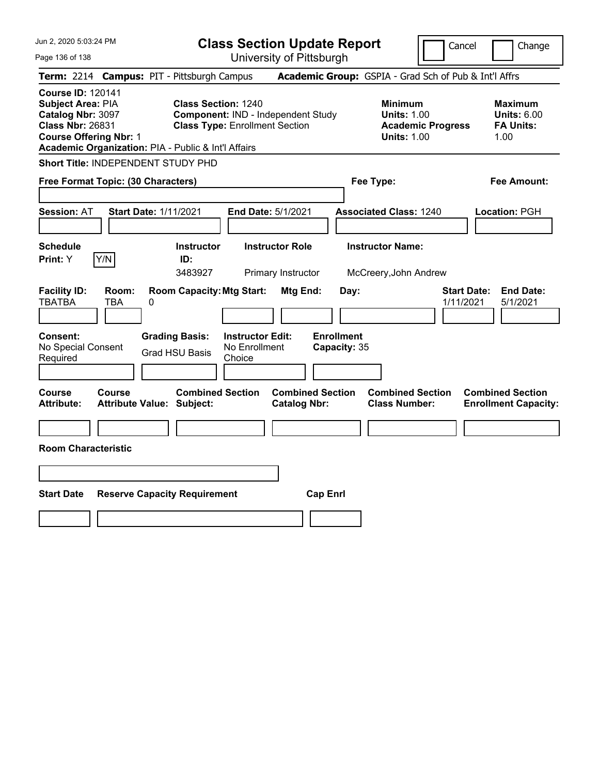| Jun 2, 2020 5:03:24 PM                                                                                                         |                   |                                                                                                                            |                                                    | <b>Class Section Update Report</b>             |                                           |                                                            | Cancel                   | Change                                                           |
|--------------------------------------------------------------------------------------------------------------------------------|-------------------|----------------------------------------------------------------------------------------------------------------------------|----------------------------------------------------|------------------------------------------------|-------------------------------------------|------------------------------------------------------------|--------------------------|------------------------------------------------------------------|
| Page 136 of 138                                                                                                                |                   |                                                                                                                            |                                                    | University of Pittsburgh                       |                                           |                                                            |                          |                                                                  |
| <b>Term: 2214</b>                                                                                                              |                   | <b>Campus: PIT - Pittsburgh Campus</b>                                                                                     |                                                    |                                                |                                           |                                                            |                          | Academic Group: GSPIA - Grad Sch of Pub & Int'l Affrs            |
| <b>Course ID: 120141</b><br>Subject Area: PIA<br>Catalog Nbr: 3097<br><b>Class Nbr: 26831</b><br><b>Course Offering Nbr: 1</b> |                   | <b>Class Section: 1240</b><br><b>Class Type: Enrollment Section</b><br>Academic Organization: PIA - Public & Int'l Affairs |                                                    | Component: IND - Independent Study             |                                           | <b>Minimum</b><br><b>Units: 1.00</b><br><b>Units: 1.00</b> | <b>Academic Progress</b> | <b>Maximum</b><br><b>Units: 6.00</b><br><b>FA Units:</b><br>1.00 |
| Short Title: INDEPENDENT STUDY PHD                                                                                             |                   |                                                                                                                            |                                                    |                                                |                                           |                                                            |                          |                                                                  |
| Free Format Topic: (30 Characters)                                                                                             |                   |                                                                                                                            |                                                    |                                                |                                           | Fee Type:                                                  |                          | Fee Amount:                                                      |
| <b>Session: AT</b>                                                                                                             |                   | <b>Start Date: 1/11/2021</b>                                                                                               | End Date: 5/1/2021                                 |                                                |                                           | <b>Associated Class: 1240</b>                              |                          | Location: PGH                                                    |
| <b>Schedule</b>                                                                                                                |                   | <b>Instructor</b>                                                                                                          |                                                    | <b>Instructor Role</b>                         |                                           | <b>Instructor Name:</b>                                    |                          |                                                                  |
| Print: Y                                                                                                                       | Y/N               | ID:<br>3483927                                                                                                             |                                                    | Primary Instructor                             |                                           | McCreery, John Andrew                                      |                          |                                                                  |
| <b>Facility ID:</b><br><b>TBATBA</b><br>Consent:<br>No Special Consent<br>Required                                             | Room:<br>TBA<br>0 | <b>Room Capacity: Mtg Start:</b><br><b>Grading Basis:</b><br><b>Grad HSU Basis</b>                                         | <b>Instructor Edit:</b><br>No Enrollment<br>Choice | Mtg End:                                       | Day:<br><b>Enrollment</b><br>Capacity: 35 |                                                            | 1/11/2021                | <b>End Date:</b><br><b>Start Date:</b><br>5/1/2021               |
|                                                                                                                                |                   |                                                                                                                            |                                                    |                                                |                                           |                                                            |                          |                                                                  |
| Course<br><b>Attribute:</b>                                                                                                    | <b>Course</b>     | <b>Combined Section</b><br>Attribute Value: Subject:                                                                       |                                                    | <b>Combined Section</b><br><b>Catalog Nbr:</b> |                                           | <b>Combined Section</b><br><b>Class Number:</b>            |                          | <b>Combined Section</b><br><b>Enrollment Capacity:</b>           |
|                                                                                                                                |                   |                                                                                                                            |                                                    |                                                |                                           |                                                            |                          |                                                                  |
| <b>Room Characteristic</b>                                                                                                     |                   |                                                                                                                            |                                                    |                                                |                                           |                                                            |                          |                                                                  |
|                                                                                                                                |                   |                                                                                                                            |                                                    |                                                |                                           |                                                            |                          |                                                                  |
| <b>Start Date</b>                                                                                                              |                   | <b>Reserve Capacity Requirement</b>                                                                                        |                                                    | <b>Cap Enrl</b>                                |                                           |                                                            |                          |                                                                  |
|                                                                                                                                |                   |                                                                                                                            |                                                    |                                                |                                           |                                                            |                          |                                                                  |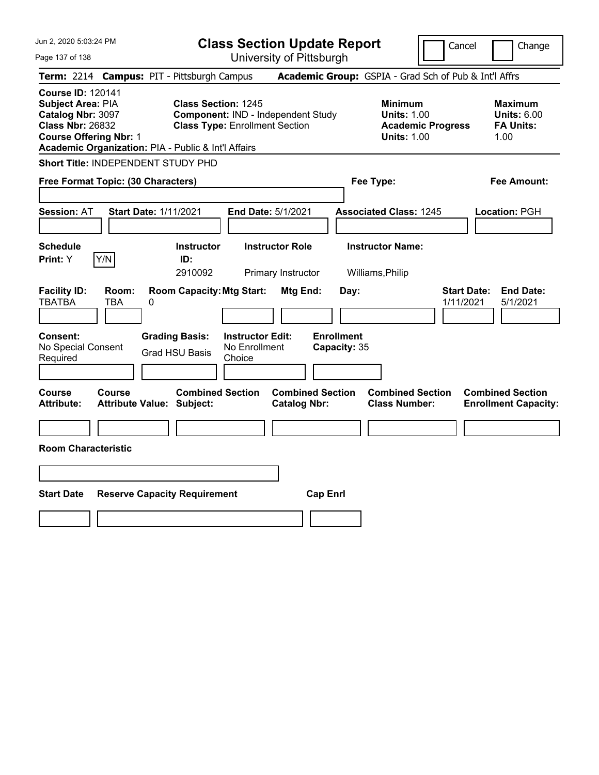| Jun 2, 2020 5:03:24 PM                                                                                                                                                                |                                                                                                           | <b>Class Section Update Report</b>             |                                                                                        | Cancel<br>Change                                                 |
|---------------------------------------------------------------------------------------------------------------------------------------------------------------------------------------|-----------------------------------------------------------------------------------------------------------|------------------------------------------------|----------------------------------------------------------------------------------------|------------------------------------------------------------------|
| Page 137 of 138                                                                                                                                                                       |                                                                                                           | University of Pittsburgh                       |                                                                                        |                                                                  |
| Term: 2214 Campus: PIT - Pittsburgh Campus                                                                                                                                            |                                                                                                           |                                                | Academic Group: GSPIA - Grad Sch of Pub & Int'l Affrs                                  |                                                                  |
| <b>Course ID: 120141</b><br>Subject Area: PIA<br>Catalog Nbr: 3097<br><b>Class Nbr: 26832</b><br><b>Course Offering Nbr: 1</b><br>Academic Organization: PIA - Public & Int'l Affairs | <b>Class Section: 1245</b><br>Component: IND - Independent Study<br><b>Class Type: Enrollment Section</b> |                                                | <b>Minimum</b><br><b>Units: 1.00</b><br><b>Academic Progress</b><br><b>Units: 1.00</b> | <b>Maximum</b><br><b>Units: 6.00</b><br><b>FA Units:</b><br>1.00 |
| Short Title: INDEPENDENT STUDY PHD                                                                                                                                                    |                                                                                                           |                                                |                                                                                        |                                                                  |
| Free Format Topic: (30 Characters)                                                                                                                                                    |                                                                                                           |                                                | Fee Type:                                                                              | Fee Amount:                                                      |
| <b>Session: AT</b><br><b>Start Date: 1/11/2021</b>                                                                                                                                    |                                                                                                           | <b>End Date: 5/1/2021</b>                      | <b>Associated Class: 1245</b>                                                          | Location: PGH                                                    |
| <b>Schedule</b><br>Y/N<br>Print: Y                                                                                                                                                    | <b>Instructor</b><br>ID:<br>2910092                                                                       | <b>Instructor Role</b><br>Primary Instructor   | <b>Instructor Name:</b><br>Williams, Philip                                            |                                                                  |
| <b>Facility ID:</b><br>Room:<br><b>TBATBA</b><br><b>TBA</b><br>0                                                                                                                      | <b>Room Capacity: Mtg Start:</b>                                                                          | Mtg End:<br>Day:                               |                                                                                        | <b>Start Date:</b><br><b>End Date:</b><br>1/11/2021<br>5/1/2021  |
| Consent:<br>No Special Consent<br>Required                                                                                                                                            | <b>Grading Basis:</b><br><b>Instructor Edit:</b><br>No Enrollment<br><b>Grad HSU Basis</b><br>Choice      | <b>Enrollment</b><br>Capacity: 35              |                                                                                        |                                                                  |
| Course<br>Course<br><b>Attribute:</b><br>Attribute Value: Subject:                                                                                                                    | <b>Combined Section</b>                                                                                   | <b>Combined Section</b><br><b>Catalog Nbr:</b> | <b>Combined Section</b><br><b>Class Number:</b>                                        | <b>Combined Section</b><br><b>Enrollment Capacity:</b>           |
| <b>Room Characteristic</b>                                                                                                                                                            |                                                                                                           |                                                |                                                                                        |                                                                  |
|                                                                                                                                                                                       |                                                                                                           |                                                |                                                                                        |                                                                  |
| <b>Start Date</b>                                                                                                                                                                     | <b>Reserve Capacity Requirement</b>                                                                       | <b>Cap Enrl</b>                                |                                                                                        |                                                                  |
|                                                                                                                                                                                       |                                                                                                           |                                                |                                                                                        |                                                                  |